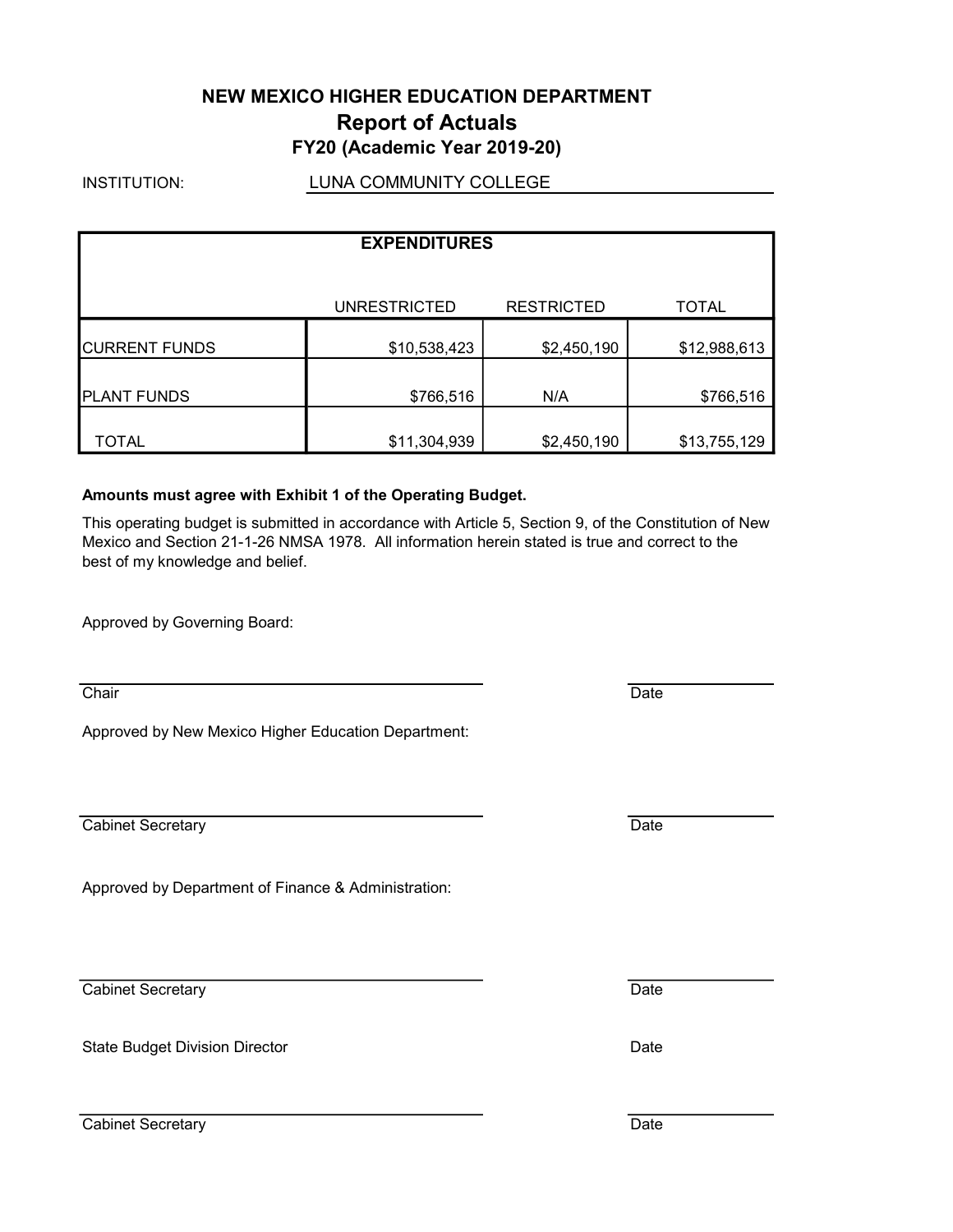## NEW MEXICO HIGHER EDUCATION DEPARTMENT Report of Actuals FY20 (Academic Year 2019-20)

INSTITUTION:

LUNA COMMUNITY COLLEGE

|                      | <b>EXPENDITURES</b> |                   |              |
|----------------------|---------------------|-------------------|--------------|
|                      | <b>UNRESTRICTED</b> | <b>RESTRICTED</b> | <b>TOTAL</b> |
| <b>CURRENT FUNDS</b> | \$10,538,423        | \$2,450,190       | \$12,988,613 |
| <b>PLANT FUNDS</b>   | \$766,516           | N/A               | \$766,516    |
| TOTAL                | \$11,304,939        | \$2,450,190       | \$13,755,129 |

### Amounts must agree with Exhibit 1 of the Operating Budget.

This operating budget is submitted in accordance with Article 5, Section 9, of the Constitution of New Mexico and Section 21-1-26 NMSA 1978. All information herein stated is true and correct to the best of my knowledge and belief.

Approved by Governing Board:

Approved by New Mexico Higher Education Department:

**Cabinet Secretary Date** 

Approved by Department of Finance & Administration:

Cabinet Secretary **Date** 

State Budget Division Director **Date Budget Division Director** Date

Cabinet Secretary Date

Chair **Date**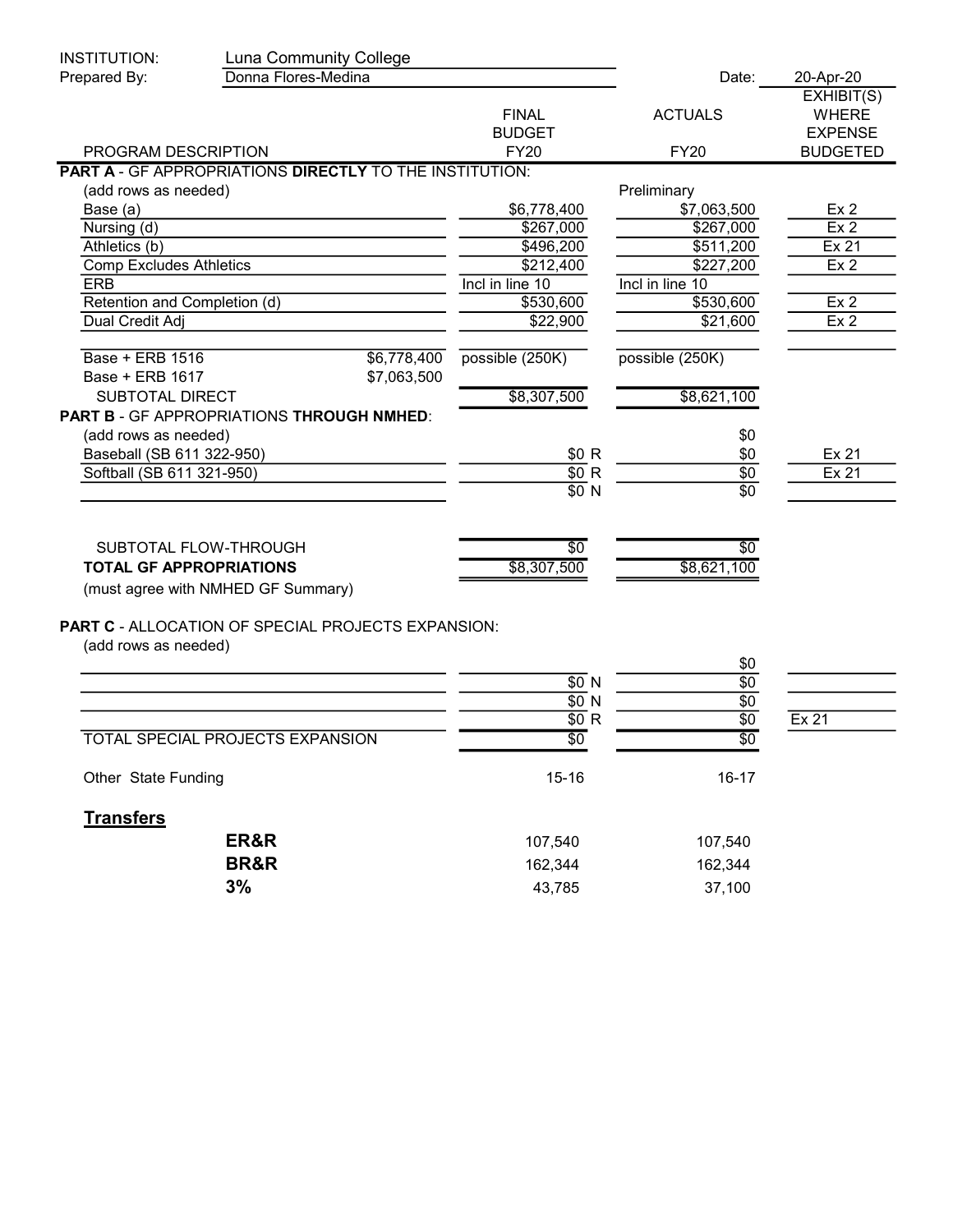| INSTITUTION:                                           | Luna Community College                                         |                 |                   |                 |
|--------------------------------------------------------|----------------------------------------------------------------|-----------------|-------------------|-----------------|
| Prepared By:                                           | Donna Flores-Medina                                            |                 | Date:             | 20-Apr-20       |
|                                                        |                                                                |                 |                   | EXHIBIT(S)      |
|                                                        |                                                                | <b>FINAL</b>    | <b>ACTUALS</b>    | <b>WHERE</b>    |
|                                                        |                                                                | <b>BUDGET</b>   |                   | <b>EXPENSE</b>  |
| PROGRAM DESCRIPTION                                    |                                                                | <b>FY20</b>     | <b>FY20</b>       | <b>BUDGETED</b> |
|                                                        | <b>PART A - GF APPROPRIATIONS DIRECTLY TO THE INSTITUTION:</b> |                 |                   |                 |
| (add rows as needed)                                   |                                                                |                 | Preliminary       |                 |
| Base (a)                                               |                                                                | \$6,778,400     | \$7,063,500       | Ex <sub>2</sub> |
| Nursing (d)                                            |                                                                | \$267,000       | \$267,000         | Ex <sub>2</sub> |
| Athletics (b)                                          |                                                                | \$496,200       | \$511,200         | Ex 21           |
| <b>Comp Excludes Athletics</b>                         |                                                                | \$212,400       | \$227,200         | Ex <sub>2</sub> |
| <b>ERB</b>                                             |                                                                | Incl in line 10 | Incl in line 10   |                 |
| Retention and Completion (d)                           |                                                                | \$530,600       | \$530,600         | Ex <sub>2</sub> |
| Dual Credit Adj                                        |                                                                | \$22,900        | \$21,600          | Ex <sub>2</sub> |
| Base + ERB 1516<br>Base + ERB 1617                     | \$6,778,400<br>\$7,063,500                                     | possible (250K) | possible (250K)   |                 |
|                                                        |                                                                | \$8,307,500     | \$8,621,100       |                 |
| <b>SUBTOTAL DIRECT</b>                                 |                                                                |                 |                   |                 |
|                                                        | PART B - GF APPROPRIATIONS THROUGH NMHED:                      |                 |                   |                 |
| (add rows as needed)                                   |                                                                |                 | \$0               |                 |
| Baseball (SB 611 322-950)<br>Softball (SB 611 321-950) |                                                                | \$0 R<br>\$0 R  | \$0<br>$\sqrt{6}$ | Ex 21<br>Ex 21  |
|                                                        |                                                                | \$0 N           | $\overline{50}$   |                 |
|                                                        |                                                                |                 |                   |                 |
|                                                        | SUBTOTAL FLOW-THROUGH                                          | \$0             | $\overline{50}$   |                 |
| <b>TOTAL GF APPROPRIATIONS</b>                         |                                                                | \$8,307,500     | \$8,621,100       |                 |
|                                                        | (must agree with NMHED GF Summary)                             |                 |                   |                 |
|                                                        |                                                                |                 |                   |                 |
|                                                        | <b>PART C - ALLOCATION OF SPECIAL PROJECTS EXPANSION:</b>      |                 |                   |                 |
| (add rows as needed)                                   |                                                                |                 | \$0               |                 |
|                                                        |                                                                | \$0 N           | \$0               |                 |
|                                                        |                                                                | \$0 N           | \$0               |                 |
|                                                        |                                                                | \$0 R           | \$0               | Ex 21           |
|                                                        | <b>TOTAL SPECIAL PROJECTS EXPANSION</b>                        | \$0             | \$0               |                 |
| Other State Funding                                    |                                                                | $15 - 16$       | $16 - 17$         |                 |
| <b>Transfers</b>                                       |                                                                |                 |                   |                 |
|                                                        | ER&R                                                           | 107,540         | 107,540           |                 |
|                                                        | <b>BR&amp;R</b>                                                | 162,344         | 162,344           |                 |
|                                                        | 3%                                                             | 43,785          | 37,100            |                 |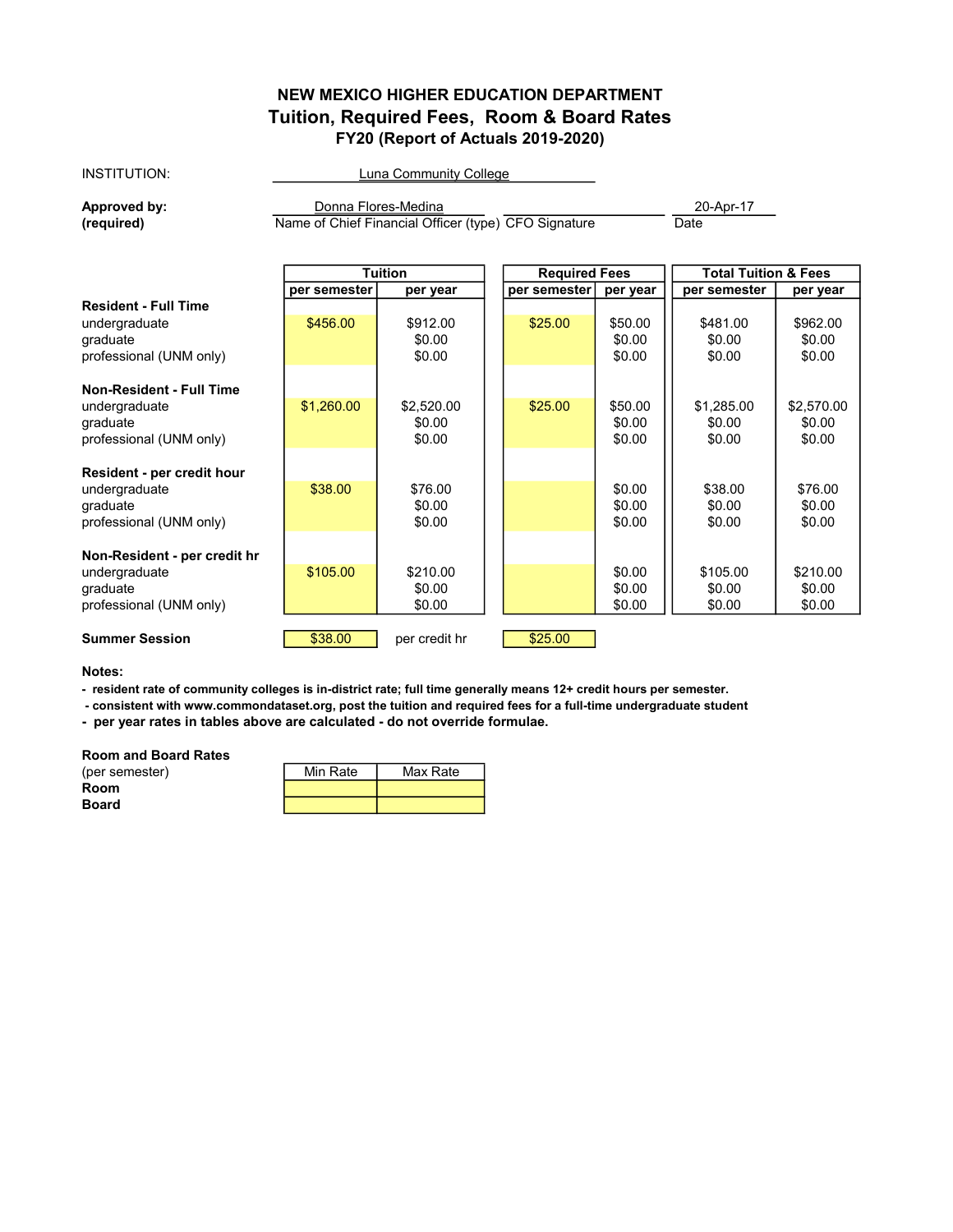## NEW MEXICO HIGHER EDUCATION DEPARTMENT Tuition, Required Fees, Room & Board Rates FY20 (Report of Actuals 2019-2020)

### INSTITUTION:

Luna Community College

Approved by:  $\Box$  Donna Flores-Medina

(required) Name of Chief Financial Officer (type) CFO Signature Date

|                                                                                      |              | Tuition                      | <b>Required Fees</b> |                             | <b>Total Tuition &amp; Fees</b> |                              |
|--------------------------------------------------------------------------------------|--------------|------------------------------|----------------------|-----------------------------|---------------------------------|------------------------------|
|                                                                                      | per semester | per year                     | per semester         | per year                    | per semester                    | per year                     |
| <b>Resident - Full Time</b><br>undergraduate<br>graduate<br>professional (UNM only)  | \$456.00     | \$912.00<br>\$0.00<br>\$0.00 | \$25.00              | \$50.00<br>\$0.00<br>\$0.00 | \$481.00<br>\$0.00<br>\$0.00    | \$962.00<br>\$0.00<br>\$0.00 |
| <b>Non-Resident - Full Time</b><br>undergraduate                                     | \$1,260.00   | \$2,520.00                   | \$25.00              | \$50.00                     | \$1,285.00                      | \$2,570.00                   |
| graduate<br>professional (UNM only)                                                  |              | \$0.00<br>\$0.00             |                      | \$0.00<br>\$0.00            | \$0.00<br>\$0.00                | \$0.00<br>\$0.00             |
| Resident - per credit hour<br>undergraduate<br>graduate<br>professional (UNM only)   | \$38.00      | \$76.00<br>\$0.00<br>\$0.00  |                      | \$0.00<br>\$0.00<br>\$0.00  | \$38.00<br>\$0.00<br>\$0.00     | \$76.00<br>\$0.00<br>\$0.00  |
| Non-Resident - per credit hr<br>undergraduate<br>graduate<br>professional (UNM only) | \$105.00     | \$210.00<br>\$0.00<br>\$0.00 |                      | \$0.00<br>\$0.00<br>\$0.00  | \$105.00<br>\$0.00<br>\$0.00    | \$210.00<br>\$0.00<br>\$0.00 |
| <b>Summer Session</b>                                                                | \$38.00      | per credit hr                | \$25.00              |                             |                                 |                              |

Notes:

- resident rate of community colleges is in-district rate; full time generally means 12+ credit hours per semester.

- consistent with www.commondataset.org, post the tuition and required fees for a full-time undergraduate student

- per year rates in tables above are calculated - do not override formulae.

Room and Board Rates

| (per semester) | Min Rate | Max Rate |
|----------------|----------|----------|
| <b>Room</b>    |          |          |
| <b>Board</b>   |          |          |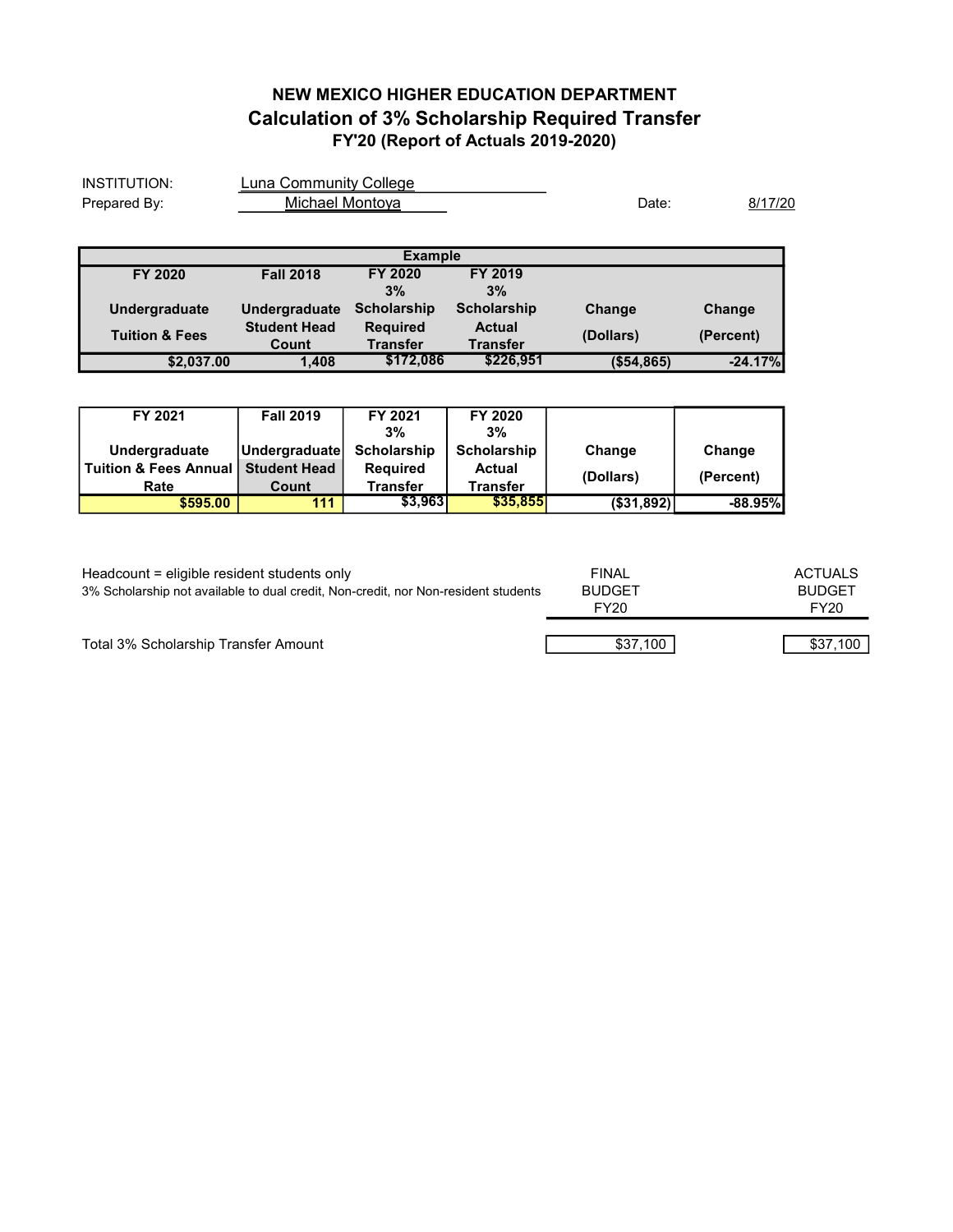## NEW MEXICO HIGHER EDUCATION DEPARTMENT Calculation of 3% Scholarship Required Transfer FY'20 (Report of Actuals 2019-2020)

| INSTITUTION:                    | Luna Community College |                    |                    |            |           |
|---------------------------------|------------------------|--------------------|--------------------|------------|-----------|
| Michael Montoya<br>Prepared By: |                        |                    | Date:              | 8/17/20    |           |
|                                 |                        |                    |                    |            |           |
|                                 |                        | <b>Example</b>     |                    |            |           |
| FY 2020                         | <b>Fall 2018</b>       | FY 2020            | FY 2019            |            |           |
|                                 |                        | 3%                 | 3%                 |            |           |
| Undergraduate                   | Undergraduate          | <b>Scholarship</b> | <b>Scholarship</b> | Change     | Change    |
| <b>Tuition &amp; Fees</b>       | <b>Student Head</b>    | <b>Required</b>    | <b>Actual</b>      | (Dollars)  | (Percent) |
|                                 | Count                  | <b>Transfer</b>    | Transfer           |            |           |
| \$2,037.00                      | 1,408                  | \$172,086          | \$226,951          | (\$54,865) | $-24.17%$ |

| FY 2021                 | <b>Fall 2019</b>    | FY 2021         | FY 2020         |              |            |
|-------------------------|---------------------|-----------------|-----------------|--------------|------------|
|                         |                     | 3%              | 3%              |              |            |
| Undergraduate           | Undergraduate       | Scholarship     | Scholarship     | Change       | Change     |
| l Tuition & Fees Annual | <b>Student Head</b> | <b>Required</b> | <b>Actual</b>   | (Dollars)    | (Percent)  |
| Rate                    | Count               | Transfer        | <b>Transfer</b> |              |            |
| \$595.00                | 111                 | \$3.9631        | \$35,855        | ( \$31, 892) | $-88.95\%$ |

| Headcount = eligible resident students only<br>3% Scholarship not available to dual credit, Non-credit, nor Non-resident students | <b>FINAL</b><br><b>BUDGET</b><br>FY20 | ACTUALS<br><b>BUDGET</b><br>FY20 |
|-----------------------------------------------------------------------------------------------------------------------------------|---------------------------------------|----------------------------------|
| Total 3% Scholarship Transfer Amount                                                                                              | \$37.100                              | \$37,100                         |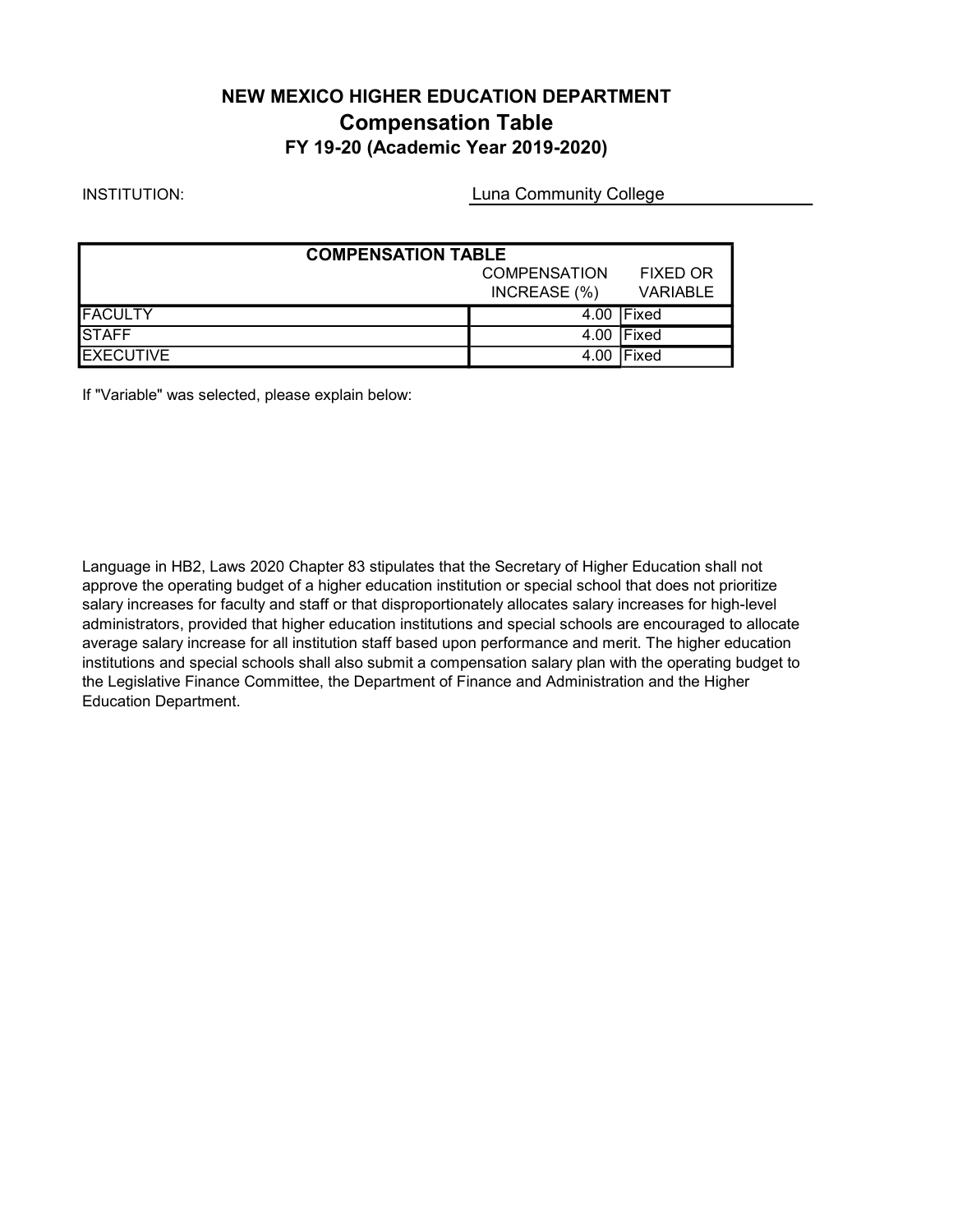## NEW MEXICO HIGHER EDUCATION DEPARTMENT Compensation Table FY 19-20 (Academic Year 2019-2020)

### INSTITUTION:

Luna Community College

| <b>COMPENSATION TABLE</b>              |              |                 |  |  |
|----------------------------------------|--------------|-----------------|--|--|
| <b>COMPENSATION</b><br><b>FIXED OR</b> |              |                 |  |  |
|                                        | INCREASE (%) | <b>VARIABLE</b> |  |  |
| <b>FACULTY</b>                         |              | 4.00 Fixed      |  |  |
| <b>STAFF</b>                           |              | 4.00 Fixed      |  |  |
| <b>EXECUTIVE</b>                       |              | 4.00 Fixed      |  |  |

If "Variable" was selected, please explain below:

Language in HB2, Laws 2020 Chapter 83 stipulates that the Secretary of Higher Education shall not approve the operating budget of a higher education institution or special school that does not prioritize salary increases for faculty and staff or that disproportionately allocates salary increases for high-level administrators, provided that higher education institutions and special schools are encouraged to allocate average salary increase for all institution staff based upon performance and merit. The higher education institutions and special schools shall also submit a compensation salary plan with the operating budget to the Legislative Finance Committee, the Department of Finance and Administration and the Higher Education Department.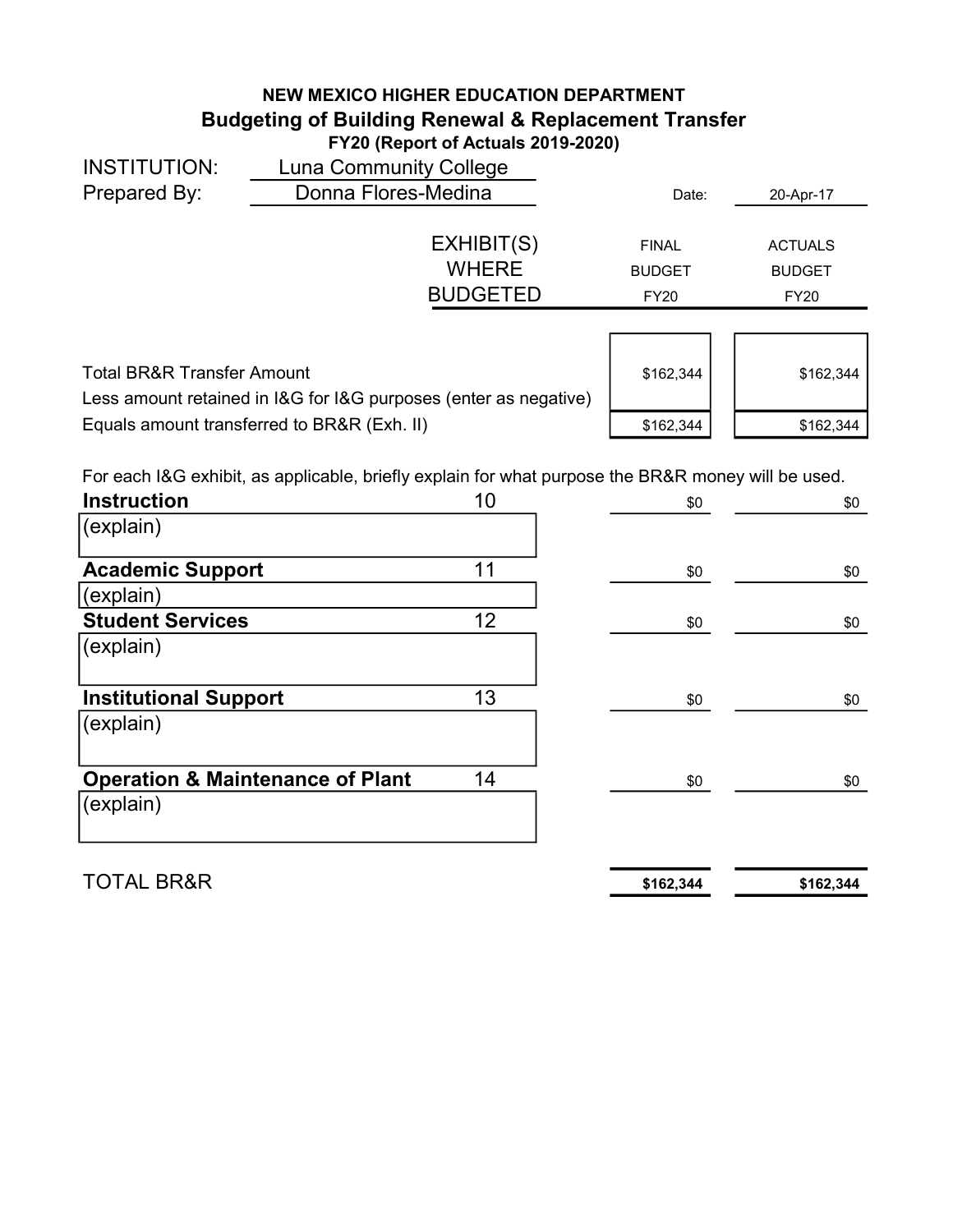## NEW MEXICO HIGHER EDUCATION DEPARTMENT Budgeting of Building Renewal & Replacement Transfer FY20 (Report of Actuals 2019-2020)

| <b>INSTITUTION:</b>                   | <b>Luna Community College</b>                                    |               |                |
|---------------------------------------|------------------------------------------------------------------|---------------|----------------|
| Prepared By:                          | Donna Flores-Medina                                              | Date:         | 20-Apr-17      |
|                                       |                                                                  |               |                |
|                                       | EXHIBIT(S)                                                       | <b>FINAL</b>  | <b>ACTUALS</b> |
|                                       | <b>WHERE</b>                                                     | <b>BUDGET</b> | <b>BUDGET</b>  |
|                                       | <b>BUDGETED</b>                                                  | <b>FY20</b>   | <b>FY20</b>    |
|                                       |                                                                  |               |                |
|                                       |                                                                  |               |                |
| <b>Total BR&amp;R Transfer Amount</b> |                                                                  | \$162,344     | \$162,344      |
|                                       | Less amount retained in I&G for I&G purposes (enter as negative) |               |                |
|                                       | Equals amount transferred to BR&R (Exh. II)                      | \$162,344     | \$162,344      |
|                                       |                                                                  |               |                |

For each I&G exhibit, as applicable, briefly explain for what purpose the BR&R money will be used.

| <b>Instruction</b>                          | 10 | \$0       | \$0       |
|---------------------------------------------|----|-----------|-----------|
| (explain)                                   |    |           |           |
| <b>Academic Support</b>                     | 11 | \$0       | \$0       |
| (explain)                                   |    |           |           |
| <b>Student Services</b>                     | 12 | \$0       | \$0       |
| (explain)                                   |    |           |           |
| <b>Institutional Support</b>                | 13 | \$0       | \$0       |
| (explain)                                   |    |           |           |
| <b>Operation &amp; Maintenance of Plant</b> | 14 | \$0       | \$0       |
| (explain)                                   |    |           |           |
| <b>TOTAL BR&amp;R</b>                       |    | \$162,344 | \$162,344 |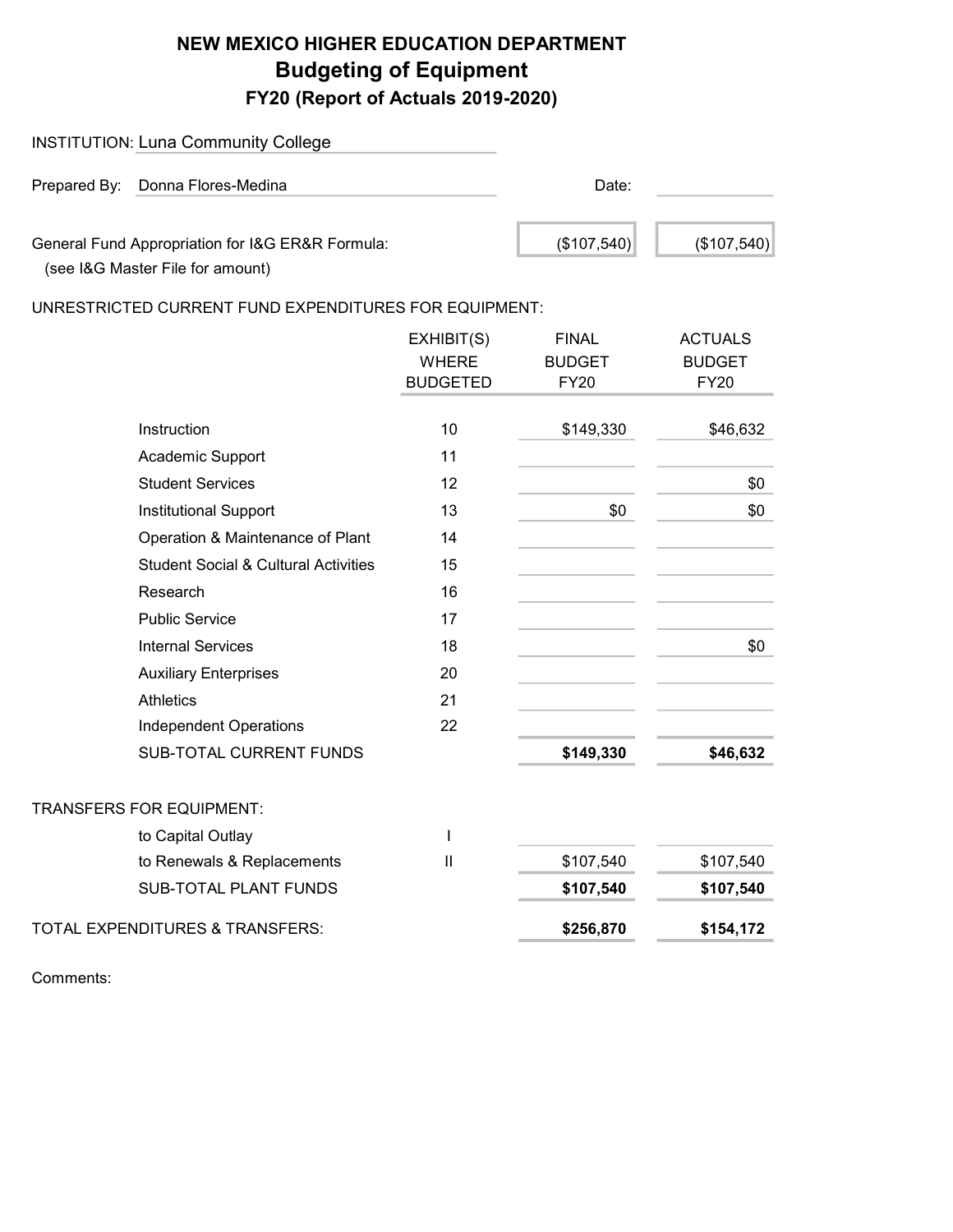# NEW MEXICO HIGHER EDUCATION DEPARTMENT Budgeting of Equipment FY20 (Report of Actuals 2019-2020)

| <b>INSTITUTION: Luna Community College</b>                                           |             |             |
|--------------------------------------------------------------------------------------|-------------|-------------|
| Prepared By: Donna Flores-Medina                                                     | Date:       |             |
| General Fund Appropriation for I&G ER&R Formula:<br>(see I&G Master File for amount) | (\$107,540) | (\$107,540) |

UNRESTRICTED CURRENT FUND EXPENDITURES FOR EQUIPMENT:

|                                                 | EXHIBIT(S)      | <b>FINAL</b>  | <b>ACTUALS</b> |
|-------------------------------------------------|-----------------|---------------|----------------|
|                                                 | <b>WHERE</b>    | <b>BUDGET</b> | <b>BUDGET</b>  |
|                                                 | <b>BUDGETED</b> | <b>FY20</b>   | <b>FY20</b>    |
|                                                 |                 |               |                |
| Instruction                                     | 10              | \$149,330     | \$46,632       |
| Academic Support                                | 11              |               |                |
| <b>Student Services</b>                         | 12              |               | \$0            |
| <b>Institutional Support</b>                    | 13              | \$0           | \$0            |
| Operation & Maintenance of Plant                | 14              |               |                |
| <b>Student Social &amp; Cultural Activities</b> | 15              |               |                |
| Research                                        | 16              |               |                |
| <b>Public Service</b>                           | 17              |               |                |
| <b>Internal Services</b>                        | 18              |               | \$0            |
| <b>Auxiliary Enterprises</b>                    | 20              |               |                |
| <b>Athletics</b>                                | 21              |               |                |
| <b>Independent Operations</b>                   | 22              |               |                |
| <b>SUB-TOTAL CURRENT FUNDS</b>                  |                 | \$149,330     | \$46,632       |
| TRANSFERS FOR EQUIPMENT:                        |                 |               |                |
| to Capital Outlay                               | T               |               |                |
| to Renewals & Replacements                      | $\mathbf{I}$    | \$107,540     | \$107,540      |
| <b>SUB-TOTAL PLANT FUNDS</b>                    |                 | \$107,540     | \$107,540      |
| TOTAL EXPENDITURES & TRANSFERS:                 |                 | \$256,870     | \$154,172      |
|                                                 |                 |               |                |

Comments: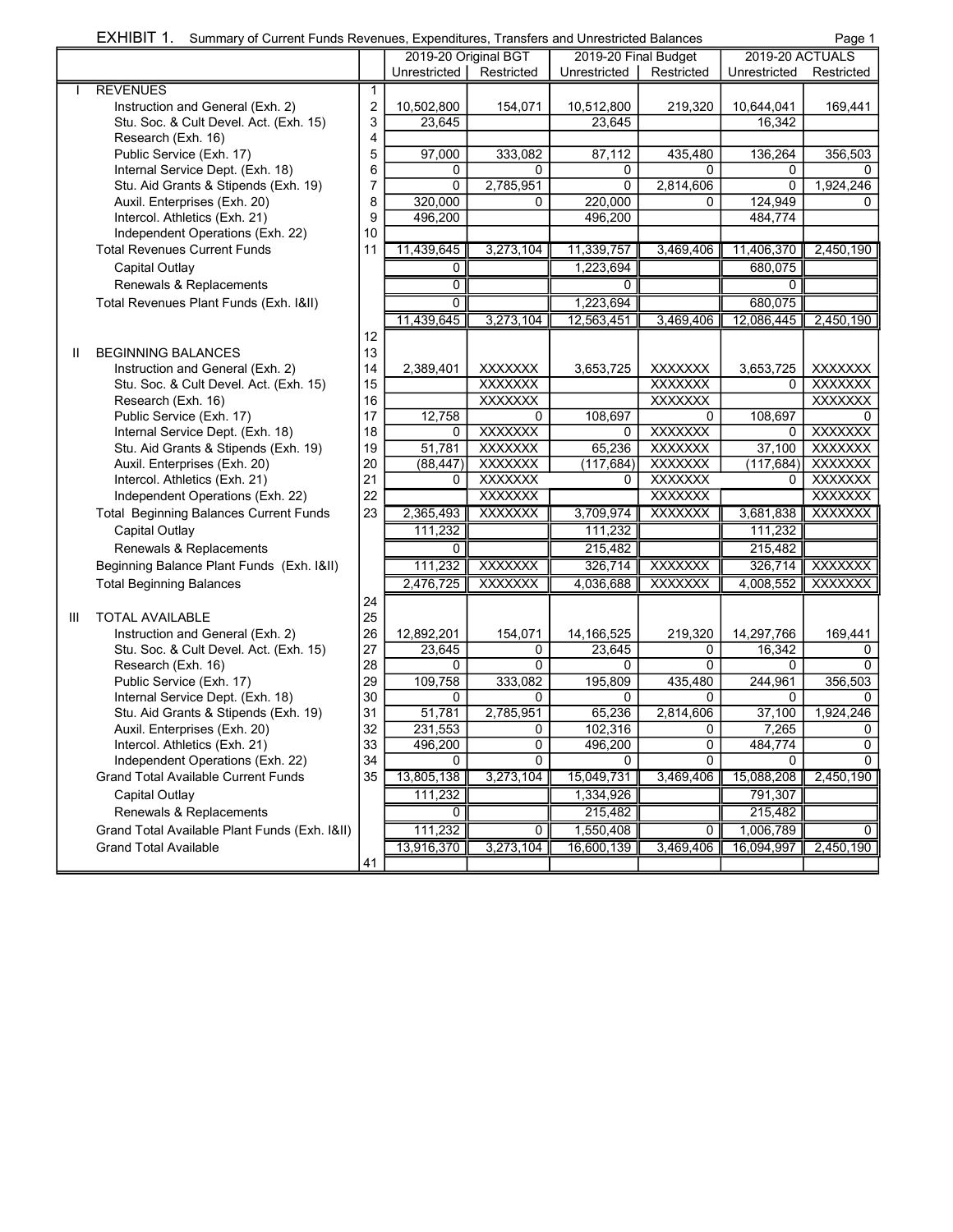| EXHIBIT 1. |  | Summary of Current Funds Revenues, Expenditures, Transfers and Unrestricted Balances | Page 1 |
|------------|--|--------------------------------------------------------------------------------------|--------|
|------------|--|--------------------------------------------------------------------------------------|--------|

|              |                                               |              | 2019-20 Original BGT |                                  | 2019-20 Final Budget |                                  | 2019-20 ACTUALS |                                  |
|--------------|-----------------------------------------------|--------------|----------------------|----------------------------------|----------------------|----------------------------------|-----------------|----------------------------------|
|              |                                               |              | Unrestricted         | Restricted                       | Unrestricted         | Restricted                       | Unrestricted    | Restricted                       |
|              | <b>REVENUES</b>                               | $\mathbf{1}$ |                      |                                  |                      |                                  |                 |                                  |
|              | Instruction and General (Exh. 2)              | 2            | 10,502,800           | 154,071                          | 10,512,800           | 219,320                          | 10,644,041      | 169,441                          |
|              | Stu. Soc. & Cult Devel. Act. (Exh. 15)        | 3            | 23,645               |                                  | 23,645               |                                  | 16,342          |                                  |
|              | Research (Exh. 16)                            | 4            |                      |                                  |                      |                                  |                 |                                  |
|              | Public Service (Exh. 17)                      | 5            | 97,000               | 333.082                          | 87,112               | 435,480                          | 136,264         | 356,503                          |
|              | Internal Service Dept. (Exh. 18)              | 6            | 0                    | 0                                | 0                    | 0                                | 0               | 0                                |
|              | Stu. Aid Grants & Stipends (Exh. 19)          | 7            | 0                    | 2,785,951                        | 0                    | 2,814,606                        | 0               | 1,924,246                        |
|              | Auxil. Enterprises (Exh. 20)                  | 8            | 320,000              | 0                                | 220,000              | $\Omega$                         | 124,949         | $\Omega$                         |
|              | Intercol. Athletics (Exh. 21)                 | 9            | 496,200              |                                  | 496,200              |                                  | 484,774         |                                  |
|              | Independent Operations (Exh. 22)              | 10           |                      |                                  |                      |                                  |                 |                                  |
|              | <b>Total Revenues Current Funds</b>           | 11           | 11,439,645           | 3,273,104                        | 11,339,757           | 3,469,406                        | 11,406,370      | 2,450,190                        |
|              | Capital Outlay                                |              | 0                    |                                  | 1.223.694            |                                  | 680,075         |                                  |
|              | Renewals & Replacements                       |              | 0                    |                                  | 0                    |                                  | 0               |                                  |
|              | Total Revenues Plant Funds (Exh. 1&II)        |              | 0                    |                                  | 1,223,694            |                                  | 680,075         |                                  |
|              |                                               |              |                      |                                  |                      |                                  |                 |                                  |
|              |                                               |              | 11,439,645           | 3,273,104                        | 12,563,451           | 3,469,406                        | 12,086,445      | 2,450,190                        |
|              |                                               | 12           |                      |                                  |                      |                                  |                 |                                  |
| $\mathbf{I}$ | <b>BEGINNING BALANCES</b>                     | 13           |                      |                                  |                      |                                  |                 |                                  |
|              | Instruction and General (Exh. 2)              | 14           | 2,389,401            | <b>XXXXXXX</b>                   | 3,653,725            | <b>XXXXXXX</b>                   | 3,653,725       | <b>XXXXXXX</b>                   |
|              | Stu. Soc. & Cult Devel. Act. (Exh. 15)        | 15           |                      | <b>XXXXXXX</b>                   |                      | <b>XXXXXXX</b>                   | 0               | <b>XXXXXXX</b>                   |
|              | Research (Exh. 16)                            | 16           |                      | <b>XXXXXXX</b>                   |                      | <b>XXXXXXX</b>                   |                 | <b>XXXXXXX</b>                   |
|              | Public Service (Exh. 17)                      | 17           | 12,758               | 0                                | 108,697              | $\Omega$                         | 108.697         | $\Omega$                         |
|              | Internal Service Dept. (Exh. 18)              | 18           | 0                    | <b>XXXXXXX</b>                   | 0                    | <b>XXXXXXX</b>                   | 0               | <b>XXXXXXX</b>                   |
|              | Stu. Aid Grants & Stipends (Exh. 19)          | 19<br>20     | 51,781<br>(88, 447)  | <b>XXXXXXX</b><br><b>XXXXXXX</b> | 65,236               | <b>XXXXXXX</b><br><b>XXXXXXX</b> | 37,100          | <b>XXXXXXX</b><br><b>XXXXXXX</b> |
|              | Auxil. Enterprises (Exh. 20)                  | 21           | 0                    | <b>XXXXXXX</b>                   | (117, 684)<br>0      | <b>XXXXXXX</b>                   | (117, 684)<br>0 | <b>XXXXXXX</b>                   |
|              | Intercol. Athletics (Exh. 21)                 |              |                      |                                  |                      |                                  |                 |                                  |
|              | Independent Operations (Exh. 22)              | 22           |                      | <b>XXXXXXX</b>                   |                      | <b>XXXXXXX</b>                   |                 | <b>XXXXXXX</b>                   |
|              | <b>Total Beginning Balances Current Funds</b> | 23           | 2,365,493            | <b>XXXXXXX</b>                   | 3,709,974            | <b>XXXXXXX</b>                   | 3,681,838       | <b>XXXXXXX</b>                   |
|              | Capital Outlay                                |              | 111,232              |                                  | 111,232              |                                  | 111,232         |                                  |
|              | Renewals & Replacements                       |              | 0                    |                                  | 215,482              |                                  | 215,482         |                                  |
|              | Beginning Balance Plant Funds (Exh. 1&II)     |              | 111,232              | <b>XXXXXXX</b>                   | 326,714              | <b>XXXXXXX</b>                   | 326,714         | <b>XXXXXXX</b>                   |
|              | <b>Total Beginning Balances</b>               |              | 2,476,725            | <b>XXXXXXX</b>                   | 4,036,688            | <b>XXXXXXX</b>                   | 4,008,552       | <b>XXXXXXX</b>                   |
|              |                                               | 24           |                      |                                  |                      |                                  |                 |                                  |
| Ш            | <b>TOTAL AVAILABLE</b>                        | 25           |                      |                                  |                      |                                  |                 |                                  |
|              | Instruction and General (Exh. 2)              | 26           | 12,892,201           | 154,071                          | 14,166,525           | 219,320                          | 14,297,766      | 169,441                          |
|              | Stu. Soc. & Cult Devel. Act. (Exh. 15)        | 27           | 23,645               | 0                                | 23,645               | 0                                | 16,342          | 0                                |
|              | Research (Exh. 16)                            | 28           | 0                    | $\Omega$                         | 0                    | $\Omega$                         | 0               | $\Omega$                         |
|              | Public Service (Exh. 17)                      | 29           | 109,758              | 333,082                          | 195,809              | 435,480                          | 244,961         | 356,503                          |
|              | Internal Service Dept. (Exh. 18)              | 30           | 0                    | 0                                | 0                    | 0                                | 0               | 0                                |
|              | Stu. Aid Grants & Stipends (Exh. 19)          | 31           | 51,781               | 2,785,951                        | 65,236               | 2,814,606                        | 37,100          | 1,924,246                        |
|              | Auxil. Enterprises (Exh. 20)                  | 32           | 231,553              | 0                                | 102,316              | 0                                | 7,265           | 0                                |
|              | Intercol. Athletics (Exh. 21)                 | 33           | 496,200              | $\overline{0}$                   | 496,200              | $\overline{0}$                   | 484,774         | $\overline{0}$                   |
|              | Independent Operations (Exh. 22)              | 34           | 0                    | $\overline{0}$                   | $\Omega$             | $\Omega$                         | 0               | $\Omega$                         |
|              | <b>Grand Total Available Current Funds</b>    | 35           | 13,805,138           | 3,273,104                        | 15,049,731           | 3,469,406                        | 15,088,208      | 2,450,190                        |
|              | Capital Outlay                                |              | 111,232              |                                  | 1,334,926            |                                  | 791,307         |                                  |
|              | Renewals & Replacements                       |              | 0                    |                                  | 215,482              |                                  | 215,482         |                                  |
|              | Grand Total Available Plant Funds (Exh. 1&II) |              | 111,232              | 0                                | 1,550,408            | 0                                | 1,006,789       | 0                                |
|              | <b>Grand Total Available</b>                  |              | 13,916,370           | 3,273,104                        | 16,600,139           | 3,469,406                        | 16,094,997      | 2,450,190                        |
|              |                                               | 41           |                      |                                  |                      |                                  |                 |                                  |
|              |                                               |              |                      |                                  |                      |                                  |                 |                                  |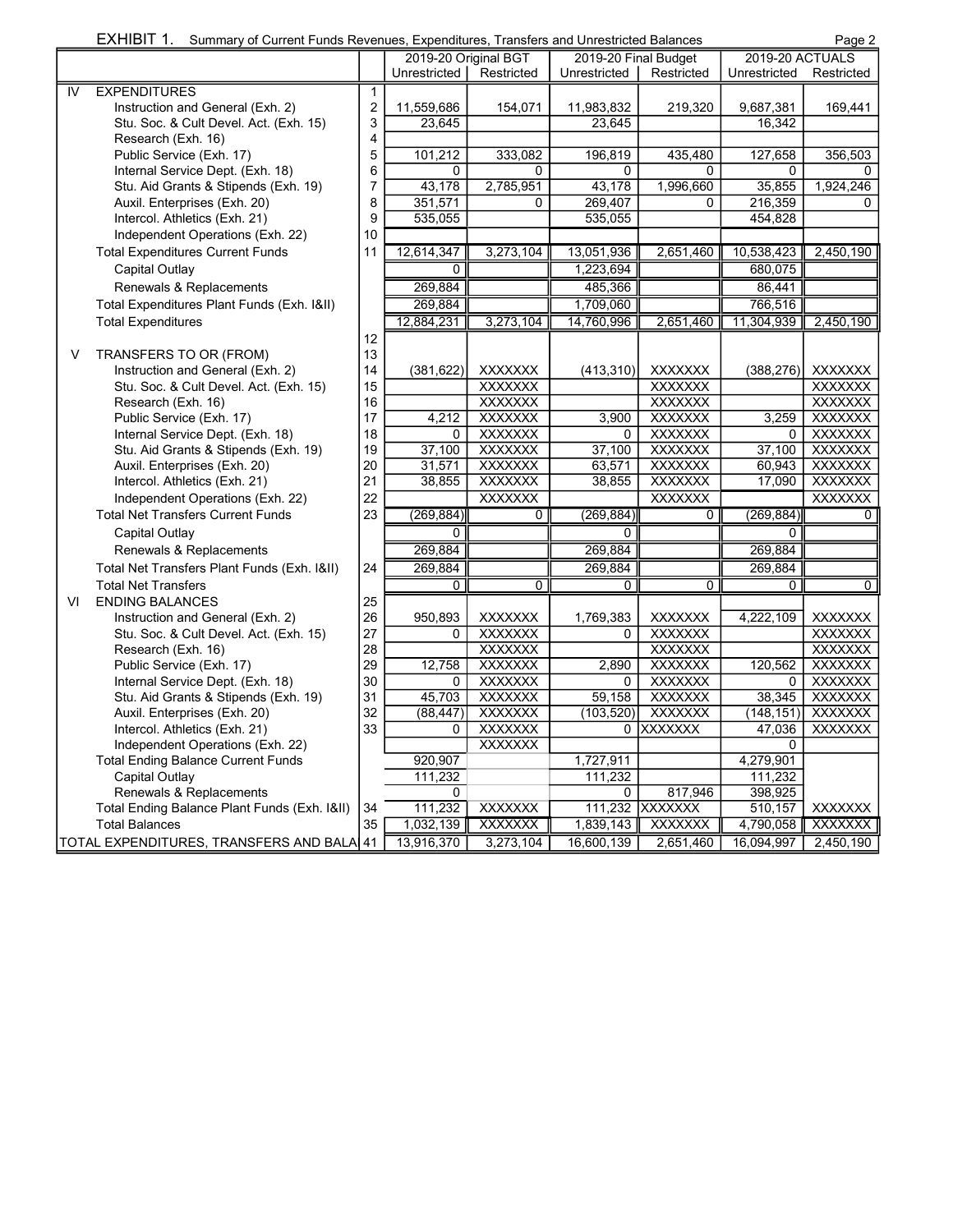| <b>EXHIBI</b> | . Transfers and Unrestricted Balances<br>f Current Funds Revenues. Expenditures.<br>Summary of C | Page |
|---------------|--------------------------------------------------------------------------------------------------|------|
|               |                                                                                                  |      |

|    |                                              |                         | 2019-20 Original BGT |                | 2019-20 Final Budget   |                | 2019-20 ACTUALS |                |
|----|----------------------------------------------|-------------------------|----------------------|----------------|------------------------|----------------|-----------------|----------------|
|    |                                              |                         | Unrestricted         | Restricted     | Unrestricted           | Restricted     | Unrestricted    | Restricted     |
| IV | <b>EXPENDITURES</b>                          | $\mathbf{1}$            |                      |                |                        |                |                 |                |
|    | Instruction and General (Exh. 2)             | $\overline{\mathbf{c}}$ | 11,559,686           | 154,071        | 11,983,832             | 219,320        | 9,687,381       | 169,441        |
|    | Stu. Soc. & Cult Devel. Act. (Exh. 15)       | 3                       | 23,645               |                | 23,645                 |                | 16,342          |                |
|    | Research (Exh. 16)                           | 4                       |                      |                |                        |                |                 |                |
|    | Public Service (Exh. 17)                     | 5                       | 101,212              | 333,082        | 196,819                | 435,480        | 127,658         | 356,503        |
|    | Internal Service Dept. (Exh. 18)             | 6                       | 0                    | 0              | 0                      | 0              | 0               | 0              |
|    | Stu. Aid Grants & Stipends (Exh. 19)         | $\overline{7}$          | 43,178               | 2,785,951      | 43,178                 | 1,996,660      | 35,855          | 1,924,246      |
|    | Auxil. Enterprises (Exh. 20)                 | 8                       | 351,571              | $\Omega$       | 269,407                | 0              | 216,359         | 0              |
|    | Intercol. Athletics (Exh. 21)                | 9                       | 535,055              |                | 535,055                |                | 454,828         |                |
|    | Independent Operations (Exh. 22)             | 10                      |                      |                |                        |                |                 |                |
|    | <b>Total Expenditures Current Funds</b>      | 11                      | 12,614,347           | 3,273,104      | 13,051,936             | 2,651,460      | 10,538,423      | 2,450,190      |
|    | Capital Outlay                               |                         | $\overline{0}$       |                | $\overline{1,223,694}$ |                | 680,075         |                |
|    | Renewals & Replacements                      |                         | 269,884              |                | 485,366                |                | 86,441          |                |
|    | Total Expenditures Plant Funds (Exh. 1&II)   |                         | 269,884              |                | 1,709,060              |                | 766,516         |                |
|    | <b>Total Expenditures</b>                    |                         | 12,884,231           | 3,273,104      | 14,760,996             | 2,651,460      | 11,304,939      | 2,450,190      |
|    |                                              | 12                      |                      |                |                        |                |                 |                |
| V  | TRANSFERS TO OR (FROM)                       | 13                      |                      |                |                        |                |                 |                |
|    | Instruction and General (Exh. 2)             | 14                      | (381, 622)           | <b>XXXXXXX</b> | (413, 310)             | <b>XXXXXXX</b> | (388, 276)      | <b>XXXXXXX</b> |
|    | Stu. Soc. & Cult Devel. Act. (Exh. 15)       | 15                      |                      | <b>XXXXXXX</b> |                        | <b>XXXXXXX</b> |                 | <b>XXXXXXX</b> |
|    | Research (Exh. 16)                           | 16                      |                      | <b>XXXXXXX</b> |                        | <b>XXXXXXX</b> |                 | <b>XXXXXXX</b> |
|    | Public Service (Exh. 17)                     | 17                      | 4,212                | <b>XXXXXXX</b> | 3,900                  | <b>XXXXXXX</b> | 3,259           | <b>XXXXXXX</b> |
|    | Internal Service Dept. (Exh. 18)             | 18                      | 0                    | <b>XXXXXXX</b> | $\Omega$               | <b>XXXXXXX</b> | 0               | <b>XXXXXXX</b> |
|    | Stu. Aid Grants & Stipends (Exh. 19)         | 19                      | 37,100               | <b>XXXXXXX</b> | 37,100                 | <b>XXXXXXX</b> | 37,100          | <b>XXXXXXX</b> |
|    | Auxil. Enterprises (Exh. 20)                 | 20                      | 31,571               | <b>XXXXXXX</b> | 63,571                 | <b>XXXXXXX</b> | 60,943          | <b>XXXXXXX</b> |
|    | Intercol. Athletics (Exh. 21)                | 21                      | 38,855               | <b>XXXXXXX</b> | 38,855                 | <b>XXXXXXX</b> | 17,090          | <b>XXXXXXX</b> |
|    | Independent Operations (Exh. 22)             | 22                      |                      | <b>XXXXXXX</b> |                        | <b>XXXXXXX</b> |                 | <b>XXXXXXX</b> |
|    | <b>Total Net Transfers Current Funds</b>     | 23                      | (269, 884)           | $\overline{0}$ | (269, 884)             | $\overline{0}$ | (269, 884)      | 0              |
|    | Capital Outlay                               |                         | 0                    |                | $\overline{0}$         |                | 0               |                |
|    | Renewals & Replacements                      |                         | 269,884              |                | 269,884                |                | 269,884         |                |
|    | Total Net Transfers Plant Funds (Exh. 1&II)  | 24                      | 269,884              |                | 269,884                |                | 269,884         |                |
|    | <b>Total Net Transfers</b>                   |                         | $\overline{0}$       | $\overline{0}$ | $\overline{0}$         | $\overline{0}$ | $\overline{0}$  | $\overline{0}$ |
| VI | <b>ENDING BALANCES</b>                       | 25                      |                      |                |                        |                |                 |                |
|    | Instruction and General (Exh. 2)             | 26                      | 950,893              | <b>XXXXXXX</b> | 1,769,383              | <b>XXXXXXX</b> | 4,222,109       | <b>XXXXXXX</b> |
|    | Stu. Soc. & Cult Devel. Act. (Exh. 15)       | 27                      | $\Omega$             | <b>XXXXXXX</b> | $\Omega$               | <b>XXXXXXX</b> |                 | <b>XXXXXXX</b> |
|    | Research (Exh. 16)                           | 28                      |                      | <b>XXXXXXX</b> |                        | <b>XXXXXXX</b> |                 | <b>XXXXXXX</b> |
|    | Public Service (Exh. 17)                     | 29                      | 12,758               | <b>XXXXXXX</b> | 2,890                  | <b>XXXXXXX</b> | 120,562         | <b>XXXXXXX</b> |
|    | Internal Service Dept. (Exh. 18)             | 30                      | 0                    | <b>XXXXXXX</b> | 0                      | <b>XXXXXXX</b> | 0               | <b>XXXXXXX</b> |
|    | Stu. Aid Grants & Stipends (Exh. 19)         | 31                      | 45,703               | <b>XXXXXXX</b> | 59,158                 | <b>XXXXXXX</b> | 38,345          | <b>XXXXXXX</b> |
|    | Auxil. Enterprises (Exh. 20)                 | 32                      | (88, 447)            | <b>XXXXXXX</b> | (103, 520)             | <b>XXXXXXX</b> | (148, 151)      | <b>XXXXXXX</b> |
|    | Intercol. Athletics (Exh. 21)                | 33                      | $\Omega$             | <b>XXXXXXX</b> |                        | 0 XXXXXXX      | 47,036          | <b>XXXXXXX</b> |
|    | Independent Operations (Exh. 22)             |                         |                      | <b>XXXXXXX</b> |                        |                | 0               |                |
|    | <b>Total Ending Balance Current Funds</b>    |                         | 920,907              |                | 1,727,911              |                | 4,279,901       |                |
|    | Capital Outlay                               |                         | 111,232              |                | 111,232                |                | 111,232         |                |
|    | Renewals & Replacements                      |                         | $\Omega$             |                | $\Omega$               | 817,946        | 398,925         |                |
|    | Total Ending Balance Plant Funds (Exh. 1&II) | 34                      | 111,232              | <b>XXXXXXX</b> | 111,232                | <b>XXXXXXX</b> | 510,157         | <b>XXXXXXX</b> |
|    | <b>Total Balances</b>                        | 35                      | 1,032,139            | <b>XXXXXXX</b> | 1,839,143              | <b>XXXXXXX</b> | 4,790,058       | <b>XXXXXXX</b> |
|    | TOTAL EXPENDITURES, TRANSFERS AND BALA 41    |                         | 13,916,370           | 3,273,104      | 16,600,139             | 2,651,460      | 16,094,997      | 2,450,190      |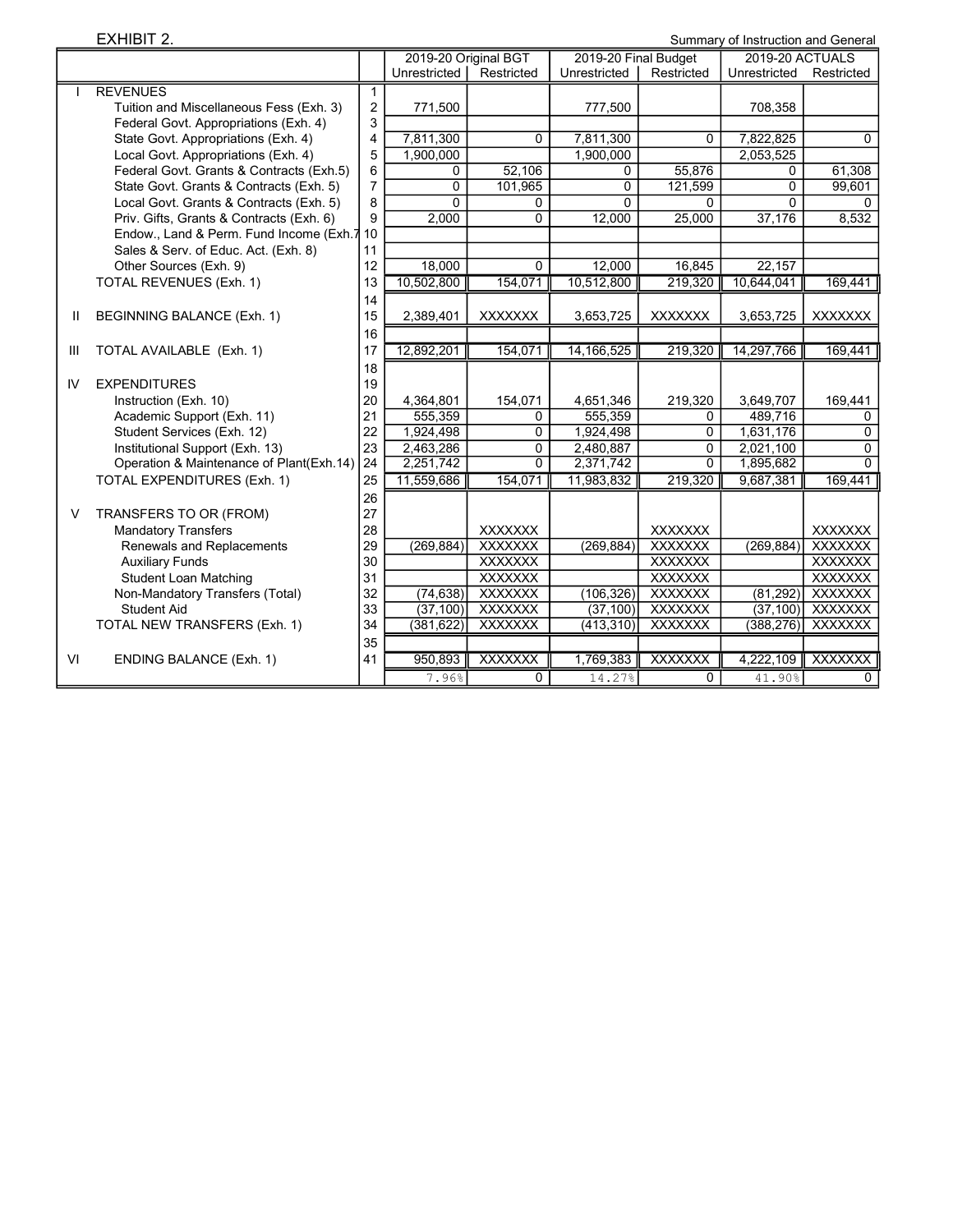EXHIBIT 2.

|    |                                          |                | 2019-20 Original BGT |                | 2019-20 Final Budget |                | 2019-20 ACTUALS |                |
|----|------------------------------------------|----------------|----------------------|----------------|----------------------|----------------|-----------------|----------------|
|    |                                          |                | Unrestricted         | Restricted     | Unrestricted         | Restricted     | Unrestricted    | Restricted     |
|    | <b>REVENUES</b>                          | $\mathbf{1}$   |                      |                |                      |                |                 |                |
|    | Tuition and Miscellaneous Fess (Exh. 3)  | $\overline{2}$ | 771,500              |                | 777,500              |                | 708,358         |                |
|    | Federal Govt. Appropriations (Exh. 4)    | 3              |                      |                |                      |                |                 |                |
|    | State Govt. Appropriations (Exh. 4)      | $\overline{4}$ | 7,811,300            | $\mathbf{0}$   | 7,811,300            | $\Omega$       | 7,822,825       | $\mathbf{0}$   |
|    | Local Govt. Appropriations (Exh. 4)      | 5              | 1,900,000            |                | 1,900,000            |                | 2,053,525       |                |
|    | Federal Govt. Grants & Contracts (Exh.5) | 6              | 0                    | 52,106         | 0                    | 55,876         | 0               | 61,308         |
|    | State Govt. Grants & Contracts (Exh. 5)  | $\overline{7}$ | $\Omega$             | 101,965        | $\Omega$             | 121,599        | $\Omega$        | 99,601         |
|    | Local Govt. Grants & Contracts (Exh. 5)  | 8              | $\Omega$             | 0              | $\Omega$             | 0              | $\Omega$        | 0              |
|    | Priv. Gifts, Grants & Contracts (Exh. 6) | 9              | 2,000                | $\Omega$       | 12,000               | 25,000         | 37,176          | 8,532          |
|    | Endow., Land & Perm. Fund Income (Exh.7  | 10             |                      |                |                      |                |                 |                |
|    | Sales & Serv. of Educ. Act. (Exh. 8)     | 11             |                      |                |                      |                |                 |                |
|    | Other Sources (Exh. 9)                   | 12             | 18,000               | 0              | 12.000               | 16,845         | 22,157          |                |
|    | <b>TOTAL REVENUES (Exh. 1)</b>           | 13             | 10,502,800           | 154,071        | 10,512,800           | 219,320        | 10,644,041      | 169,441        |
|    |                                          | 14             |                      |                |                      |                |                 |                |
| Ш  | BEGINNING BALANCE (Exh. 1)               | 15             | 2,389,401            | <b>XXXXXXX</b> | 3,653,725            | <b>XXXXXXX</b> | 3,653,725       | <b>XXXXXXX</b> |
|    |                                          | 16             |                      |                |                      |                |                 |                |
| Ш  | TOTAL AVAILABLE (Exh. 1)                 | 17             | 12,892,201           | 154,071        | 14,166,525           | 219,320        | 14,297,766      | 169,441        |
|    |                                          | 18             |                      |                |                      |                |                 |                |
| IV | <b>EXPENDITURES</b>                      | 19             |                      |                |                      |                |                 |                |
|    | Instruction (Exh. 10)                    | 20             | 4,364,801            | 154,071        | 4,651,346            | 219,320        | 3,649,707       | 169,441        |
|    | Academic Support (Exh. 11)               | 21             | 555,359              | $\mathbf{0}$   | 555,359              | 0              | 489,716         | $\Omega$       |
|    | Student Services (Exh. 12)               | 22             | 1,924,498            | $\Omega$       | 1,924,498            | $\Omega$       | 1,631,176       | $\Omega$       |
|    | Institutional Support (Exh. 13)          | 23             | 2,463,286            | 0              | 2,480,887            | 0              | 2,021,100       | $\Omega$       |
|    | Operation & Maintenance of Plant(Exh.14) | 24             | 2,251,742            | 0              | 2,371,742            | $\Omega$       | 1,895,682       | $\Omega$       |
|    | <b>TOTAL EXPENDITURES (Exh. 1)</b>       | 25             | 11,559,686           | 154,071        | 11,983,832           | 219,320        | 9,687,381       | 169,441        |
|    |                                          | 26             |                      |                |                      |                |                 |                |
| V  | TRANSFERS TO OR (FROM)                   | 27             |                      |                |                      |                |                 |                |
|    | <b>Mandatory Transfers</b>               | 28             |                      | <b>XXXXXXX</b> |                      | <b>XXXXXXX</b> |                 | <b>XXXXXXX</b> |
|    | Renewals and Replacements                | 29             | (269, 884)           | <b>XXXXXXX</b> | (269, 884)           | <b>XXXXXXX</b> | (269, 884)      | <b>XXXXXXX</b> |
|    | <b>Auxiliary Funds</b>                   | 30             |                      | <b>XXXXXXX</b> |                      | <b>XXXXXXX</b> |                 | <b>XXXXXXX</b> |
|    | <b>Student Loan Matching</b>             | 31             |                      | <b>XXXXXXX</b> |                      | <b>XXXXXXX</b> |                 | <b>XXXXXXX</b> |
|    | Non-Mandatory Transfers (Total)          | 32             | (74, 638)            | <b>XXXXXXX</b> | (106, 326)           | <b>XXXXXXX</b> | (81, 292)       | <b>XXXXXXX</b> |
|    | <b>Student Aid</b>                       | 33             | (37, 100)            | <b>XXXXXXX</b> | (37, 100)            | <b>XXXXXXX</b> | (37, 100)       | <b>XXXXXXX</b> |
|    | TOTAL NEW TRANSFERS (Exh. 1)             | 34             | (381, 622)           | <b>XXXXXXX</b> | (413, 310)           | <b>XXXXXXX</b> | (388, 276)      | <b>XXXXXXX</b> |
|    |                                          | 35             |                      |                |                      |                |                 |                |
| VI | <b>ENDING BALANCE (Exh. 1)</b>           | 41             | 950,893              | <b>XXXXXXX</b> | 1,769,383            | <b>XXXXXXX</b> | 4,222,109       | <b>XXXXXXX</b> |
|    |                                          |                | 7.96%                | 0              | 14.27%               | $\Omega$       | 41.90%          | 0              |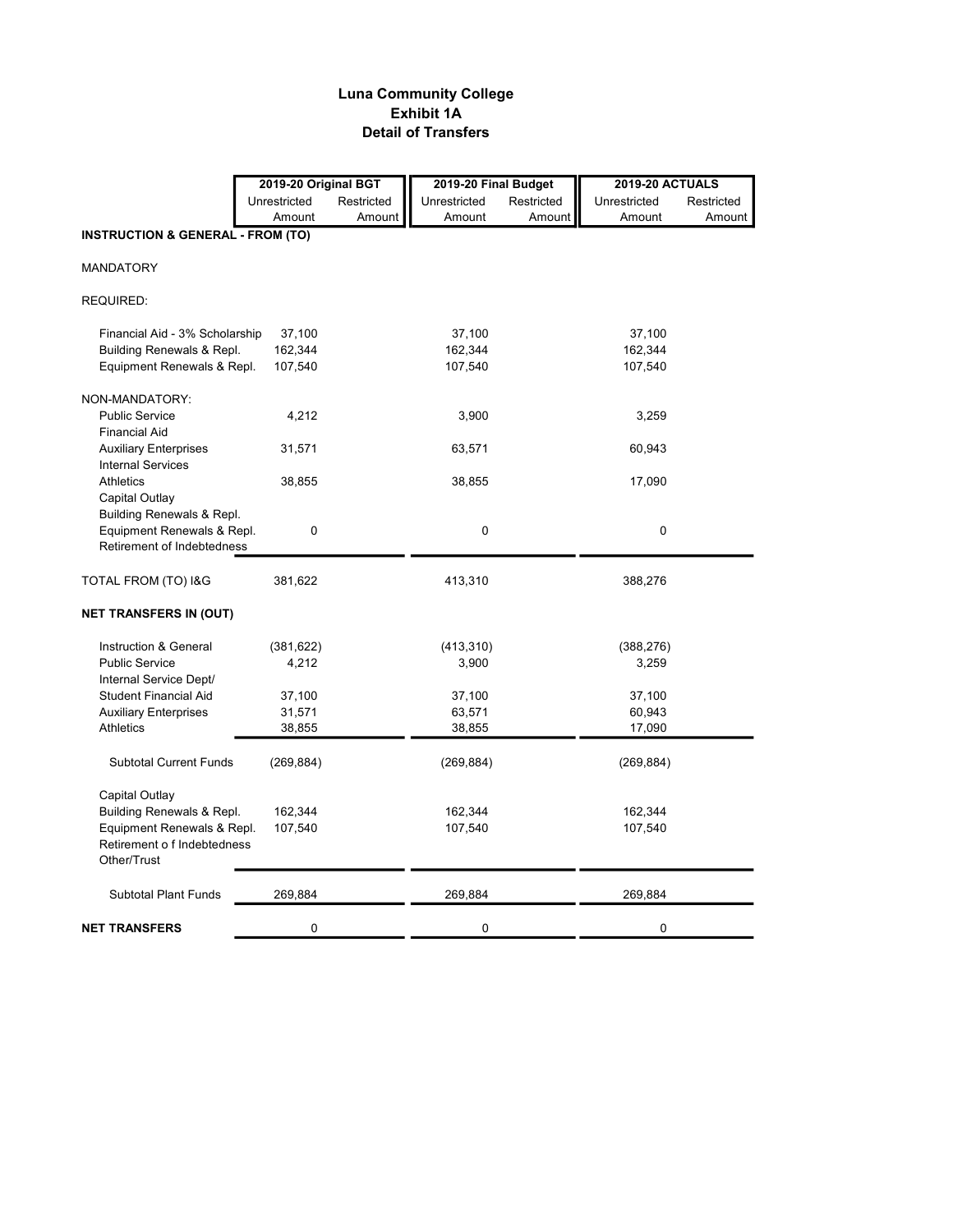### Luna Community College Exhibit 1A Detail of Transfers

|                                              | 2019-20 Original BGT |            | 2019-20 Final Budget |            | <b>2019-20 ACTUALS</b> |            |
|----------------------------------------------|----------------------|------------|----------------------|------------|------------------------|------------|
|                                              | Unrestricted         | Restricted | Unrestricted         | Restricted | Unrestricted           | Restricted |
|                                              | Amount               | Amount     | Amount               | Amount     | Amount                 | Amount     |
| <b>INSTRUCTION &amp; GENERAL - FROM (TO)</b> |                      |            |                      |            |                        |            |
|                                              |                      |            |                      |            |                        |            |
| <b>MANDATORY</b>                             |                      |            |                      |            |                        |            |
| REQUIRED:                                    |                      |            |                      |            |                        |            |
| Financial Aid - 3% Scholarship               | 37,100               |            | 37,100               |            | 37,100                 |            |
| Building Renewals & Repl.                    | 162,344              |            | 162,344              |            | 162,344                |            |
| Equipment Renewals & Repl.                   | 107,540              |            | 107,540              |            | 107,540                |            |
| NON-MANDATORY:                               |                      |            |                      |            |                        |            |
| <b>Public Service</b>                        | 4,212                |            | 3,900                |            | 3,259                  |            |
| <b>Financial Aid</b>                         |                      |            |                      |            |                        |            |
| <b>Auxiliary Enterprises</b>                 | 31,571               |            | 63,571               |            | 60,943                 |            |
| <b>Internal Services</b>                     |                      |            |                      |            |                        |            |
| Athletics                                    | 38,855               |            | 38,855               |            | 17,090                 |            |
| Capital Outlay                               |                      |            |                      |            |                        |            |
| Building Renewals & Repl.                    |                      |            |                      |            |                        |            |
| Equipment Renewals & Repl.                   | 0                    |            | 0                    |            | 0                      |            |
| Retirement of Indebtedness                   |                      |            |                      |            |                        |            |
| TOTAL FROM (TO) I&G                          | 381,622              |            | 413,310              |            | 388,276                |            |
| <b>NET TRANSFERS IN (OUT)</b>                |                      |            |                      |            |                        |            |
| Instruction & General                        | (381, 622)           |            | (413, 310)           |            | (388, 276)             |            |
| <b>Public Service</b>                        | 4,212                |            | 3,900                |            | 3,259                  |            |
| Internal Service Dept/                       |                      |            |                      |            |                        |            |
| <b>Student Financial Aid</b>                 | 37,100               |            | 37,100               |            | 37,100                 |            |
| <b>Auxiliary Enterprises</b>                 | 31,571               |            | 63,571               |            | 60,943                 |            |
| Athletics                                    | 38,855               |            | 38,855               |            | 17,090                 |            |
| <b>Subtotal Current Funds</b>                | (269, 884)           |            | (269, 884)           |            | (269, 884)             |            |
| Capital Outlay                               |                      |            |                      |            |                        |            |
| Building Renewals & Repl.                    | 162,344              |            | 162,344              |            | 162,344                |            |
| Equipment Renewals & Repl.                   | 107,540              |            | 107,540              |            | 107,540                |            |
| Retirement o f Indebtedness                  |                      |            |                      |            |                        |            |
| Other/Trust                                  |                      |            |                      |            |                        |            |
| <b>Subtotal Plant Funds</b>                  | 269,884              |            | 269,884              |            | 269,884                |            |
| <b>NET TRANSFERS</b>                         | 0                    |            | 0                    |            | $\mathbf 0$            |            |
|                                              |                      |            |                      |            |                        |            |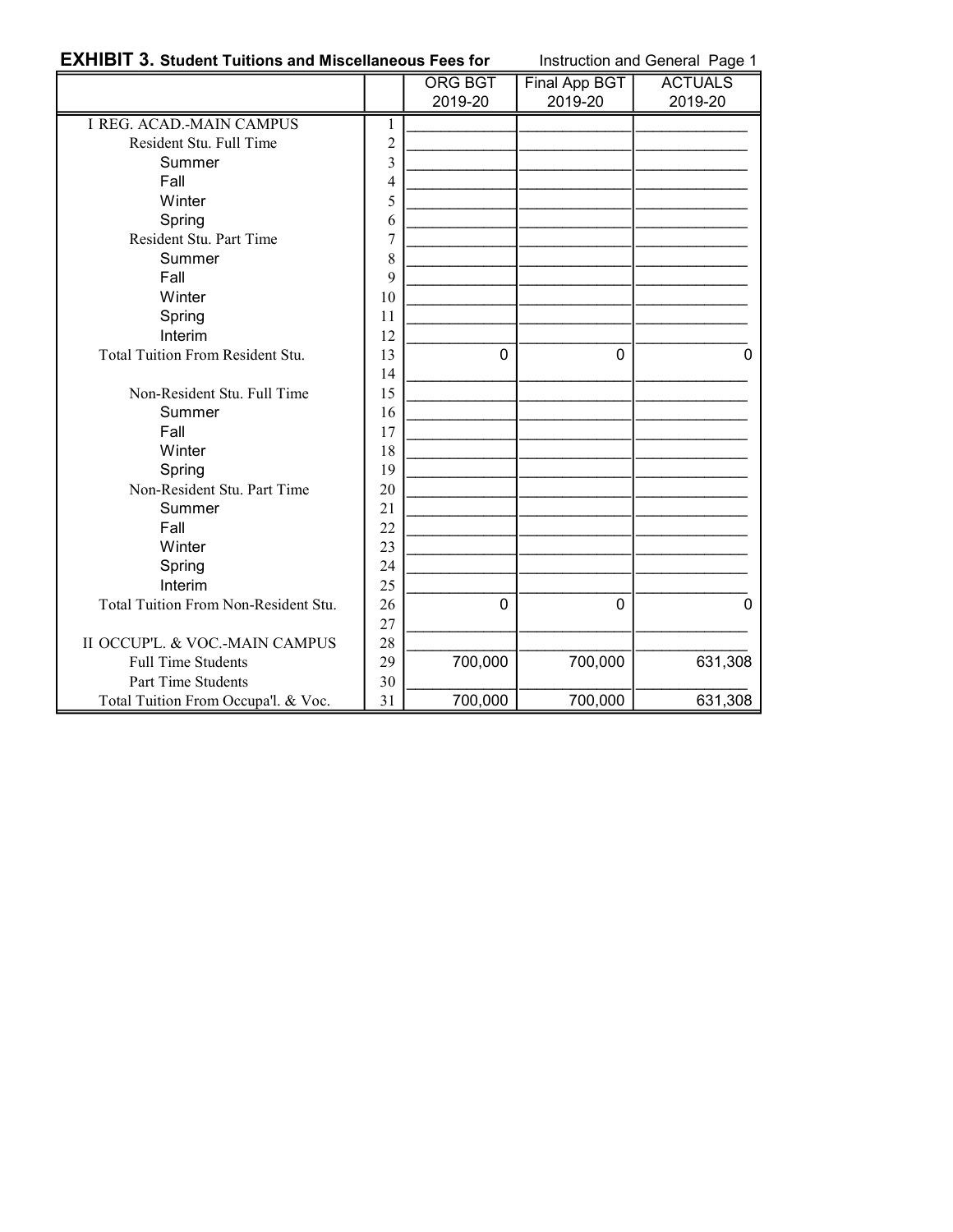## **EXHIBIT 3. Student Tuitions and Miscellaneous Fees for** Instruction and General Page 1

|                                      |                | ORG BGT     | Final App BGT | <b>ACTUALS</b> |
|--------------------------------------|----------------|-------------|---------------|----------------|
|                                      |                | 2019-20     | 2019-20       | 2019-20        |
| <b>I REG. ACAD.-MAIN CAMPUS</b>      | $\mathbf{1}$   |             |               |                |
| Resident Stu. Full Time              | $\overline{2}$ |             |               |                |
| Summer                               | 3              |             |               |                |
| Fall                                 | $\overline{4}$ |             |               |                |
| Winter                               | 5              |             |               |                |
| Spring                               | 6              |             |               |                |
| Resident Stu. Part Time              | 7              |             |               |                |
| Summer                               | 8              |             |               |                |
| Fall                                 | 9              |             |               |                |
| Winter                               | 10             |             |               |                |
| Spring                               | 11             |             |               |                |
| Interim                              | 12             |             |               |                |
| Total Tuition From Resident Stu.     | 13             | $\Omega$    | $\Omega$      | 0              |
|                                      | 14             |             |               |                |
| Non-Resident Stu. Full Time          | 15             |             |               |                |
| Summer                               | 16             |             |               |                |
| Fall                                 | 17             |             |               |                |
| Winter                               | 18             |             |               |                |
| Spring                               | 19             |             |               |                |
| Non-Resident Stu. Part Time          | 20             |             |               |                |
| Summer                               | 21             |             |               |                |
| Fall                                 | 22             |             |               |                |
| Winter                               | 23             |             |               |                |
| Spring                               | 24             |             |               |                |
| Interim                              | 25             |             |               |                |
| Total Tuition From Non-Resident Stu. | 26             | $\mathbf 0$ | $\mathbf{0}$  | 0              |
|                                      | 27             |             |               |                |
| II OCCUP'L. & VOC.-MAIN CAMPUS       | 28             |             |               |                |
| <b>Full Time Students</b>            | 29             | 700,000     | 700,000       | 631,308        |
| Part Time Students                   | 30             |             |               |                |
| Total Tuition From Occupa'l. & Voc.  | 31             | 700,000     | 700,000       | 631,308        |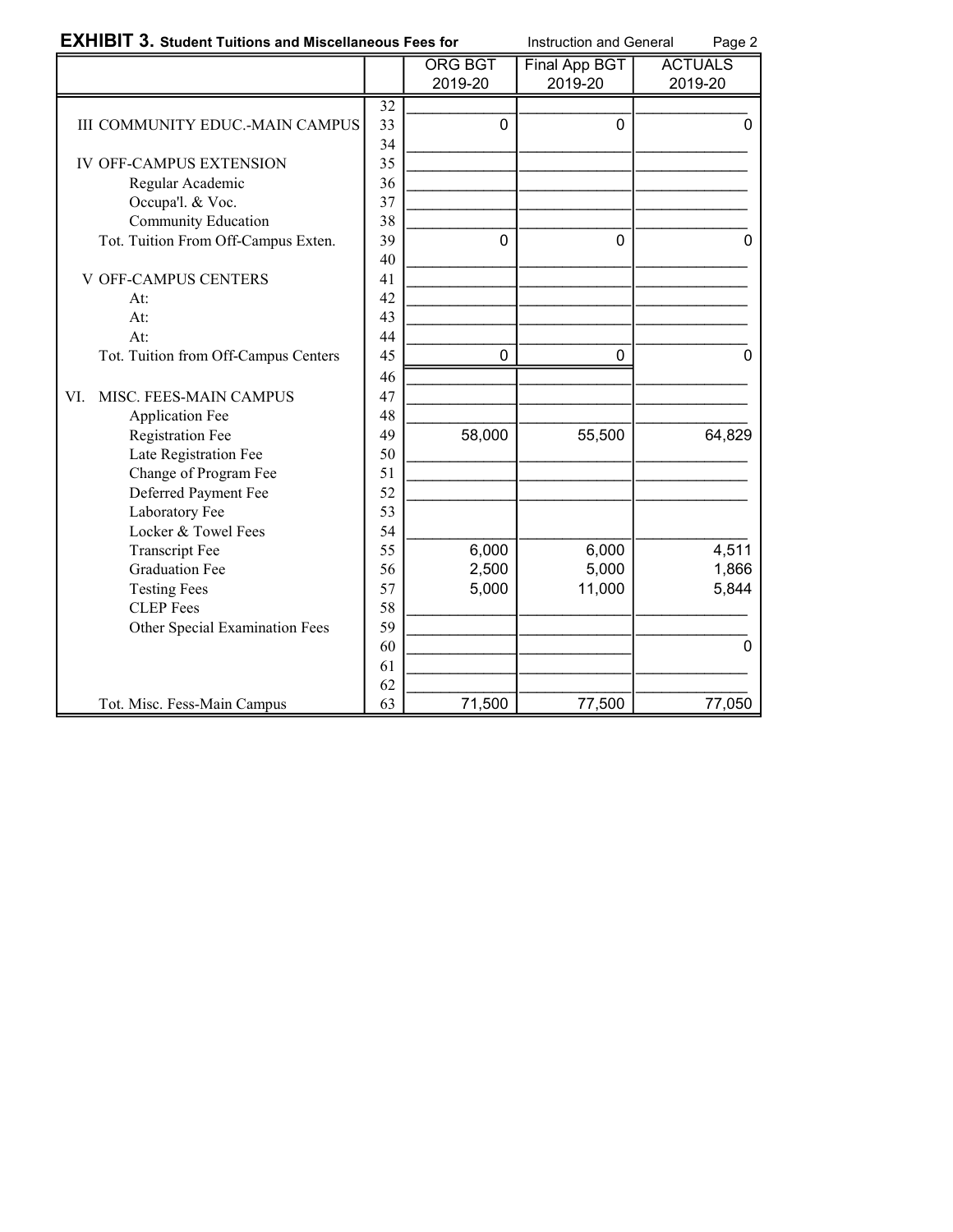| <b>EXHIBIT 3. Student Tuitions and Miscellaneous Fees for</b> |                 |                | Instruction and General<br>Page 2 |                |
|---------------------------------------------------------------|-----------------|----------------|-----------------------------------|----------------|
|                                                               |                 | <b>ORG BGT</b> | <b>Final App BGT</b>              | <b>ACTUALS</b> |
|                                                               |                 | 2019-20        | 2019-20                           | 2019-20        |
|                                                               | $\overline{32}$ |                |                                   |                |
| <b>III COMMUNITY EDUC.-MAIN CAMPUS</b>                        | 33              | 0              | $\Omega$                          | 0              |
|                                                               | 34              |                |                                   |                |
| <b>IV OFF-CAMPUS EXTENSION</b>                                | 35              |                |                                   |                |
| Regular Academic                                              | 36              |                |                                   |                |
| Occupa'l. & Voc.                                              | 37              |                |                                   |                |
| Community Education                                           | 38              |                |                                   |                |
| Tot. Tuition From Off-Campus Exten.                           | 39              | 0              | $\Omega$                          | 0              |
|                                                               | 40              |                |                                   |                |
| <b>V OFF-CAMPUS CENTERS</b>                                   | 41              |                |                                   |                |
| At:                                                           | 42              |                |                                   |                |
| At:                                                           | 43              |                |                                   |                |
| At:                                                           | 44              |                |                                   |                |
| Tot. Tuition from Off-Campus Centers                          | 45              | 0              | 0                                 | $\mathcal{L}$  |
|                                                               | 46              |                |                                   |                |
| MISC. FEES-MAIN CAMPUS<br>VI.                                 | 47              |                |                                   |                |
| <b>Application Fee</b>                                        | 48              |                |                                   |                |
| <b>Registration Fee</b>                                       | 49              | 58,000         | 55,500                            | 64,829         |
| Late Registration Fee                                         | 50              |                |                                   |                |
| Change of Program Fee                                         | 51              |                |                                   |                |
| Deferred Payment Fee                                          | 52              |                |                                   |                |
| Laboratory Fee                                                | 53              |                |                                   |                |
| Locker & Towel Fees                                           | 54              |                |                                   |                |
| <b>Transcript Fee</b>                                         | 55              | 6,000          | 6,000                             | 4,511          |
| <b>Graduation Fee</b>                                         | 56              | 2,500          | 5,000                             | 1,866          |
| <b>Testing Fees</b>                                           | 57              | 5,000          | 11,000                            | 5,844          |
| <b>CLEP</b> Fees                                              | 58              |                |                                   |                |
| Other Special Examination Fees                                | 59              |                |                                   |                |
|                                                               | 60              |                |                                   | $\mathbf{0}$   |
|                                                               | 61              |                |                                   |                |
|                                                               | 62              |                |                                   |                |
| Tot. Misc. Fess-Main Campus                                   | 63              | 71,500         | 77,500                            | 77,050         |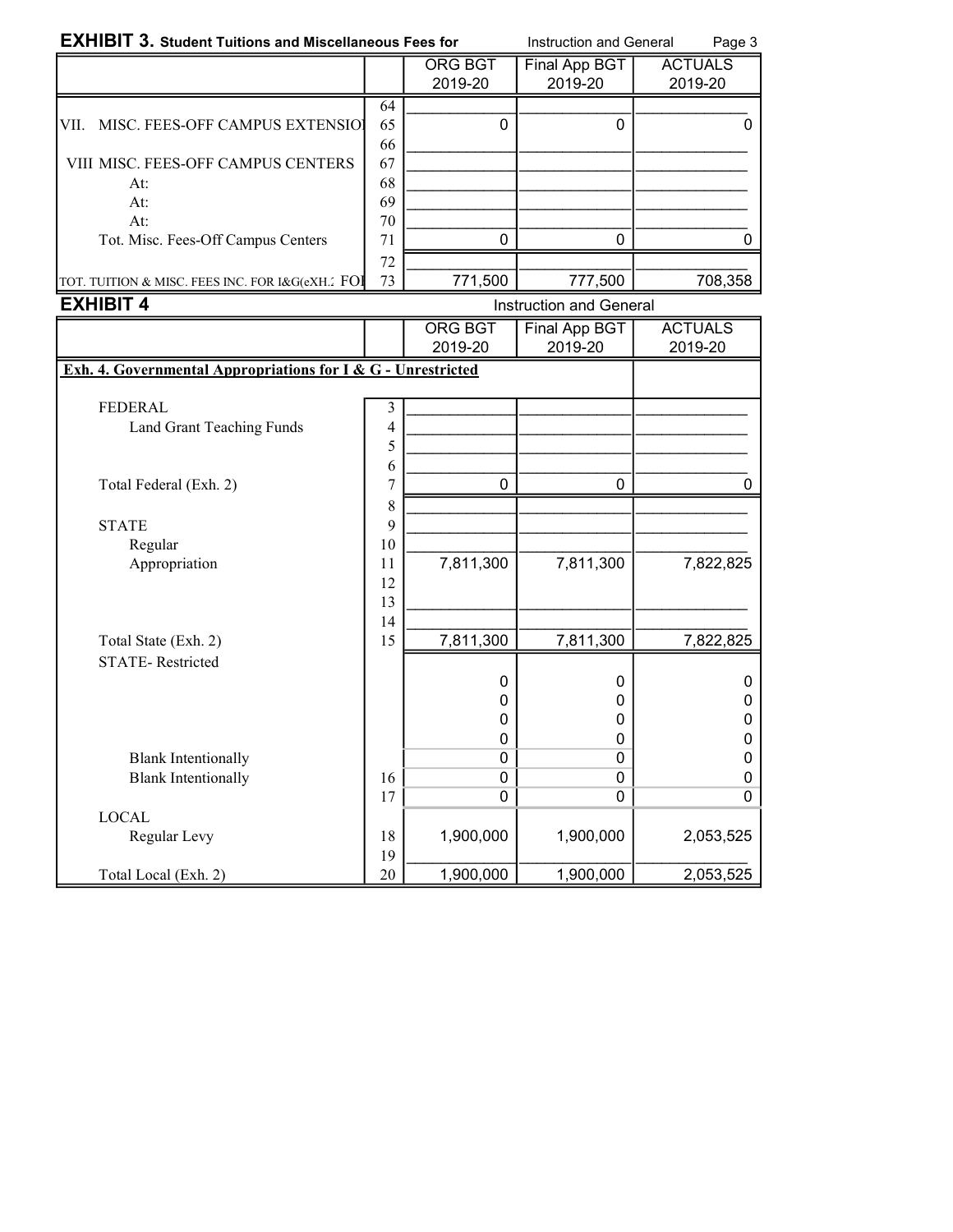| <b>EXHIBIT 3. Student Tuitions and Miscellaneous Fees for</b> |    |                         | <b>Instruction and General</b> | Page 3         |
|---------------------------------------------------------------|----|-------------------------|--------------------------------|----------------|
|                                                               |    | ORG BGT                 | Final App BGT                  | <b>ACTUALS</b> |
|                                                               |    | 2019-20                 | 2019-20                        | 2019-20        |
|                                                               | 64 |                         |                                |                |
| MISC. FEES-OFF CAMPUS EXTENSIOL<br>VII.                       | 65 | O                       | 0                              |                |
|                                                               | 66 |                         |                                |                |
| VIII MISC. FEES-OFF CAMPUS CENTERS                            | 67 |                         |                                |                |
| At:                                                           | 68 |                         |                                |                |
| At:                                                           | 69 |                         |                                |                |
| At:                                                           | 70 |                         |                                |                |
| Tot. Misc. Fees-Off Campus Centers                            | 71 |                         |                                |                |
|                                                               | 72 |                         |                                |                |
| TOT. TUITION & MISC. FEES INC. FOR I&G(eXH.' FOI              | 73 | 771,500                 | 777,500                        | 708,358        |
| <b>EXHIBIT 4</b>                                              |    | Instruction and General |                                |                |

|                                                              |    | <b>ORG BGT</b> | <b>Final App BGT</b> | <b>ACTUALS</b> |
|--------------------------------------------------------------|----|----------------|----------------------|----------------|
|                                                              |    | 2019-20        | 2019-20              | 2019-20        |
| Exh. 4. Governmental Appropriations for I & G - Unrestricted |    |                |                      |                |
|                                                              |    |                |                      |                |
| <b>FEDERAL</b>                                               | 3  |                |                      |                |
| Land Grant Teaching Funds                                    | 4  |                |                      |                |
|                                                              | 5  |                |                      |                |
|                                                              | 6  |                |                      |                |
| Total Federal (Exh. 2)                                       | 7  | 0              | 0                    |                |
|                                                              | 8  |                |                      |                |
| <b>STATE</b>                                                 | 9  |                |                      |                |
| Regular                                                      | 10 |                |                      |                |
| Appropriation                                                | 11 | 7,811,300      | 7,811,300            | 7,822,825      |
|                                                              | 12 |                |                      |                |
|                                                              | 13 |                |                      |                |
|                                                              | 14 |                |                      |                |
| Total State (Exh. 2)                                         | 15 | 7,811,300      | 7,811,300            | 7,822,825      |
| <b>STATE-Restricted</b>                                      |    |                |                      |                |
|                                                              |    | 0              | 0                    | 0              |
|                                                              |    | 0              | 0                    | 0              |
|                                                              |    | 0              | 0                    | 0              |
|                                                              |    | 0              | 0                    | 0              |
| <b>Blank Intentionally</b>                                   |    | 0              | $\mathbf{0}$         | 0              |
| <b>Blank Intentionally</b>                                   | 16 | 0              | $\mathbf 0$          | 0              |
|                                                              | 17 | 0              | $\mathbf 0$          | 0              |
| <b>LOCAL</b>                                                 |    |                |                      |                |
| Regular Levy                                                 | 18 | 1,900,000      | 1,900,000            | 2,053,525      |
|                                                              | 19 |                |                      |                |
| Total Local (Exh. 2)                                         | 20 | 1,900,000      | 1,900,000            | 2,053,525      |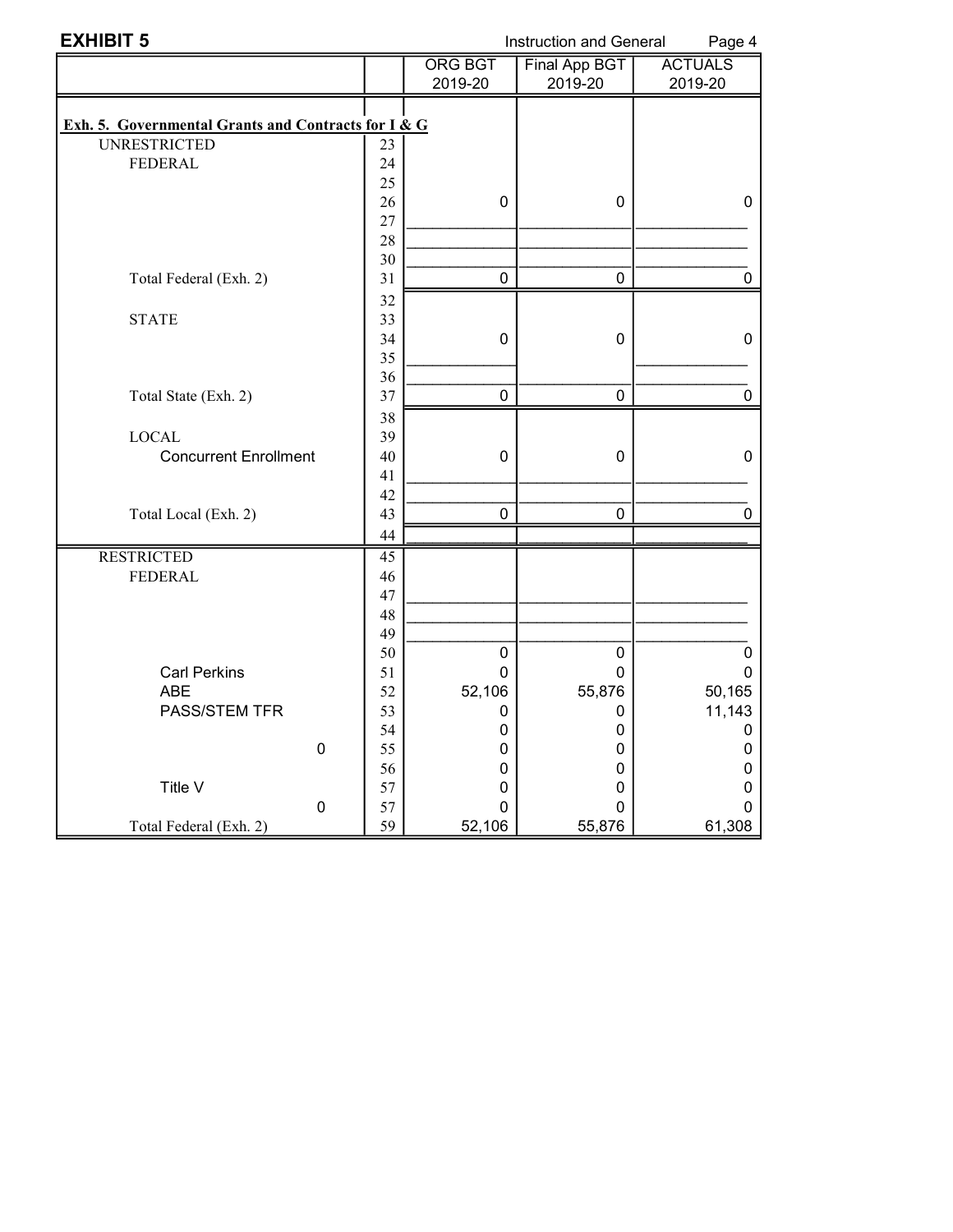| <b>EXHIBIT 5</b>                                    | Instruction and General<br>Page 4 |                |                      |                |  |
|-----------------------------------------------------|-----------------------------------|----------------|----------------------|----------------|--|
|                                                     |                                   | <b>ORG BGT</b> | <b>Final App BGT</b> | <b>ACTUALS</b> |  |
|                                                     |                                   | 2019-20        | 2019-20              | 2019-20        |  |
|                                                     |                                   |                |                      |                |  |
| Exh. 5. Governmental Grants and Contracts for I & G |                                   |                |                      |                |  |
| <b>UNRESTRICTED</b>                                 | 23                                |                |                      |                |  |
| <b>FEDERAL</b>                                      | 24                                |                |                      |                |  |
|                                                     | 25                                |                |                      |                |  |
|                                                     | 26                                | $\mathbf 0$    | 0                    | 0              |  |
|                                                     | 27                                |                |                      |                |  |
|                                                     | 28                                |                |                      |                |  |
|                                                     | 30                                |                |                      |                |  |
| Total Federal (Exh. 2)                              | 31                                | $\mathbf 0$    | $\mathbf 0$          | 0              |  |
|                                                     | 32                                |                |                      |                |  |
| <b>STATE</b>                                        | 33                                |                |                      |                |  |
|                                                     | 34                                | 0              | 0                    | 0              |  |
|                                                     | 35                                |                |                      |                |  |
|                                                     | 36                                |                |                      |                |  |
| Total State (Exh. 2)                                | 37                                | $\overline{0}$ | 0                    | 0              |  |
|                                                     | 38                                |                |                      |                |  |
| <b>LOCAL</b>                                        | 39                                |                |                      |                |  |
| <b>Concurrent Enrollment</b>                        | 40                                | $\mathbf 0$    | $\mathbf 0$          | $\mathbf 0$    |  |
|                                                     | 41                                |                |                      |                |  |
|                                                     | 42<br>43                          |                |                      |                |  |
| Total Local (Exh. 2)                                |                                   | $\pmb{0}$      | $\pmb{0}$            | 0              |  |
|                                                     | 44                                |                |                      |                |  |
| <b>RESTRICTED</b><br><b>FEDERAL</b>                 | 45<br>46                          |                |                      |                |  |
|                                                     | 47                                |                |                      |                |  |
|                                                     | 48                                |                |                      |                |  |
|                                                     | 49                                |                |                      |                |  |
|                                                     | 50                                | $\pmb{0}$      | $\pmb{0}$            | 0              |  |
| <b>Carl Perkins</b>                                 | 51                                | 0              | 0                    | 0              |  |
| <b>ABE</b>                                          | 52                                | 52,106         | 55,876               | 50,165         |  |
| <b>PASS/STEM TFR</b>                                | 53                                | 0              | 0                    | 11,143         |  |
|                                                     | 54                                | 0              | 0                    | 0              |  |
| 0                                                   | 55                                | 0              | 0                    | 0              |  |
|                                                     | 56                                | 0              | 0                    | 0              |  |
| Title V                                             | 57                                | 0              | 0                    | 0              |  |
| $\pmb{0}$                                           | 57                                | $\Omega$       | $\Omega$             | U              |  |
| Total Federal (Exh. 2)                              | 59                                | 52,106         | 55,876               | 61,308         |  |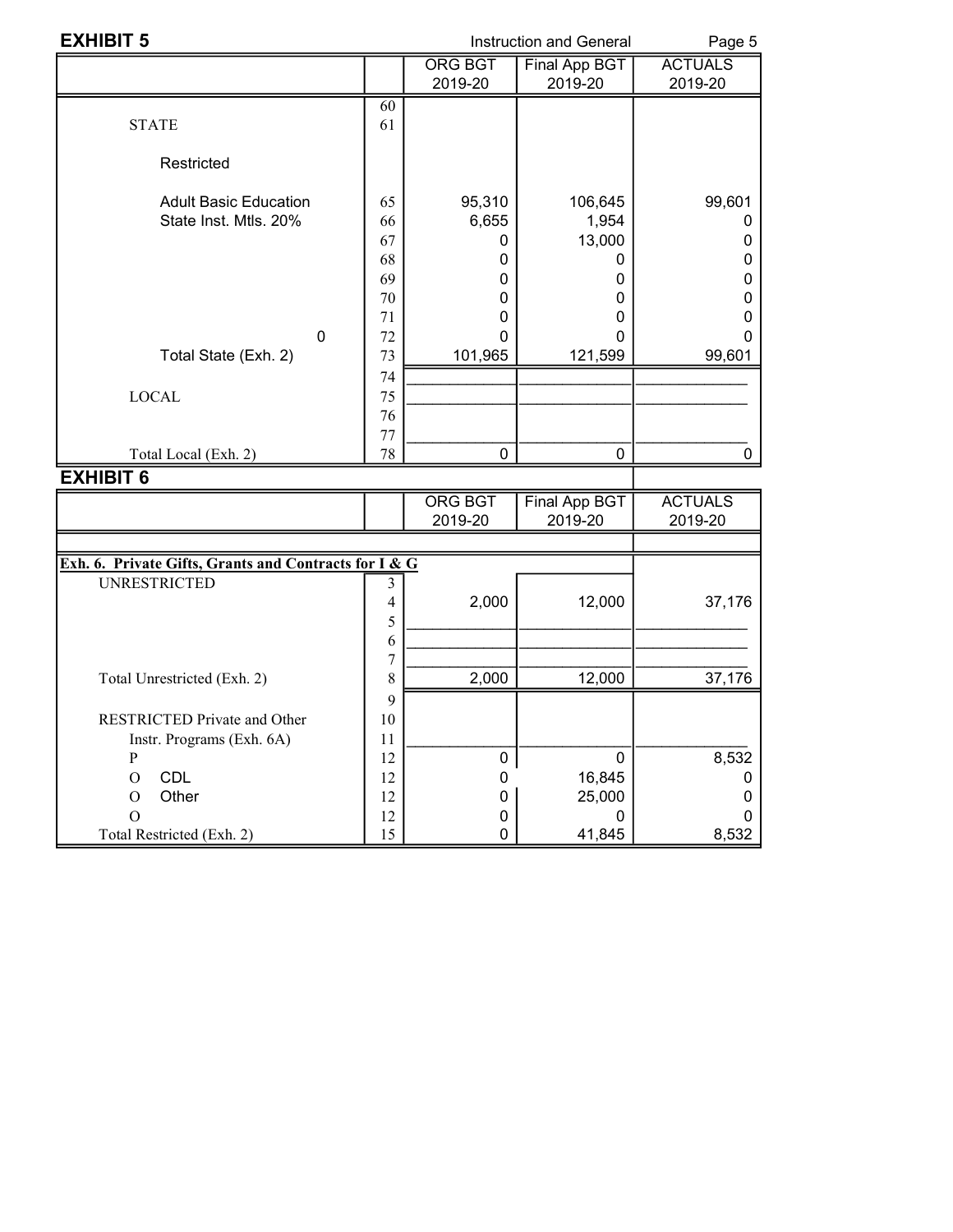| <b>EXHIBIT 5</b>                                                                             |                                                    |                                                                        | <b>Instruction and General</b>                                 |                            |  |
|----------------------------------------------------------------------------------------------|----------------------------------------------------|------------------------------------------------------------------------|----------------------------------------------------------------|----------------------------|--|
|                                                                                              |                                                    | <b>ORG BGT</b><br>2019-20                                              | Final App BGT<br>2019-20                                       | <b>ACTUALS</b><br>2019-20  |  |
| <b>STATE</b>                                                                                 | 60<br>61                                           |                                                                        |                                                                |                            |  |
| Restricted                                                                                   |                                                    |                                                                        |                                                                |                            |  |
| <b>Adult Basic Education</b><br>State Inst. Mtls. 20%<br>$\mathbf 0$<br>Total State (Exh. 2) | 65<br>66<br>67<br>68<br>69<br>70<br>71<br>72<br>73 | 95,310<br>6,655<br>0<br>0<br>$\Omega$<br>$\Omega$<br>0<br>0<br>101,965 | 106,645<br>1,954<br>13,000<br>O<br>0<br>0<br>0<br>0<br>121,599 | 99,601<br>0<br>O<br>99,601 |  |
| <b>LOCAL</b><br>Total Local (Exh. 2)                                                         | 74<br>75<br>76<br>77<br>78                         | $\mathbf 0$                                                            | $\mathbf 0$                                                    |                            |  |
| <b>EXHIBIT 6</b>                                                                             |                                                    |                                                                        |                                                                |                            |  |

|                                                       |    | ORG BGT<br>2019-20 | Final App BGT<br>2019-20 | <b>ACTUALS</b><br>2019-20 |
|-------------------------------------------------------|----|--------------------|--------------------------|---------------------------|
|                                                       |    |                    |                          |                           |
| Exh. 6. Private Gifts, Grants and Contracts for I & G |    |                    |                          |                           |
| <b>UNRESTRICTED</b>                                   |    |                    |                          |                           |
|                                                       | 4  | 2,000              | 12,000                   | 37,176                    |
|                                                       | 5  |                    |                          |                           |
|                                                       | 6  |                    |                          |                           |
|                                                       | 7  |                    |                          |                           |
| Total Unrestricted (Exh. 2)                           | 8  | 2,000              | 12,000                   | 37,176                    |
|                                                       | 9  |                    |                          |                           |
| <b>RESTRICTED Private and Other</b>                   | 10 |                    |                          |                           |
| Instr. Programs (Exh. 6A)                             | 11 |                    |                          |                           |
| P                                                     | 12 | $\Omega$           | 0                        | 8,532                     |
| <b>CDL</b><br>O                                       | 12 |                    | 16,845                   |                           |
| Other<br>O                                            | 12 |                    | 25,000                   |                           |
|                                                       | 12 |                    |                          |                           |
| Total Restricted (Exh. 2)                             | 15 |                    | 41,845                   | 8,532                     |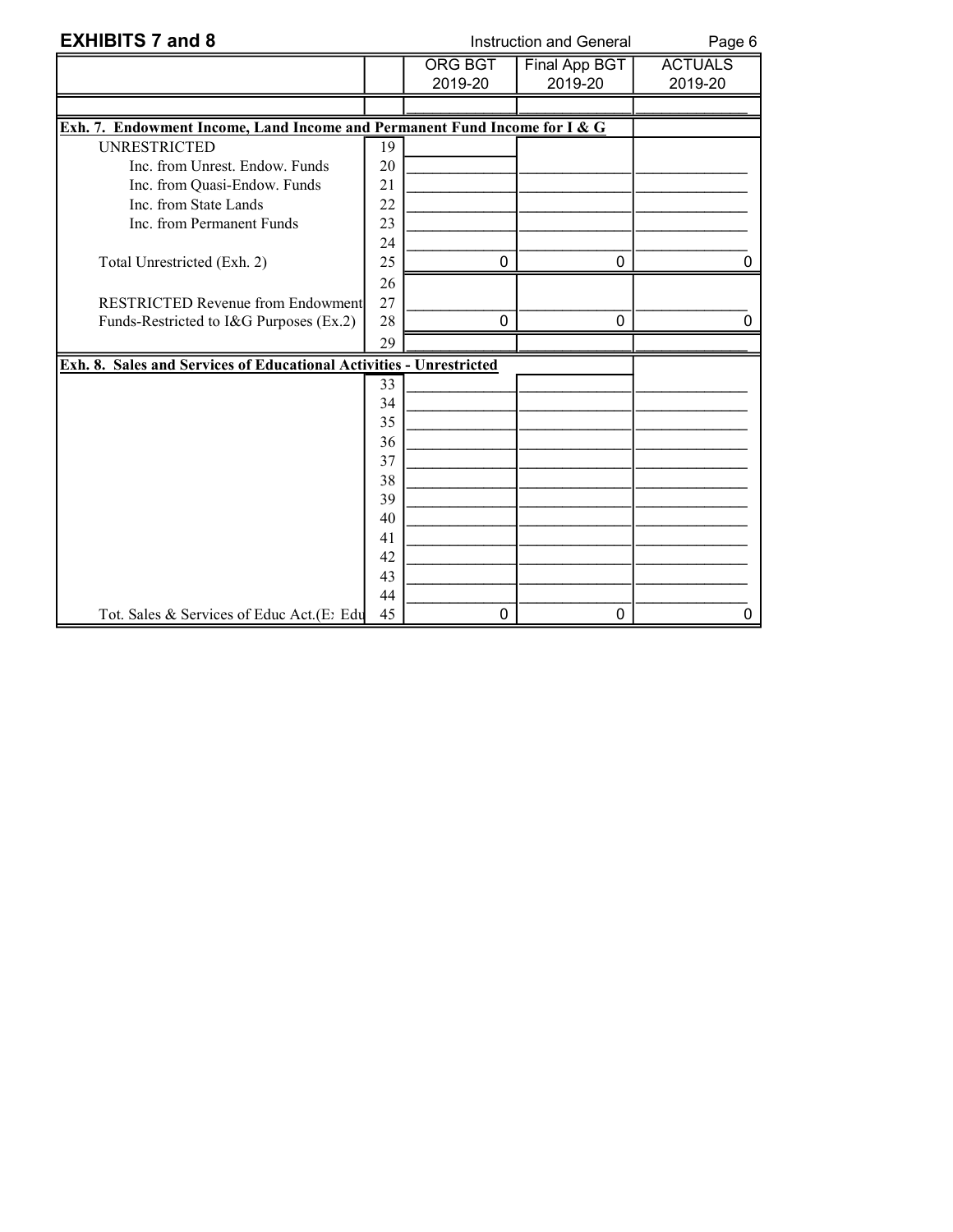| <b>EXHIBITS 7 and 8</b>                                                   |    | Instruction and General   | Page 6                   |                           |
|---------------------------------------------------------------------------|----|---------------------------|--------------------------|---------------------------|
|                                                                           |    | <b>ORG BGT</b><br>2019-20 | Final App BGT<br>2019-20 | <b>ACTUALS</b><br>2019-20 |
|                                                                           |    |                           |                          |                           |
| Exh. 7. Endowment Income, Land Income and Permanent Fund Income for I & G |    |                           |                          |                           |
| <b>UNRESTRICTED</b>                                                       | 19 |                           |                          |                           |
| Inc. from Unrest. Endow. Funds                                            | 20 |                           |                          |                           |
| Inc. from Quasi-Endow. Funds                                              | 21 |                           |                          |                           |
| Inc. from State Lands                                                     | 22 |                           |                          |                           |
| Inc. from Permanent Funds                                                 | 23 |                           |                          |                           |
|                                                                           | 24 |                           |                          |                           |
| Total Unrestricted (Exh. 2)                                               | 25 | $\mathbf 0$               | 0                        |                           |
|                                                                           | 26 |                           |                          |                           |
| <b>RESTRICTED Revenue from Endowment</b>                                  | 27 |                           |                          |                           |
| Funds-Restricted to I&G Purposes (Ex.2)                                   | 28 | 0                         | $\mathbf{0}$             |                           |
|                                                                           | 29 |                           |                          |                           |
| Exh. 8. Sales and Services of Educational Activities - Unrestricted       |    |                           |                          |                           |
|                                                                           | 33 |                           |                          |                           |
|                                                                           | 34 |                           |                          |                           |
|                                                                           | 35 |                           |                          |                           |
|                                                                           | 36 |                           |                          |                           |
|                                                                           | 37 |                           |                          |                           |
|                                                                           | 38 |                           |                          |                           |
|                                                                           | 39 |                           |                          |                           |
|                                                                           | 40 |                           |                          |                           |
|                                                                           | 41 |                           |                          |                           |
|                                                                           | 42 |                           |                          |                           |
|                                                                           | 43 |                           |                          |                           |
|                                                                           | 44 |                           |                          |                           |
| Tot. Sales & Services of Educ Act. (E: Edu                                | 45 | $\mathbf 0$               | 0                        | 0                         |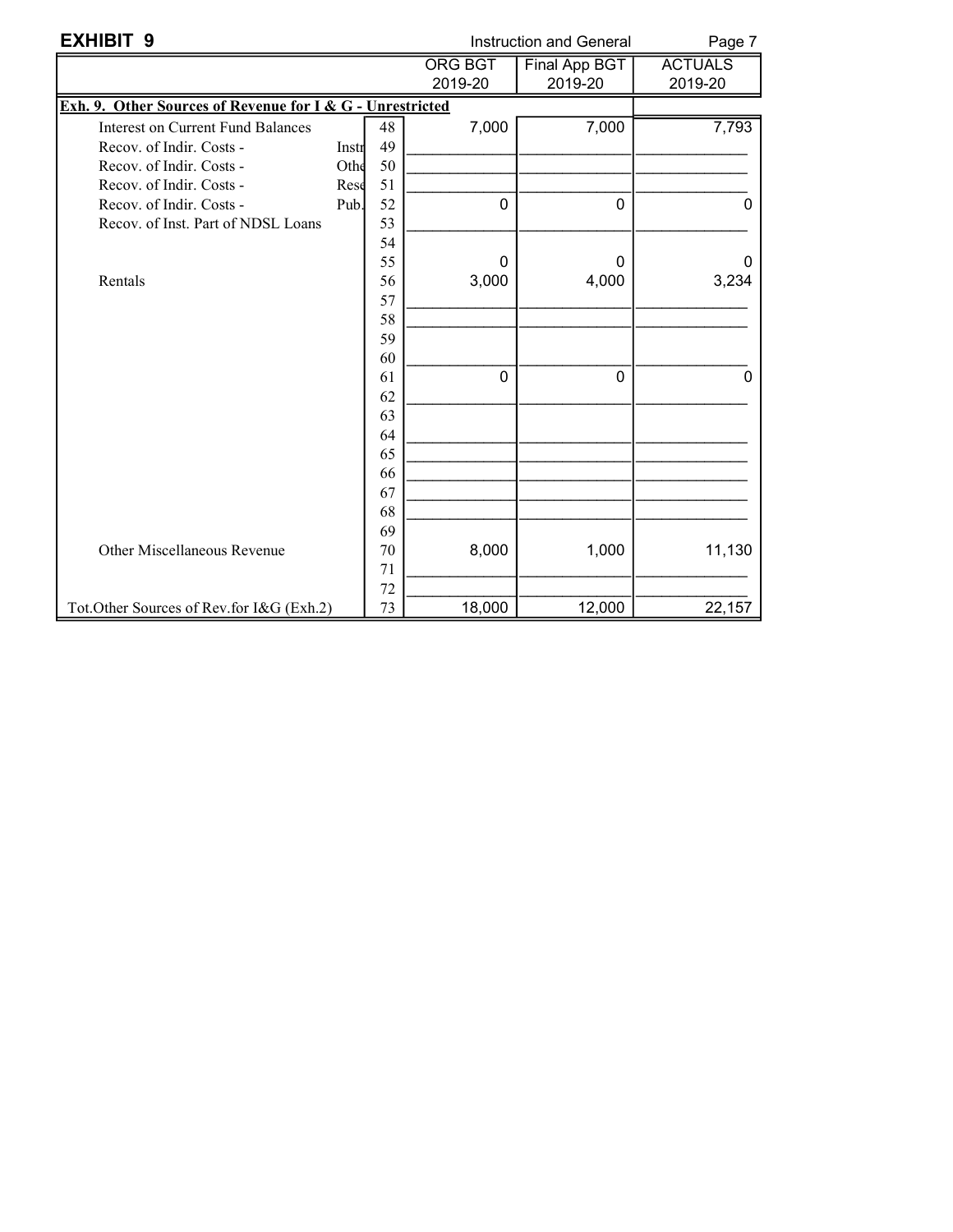| <b>EXHIBIT 9</b>                                          |       |          |                | Instruction and General | Page 7         |
|-----------------------------------------------------------|-------|----------|----------------|-------------------------|----------------|
|                                                           |       |          | <b>ORG BGT</b> | <b>Final App BGT</b>    | <b>ACTUALS</b> |
|                                                           |       |          | 2019-20        | 2019-20                 | 2019-20        |
| Exh. 9. Other Sources of Revenue for I & G - Unrestricted |       |          |                |                         |                |
| <b>Interest on Current Fund Balances</b>                  |       | 48       | 7,000          | 7,000                   | 7,793          |
| Recov. of Indir. Costs -                                  | Instr | 49       |                |                         |                |
| Recov. of Indir. Costs -                                  | Othe  | 50       |                |                         |                |
| Recov. of Indir. Costs -                                  | Rese  | 51       |                |                         |                |
| Recov. of Indir. Costs -                                  | Pub.  | 52       | $\mathbf 0$    | 0                       | 0              |
| Recov. of Inst. Part of NDSL Loans                        |       | 53       |                |                         |                |
|                                                           |       | 54       |                |                         |                |
|                                                           |       | 55       | $\mathbf{0}$   | 0                       |                |
| Rentals                                                   |       | 56       | 3,000          | 4,000                   | 3,234          |
|                                                           |       | 57       |                |                         |                |
|                                                           |       | 58       |                |                         |                |
|                                                           |       | 59       |                |                         |                |
|                                                           |       | 60       |                |                         |                |
|                                                           |       | 61       | $\Omega$       | $\Omega$                | 0              |
|                                                           |       | 62       |                |                         |                |
|                                                           |       | 63       |                |                         |                |
|                                                           |       | 64       |                |                         |                |
|                                                           |       | 65       |                |                         |                |
|                                                           |       | 66       |                |                         |                |
|                                                           |       | 67       |                |                         |                |
|                                                           |       | 68       |                |                         |                |
|                                                           |       | 69       |                |                         |                |
| Other Miscellaneous Revenue                               |       | 70       | 8,000          | 1,000                   | 11,130         |
|                                                           |       | 71       |                |                         |                |
| Tot.Other Sources of Rev.for I&G (Exh.2)                  |       | 72<br>73 | 18,000         | 12,000                  | 22,157         |
|                                                           |       |          |                |                         |                |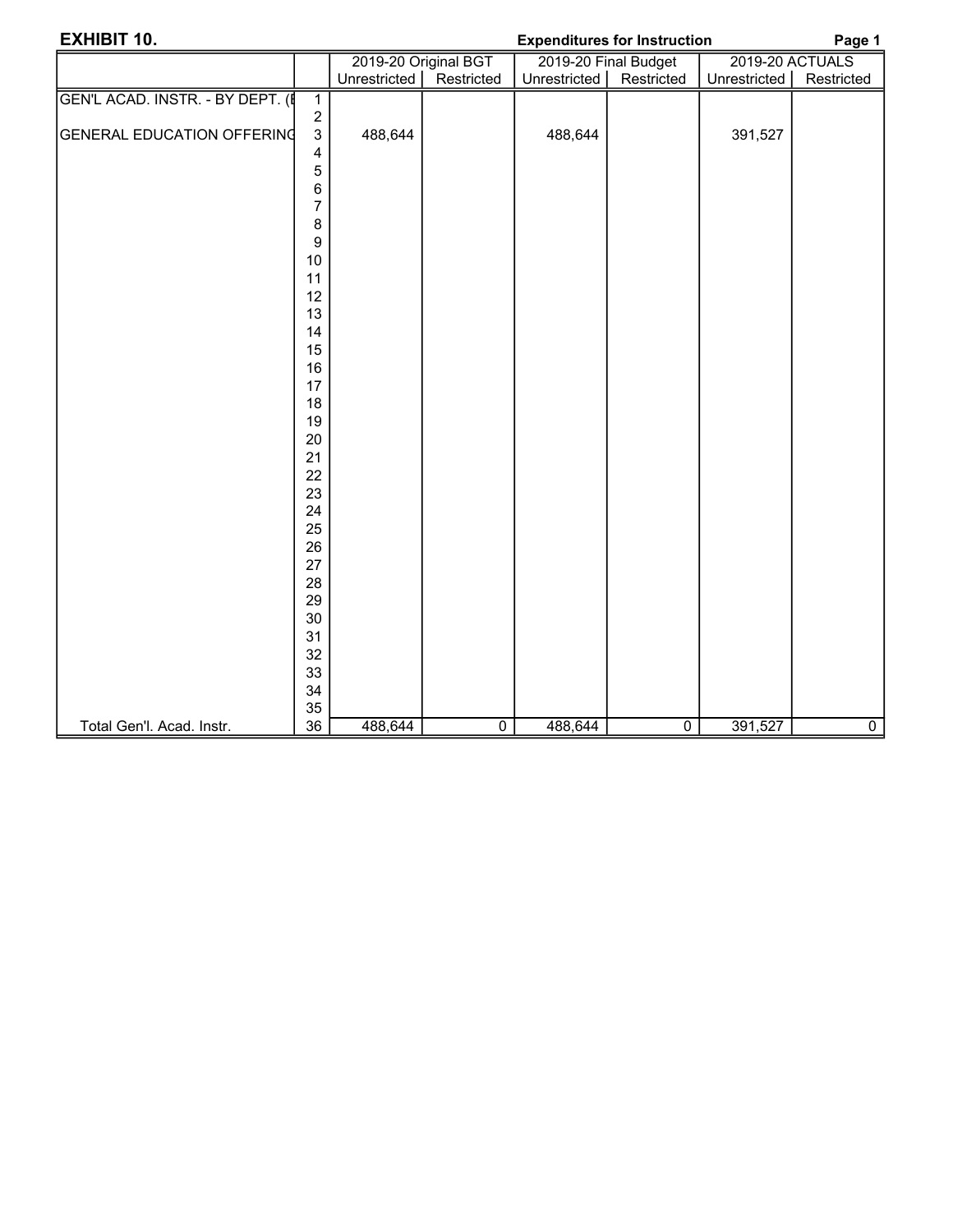| <b>EXHIBIT 10.</b>                |                |              |                      | <b>Expenditures for Instruction</b> |                      |              | Page 1          |
|-----------------------------------|----------------|--------------|----------------------|-------------------------------------|----------------------|--------------|-----------------|
|                                   |                |              | 2019-20 Original BGT |                                     | 2019-20 Final Budget |              | 2019-20 ACTUALS |
|                                   |                | Unrestricted | Restricted           | Unrestricted                        | Restricted           | Unrestricted | Restricted      |
| GEN'L ACAD. INSTR. - BY DEPT. (   | $\overline{1}$ |              |                      |                                     |                      |              |                 |
|                                   | $\sqrt{2}$     |              |                      |                                     |                      |              |                 |
| <b>GENERAL EDUCATION OFFERING</b> | $\mathsf 3$    | 488,644      |                      | 488,644                             |                      | 391,527      |                 |
|                                   | 4              |              |                      |                                     |                      |              |                 |
|                                   | 5              |              |                      |                                     |                      |              |                 |
|                                   | 6              |              |                      |                                     |                      |              |                 |
|                                   | $\overline{7}$ |              |                      |                                     |                      |              |                 |
|                                   | 8              |              |                      |                                     |                      |              |                 |
|                                   | 9              |              |                      |                                     |                      |              |                 |
|                                   | $10$           |              |                      |                                     |                      |              |                 |
|                                   | 11             |              |                      |                                     |                      |              |                 |
|                                   | 12             |              |                      |                                     |                      |              |                 |
|                                   | 13             |              |                      |                                     |                      |              |                 |
|                                   | 14<br>15       |              |                      |                                     |                      |              |                 |
|                                   | 16             |              |                      |                                     |                      |              |                 |
|                                   | 17             |              |                      |                                     |                      |              |                 |
|                                   | 18             |              |                      |                                     |                      |              |                 |
|                                   | 19             |              |                      |                                     |                      |              |                 |
|                                   | 20             |              |                      |                                     |                      |              |                 |
|                                   | 21             |              |                      |                                     |                      |              |                 |
|                                   | 22             |              |                      |                                     |                      |              |                 |
|                                   | 23             |              |                      |                                     |                      |              |                 |
|                                   | 24             |              |                      |                                     |                      |              |                 |
|                                   | 25             |              |                      |                                     |                      |              |                 |
|                                   | 26             |              |                      |                                     |                      |              |                 |
|                                   | 27             |              |                      |                                     |                      |              |                 |
|                                   | 28             |              |                      |                                     |                      |              |                 |
|                                   | 29             |              |                      |                                     |                      |              |                 |
|                                   | 30             |              |                      |                                     |                      |              |                 |
|                                   | 31             |              |                      |                                     |                      |              |                 |
|                                   | 32             |              |                      |                                     |                      |              |                 |
|                                   | 33             |              |                      |                                     |                      |              |                 |
|                                   | 34             |              |                      |                                     |                      |              |                 |
|                                   | 35             |              |                      |                                     |                      |              |                 |
| Total Gen'l. Acad. Instr.         | 36             | 488,644      | $\overline{0}$       | 488,644                             | $\overline{0}$       | 391,527      | $\overline{0}$  |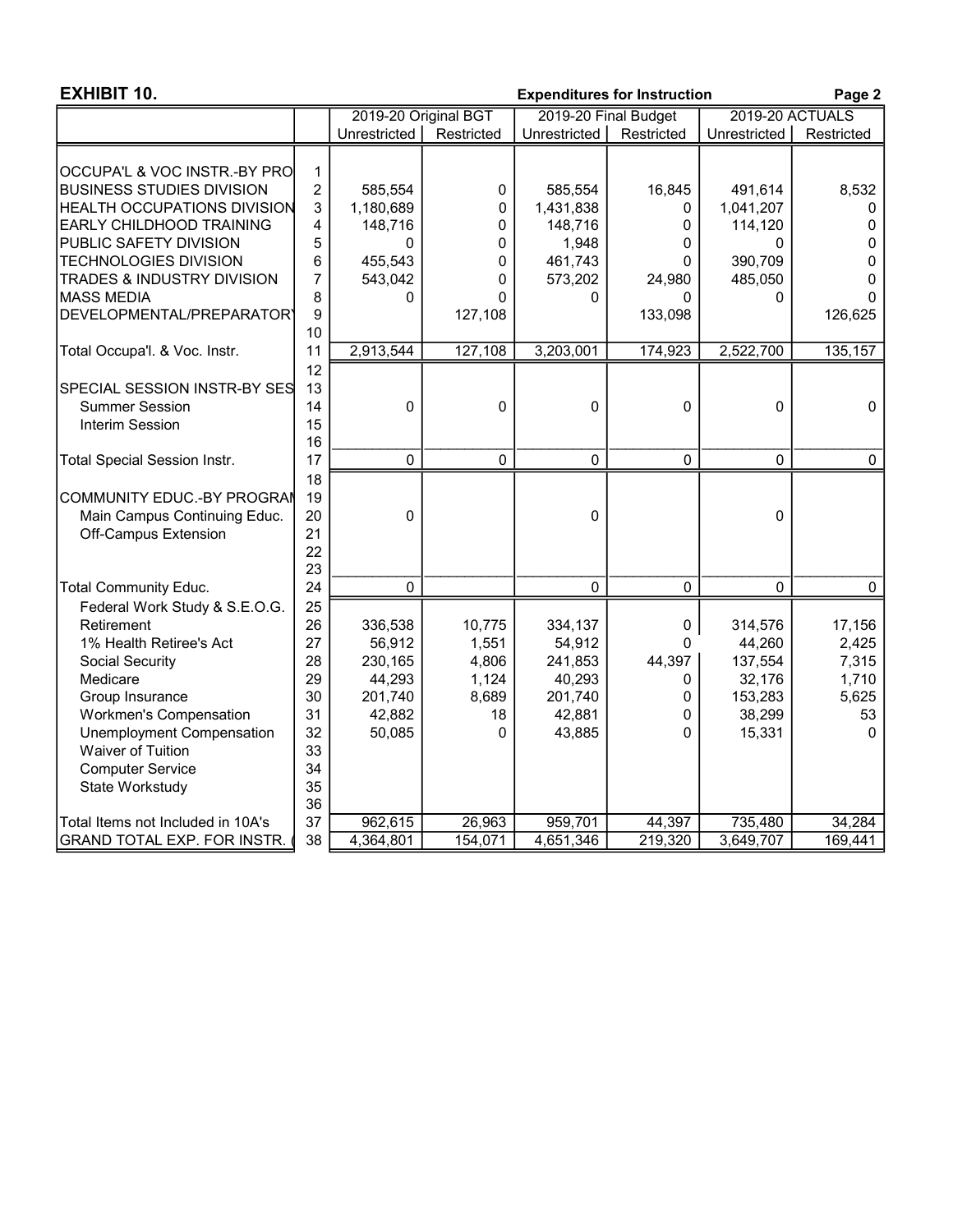| <b>EXHIBIT 10.</b>                  |                |                      |             |              | <b>Expenditures for Instruction</b> |              | Page 2          |
|-------------------------------------|----------------|----------------------|-------------|--------------|-------------------------------------|--------------|-----------------|
|                                     |                | 2019-20 Original BGT |             |              | 2019-20 Final Budget                |              | 2019-20 ACTUALS |
|                                     |                | Unrestricted         | Restricted  | Unrestricted | Restricted                          | Unrestricted | Restricted      |
|                                     |                |                      |             |              |                                     |              |                 |
| OCCUPA'L & VOC INSTR.-BY PRO        | $\mathbf 1$    |                      |             |              |                                     |              |                 |
| <b>BUSINESS STUDIES DIVISION</b>    | $\overline{c}$ | 585,554              | 0           | 585,554      | 16,845                              | 491,614      | 8,532           |
| <b>HEALTH OCCUPATIONS DIVISION</b>  | 3              | 1,180,689            | 0           | 1,431,838    | 0                                   | 1,041,207    | 0               |
| <b>EARLY CHILDHOOD TRAINING</b>     | 4              | 148,716              | 0           | 148,716      | 0                                   | 114,120      | 0               |
| PUBLIC SAFETY DIVISION              | 5              | 0                    | 0           | 1,948        | 0                                   | 0            | 0               |
| <b>TECHNOLOGIES DIVISION</b>        | 6              | 455,543              | 0           | 461,743      | 0                                   | 390,709      | 0               |
| TRADES & INDUSTRY DIVISION          | $\overline{7}$ | 543,042              | 0           | 573,202      | 24,980                              | 485,050      | 0               |
| <b>MASS MEDIA</b>                   | 8              | 0                    | 0           | 0            | 0                                   | 0            | 0               |
| DEVELOPMENTAL/PREPARATORY           | 9              |                      | 127,108     |              | 133,098                             |              | 126,625         |
|                                     | 10             |                      |             |              |                                     |              |                 |
| Total Occupa'l. & Voc. Instr.       | 11             | 2,913,544            | 127,108     | 3,203,001    | 174,923                             | 2,522,700    | 135,157         |
|                                     | 12             |                      |             |              |                                     |              |                 |
| <b>SPECIAL SESSION INSTR-BY SES</b> | 13             |                      |             |              |                                     |              |                 |
| <b>Summer Session</b>               | 14             | $\mathbf 0$          | $\mathbf 0$ | 0            | $\Omega$                            | 0            | 0               |
| <b>Interim Session</b>              | 15             |                      |             |              |                                     |              |                 |
| <b>Total Special Session Instr.</b> | 16<br>17       | $\mathbf 0$          | $\mathbf 0$ | $\mathbf 0$  | $\mathbf 0$                         | $\Omega$     | 0               |
|                                     |                |                      |             |              |                                     |              |                 |
| COMMUNITY EDUC.-BY PROGRAM          | 18<br>19       |                      |             |              |                                     |              |                 |
|                                     |                |                      |             |              |                                     |              |                 |
| Main Campus Continuing Educ.        | 20<br>21       | 0                    |             | 0            |                                     | 0            |                 |
| Off-Campus Extension                |                |                      |             |              |                                     |              |                 |
|                                     | 22<br>23       |                      |             |              |                                     |              |                 |
| <b>Total Community Educ.</b>        | 24             | $\overline{0}$       |             | $\mathbf 0$  | 0                                   | 0            | $\mathbf 0$     |
|                                     |                |                      |             |              |                                     |              |                 |
| Federal Work Study & S.E.O.G.       | 25             |                      |             |              |                                     |              |                 |
| Retirement                          | 26             | 336,538              | 10,775      | 334,137      | 0                                   | 314,576      | 17,156          |
| 1% Health Retiree's Act             | 27             | 56,912               | 1,551       | 54,912       | 0                                   | 44,260       | 2,425           |
| Social Security                     | 28             | 230,165              | 4,806       | 241,853      | 44,397                              | 137,554      | 7,315           |
| Medicare                            | 29             | 44,293               | 1,124       | 40,293       | 0                                   | 32,176       | 1,710           |
| Group Insurance                     | 30             | 201,740              | 8,689       | 201,740      | 0                                   | 153,283      | 5,625           |
| <b>Workmen's Compensation</b>       | 31             | 42,882               | 18          | 42,881       | 0                                   | 38,299       | 53              |
| <b>Unemployment Compensation</b>    | 32             | 50,085               | 0           | 43,885       | $\Omega$                            | 15,331       | $\Omega$        |
| Waiver of Tuition                   | 33             |                      |             |              |                                     |              |                 |
| <b>Computer Service</b>             | 34             |                      |             |              |                                     |              |                 |
| State Workstudy                     | 35             |                      |             |              |                                     |              |                 |
|                                     | 36             |                      |             |              |                                     |              |                 |
| Total Items not Included in 10A's   | 37             | 962,615              | 26,963      | 959,701      | 44,397                              | 735,480      | 34,284          |
| GRAND TOTAL EXP. FOR INSTR.         | 38             | 4,364,801            | 154,071     | 4,651,346    | 219,320                             | 3,649,707    | 169,441         |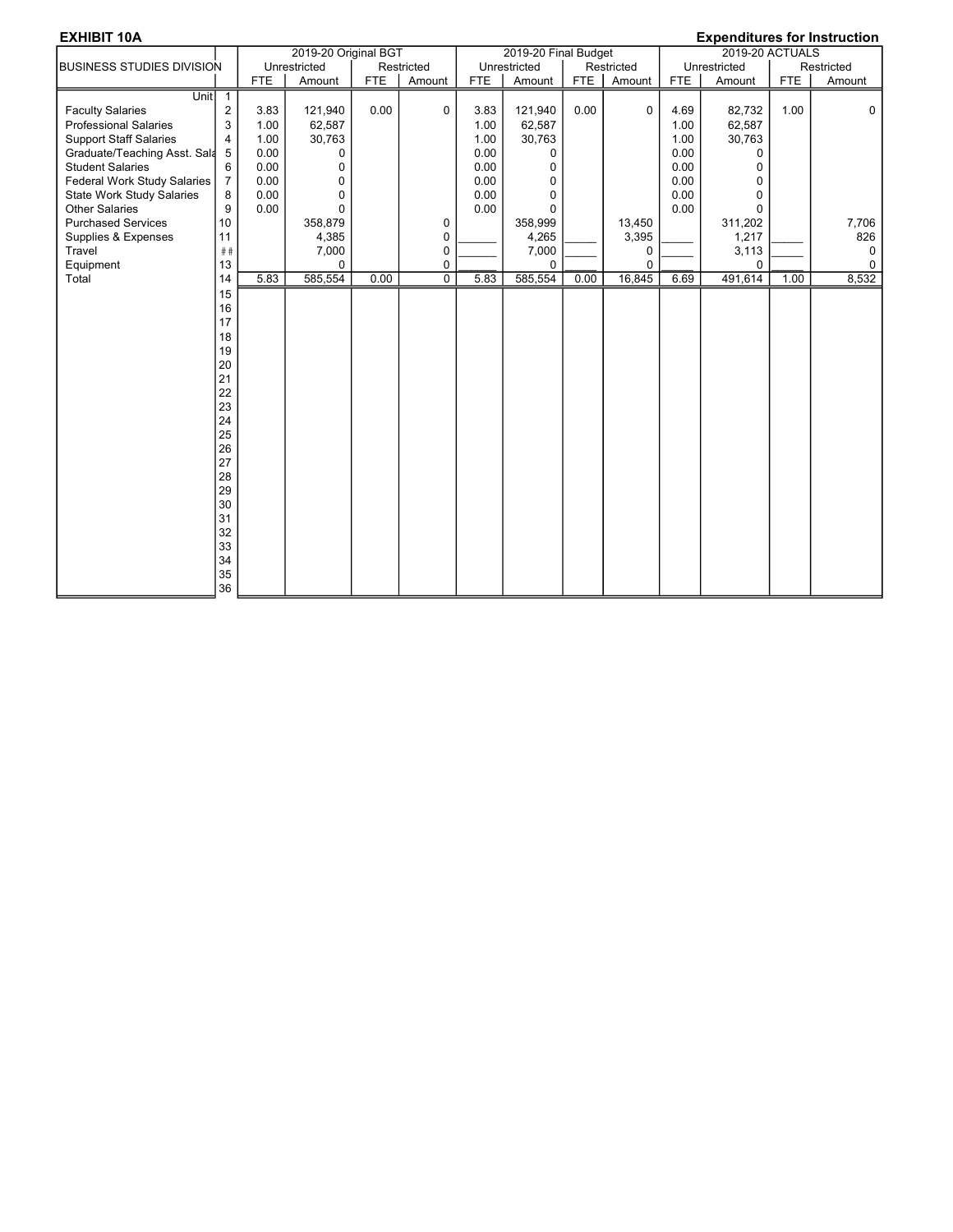| <b>EXHIBIT 10A</b>               |                |            |                      |            |                |            |                      |            |            |            | <b>Expenditures for Instruction</b> |            |            |
|----------------------------------|----------------|------------|----------------------|------------|----------------|------------|----------------------|------------|------------|------------|-------------------------------------|------------|------------|
|                                  |                |            | 2019-20 Original BGT |            |                |            | 2019-20 Final Budget |            |            |            | 2019-20 ACTUALS                     |            |            |
| <b>BUSINESS STUDIES DIVISION</b> |                |            | Unrestricted         |            | Restricted     |            | Unrestricted         |            | Restricted |            | Unrestricted                        |            | Restricted |
|                                  |                | <b>FTE</b> | Amount               | <b>FTE</b> | Amount         | <b>FTE</b> | Amount               | <b>FTE</b> | Amount     | <b>FTE</b> | Amount                              | <b>FTE</b> | Amount     |
| <b>Unit</b>                      | $\overline{1}$ |            |                      |            |                |            |                      |            |            |            |                                     |            |            |
| <b>Faculty Salaries</b>          | $\sqrt{2}$     | 3.83       | 121,940              | 0.00       | $\mathbf 0$    | 3.83       | 121,940              | 0.00       | $\Omega$   | 4.69       | 82,732                              | 1.00       | $\Omega$   |
| <b>Professional Salaries</b>     | 3              | 1.00       | 62,587               |            |                | 1.00       | 62,587               |            |            | 1.00       | 62,587                              |            |            |
| <b>Support Staff Salaries</b>    | 4              | 1.00       | 30,763               |            |                | 1.00       | 30,763               |            |            | 1.00       | 30,763                              |            |            |
| Graduate/Teaching Asst. Sala     | 5              | 0.00       | 0                    |            |                | 0.00       | 0                    |            |            | 0.00       | 0                                   |            |            |
| <b>Student Salaries</b>          | 6              | 0.00       | $\Omega$             |            |                | 0.00       | 0                    |            |            | 0.00       | 0                                   |            |            |
| Federal Work Study Salaries      | $\overline{7}$ | 0.00       | $\mathbf 0$          |            |                | 0.00       | 0                    |            |            | 0.00       | 0                                   |            |            |
| <b>State Work Study Salaries</b> | 8              | 0.00       | $\mathbf 0$          |            |                | 0.00       | 0                    |            |            | 0.00       | 0                                   |            |            |
| <b>Other Salaries</b>            | 9              | 0.00       | $\mathbf 0$          |            |                | 0.00       | 0                    |            |            | 0.00       | 0                                   |            |            |
| <b>Purchased Services</b>        | 10             |            | 358,879              |            | 0              |            | 358,999              |            | 13,450     |            | 311,202                             |            | 7,706      |
| Supplies & Expenses              | 11             |            | 4,385                |            | $\mathbf 0$    |            | 4,265                |            | 3,395      |            | 1,217                               |            | 826        |
| Travel                           | ##             |            | 7,000                |            | 0              |            | 7,000                |            | 0          |            | 3,113                               |            | 0          |
| Equipment                        | 13             |            | $\Omega$             |            | $\mathbf 0$    |            | $\Omega$             |            | $\Omega$   |            | $\Omega$                            |            | 0          |
| Total                            | 14             | 5.83       | 585,554              | 0.00       | $\overline{0}$ | 5.83       | 585,554              | 0.00       | 16,845     | 6.69       | 491,614                             | 1.00       | 8,532      |
|                                  | 15             |            |                      |            |                |            |                      |            |            |            |                                     |            |            |
|                                  | 16             |            |                      |            |                |            |                      |            |            |            |                                     |            |            |
|                                  | 17             |            |                      |            |                |            |                      |            |            |            |                                     |            |            |
|                                  | 18             |            |                      |            |                |            |                      |            |            |            |                                     |            |            |
|                                  | 19             |            |                      |            |                |            |                      |            |            |            |                                     |            |            |
|                                  | 20             |            |                      |            |                |            |                      |            |            |            |                                     |            |            |
|                                  | 21             |            |                      |            |                |            |                      |            |            |            |                                     |            |            |
|                                  | 22             |            |                      |            |                |            |                      |            |            |            |                                     |            |            |
|                                  | 23             |            |                      |            |                |            |                      |            |            |            |                                     |            |            |
|                                  | 24             |            |                      |            |                |            |                      |            |            |            |                                     |            |            |
|                                  | 25             |            |                      |            |                |            |                      |            |            |            |                                     |            |            |
|                                  | 26             |            |                      |            |                |            |                      |            |            |            |                                     |            |            |
|                                  | 27             |            |                      |            |                |            |                      |            |            |            |                                     |            |            |
|                                  | 28             |            |                      |            |                |            |                      |            |            |            |                                     |            |            |
|                                  | 29             |            |                      |            |                |            |                      |            |            |            |                                     |            |            |
|                                  | 30             |            |                      |            |                |            |                      |            |            |            |                                     |            |            |
|                                  | 31             |            |                      |            |                |            |                      |            |            |            |                                     |            |            |
|                                  | 32             |            |                      |            |                |            |                      |            |            |            |                                     |            |            |
|                                  | 33             |            |                      |            |                |            |                      |            |            |            |                                     |            |            |
|                                  | 34             |            |                      |            |                |            |                      |            |            |            |                                     |            |            |
|                                  | 35             |            |                      |            |                |            |                      |            |            |            |                                     |            |            |
|                                  | 36             |            |                      |            |                |            |                      |            |            |            |                                     |            |            |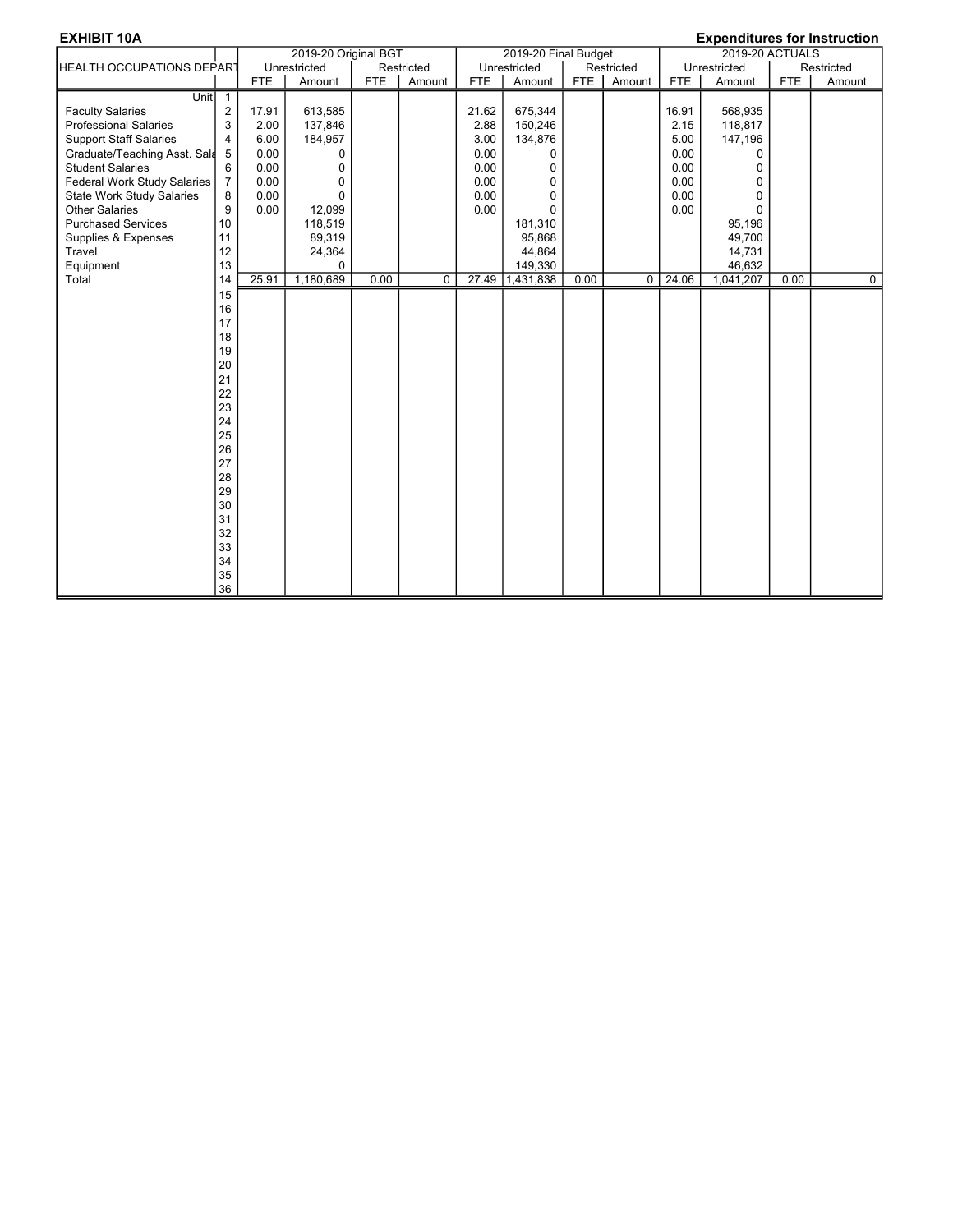| <b>EXHIBIT 10A</b>               |                |            |                      |            |            |            |                      |            |            |            |                 |            | <b>Expenditures for Instruction</b> |
|----------------------------------|----------------|------------|----------------------|------------|------------|------------|----------------------|------------|------------|------------|-----------------|------------|-------------------------------------|
|                                  |                |            | 2019-20 Original BGT |            |            |            | 2019-20 Final Budget |            |            |            | 2019-20 ACTUALS |            |                                     |
| HEALTH OCCUPATIONS DEPART        |                |            | Unrestricted         |            | Restricted |            | Unrestricted         |            | Restricted |            | Unrestricted    |            | Restricted                          |
|                                  |                | <b>FTE</b> | Amount               | <b>FTE</b> | Amount     | <b>FTE</b> | Amount               | <b>FTE</b> | Amount     | <b>FTE</b> | Amount          | <b>FTE</b> | Amount                              |
| Unit 1                           |                |            |                      |            |            |            |                      |            |            |            |                 |            |                                     |
| <b>Faculty Salaries</b>          | $\overline{2}$ | 17.91      | 613,585              |            |            | 21.62      | 675,344              |            |            | 16.91      | 568,935         |            |                                     |
| <b>Professional Salaries</b>     | 3              | 2.00       | 137,846              |            |            | 2.88       | 150,246              |            |            | 2.15       | 118,817         |            |                                     |
| <b>Support Staff Salaries</b>    | $\overline{4}$ | 6.00       | 184,957              |            |            | 3.00       | 134,876              |            |            | 5.00       | 147,196         |            |                                     |
| Graduate/Teaching Asst. Sala     | 5              | 0.00       | $\Omega$             |            |            | 0.00       | 0                    |            |            | 0.00       | $\Omega$        |            |                                     |
| <b>Student Salaries</b>          | 6              | 0.00       | $\Omega$             |            |            | 0.00       | 0                    |            |            | 0.00       | $\Omega$        |            |                                     |
| Federal Work Study Salaries      | $\overline{7}$ | 0.00       | 0                    |            |            | 0.00       | $\mathbf 0$          |            |            | 0.00       | $\Omega$        |            |                                     |
| <b>State Work Study Salaries</b> | 8              | 0.00       | $\Omega$             |            |            | 0.00       | 0                    |            |            | 0.00       | $\Omega$        |            |                                     |
| <b>Other Salaries</b>            | 9              | 0.00       | 12,099               |            |            | 0.00       | 0                    |            |            | 0.00       | $\Omega$        |            |                                     |
| <b>Purchased Services</b>        | 10             |            | 118,519              |            |            |            | 181,310              |            |            |            | 95,196          |            |                                     |
| Supplies & Expenses              | 11             |            | 89,319               |            |            |            | 95,868               |            |            |            | 49,700          |            |                                     |
| Travel                           | 12             |            | 24,364               |            |            |            | 44,864               |            |            |            | 14,731          |            |                                     |
| Equipment                        | 13             |            | $\Omega$             |            |            |            | 149,330              |            |            |            | 46,632          |            |                                     |
| Total                            | 14             | 25.91      | 1,180,689            | 0.00       | $\Omega$   | 27.49      | 1,431,838            | 0.00       | $\Omega$   | 24.06      | 1,041,207       | 0.00       | $\overline{0}$                      |
|                                  | 15             |            |                      |            |            |            |                      |            |            |            |                 |            |                                     |
|                                  | 16             |            |                      |            |            |            |                      |            |            |            |                 |            |                                     |
|                                  | 17             |            |                      |            |            |            |                      |            |            |            |                 |            |                                     |
|                                  | 18             |            |                      |            |            |            |                      |            |            |            |                 |            |                                     |
|                                  | 19             |            |                      |            |            |            |                      |            |            |            |                 |            |                                     |
|                                  | 20             |            |                      |            |            |            |                      |            |            |            |                 |            |                                     |
|                                  | 21             |            |                      |            |            |            |                      |            |            |            |                 |            |                                     |
|                                  | 22             |            |                      |            |            |            |                      |            |            |            |                 |            |                                     |
|                                  | 23             |            |                      |            |            |            |                      |            |            |            |                 |            |                                     |
|                                  | 24             |            |                      |            |            |            |                      |            |            |            |                 |            |                                     |
|                                  | 25             |            |                      |            |            |            |                      |            |            |            |                 |            |                                     |
|                                  | 26             |            |                      |            |            |            |                      |            |            |            |                 |            |                                     |
|                                  | 27             |            |                      |            |            |            |                      |            |            |            |                 |            |                                     |
|                                  | 28             |            |                      |            |            |            |                      |            |            |            |                 |            |                                     |
|                                  | 29             |            |                      |            |            |            |                      |            |            |            |                 |            |                                     |
|                                  | 30             |            |                      |            |            |            |                      |            |            |            |                 |            |                                     |
|                                  | 31             |            |                      |            |            |            |                      |            |            |            |                 |            |                                     |
|                                  | 32             |            |                      |            |            |            |                      |            |            |            |                 |            |                                     |
|                                  | 33             |            |                      |            |            |            |                      |            |            |            |                 |            |                                     |
|                                  | 34             |            |                      |            |            |            |                      |            |            |            |                 |            |                                     |
|                                  | 35             |            |                      |            |            |            |                      |            |            |            |                 |            |                                     |
|                                  | 36             |            |                      |            |            |            |                      |            |            |            |                 |            |                                     |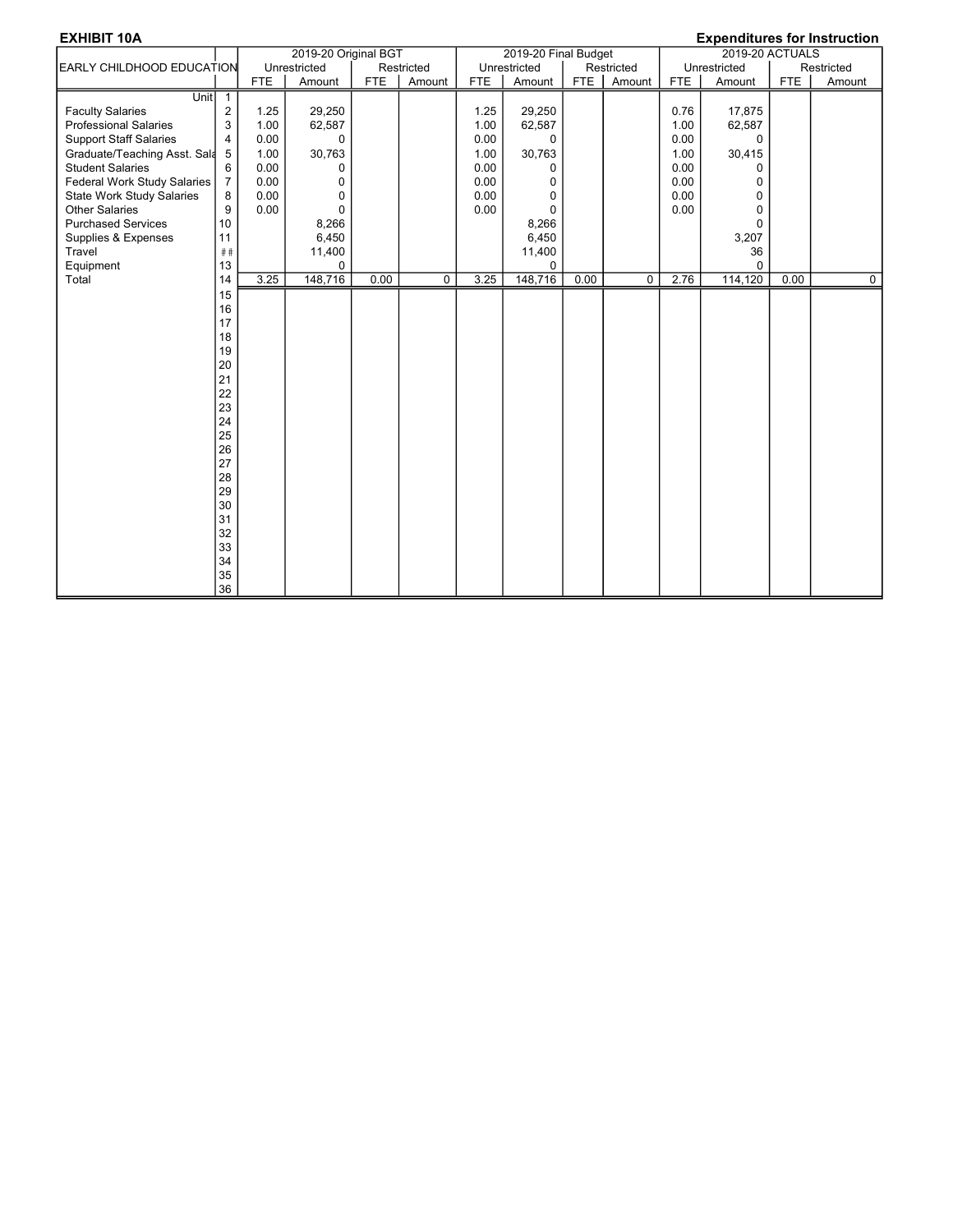| <b>EXHIBIT 10A</b>               |                 |            |                      |            |             |            |                      |            |            |            |                 |            | <b>Expenditures for Instruction</b> |
|----------------------------------|-----------------|------------|----------------------|------------|-------------|------------|----------------------|------------|------------|------------|-----------------|------------|-------------------------------------|
|                                  |                 |            | 2019-20 Original BGT |            |             |            | 2019-20 Final Budget |            |            |            | 2019-20 ACTUALS |            |                                     |
| <b>EARLY CHILDHOOD EDUCATION</b> |                 |            | Unrestricted         |            | Restricted  |            | Unrestricted         |            | Restricted |            | Unrestricted    |            | Restricted                          |
|                                  |                 | <b>FTE</b> | Amount               | <b>FTE</b> | Amount      | <b>FTE</b> | Amount               | <b>FTE</b> | Amount     | <b>FTE</b> | Amount          | <b>FTE</b> | Amount                              |
| Unit $\overline{\phantom{a}}$ 1  |                 |            |                      |            |             |            |                      |            |            |            |                 |            |                                     |
| <b>Faculty Salaries</b>          | $\overline{2}$  | 1.25       | 29,250               |            |             | 1.25       | 29,250               |            |            | 0.76       | 17,875          |            |                                     |
| <b>Professional Salaries</b>     | 3               | 1.00       | 62,587               |            |             | 1.00       | 62,587               |            |            | 1.00       | 62,587          |            |                                     |
| <b>Support Staff Salaries</b>    | $\overline{4}$  | 0.00       | $\Omega$             |            |             | 0.00       | $\Omega$             |            |            | 0.00       | $\Omega$        |            |                                     |
| Graduate/Teaching Asst. Sala     | $5\phantom{.0}$ | 1.00       | 30,763               |            |             | 1.00       | 30,763               |            |            | 1.00       | 30,415          |            |                                     |
| <b>Student Salaries</b>          | 6               | 0.00       | 0                    |            |             | 0.00       | 0                    |            |            | 0.00       | $\Omega$        |            |                                     |
| Federal Work Study Salaries      | $\overline{7}$  | 0.00       | 0                    |            |             | 0.00       | 0                    |            |            | 0.00       | $\Omega$        |            |                                     |
| <b>State Work Study Salaries</b> | 8               | 0.00       | 0                    |            |             | 0.00       | 0                    |            |            | 0.00       | 0               |            |                                     |
| <b>Other Salaries</b>            | 9               | 0.00       | $\Omega$             |            |             | 0.00       | $\Omega$             |            |            | 0.00       | $\Omega$        |            |                                     |
| <b>Purchased Services</b>        | 10              |            | 8,266                |            |             |            | 8,266                |            |            |            | $\Omega$        |            |                                     |
| Supplies & Expenses              | 11              |            | 6,450                |            |             |            | 6,450                |            |            |            | 3,207           |            |                                     |
| Travel                           | ##              |            | 11,400               |            |             |            | 11,400               |            |            |            | 36              |            |                                     |
| Equipment                        | 13              |            | 0                    |            |             |            | 0                    |            |            |            | $\Omega$        |            |                                     |
| Total                            | 14              | 3.25       | 148,716              | 0.00       | $\mathbf 0$ | 3.25       | 148,716              | 0.00       | 0          | 2.76       | 114,120         | 0.00       | $\overline{0}$                      |
|                                  | 15              |            |                      |            |             |            |                      |            |            |            |                 |            |                                     |
|                                  | 16              |            |                      |            |             |            |                      |            |            |            |                 |            |                                     |
|                                  | 17              |            |                      |            |             |            |                      |            |            |            |                 |            |                                     |
|                                  | 18              |            |                      |            |             |            |                      |            |            |            |                 |            |                                     |
|                                  | 19              |            |                      |            |             |            |                      |            |            |            |                 |            |                                     |
|                                  | 20              |            |                      |            |             |            |                      |            |            |            |                 |            |                                     |
|                                  | 21              |            |                      |            |             |            |                      |            |            |            |                 |            |                                     |
|                                  | 22              |            |                      |            |             |            |                      |            |            |            |                 |            |                                     |
|                                  | 23              |            |                      |            |             |            |                      |            |            |            |                 |            |                                     |
|                                  | 24              |            |                      |            |             |            |                      |            |            |            |                 |            |                                     |
|                                  | 25              |            |                      |            |             |            |                      |            |            |            |                 |            |                                     |
|                                  | 26              |            |                      |            |             |            |                      |            |            |            |                 |            |                                     |
|                                  | 27              |            |                      |            |             |            |                      |            |            |            |                 |            |                                     |
|                                  | 28              |            |                      |            |             |            |                      |            |            |            |                 |            |                                     |
|                                  | 29              |            |                      |            |             |            |                      |            |            |            |                 |            |                                     |
|                                  | 30              |            |                      |            |             |            |                      |            |            |            |                 |            |                                     |
|                                  | 31              |            |                      |            |             |            |                      |            |            |            |                 |            |                                     |
|                                  | 32              |            |                      |            |             |            |                      |            |            |            |                 |            |                                     |
|                                  | 33<br>34        |            |                      |            |             |            |                      |            |            |            |                 |            |                                     |
|                                  | 35              |            |                      |            |             |            |                      |            |            |            |                 |            |                                     |
|                                  | 36              |            |                      |            |             |            |                      |            |            |            |                 |            |                                     |
|                                  |                 |            |                      |            |             |            |                      |            |            |            |                 |            |                                     |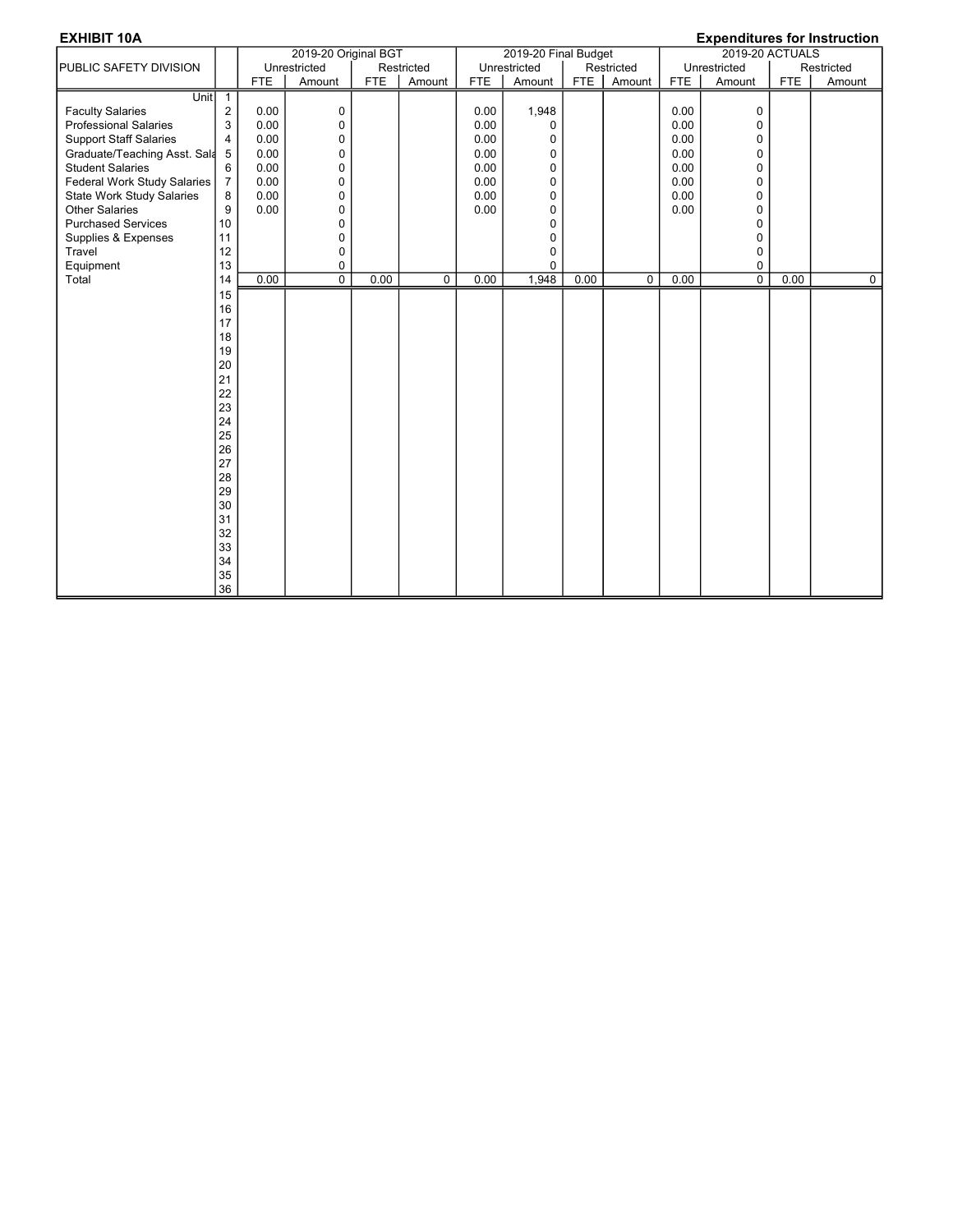| <b>EXHIBIT 10A</b>               |                |            |                      |            |             |            |                      |            |             |            |                 |            | <b>Expenditures for Instruction</b> |
|----------------------------------|----------------|------------|----------------------|------------|-------------|------------|----------------------|------------|-------------|------------|-----------------|------------|-------------------------------------|
|                                  |                |            | 2019-20 Original BGT |            |             |            | 2019-20 Final Budget |            |             |            | 2019-20 ACTUALS |            |                                     |
| <b>PUBLIC SAFETY DIVISION</b>    |                |            | Unrestricted         |            | Restricted  |            | Unrestricted         |            | Restricted  |            | Unrestricted    |            | Restricted                          |
|                                  |                | <b>FTE</b> | Amount               | <b>FTE</b> | Amount      | <b>FTE</b> | Amount               | <b>FTE</b> | Amount      | <b>FTE</b> | Amount          | <b>FTE</b> | Amount                              |
| Unit                             | $\sqrt{1}$     |            |                      |            |             |            |                      |            |             |            |                 |            |                                     |
| <b>Faculty Salaries</b>          | $\overline{2}$ | 0.00       | 0                    |            |             | 0.00       | 1,948                |            |             | 0.00       | 0               |            |                                     |
| <b>Professional Salaries</b>     | 3              | 0.00       | 0                    |            |             | 0.00       | 0                    |            |             | 0.00       | 0               |            |                                     |
| <b>Support Staff Salaries</b>    | $\overline{4}$ | 0.00       | 0                    |            |             | 0.00       | 0                    |            |             | 0.00       | 0               |            |                                     |
| Graduate/Teaching Asst. Sala     | 5              | 0.00       | $\pmb{0}$            |            |             | 0.00       | 0                    |            |             | 0.00       | $\pmb{0}$       |            |                                     |
| <b>Student Salaries</b>          | 6              | 0.00       | 0                    |            |             | 0.00       | 0                    |            |             | 0.00       | $\mathbf 0$     |            |                                     |
| Federal Work Study Salaries      | $\overline{7}$ | 0.00       | 0                    |            |             | 0.00       | 0                    |            |             | 0.00       | $\mathbf 0$     |            |                                     |
| <b>State Work Study Salaries</b> | 8              | 0.00       | 0                    |            |             | 0.00       | 0                    |            |             | 0.00       | 0               |            |                                     |
| <b>Other Salaries</b>            | 9              | 0.00       | 0                    |            |             | 0.00       | 0                    |            |             | 0.00       | $\mathbf 0$     |            |                                     |
| <b>Purchased Services</b>        | 10             |            | 0                    |            |             |            | 0                    |            |             |            | $\mathbf 0$     |            |                                     |
| Supplies & Expenses              | 11             |            | 0                    |            |             |            | 0                    |            |             |            | $\mathbf 0$     |            |                                     |
| Travel                           | 12             |            | $\Omega$             |            |             |            | 0                    |            |             |            | $\Omega$        |            |                                     |
| Equipment                        | 13             |            | 0                    |            |             |            | 0                    |            |             |            | 0               |            |                                     |
| Total                            | 14             | 0.00       | $\overline{0}$       | 0.00       | $\mathbf 0$ | 0.00       | 1,948                | 0.00       | $\mathbf 0$ | 0.00       | $\overline{0}$  | 0.00       | $\overline{0}$                      |
|                                  | 15             |            |                      |            |             |            |                      |            |             |            |                 |            |                                     |
|                                  | 16             |            |                      |            |             |            |                      |            |             |            |                 |            |                                     |
|                                  | 17             |            |                      |            |             |            |                      |            |             |            |                 |            |                                     |
|                                  | 18             |            |                      |            |             |            |                      |            |             |            |                 |            |                                     |
|                                  | 19             |            |                      |            |             |            |                      |            |             |            |                 |            |                                     |
|                                  | 20             |            |                      |            |             |            |                      |            |             |            |                 |            |                                     |
|                                  | 21             |            |                      |            |             |            |                      |            |             |            |                 |            |                                     |
|                                  | 22             |            |                      |            |             |            |                      |            |             |            |                 |            |                                     |
|                                  | 23             |            |                      |            |             |            |                      |            |             |            |                 |            |                                     |
|                                  | 24             |            |                      |            |             |            |                      |            |             |            |                 |            |                                     |
|                                  | 25             |            |                      |            |             |            |                      |            |             |            |                 |            |                                     |
|                                  | 26             |            |                      |            |             |            |                      |            |             |            |                 |            |                                     |
|                                  | 27             |            |                      |            |             |            |                      |            |             |            |                 |            |                                     |
|                                  | 28             |            |                      |            |             |            |                      |            |             |            |                 |            |                                     |
|                                  | 29             |            |                      |            |             |            |                      |            |             |            |                 |            |                                     |
|                                  | 30             |            |                      |            |             |            |                      |            |             |            |                 |            |                                     |
|                                  | 31             |            |                      |            |             |            |                      |            |             |            |                 |            |                                     |
|                                  | 32             |            |                      |            |             |            |                      |            |             |            |                 |            |                                     |
|                                  | 33             |            |                      |            |             |            |                      |            |             |            |                 |            |                                     |
|                                  | 34             |            |                      |            |             |            |                      |            |             |            |                 |            |                                     |
|                                  | 35             |            |                      |            |             |            |                      |            |             |            |                 |            |                                     |
|                                  | 36             |            |                      |            |             |            |                      |            |             |            |                 |            |                                     |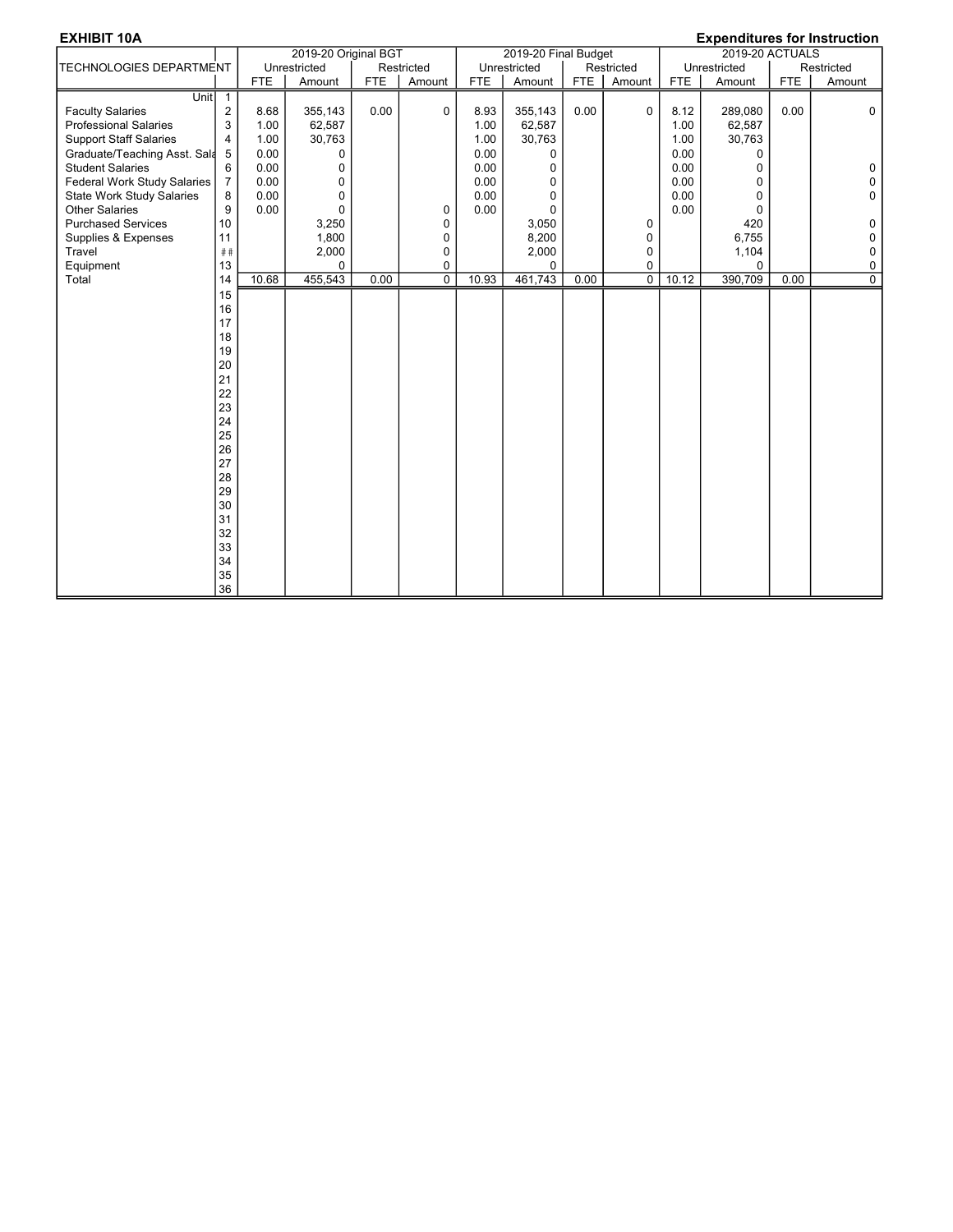|                                  |                |            | 2019-20 Original BGT |            |                |            | 2019-20 Final Budget |      |                |       | $\mathsf{L}$ , ponditatos tor motraction<br>2019-20 ACTUALS |            |                |
|----------------------------------|----------------|------------|----------------------|------------|----------------|------------|----------------------|------|----------------|-------|-------------------------------------------------------------|------------|----------------|
| TECHNOLOGIES DEPARTMENT          |                |            | Unrestricted         |            | Restricted     |            | Unrestricted         |      | Restricted     |       | Unrestricted                                                |            | Restricted     |
|                                  |                | <b>FTE</b> | Amount               | <b>FTE</b> | Amount         | <b>FTE</b> | Amount               | FTE  | Amount         | FTE   | Amount                                                      | <b>FTE</b> | Amount         |
| Unit                             | $\mathbf{1}$   |            |                      |            |                |            |                      |      |                |       |                                                             |            |                |
| <b>Faculty Salaries</b>          | 2              | 8.68       | 355,143              | 0.00       | 0              | 8.93       | 355,143              | 0.00 | $\mathbf 0$    | 8.12  | 289,080                                                     | 0.00       | $\Omega$       |
| <b>Professional Salaries</b>     | 3              | 1.00       | 62,587               |            |                | 1.00       | 62,587               |      |                | 1.00  | 62,587                                                      |            |                |
| <b>Support Staff Salaries</b>    | 4              | 1.00       | 30,763               |            |                | 1.00       | 30,763               |      |                | 1.00  | 30,763                                                      |            |                |
| Graduate/Teaching Asst. Sala     | 5              | 0.00       | 0                    |            |                | 0.00       | 0                    |      |                | 0.00  | 0                                                           |            |                |
| <b>Student Salaries</b>          | 6              | 0.00       | 0                    |            |                | 0.00       | 0                    |      |                | 0.00  | 0                                                           |            | 0              |
| Federal Work Study Salaries      | $\overline{7}$ | 0.00       | 0                    |            |                | 0.00       | 0                    |      |                | 0.00  | 0                                                           |            | $\mathbf{0}$   |
| <b>State Work Study Salaries</b> | 8              | 0.00       | $\Omega$             |            |                | 0.00       | 0                    |      |                | 0.00  | 0                                                           |            | $\mathbf 0$    |
| <b>Other Salaries</b>            | 9              | 0.00       | 0                    |            | 0              | 0.00       | $\mathbf{0}$         |      |                | 0.00  | $\mathbf 0$                                                 |            |                |
| <b>Purchased Services</b>        | 10             |            | 3,250                |            | 0              |            | 3,050                |      | 0              |       | 420                                                         |            | 0              |
| Supplies & Expenses              | 11             |            | 1,800                |            | 0              |            | 8,200                |      | 0              |       | 6,755                                                       |            | 0              |
| Travel                           | ##             |            | 2,000                |            | 0              |            | 2,000                |      | 0              |       | 1,104                                                       |            | 0              |
| Equipment                        | 13             |            | $\Omega$             |            | 0              |            | $\Omega$             |      | 0              |       | $\Omega$                                                    |            | 0              |
| Total                            | 14             | 10.68      | 455,543              | 0.00       | $\overline{0}$ | 10.93      | 461,743              | 0.00 | $\overline{0}$ | 10.12 | 390,709                                                     | 0.00       | $\overline{0}$ |
|                                  | 15             |            |                      |            |                |            |                      |      |                |       |                                                             |            |                |
|                                  | 16             |            |                      |            |                |            |                      |      |                |       |                                                             |            |                |
|                                  | 17             |            |                      |            |                |            |                      |      |                |       |                                                             |            |                |
|                                  | 18             |            |                      |            |                |            |                      |      |                |       |                                                             |            |                |
|                                  | 19             |            |                      |            |                |            |                      |      |                |       |                                                             |            |                |
|                                  | 20             |            |                      |            |                |            |                      |      |                |       |                                                             |            |                |
|                                  | 21             |            |                      |            |                |            |                      |      |                |       |                                                             |            |                |
|                                  | 22             |            |                      |            |                |            |                      |      |                |       |                                                             |            |                |
|                                  | 23             |            |                      |            |                |            |                      |      |                |       |                                                             |            |                |
|                                  | 24             |            |                      |            |                |            |                      |      |                |       |                                                             |            |                |
|                                  | 25             |            |                      |            |                |            |                      |      |                |       |                                                             |            |                |
|                                  | 26             |            |                      |            |                |            |                      |      |                |       |                                                             |            |                |
|                                  | 27             |            |                      |            |                |            |                      |      |                |       |                                                             |            |                |
|                                  | 28             |            |                      |            |                |            |                      |      |                |       |                                                             |            |                |
|                                  | 29             |            |                      |            |                |            |                      |      |                |       |                                                             |            |                |
|                                  | 30             |            |                      |            |                |            |                      |      |                |       |                                                             |            |                |
|                                  | 31             |            |                      |            |                |            |                      |      |                |       |                                                             |            |                |
|                                  | 32             |            |                      |            |                |            |                      |      |                |       |                                                             |            |                |
|                                  | 33             |            |                      |            |                |            |                      |      |                |       |                                                             |            |                |
|                                  | 34             |            |                      |            |                |            |                      |      |                |       |                                                             |            |                |
|                                  | 35<br>36       |            |                      |            |                |            |                      |      |                |       |                                                             |            |                |
|                                  |                |            |                      |            |                |            |                      |      |                |       |                                                             |            |                |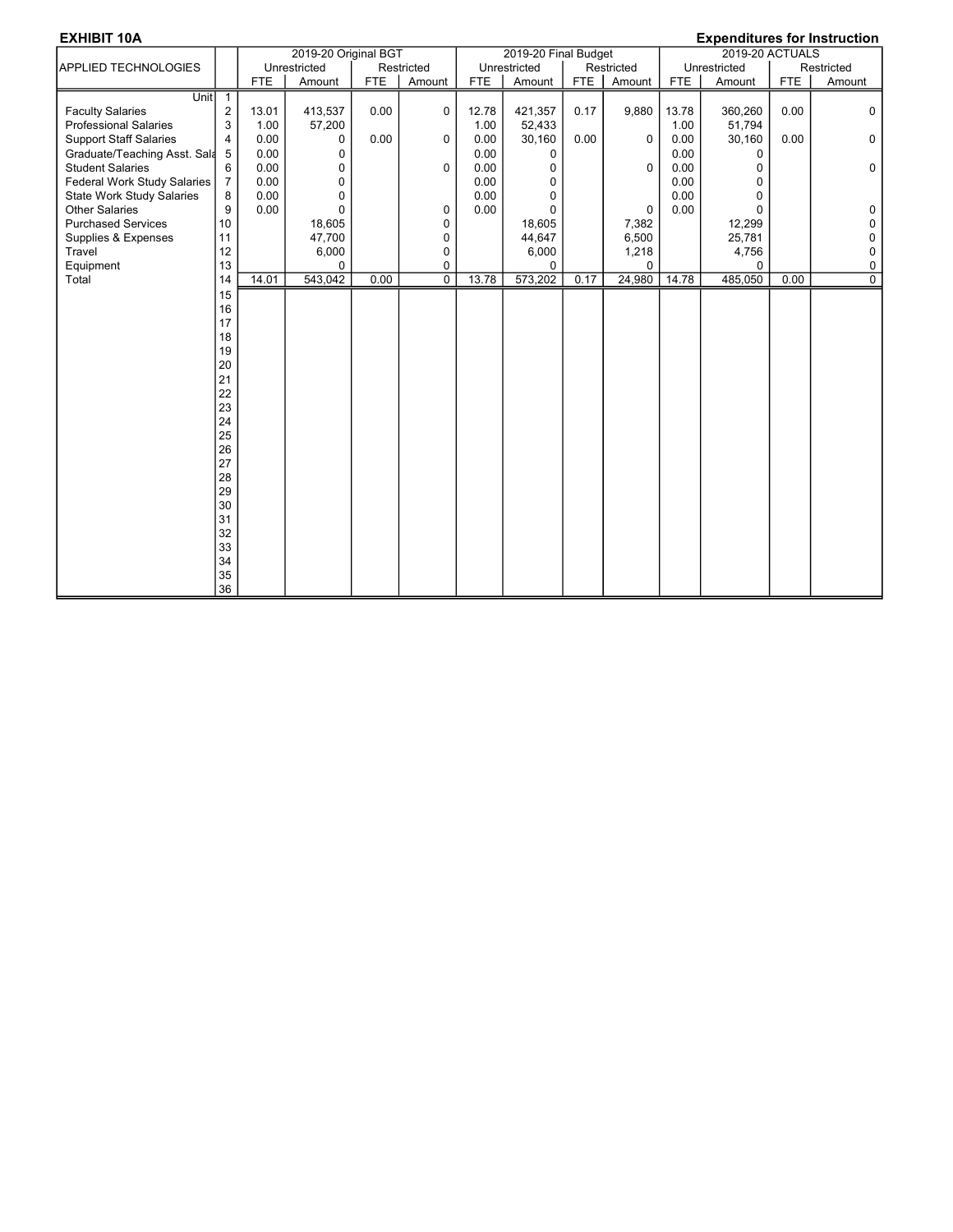|                                  |                  |            | 2019-20 Original BGT |            |                |            | 2019-20 Final Budget |      |             |       | $\mathsf{L}$ , ponditatos tor motraction<br>2019-20 ACTUALS |            |                |
|----------------------------------|------------------|------------|----------------------|------------|----------------|------------|----------------------|------|-------------|-------|-------------------------------------------------------------|------------|----------------|
| APPLIED TECHNOLOGIES             |                  |            | Unrestricted         |            | Restricted     |            | Unrestricted         |      | Restricted  |       | Unrestricted                                                |            | Restricted     |
|                                  |                  | <b>FTE</b> | Amount               | <b>FTE</b> | Amount         | <b>FTE</b> | Amount               | FTE  | Amount      | FTE   | Amount                                                      | <b>FTE</b> | Amount         |
| Unit                             | $\mathbf{1}$     |            |                      |            |                |            |                      |      |             |       |                                                             |            |                |
| <b>Faculty Salaries</b>          | $\boldsymbol{2}$ | 13.01      | 413,537              | 0.00       | 0              | 12.78      | 421,357              | 0.17 | 9,880       | 13.78 | 360,260                                                     | 0.00       | $\Omega$       |
| <b>Professional Salaries</b>     | 3                | 1.00       | 57,200               |            |                | 1.00       | 52,433               |      |             | 1.00  | 51,794                                                      |            |                |
| <b>Support Staff Salaries</b>    | 4                | 0.00       | 0                    | 0.00       | 0              | 0.00       | 30,160               | 0.00 | $\Omega$    | 0.00  | 30,160                                                      | 0.00       | $\Omega$       |
| Graduate/Teaching Asst. Sala     | 5                | 0.00       | 0                    |            |                | 0.00       | 0                    |      |             | 0.00  | $\Omega$                                                    |            |                |
| <b>Student Salaries</b>          | 6                | 0.00       | 0                    |            | 0              | 0.00       | 0                    |      | $\Omega$    | 0.00  | 0                                                           |            | $\mathbf 0$    |
| Federal Work Study Salaries      | $\overline{7}$   | 0.00       | 0                    |            |                | 0.00       | $\Omega$             |      |             | 0.00  | 0                                                           |            |                |
| <b>State Work Study Salaries</b> | 8                | 0.00       | 0                    |            |                | 0.00       | 0                    |      |             | 0.00  | 0                                                           |            |                |
| <b>Other Salaries</b>            | 9                | 0.00       | $\Omega$             |            | 0              | 0.00       | $\Omega$             |      | $\mathbf 0$ | 0.00  | $\Omega$                                                    |            | $\Omega$       |
| <b>Purchased Services</b>        | 10               |            | 18,605               |            | 0              |            | 18,605               |      | 7,382       |       | 12,299                                                      |            | $\Omega$       |
| Supplies & Expenses              | 11               |            | 47,700               |            | 0              |            | 44,647               |      | 6,500       |       | 25,781                                                      |            | 0              |
| Travel                           | 12               |            | 6,000                |            | 0              |            | 6,000                |      | 1,218       |       | 4,756                                                       |            | 0              |
| Equipment                        | 13               |            | $\Omega$             |            | 0              |            | $\Omega$             |      | $\Omega$    |       | $\Omega$                                                    |            | 0              |
| Total                            | 14               | 14.01      | 543,042              | 0.00       | $\overline{0}$ | 13.78      | 573,202              | 0.17 | 24,980      | 14.78 | 485,050                                                     | 0.00       | $\overline{0}$ |
|                                  | 15               |            |                      |            |                |            |                      |      |             |       |                                                             |            |                |
|                                  | 16               |            |                      |            |                |            |                      |      |             |       |                                                             |            |                |
|                                  | 17               |            |                      |            |                |            |                      |      |             |       |                                                             |            |                |
|                                  | 18               |            |                      |            |                |            |                      |      |             |       |                                                             |            |                |
|                                  | 19               |            |                      |            |                |            |                      |      |             |       |                                                             |            |                |
|                                  | 20               |            |                      |            |                |            |                      |      |             |       |                                                             |            |                |
|                                  | 21               |            |                      |            |                |            |                      |      |             |       |                                                             |            |                |
|                                  | 22               |            |                      |            |                |            |                      |      |             |       |                                                             |            |                |
|                                  | 23               |            |                      |            |                |            |                      |      |             |       |                                                             |            |                |
|                                  | 24               |            |                      |            |                |            |                      |      |             |       |                                                             |            |                |
|                                  | 25               |            |                      |            |                |            |                      |      |             |       |                                                             |            |                |
|                                  | 26               |            |                      |            |                |            |                      |      |             |       |                                                             |            |                |
|                                  | 27               |            |                      |            |                |            |                      |      |             |       |                                                             |            |                |
|                                  | 28               |            |                      |            |                |            |                      |      |             |       |                                                             |            |                |
|                                  | 29               |            |                      |            |                |            |                      |      |             |       |                                                             |            |                |
|                                  | 30               |            |                      |            |                |            |                      |      |             |       |                                                             |            |                |
|                                  | 31               |            |                      |            |                |            |                      |      |             |       |                                                             |            |                |
|                                  | 32               |            |                      |            |                |            |                      |      |             |       |                                                             |            |                |
|                                  | 33               |            |                      |            |                |            |                      |      |             |       |                                                             |            |                |
|                                  | 34               |            |                      |            |                |            |                      |      |             |       |                                                             |            |                |
|                                  | 35<br>36         |            |                      |            |                |            |                      |      |             |       |                                                             |            |                |
|                                  |                  |            |                      |            |                |            |                      |      |             |       |                                                             |            |                |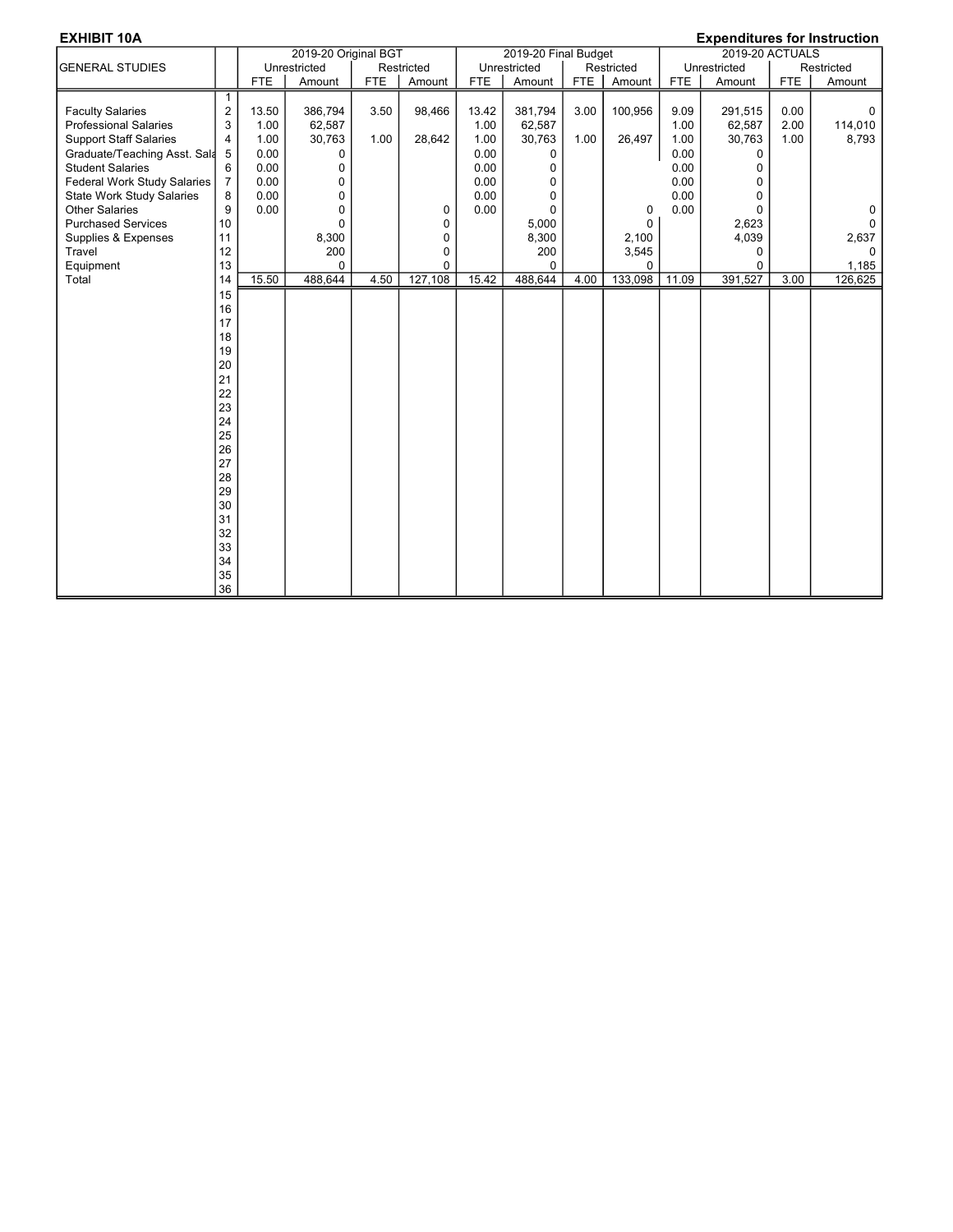|                                  |                       |            | 2019-20 Original BGT |            |            |            | 2019-20 Final Budget |      |             |       | $\mathsf{L}$ , ponditatos tor motraction<br>2019-20 ACTUALS |            |            |
|----------------------------------|-----------------------|------------|----------------------|------------|------------|------------|----------------------|------|-------------|-------|-------------------------------------------------------------|------------|------------|
| <b>GENERAL STUDIES</b>           |                       |            | Unrestricted         |            | Restricted |            | Unrestricted         |      | Restricted  |       | Unrestricted                                                |            | Restricted |
|                                  |                       | <b>FTE</b> | Amount               | <b>FTE</b> | Amount     | <b>FTE</b> | Amount               | FTE  | Amount      | FTE   | Amount                                                      | <b>FTE</b> | Amount     |
| <b>Faculty Salaries</b>          | 1<br>$\boldsymbol{2}$ | 13.50      | 386,794              | 3.50       | 98,466     | 13.42      | 381,794              | 3.00 | 100,956     | 9.09  | 291,515                                                     | 0.00       | 0          |
| <b>Professional Salaries</b>     | 3                     | 1.00       | 62,587               |            |            | 1.00       | 62,587               |      |             | 1.00  | 62,587                                                      | 2.00       | 114,010    |
| <b>Support Staff Salaries</b>    | 4                     | 1.00       | 30,763               | 1.00       | 28,642     | 1.00       | 30,763               | 1.00 | 26,497      | 1.00  | 30,763                                                      | 1.00       | 8,793      |
| Graduate/Teaching Asst. Sala     | 5                     | 0.00       | 0                    |            |            | 0.00       | 0                    |      |             | 0.00  | 0                                                           |            |            |
| <b>Student Salaries</b>          | 6                     | 0.00       | 0                    |            |            | 0.00       | 0                    |      |             | 0.00  | 0                                                           |            |            |
| Federal Work Study Salaries      | $\overline{7}$        | 0.00       | 0                    |            |            | 0.00       | 0                    |      |             | 0.00  | 0                                                           |            |            |
| <b>State Work Study Salaries</b> | 8                     | 0.00       | 0                    |            |            | 0.00       | 0                    |      |             | 0.00  | 0                                                           |            |            |
| <b>Other Salaries</b>            | 9                     | 0.00       | 0                    |            | 0          | 0.00       | $\mathbf{0}$         |      | 0           | 0.00  | $\Omega$                                                    |            | 0          |
| <b>Purchased Services</b>        | 10                    |            | $\mathbf 0$          |            | 0          |            | 5,000                |      | $\mathbf 0$ |       | 2,623                                                       |            | $\Omega$   |
| Supplies & Expenses              | 11                    |            | 8,300                |            | 0          |            | 8,300                |      | 2,100       |       | 4,039                                                       |            | 2,637      |
| Travel                           | 12                    |            | 200                  |            | 0          |            | 200                  |      | 3,545       |       | 0                                                           |            | $\Omega$   |
| Equipment                        | 13                    |            | $\Omega$             |            | 0          |            | $\Omega$             |      | $\Omega$    |       | $\Omega$                                                    |            | 1,185      |
| Total                            | 14                    | 15.50      | 488,644              | 4.50       | 127,108    | 15.42      | 488,644              | 4.00 | 133,098     | 11.09 | 391,527                                                     | 3.00       | 126,625    |
|                                  | 15                    |            |                      |            |            |            |                      |      |             |       |                                                             |            |            |
|                                  | 16                    |            |                      |            |            |            |                      |      |             |       |                                                             |            |            |
|                                  | 17                    |            |                      |            |            |            |                      |      |             |       |                                                             |            |            |
|                                  | 18                    |            |                      |            |            |            |                      |      |             |       |                                                             |            |            |
|                                  | 19                    |            |                      |            |            |            |                      |      |             |       |                                                             |            |            |
|                                  | 20                    |            |                      |            |            |            |                      |      |             |       |                                                             |            |            |
|                                  | 21                    |            |                      |            |            |            |                      |      |             |       |                                                             |            |            |
|                                  | 22                    |            |                      |            |            |            |                      |      |             |       |                                                             |            |            |
|                                  | 23                    |            |                      |            |            |            |                      |      |             |       |                                                             |            |            |
|                                  | 24                    |            |                      |            |            |            |                      |      |             |       |                                                             |            |            |
|                                  | 25                    |            |                      |            |            |            |                      |      |             |       |                                                             |            |            |
|                                  | 26                    |            |                      |            |            |            |                      |      |             |       |                                                             |            |            |
|                                  | 27                    |            |                      |            |            |            |                      |      |             |       |                                                             |            |            |
|                                  | 28<br>29              |            |                      |            |            |            |                      |      |             |       |                                                             |            |            |
|                                  | 30                    |            |                      |            |            |            |                      |      |             |       |                                                             |            |            |
|                                  | 31                    |            |                      |            |            |            |                      |      |             |       |                                                             |            |            |
|                                  | 32                    |            |                      |            |            |            |                      |      |             |       |                                                             |            |            |
|                                  | 33                    |            |                      |            |            |            |                      |      |             |       |                                                             |            |            |
|                                  | 34                    |            |                      |            |            |            |                      |      |             |       |                                                             |            |            |
|                                  | 35                    |            |                      |            |            |            |                      |      |             |       |                                                             |            |            |
|                                  | 36                    |            |                      |            |            |            |                      |      |             |       |                                                             |            |            |
|                                  |                       |            |                      |            |            |            |                      |      |             |       |                                                             |            |            |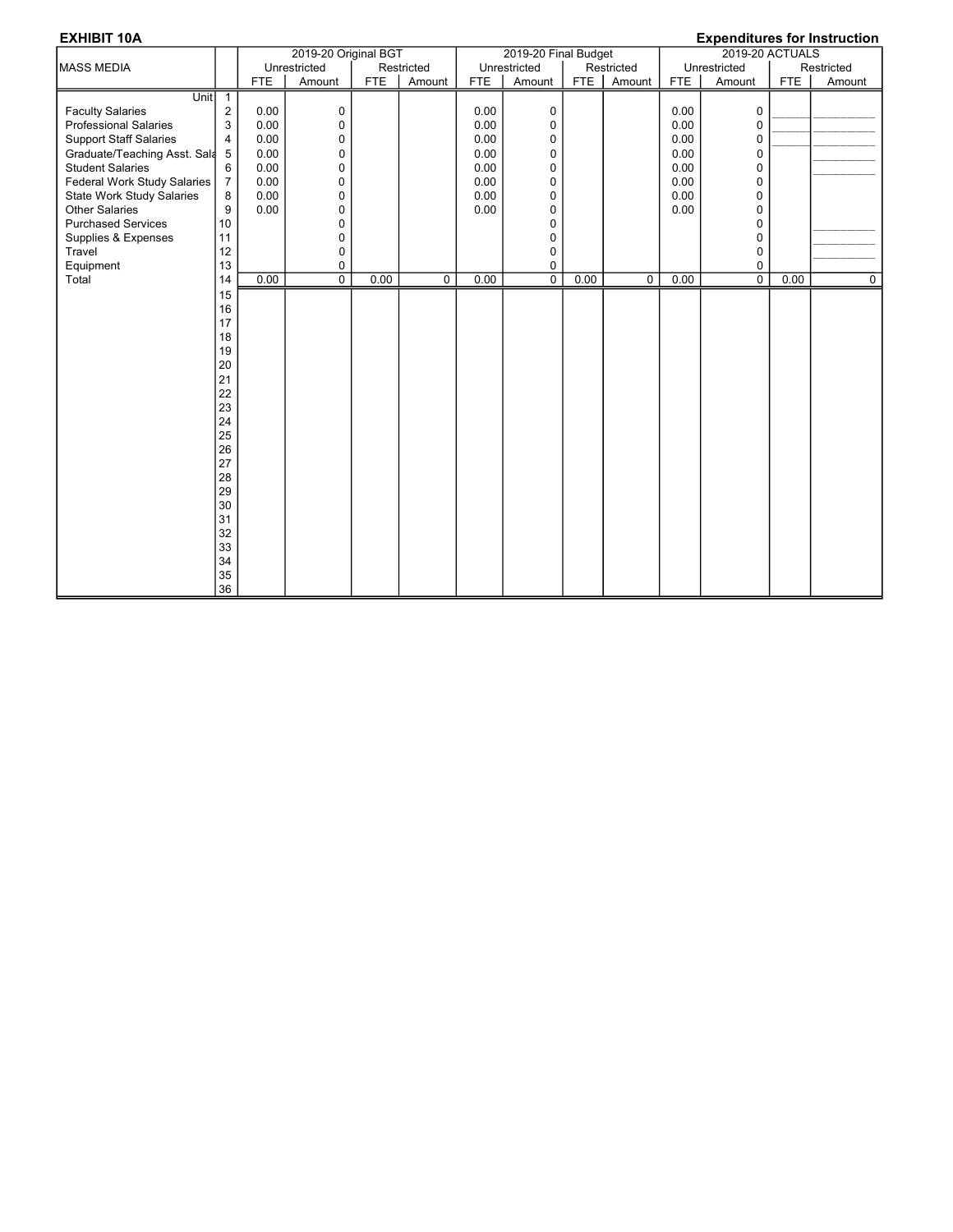|                                  |                | 2019-20 Original BGT |                |            |                |            | 2019-20 Final Budget |            |             | $L$ , ponditures for motivation<br>2019-20 ACTUALS |                |      |            |
|----------------------------------|----------------|----------------------|----------------|------------|----------------|------------|----------------------|------------|-------------|----------------------------------------------------|----------------|------|------------|
| <b>MASS MEDIA</b>                |                |                      | Unrestricted   |            | Restricted     |            | Unrestricted         |            | Restricted  |                                                    | Unrestricted   |      | Restricted |
|                                  |                | <b>FTE</b>           | Amount         | <b>FTE</b> | Amount         | <b>FTE</b> | Amount               | <b>FTE</b> | Amount      | FTE                                                | Amount         | FTE  | Amount     |
| Unit                             | $\mathbf{1}$   |                      |                |            |                |            |                      |            |             |                                                    |                |      |            |
| <b>Faculty Salaries</b>          | 2              | 0.00                 | 0              |            |                | 0.00       | 0                    |            |             | 0.00                                               | $\Omega$       |      |            |
| <b>Professional Salaries</b>     | 3              | 0.00                 | 0              |            |                | 0.00       | 0                    |            |             | 0.00                                               | 0              |      |            |
| <b>Support Staff Salaries</b>    | 4              | 0.00                 | 0              |            |                | 0.00       | 0                    |            |             | 0.00                                               | 0              |      |            |
| Graduate/Teaching Asst. Sala     | 5              | 0.00                 | 0              |            |                | 0.00       | 0                    |            |             | 0.00                                               | 0              |      |            |
| <b>Student Salaries</b>          | 6              | 0.00                 | $\pmb{0}$      |            |                | 0.00       | 0                    |            |             | 0.00                                               | $\mathbf 0$    |      |            |
| Federal Work Study Salaries      | $\overline{7}$ | 0.00                 | $\mathbf 0$    |            |                | 0.00       | 0                    |            |             | 0.00                                               | $\mathbf 0$    |      |            |
| <b>State Work Study Salaries</b> | 8              | 0.00                 | $\mathbf 0$    |            |                | 0.00       | $\mathbf 0$          |            |             | 0.00                                               | 0              |      |            |
| <b>Other Salaries</b>            | 9              | 0.00                 | $\mathbf 0$    |            |                | 0.00       | 0                    |            |             | 0.00                                               | 0              |      |            |
| <b>Purchased Services</b>        | 10             |                      | $\Omega$       |            |                |            | 0                    |            |             |                                                    | $\Omega$       |      |            |
| Supplies & Expenses              | 11             |                      | 0              |            |                |            | 0                    |            |             |                                                    | 0              |      |            |
| Travel                           | 12             |                      | 0              |            |                |            | 0                    |            |             |                                                    | 0              |      |            |
| Equipment                        | 13             |                      | 0              |            |                |            | 0                    |            |             |                                                    | 0              |      |            |
| Total                            | 14             | 0.00                 | $\overline{0}$ | 0.00       | $\overline{0}$ | 0.00       | $\overline{0}$       | 0.00       | $\mathbf 0$ | 0.00                                               | $\overline{0}$ | 0.00 | 0          |
|                                  | 15             |                      |                |            |                |            |                      |            |             |                                                    |                |      |            |
|                                  | 16             |                      |                |            |                |            |                      |            |             |                                                    |                |      |            |
|                                  | 17             |                      |                |            |                |            |                      |            |             |                                                    |                |      |            |
|                                  | 18             |                      |                |            |                |            |                      |            |             |                                                    |                |      |            |
|                                  | 19             |                      |                |            |                |            |                      |            |             |                                                    |                |      |            |
|                                  | 20             |                      |                |            |                |            |                      |            |             |                                                    |                |      |            |
|                                  | 21             |                      |                |            |                |            |                      |            |             |                                                    |                |      |            |
|                                  | 22             |                      |                |            |                |            |                      |            |             |                                                    |                |      |            |
|                                  | 23             |                      |                |            |                |            |                      |            |             |                                                    |                |      |            |
|                                  | 24             |                      |                |            |                |            |                      |            |             |                                                    |                |      |            |
|                                  | 25             |                      |                |            |                |            |                      |            |             |                                                    |                |      |            |
|                                  | 26             |                      |                |            |                |            |                      |            |             |                                                    |                |      |            |
|                                  | 27             |                      |                |            |                |            |                      |            |             |                                                    |                |      |            |
|                                  | 28             |                      |                |            |                |            |                      |            |             |                                                    |                |      |            |
|                                  | 29             |                      |                |            |                |            |                      |            |             |                                                    |                |      |            |
|                                  | 30             |                      |                |            |                |            |                      |            |             |                                                    |                |      |            |
|                                  | 31             |                      |                |            |                |            |                      |            |             |                                                    |                |      |            |
|                                  | 32             |                      |                |            |                |            |                      |            |             |                                                    |                |      |            |
|                                  | 33             |                      |                |            |                |            |                      |            |             |                                                    |                |      |            |
|                                  | 34             |                      |                |            |                |            |                      |            |             |                                                    |                |      |            |
|                                  | 35             |                      |                |            |                |            |                      |            |             |                                                    |                |      |            |
|                                  | 36             |                      |                |            |                |            |                      |            |             |                                                    |                |      |            |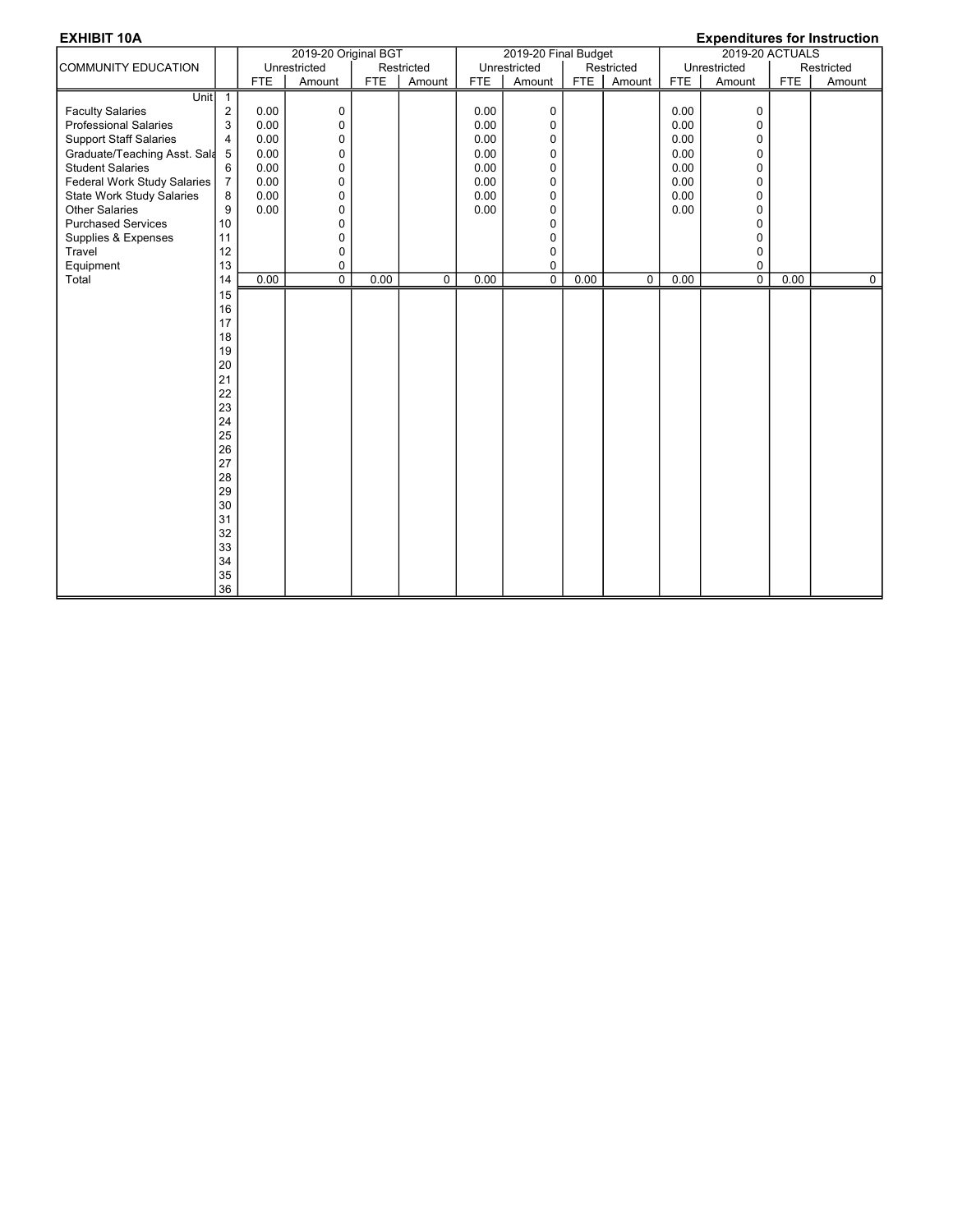| <b>EXHIBIT 10A</b><br><b>Expenditures for Instruction</b> |                |            |                      |            |                |            |                      |      |                |                 |                |            |                |
|-----------------------------------------------------------|----------------|------------|----------------------|------------|----------------|------------|----------------------|------|----------------|-----------------|----------------|------------|----------------|
|                                                           |                |            | 2019-20 Original BGT |            |                |            | 2019-20 Final Budget |      |                | 2019-20 ACTUALS |                |            |                |
| COMMUNITY EDUCATION                                       |                |            | Unrestricted         |            | Restricted     |            | Unrestricted         |      | Restricted     |                 | Unrestricted   |            | Restricted     |
|                                                           |                | <b>FTE</b> | Amount               | <b>FTE</b> | Amount         | <b>FTE</b> | Amount               | FTE  | Amount         | <b>FTE</b>      | Amount         | <b>FTE</b> | Amount         |
| Unit                                                      | $\overline{1}$ |            |                      |            |                |            |                      |      |                |                 |                |            |                |
| <b>Faculty Salaries</b>                                   | $\sqrt{2}$     | 0.00       | 0                    |            |                | 0.00       | 0                    |      |                | 0.00            | 0              |            |                |
| <b>Professional Salaries</b>                              | 3              | 0.00       | 0                    |            |                | 0.00       | 0                    |      |                | 0.00            | 0              |            |                |
| <b>Support Staff Salaries</b>                             | $\overline{4}$ | 0.00       | 0                    |            |                | 0.00       | 0                    |      |                | 0.00            | 0              |            |                |
| Graduate/Teaching Asst. Sala                              | 5              | 0.00       | $\pmb{0}$            |            |                | 0.00       | $\mathbf 0$          |      |                | 0.00            | $\pmb{0}$      |            |                |
| <b>Student Salaries</b>                                   | 6              | 0.00       | $\mathbf 0$          |            |                | 0.00       | $\mathbf 0$          |      |                | 0.00            | 0              |            |                |
| Federal Work Study Salaries                               | $\overline{7}$ | 0.00       | $\mathbf 0$          |            |                | 0.00       | 0                    |      |                | 0.00            | 0              |            |                |
| <b>State Work Study Salaries</b>                          | 8              | 0.00       | 0                    |            |                | 0.00       | 0                    |      |                | 0.00            | 0              |            |                |
| <b>Other Salaries</b>                                     | 9              | 0.00       | 0                    |            |                | 0.00       | 0                    |      |                | 0.00            | 0              |            |                |
| <b>Purchased Services</b>                                 | 10             |            | 0                    |            |                |            | 0                    |      |                |                 | 0              |            |                |
| Supplies & Expenses                                       | 11             |            | $\mathbf 0$          |            |                |            | $\mathbf 0$          |      |                |                 | 0              |            |                |
| Travel                                                    | 12             |            | 0                    |            |                |            | $\mathbf 0$          |      |                |                 | $\Omega$       |            |                |
| Equipment                                                 | 13             |            | 0                    |            |                |            | 0                    |      |                |                 | 0              |            |                |
| Total                                                     | 14             | 0.00       | $\overline{0}$       | 0.00       | $\overline{0}$ | 0.00       | $\overline{0}$       | 0.00 | $\overline{0}$ | 0.00            | $\overline{0}$ | 0.00       | $\overline{0}$ |
|                                                           | 15             |            |                      |            |                |            |                      |      |                |                 |                |            |                |
|                                                           | 16             |            |                      |            |                |            |                      |      |                |                 |                |            |                |
|                                                           | 17             |            |                      |            |                |            |                      |      |                |                 |                |            |                |
|                                                           | 18             |            |                      |            |                |            |                      |      |                |                 |                |            |                |
|                                                           | 19             |            |                      |            |                |            |                      |      |                |                 |                |            |                |
|                                                           | 20             |            |                      |            |                |            |                      |      |                |                 |                |            |                |
|                                                           | 21             |            |                      |            |                |            |                      |      |                |                 |                |            |                |
|                                                           | 22             |            |                      |            |                |            |                      |      |                |                 |                |            |                |
|                                                           | 23             |            |                      |            |                |            |                      |      |                |                 |                |            |                |
|                                                           | 24             |            |                      |            |                |            |                      |      |                |                 |                |            |                |
|                                                           | 25             |            |                      |            |                |            |                      |      |                |                 |                |            |                |
|                                                           | 26             |            |                      |            |                |            |                      |      |                |                 |                |            |                |
|                                                           | 27             |            |                      |            |                |            |                      |      |                |                 |                |            |                |
|                                                           | 28             |            |                      |            |                |            |                      |      |                |                 |                |            |                |
|                                                           | 29             |            |                      |            |                |            |                      |      |                |                 |                |            |                |
|                                                           | 30             |            |                      |            |                |            |                      |      |                |                 |                |            |                |
|                                                           | 31             |            |                      |            |                |            |                      |      |                |                 |                |            |                |
|                                                           | 32             |            |                      |            |                |            |                      |      |                |                 |                |            |                |
|                                                           | 33             |            |                      |            |                |            |                      |      |                |                 |                |            |                |
|                                                           | 34             |            |                      |            |                |            |                      |      |                |                 |                |            |                |
|                                                           | 35             |            |                      |            |                |            |                      |      |                |                 |                |            |                |
|                                                           | 36             |            |                      |            |                |            |                      |      |                |                 |                |            |                |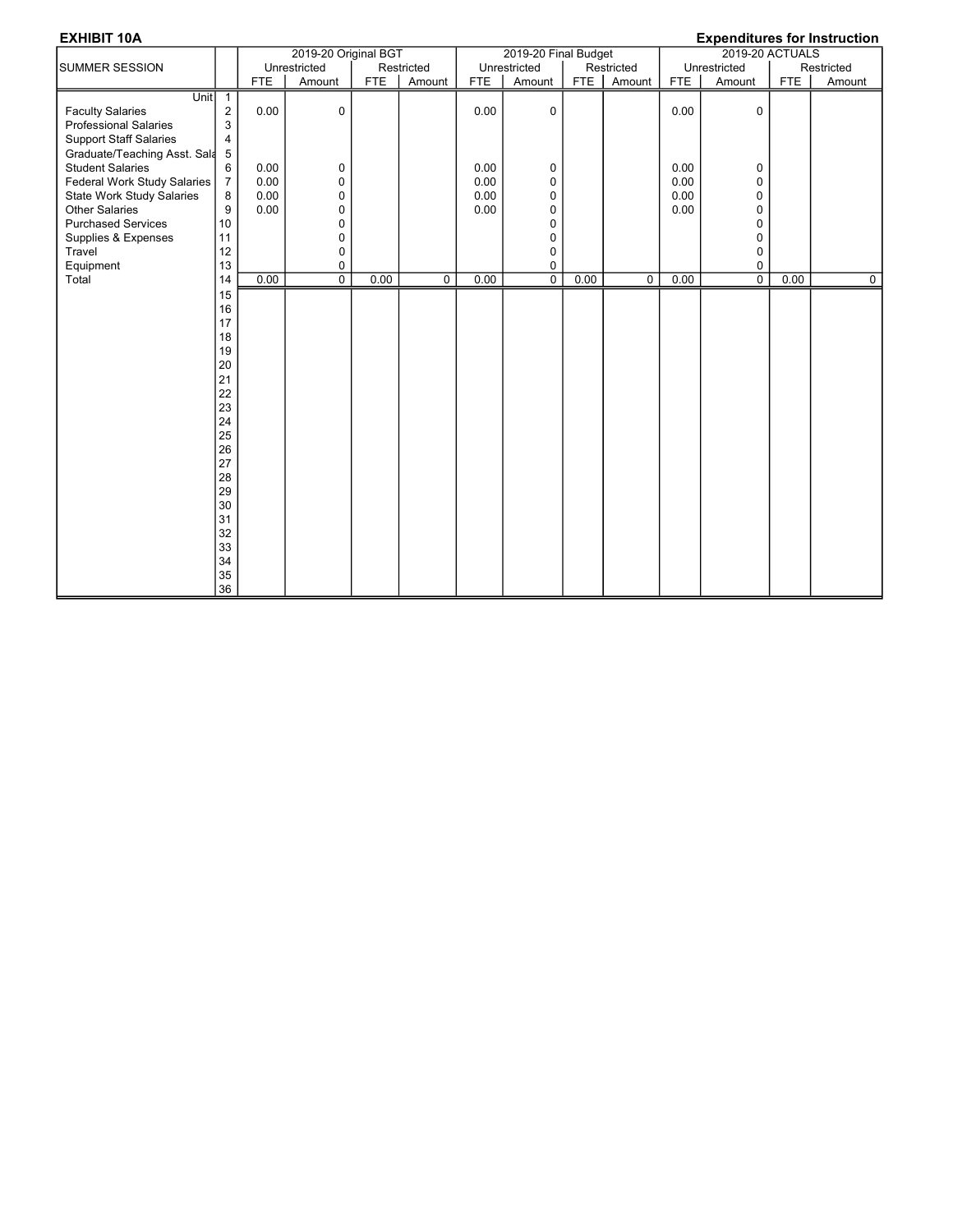|                                                                                                                                                                                                |                                                                                                                                  |                              | 2019-20 Original BGT                 |            |             |                              | 2019-20 Final Budget                 |      |             | $L$ , ponunu 100 101 monuonon<br>2019-20 ACTUALS |                                                |      |            |
|------------------------------------------------------------------------------------------------------------------------------------------------------------------------------------------------|----------------------------------------------------------------------------------------------------------------------------------|------------------------------|--------------------------------------|------------|-------------|------------------------------|--------------------------------------|------|-------------|--------------------------------------------------|------------------------------------------------|------|------------|
| <b>SUMMER SESSION</b>                                                                                                                                                                          |                                                                                                                                  |                              | Unrestricted                         |            | Restricted  |                              | Unrestricted                         |      | Restricted  |                                                  | Unrestricted                                   |      | Restricted |
|                                                                                                                                                                                                |                                                                                                                                  | <b>FTE</b>                   | Amount                               | <b>FTE</b> | Amount      | <b>FTE</b>                   | Amount                               | FTE  | Amount      | FTE                                              | Amount                                         | FTE  | Amount     |
| Unit<br><b>Faculty Salaries</b><br><b>Professional Salaries</b><br><b>Support Staff Salaries</b><br>Graduate/Teaching Asst. Sala                                                               | $\mathbf{1}$<br>2<br>3<br>4<br>5                                                                                                 | 0.00                         | 0                                    |            |             | 0.00                         | 0                                    |      |             | 0.00                                             | $\mathbf 0$                                    |      |            |
| <b>Student Salaries</b><br>Federal Work Study Salaries<br><b>State Work Study Salaries</b><br><b>Other Salaries</b><br><b>Purchased Services</b><br>Supplies & Expenses<br>Travel<br>Equipment | 6<br>$\overline{7}$<br>8<br>9<br>10<br>11<br>12<br>13                                                                            | 0.00<br>0.00<br>0.00<br>0.00 | 0<br>0<br>0<br>0<br>0<br>0<br>0<br>0 |            |             | 0.00<br>0.00<br>0.00<br>0.00 | 0<br>0<br>0<br>0<br>0<br>0<br>0<br>0 |      |             | 0.00<br>0.00<br>0.00<br>0.00                     | 0<br>0<br>$\mathbf 0$<br>0<br>0<br>0<br>0<br>0 |      |            |
| Total                                                                                                                                                                                          | 14                                                                                                                               | 0.00                         | $\overline{0}$                       | 0.00       | $\mathbf 0$ | 0.00                         | $\overline{0}$                       | 0.00 | $\mathbf 0$ | 0.00                                             | $\overline{0}$                                 | 0.00 | 0          |
|                                                                                                                                                                                                | 15<br>16<br>17<br>18<br>19<br>20<br>21<br>22<br>23<br>24<br>25<br>26<br>27<br>28<br>29<br>30<br>31<br>32<br>33<br>34<br>35<br>36 |                              |                                      |            |             |                              |                                      |      |             |                                                  |                                                |      |            |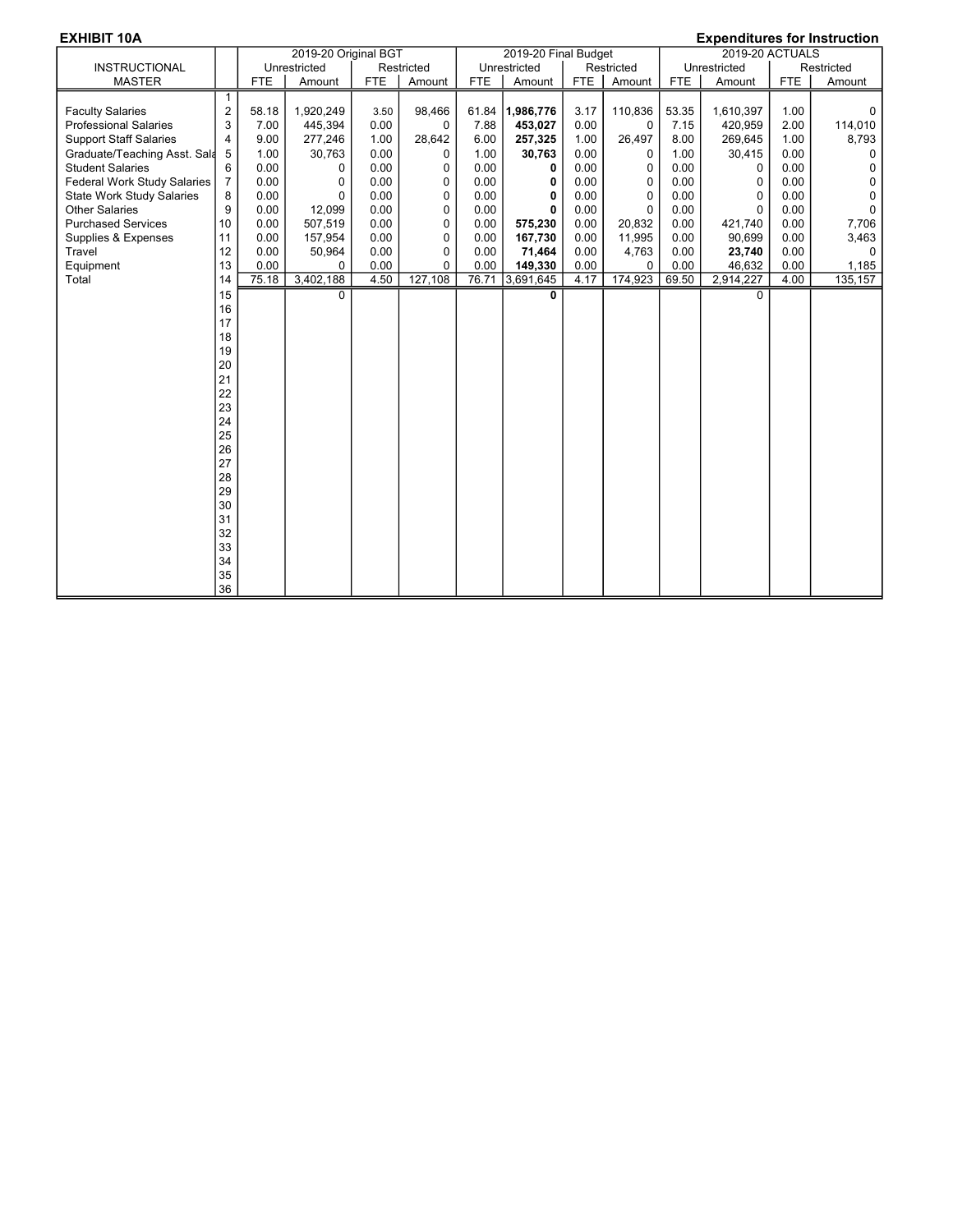| <b>EXHIBIT 10A</b><br><b>Expenditures for Instruction</b> |                |            |                      |            |             |            |                      |            |          |                        |              |            |             |
|-----------------------------------------------------------|----------------|------------|----------------------|------------|-------------|------------|----------------------|------------|----------|------------------------|--------------|------------|-------------|
|                                                           |                |            | 2019-20 Original BGT |            |             |            | 2019-20 Final Budget |            |          | <b>2019-20 ACTUALS</b> |              |            |             |
| <b>INSTRUCTIONAL</b>                                      |                |            | Unrestricted         |            | Restricted  |            | Unrestricted         | Restricted |          | Unrestricted           |              | Restricted |             |
| <b>MASTER</b>                                             |                | <b>FTE</b> | Amount               | <b>FTE</b> | Amount      | <b>FTE</b> | Amount               | <b>FTE</b> | Amount   | <b>FTE</b>             | Amount       | <b>FTE</b> | Amount      |
|                                                           | $\mathbf{1}$   |            |                      |            |             |            |                      |            |          |                        |              |            |             |
| <b>Faculty Salaries</b>                                   | $\overline{2}$ | 58.18      | 1,920,249            | 3.50       | 98,466      | 61.84      | 1,986,776            | 3.17       | 110,836  | 53.35                  | 1,610,397    | 1.00       | 0           |
| <b>Professional Salaries</b>                              | 3              | 7.00       | 445,394              | 0.00       | 0           | 7.88       | 453,027              | 0.00       | 0        | 7.15                   | 420,959      | 2.00       | 114,010     |
| <b>Support Staff Salaries</b>                             | $\overline{4}$ | 9.00       | 277,246              | 1.00       | 28,642      | 6.00       | 257,325              | 1.00       | 26,497   | 8.00                   | 269,645      | 1.00       | 8,793       |
| Graduate/Teaching Asst. Sala                              | 5              | 1.00       | 30,763               | 0.00       | 0           | 1.00       | 30,763               | 0.00       | 0        | 1.00                   | 30,415       | 0.00       | 0           |
| <b>Student Salaries</b>                                   | 6              | 0.00       | 0                    | 0.00       | 0           | 0.00       | 0                    | 0.00       | 0        | 0.00                   | 0            | 0.00       | $\mathbf 0$ |
| <b>Federal Work Study Salaries</b>                        | $\overline{7}$ | 0.00       | 0                    | 0.00       | 0           | 0.00       | 0                    | 0.00       | 0        | 0.00                   | 0            | 0.00       | $\mathbf 0$ |
| <b>State Work Study Salaries</b>                          | 8              | 0.00       | 0                    | 0.00       | 0           | 0.00       | 0                    | 0.00       | 0        | 0.00                   | 0            | 0.00       | $\mathbf 0$ |
| <b>Other Salaries</b>                                     | 9              | 0.00       | 12,099               | 0.00       | 0           | 0.00       | 0                    | 0.00       | 0        | 0.00                   | $\mathbf{0}$ | 0.00       | $\mathbf 0$ |
| <b>Purchased Services</b>                                 | 10             | 0.00       | 507,519              | 0.00       | $\mathbf 0$ | 0.00       | 575,230              | 0.00       | 20,832   | 0.00                   | 421,740      | 0.00       | 7,706       |
| Supplies & Expenses                                       | 11             | 0.00       | 157,954              | 0.00       | 0           | 0.00       | 167,730              | 0.00       | 11,995   | 0.00                   | 90,699       | 0.00       | 3,463       |
| Travel                                                    | 12             | 0.00       | 50,964               | 0.00       | 0           | 0.00       | 71,464               | 0.00       | 4,763    | 0.00                   | 23,740       | 0.00       | $\Omega$    |
| Equipment                                                 | 13             | 0.00       | $\Omega$             | 0.00       | $\mathbf 0$ | 0.00       | 149,330              | 0.00       | $\Omega$ | 0.00                   | 46,632       | 0.00       | 1,185       |
| Total                                                     | 14             | 75.18      | 3,402,188            | 4.50       | 127,108     | 76.71      | 3,691,645            | 4.17       | 174,923  | 69.50                  | 2,914,227    | 4.00       | 135, 157    |
|                                                           | 15             |            | 0                    |            |             |            | 0                    |            |          |                        | $\Omega$     |            |             |
|                                                           | 16             |            |                      |            |             |            |                      |            |          |                        |              |            |             |
|                                                           | 17             |            |                      |            |             |            |                      |            |          |                        |              |            |             |
|                                                           | 18             |            |                      |            |             |            |                      |            |          |                        |              |            |             |
|                                                           | 19             |            |                      |            |             |            |                      |            |          |                        |              |            |             |
|                                                           | 20             |            |                      |            |             |            |                      |            |          |                        |              |            |             |
|                                                           | 21             |            |                      |            |             |            |                      |            |          |                        |              |            |             |
|                                                           | 22             |            |                      |            |             |            |                      |            |          |                        |              |            |             |
|                                                           | 23             |            |                      |            |             |            |                      |            |          |                        |              |            |             |
|                                                           | 24             |            |                      |            |             |            |                      |            |          |                        |              |            |             |
|                                                           | 25             |            |                      |            |             |            |                      |            |          |                        |              |            |             |
|                                                           | 26             |            |                      |            |             |            |                      |            |          |                        |              |            |             |
|                                                           | 27             |            |                      |            |             |            |                      |            |          |                        |              |            |             |
|                                                           | 28             |            |                      |            |             |            |                      |            |          |                        |              |            |             |
|                                                           | 29             |            |                      |            |             |            |                      |            |          |                        |              |            |             |
|                                                           | 30             |            |                      |            |             |            |                      |            |          |                        |              |            |             |
|                                                           | 31             |            |                      |            |             |            |                      |            |          |                        |              |            |             |
|                                                           | 32             |            |                      |            |             |            |                      |            |          |                        |              |            |             |
|                                                           | 33             |            |                      |            |             |            |                      |            |          |                        |              |            |             |
|                                                           | 34             |            |                      |            |             |            |                      |            |          |                        |              |            |             |
|                                                           | 35             |            |                      |            |             |            |                      |            |          |                        |              |            |             |
|                                                           | 36             |            |                      |            |             |            |                      |            |          |                        |              |            |             |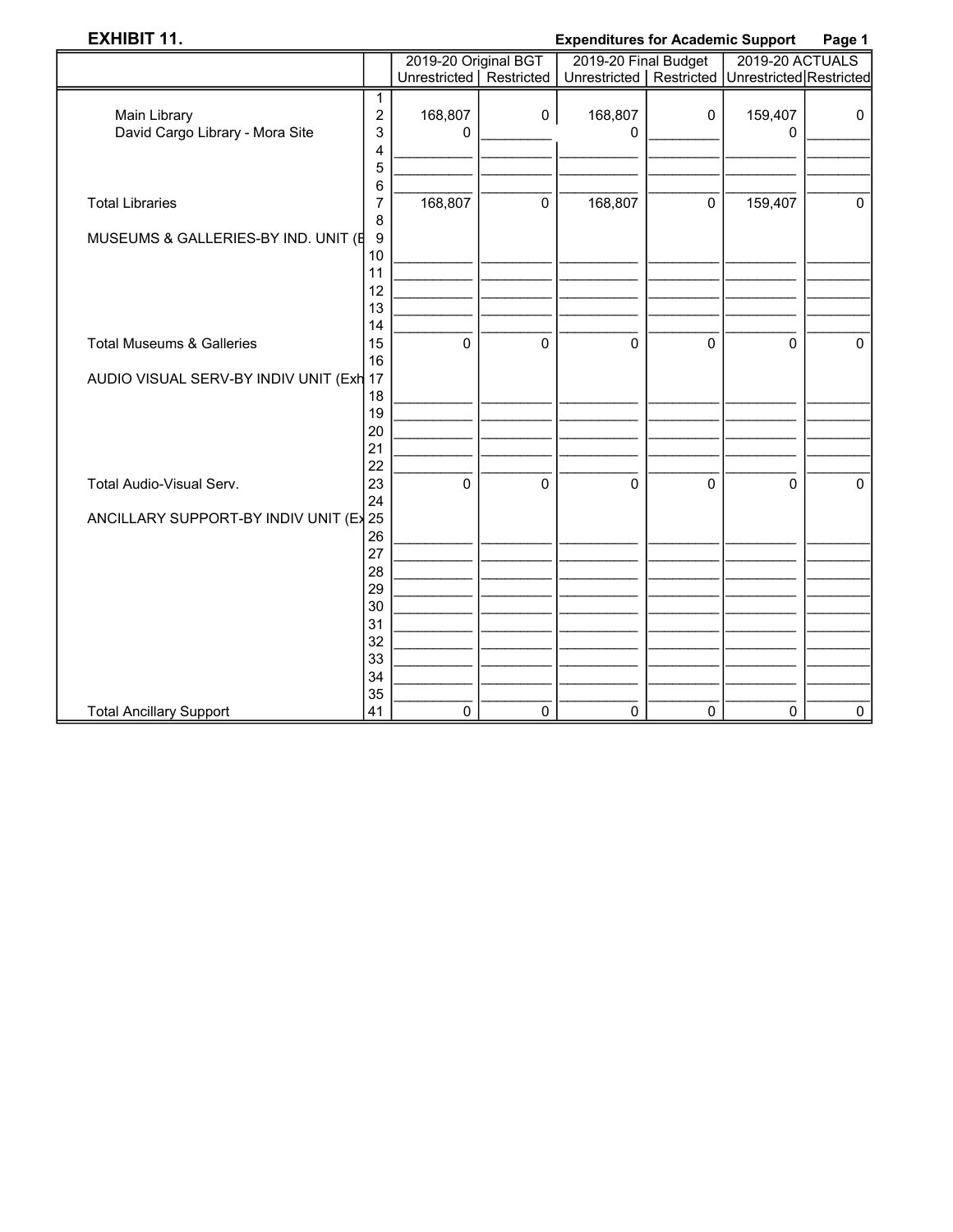## **EXHIBIT 11.**

### **Expenditures for Academic Support** Page 1

|                                         |                | 2019-20 Original BGT      |              | 2019-20 Final Budget |             | 2019-20 ACTUALS         |             |  |
|-----------------------------------------|----------------|---------------------------|--------------|----------------------|-------------|-------------------------|-------------|--|
|                                         |                | Unrestricted   Restricted |              | Unrestricted         | Restricted  | Unrestricted Restricted |             |  |
|                                         | 1              |                           |              |                      |             |                         |             |  |
| Main Library                            | 2              | 168,807                   | $\mathbf 0$  | 168,807              | 0           | 159,407                 | $\mathbf 0$ |  |
| David Cargo Library - Mora Site         | 3              | 0                         |              | 0                    |             | 0                       |             |  |
|                                         | 4              |                           |              |                      |             |                         |             |  |
|                                         | 5              |                           |              |                      |             |                         |             |  |
|                                         | 6              |                           |              |                      |             |                         |             |  |
| <b>Total Libraries</b>                  | $\overline{7}$ | 168,807                   | $\mathbf 0$  | 168,807              | $\mathbf 0$ | 159,407                 | $\mathbf 0$ |  |
|                                         | 8              |                           |              |                      |             |                         |             |  |
| MUSEUMS & GALLERIES-BY IND. UNIT (E     | 9              |                           |              |                      |             |                         |             |  |
|                                         | 10             |                           |              |                      |             |                         |             |  |
|                                         | 11             |                           |              |                      |             |                         |             |  |
|                                         | 12             |                           |              |                      |             |                         |             |  |
|                                         | 13             |                           |              |                      |             |                         |             |  |
|                                         | 14             |                           |              |                      |             |                         |             |  |
| <b>Total Museums &amp; Galleries</b>    | 15             | $\mathbf 0$               | $\mathbf{0}$ | $\Omega$             | $\mathbf 0$ | $\Omega$                | $\mathbf 0$ |  |
|                                         | 16             |                           |              |                      |             |                         |             |  |
| AUDIO VISUAL SERV-BY INDIV UNIT (Exh 17 |                |                           |              |                      |             |                         |             |  |
|                                         | 18             |                           |              |                      |             |                         |             |  |
|                                         | 19             |                           |              |                      |             |                         |             |  |
|                                         | 20             |                           |              |                      |             |                         |             |  |
|                                         | 21<br>22       |                           |              |                      |             |                         |             |  |
| Total Audio-Visual Serv.                | 23             | 0                         | 0            | 0                    | $\pmb{0}$   | 0                       | $\mathbf 0$ |  |
|                                         | 24             |                           |              |                      |             |                         |             |  |
| ANCILLARY SUPPORT-BY INDIV UNIT (Ex 25  |                |                           |              |                      |             |                         |             |  |
|                                         | 26             |                           |              |                      |             |                         |             |  |
|                                         | 27             |                           |              |                      |             |                         |             |  |
|                                         | 28             |                           |              |                      |             |                         |             |  |
|                                         | 29             |                           |              |                      |             |                         |             |  |
|                                         | 30             |                           |              |                      |             |                         |             |  |
|                                         | 31             |                           |              |                      |             |                         |             |  |
|                                         | 32             |                           |              |                      |             |                         |             |  |
|                                         | 33             |                           |              |                      |             |                         |             |  |
|                                         | 34             |                           |              |                      |             |                         |             |  |
|                                         | 35             |                           |              |                      |             |                         |             |  |
| <b>Total Ancillary Support</b>          | 41             | 0                         | 0            | $\mathbf 0$          | 0           | 0                       | $\mathbf 0$ |  |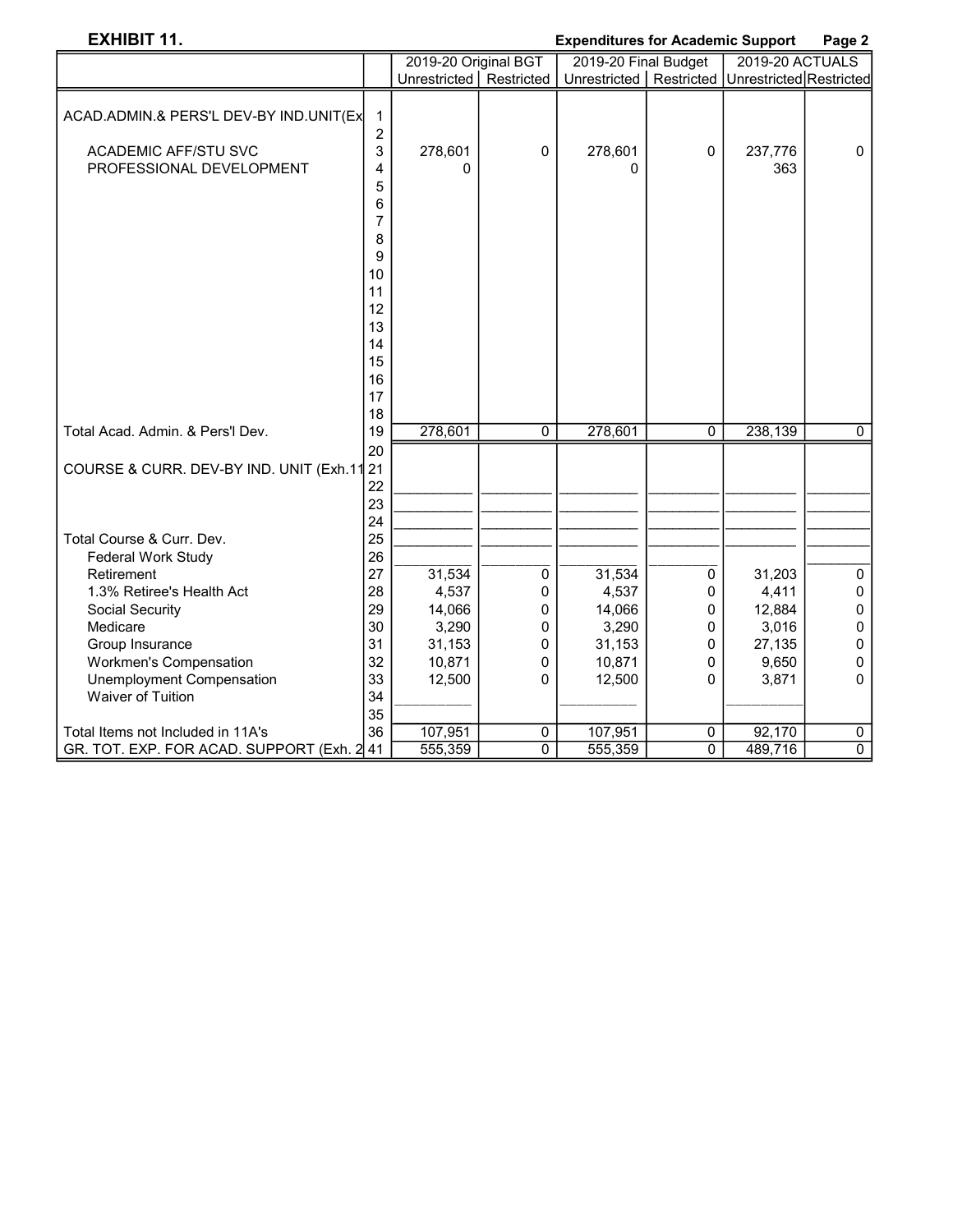## EXHIBIT 11. Expenditures for Academic Support Page 2

|                                                     |                     | 2019-20 Original BGT      |             | 2019-20 Final Budget                                  |             | 2019-20 ACTUALS |                |
|-----------------------------------------------------|---------------------|---------------------------|-------------|-------------------------------------------------------|-------------|-----------------|----------------|
|                                                     |                     | Unrestricted   Restricted |             | Unrestricted   Restricted   Unrestricted   Restricted |             |                 |                |
| ACAD.ADMIN.& PERS'L DEV-BY IND.UNIT(Ex              | $\mathbf 1$         |                           |             |                                                       |             |                 |                |
| <b>ACADEMIC AFF/STU SVC</b>                         | $\overline{c}$<br>3 | 278,601                   | 0           | 278,601                                               | $\mathbf 0$ | 237,776         | $\pmb{0}$      |
| PROFESSIONAL DEVELOPMENT                            | 4                   | 0                         |             | 0                                                     |             | 363             |                |
|                                                     | 5                   |                           |             |                                                       |             |                 |                |
|                                                     | 6<br>7              |                           |             |                                                       |             |                 |                |
|                                                     | 8                   |                           |             |                                                       |             |                 |                |
|                                                     | 9                   |                           |             |                                                       |             |                 |                |
|                                                     | 10<br>11            |                           |             |                                                       |             |                 |                |
|                                                     | 12                  |                           |             |                                                       |             |                 |                |
|                                                     | 13                  |                           |             |                                                       |             |                 |                |
|                                                     | 14                  |                           |             |                                                       |             |                 |                |
|                                                     | 15<br>16            |                           |             |                                                       |             |                 |                |
|                                                     | 17                  |                           |             |                                                       |             |                 |                |
|                                                     | 18                  |                           |             |                                                       |             |                 |                |
| Total Acad. Admin. & Pers'l Dev.                    | 19                  | 278,601                   | $\mathbf 0$ | 278,601                                               | 0           | 238,139         | $\overline{0}$ |
|                                                     | 20                  |                           |             |                                                       |             |                 |                |
| COURSE & CURR. DEV-BY IND. UNIT (Exh.11             | 21<br>22            |                           |             |                                                       |             |                 |                |
|                                                     | 23                  |                           |             |                                                       |             |                 |                |
|                                                     | 24                  |                           |             |                                                       |             |                 |                |
| Total Course & Curr. Dev.                           | 25                  |                           |             |                                                       |             |                 |                |
| Federal Work Study<br>Retirement                    | 26<br>27            | 31,534                    | 0           | 31,534                                                | 0           | 31,203          | 0              |
| 1.3% Retiree's Health Act                           | 28                  | 4,537                     | 0           | 4,537                                                 | 0           | 4,411           | 0              |
| Social Security                                     | 29                  | 14,066                    | 0           | 14,066                                                | 0           | 12,884          | 0              |
| Medicare                                            | 30                  | 3,290                     | 0           | 3,290                                                 | 0           | 3,016           | 0              |
| Group Insurance                                     | 31                  | 31,153                    | 0           | 31,153                                                | 0           | 27,135          | 0              |
| Workmen's Compensation<br>Unemployment Compensation | 32<br>33            | 10,871<br>12,500          | 0<br>0      | 10,871<br>12,500                                      | 0<br>0      | 9,650<br>3,871  | $\pmb{0}$<br>0 |
| Waiver of Tuition                                   | 34                  |                           |             |                                                       |             |                 |                |
|                                                     | 35                  |                           |             |                                                       |             |                 |                |
| Total Items not Included in 11A's                   | 36                  | 107,951                   | 0           | 107,951                                               | 0           | 92,170          | 0              |
| GR. TOT. EXP. FOR ACAD. SUPPORT (Exh. 241           |                     | 555,359                   | $\Omega$    | 555,359                                               | 0           | 489,716         | $\overline{0}$ |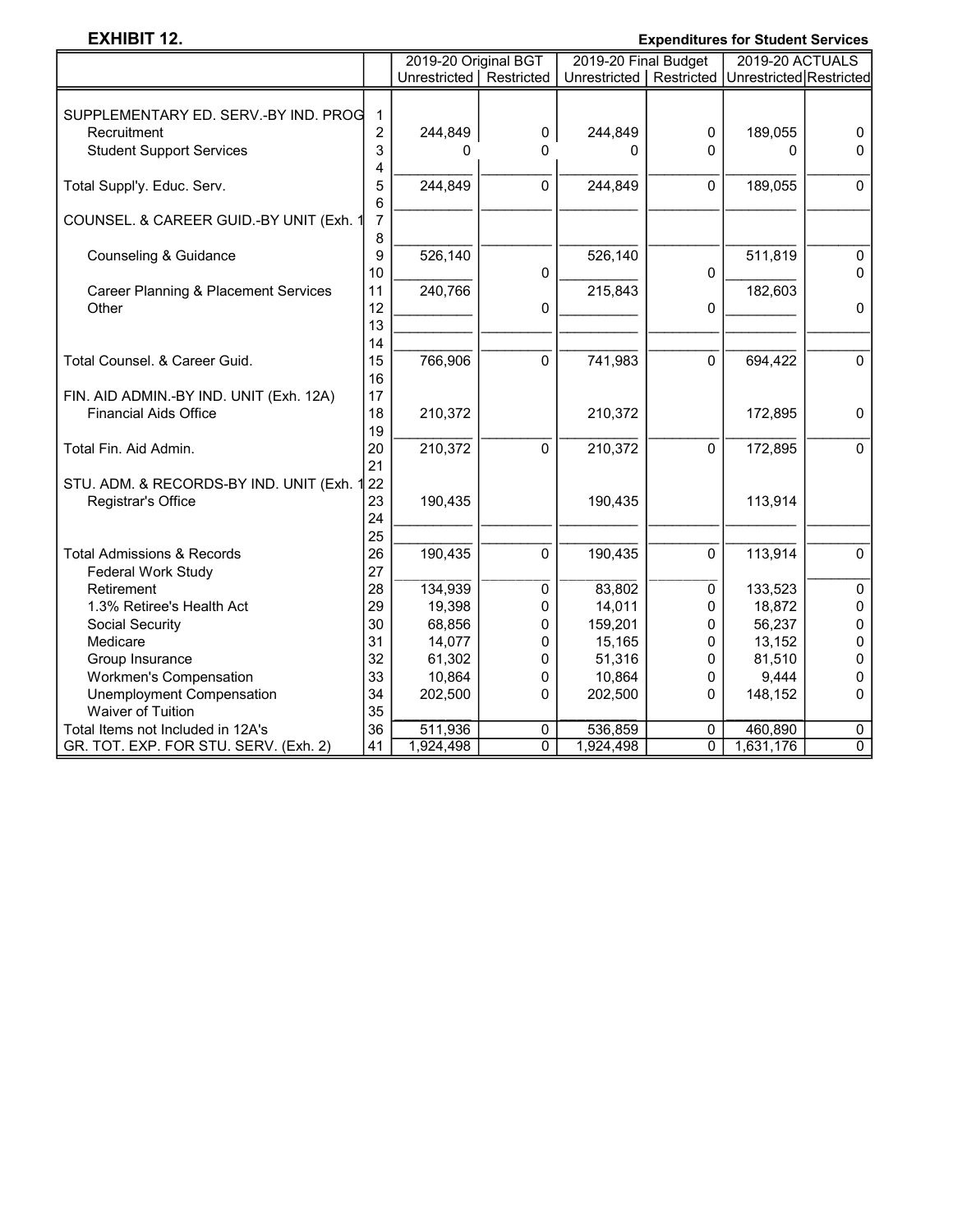### EXHIBIT 12. Expenditures for Student Services

|                                                 |                | 2019-20 Original BGT      |                | 2019-20 Final Budget                                  |                | <b>2019-20 ACTUALS</b> |                |  |
|-------------------------------------------------|----------------|---------------------------|----------------|-------------------------------------------------------|----------------|------------------------|----------------|--|
|                                                 |                | Unrestricted   Restricted |                | Unrestricted   Restricted   Unrestricted   Restricted |                |                        |                |  |
|                                                 |                |                           |                |                                                       |                |                        |                |  |
| SUPPLEMENTARY ED. SERV.-BY IND. PROG            | $\mathbf{1}$   |                           |                |                                                       |                |                        |                |  |
| Recruitment                                     | $\overline{c}$ | 244,849                   | $\pmb{0}$      | 244,849                                               | $\pmb{0}$      | 189,055                | $\mathbf 0$    |  |
| <b>Student Support Services</b>                 | 3              | O                         | 0              | 0                                                     | 0              | $\Omega$               | 0              |  |
|                                                 | 4              |                           |                |                                                       |                |                        |                |  |
| Total Suppl'y. Educ. Serv.                      | 5              | 244,849                   | 0              | 244,849                                               | 0              | 189,055                | $\mathbf 0$    |  |
|                                                 | 6              |                           |                |                                                       |                |                        |                |  |
| COUNSEL. & CAREER GUID.-BY UNIT (Exh. 1         | $\overline{7}$ |                           |                |                                                       |                |                        |                |  |
|                                                 | 8              |                           |                |                                                       |                |                        |                |  |
| Counseling & Guidance                           | 9              | 526,140                   |                | 526,140                                               |                | 511,819                | $\mathbf 0$    |  |
|                                                 | 10             |                           | 0              |                                                       | 0              |                        | $\Omega$       |  |
| <b>Career Planning &amp; Placement Services</b> | 11             | 240,766                   |                | 215,843                                               |                | 182,603                |                |  |
| Other                                           | 12             |                           | 0              |                                                       | 0              |                        | 0              |  |
|                                                 | 13             |                           |                |                                                       |                |                        |                |  |
|                                                 | 14             |                           |                |                                                       |                |                        |                |  |
| Total Counsel, & Career Guid.                   | 15             | 766,906                   | $\Omega$       | 741,983                                               | $\Omega$       | 694,422                | $\mathbf 0$    |  |
|                                                 | 16             |                           |                |                                                       |                |                        |                |  |
| FIN. AID ADMIN.-BY IND. UNIT (Exh. 12A)         | 17             |                           |                |                                                       |                |                        |                |  |
| <b>Financial Aids Office</b>                    | 18             | 210,372                   |                | 210,372                                               |                | 172,895                | $\Omega$       |  |
|                                                 | 19             |                           |                |                                                       |                |                        |                |  |
| Total Fin. Aid Admin.                           | 20             | 210,372                   | 0              | 210,372                                               | $\Omega$       | 172,895                | $\Omega$       |  |
|                                                 | 21             |                           |                |                                                       |                |                        |                |  |
| STU. ADM. & RECORDS-BY IND. UNIT (Exh.          | 22             |                           |                |                                                       |                |                        |                |  |
| Registrar's Office                              | 23             | 190,435                   |                | 190,435                                               |                | 113,914                |                |  |
|                                                 | 24             |                           |                |                                                       |                |                        |                |  |
|                                                 | 25             |                           |                |                                                       |                |                        |                |  |
| <b>Total Admissions &amp; Records</b>           | 26             | 190,435                   | 0              | 190,435                                               | 0              | 113,914                | 0              |  |
| Federal Work Study                              | 27             |                           |                |                                                       |                |                        |                |  |
| Retirement                                      | 28             | 134,939                   | 0              | 83,802                                                | 0              | 133,523                | $\mathbf 0$    |  |
| 1.3% Retiree's Health Act                       | 29             | 19,398                    | 0              | 14,011                                                | 0              | 18,872                 | 0              |  |
| Social Security                                 | 30             | 68,856                    | 0              | 159,201                                               | 0              | 56,237                 | 0              |  |
| Medicare                                        | 31             | 14,077                    | 0              | 15,165                                                | 0              | 13,152                 | 0              |  |
| Group Insurance                                 | 32             | 61,302                    | 0              | 51,316                                                | 0              | 81,510                 | 0              |  |
| <b>Workmen's Compensation</b>                   | 33             | 10,864                    | 0              | 10,864                                                | 0              | 9,444                  | 0              |  |
| Unemployment Compensation                       | 34             | 202,500                   | 0              | 202,500                                               | 0              | 148,152                | 0              |  |
| Waiver of Tuition                               | 35             |                           |                |                                                       |                |                        |                |  |
| Total Items not Included in 12A's               | 36             | 511,936                   | 0              | 536,859                                               | $\mathbf 0$    | 460,890                | $\pmb{0}$      |  |
| GR. TOT. EXP. FOR STU. SERV. (Exh. 2)           | 41             | 1,924,498                 | $\overline{0}$ | 1,924,498                                             | $\overline{0}$ | 1,631,176              | $\overline{0}$ |  |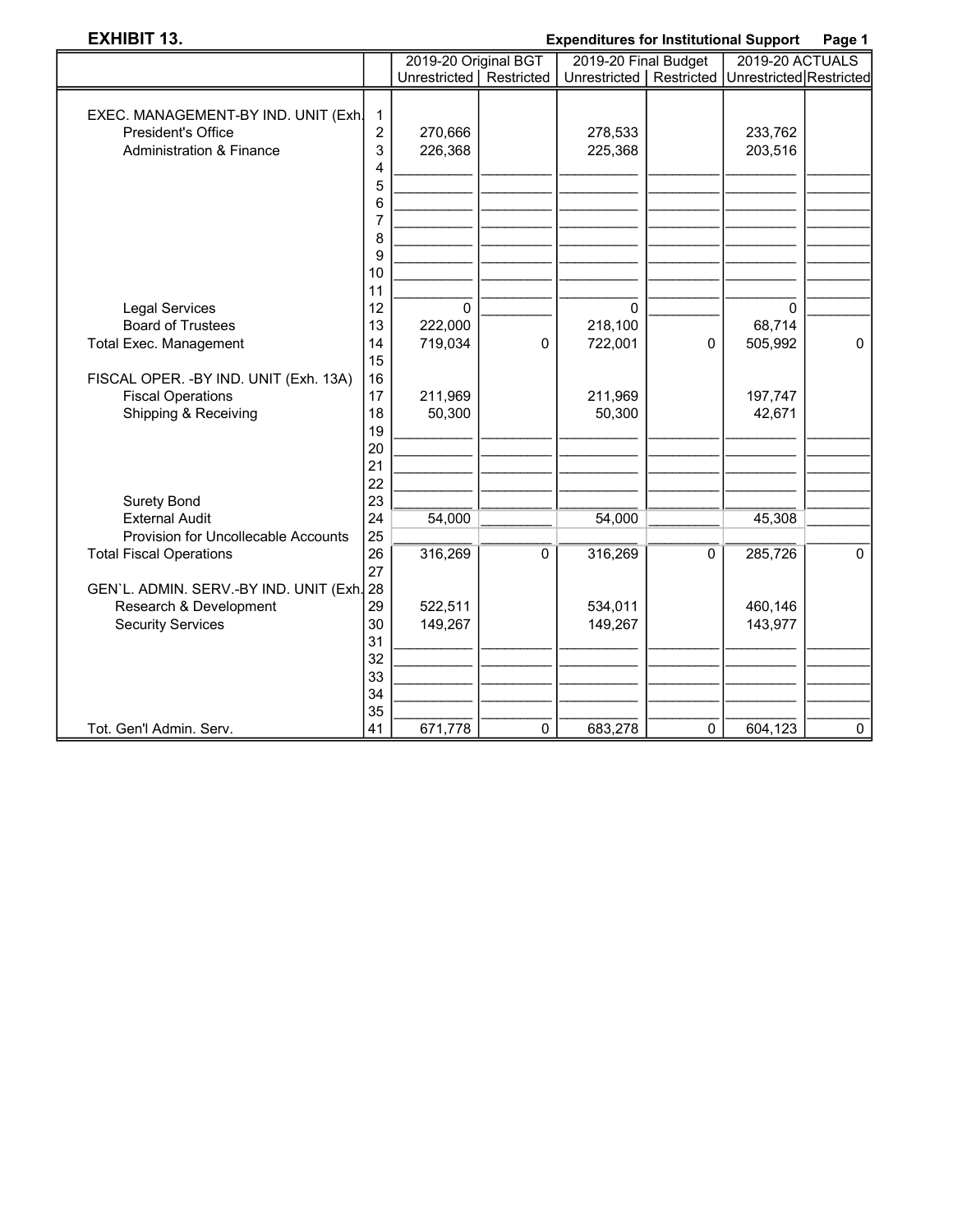### EXHIBIT 13. Expenditures for Institutional Support Page 1

|                                           |                | 2019-20 Original BGT      |             | 2019-20 Final Budget |            | 2019-20 ACTUALS         |              |
|-------------------------------------------|----------------|---------------------------|-------------|----------------------|------------|-------------------------|--------------|
|                                           |                | Unrestricted   Restricted |             | Unrestricted         | Restricted | Unrestricted Restricted |              |
|                                           |                |                           |             |                      |            |                         |              |
| EXEC. MANAGEMENT-BY IND. UNIT (Exh)       | 1              |                           |             |                      |            |                         |              |
| President's Office                        | $\overline{c}$ | 270,666                   |             | 278,533              |            | 233,762                 |              |
| <b>Administration &amp; Finance</b>       | 3              | 226,368                   |             | 225,368              |            | 203,516                 |              |
|                                           | 4              |                           |             |                      |            |                         |              |
|                                           | 5              |                           |             |                      |            |                         |              |
|                                           | 6              |                           |             |                      |            |                         |              |
|                                           | 7              |                           |             |                      |            |                         |              |
|                                           | 8              |                           |             |                      |            |                         |              |
|                                           | 9              |                           |             |                      |            |                         |              |
|                                           | 10             |                           |             |                      |            |                         |              |
|                                           | 11             |                           |             |                      |            |                         |              |
| <b>Legal Services</b>                     | 12             | 0                         |             | $\mathbf 0$          |            | 0                       |              |
| <b>Board of Trustees</b>                  | 13             | 222,000                   |             | 218,100              |            | 68,714                  |              |
| <b>Total Exec. Management</b>             | 14             | 719,034                   | 0           | 722,001              | 0          | 505,992                 | $\mathbf 0$  |
|                                           | 15             |                           |             |                      |            |                         |              |
| FISCAL OPER. - BY IND. UNIT (Exh. 13A)    | 16             |                           |             |                      |            |                         |              |
| <b>Fiscal Operations</b>                  | 17             | 211,969                   |             | 211,969              |            | 197,747                 |              |
| Shipping & Receiving                      | 18             | 50,300                    |             | 50,300               |            | 42,671                  |              |
|                                           | 19<br>20       |                           |             |                      |            |                         |              |
|                                           | 21             |                           |             |                      |            |                         |              |
|                                           | 22             |                           |             |                      |            |                         |              |
| <b>Surety Bond</b>                        | 23             |                           |             |                      |            |                         |              |
| <b>External Audit</b>                     | 24             | 54,000                    |             | 54,000               |            | 45,308                  |              |
| Provision for Uncollecable Accounts       | 25             |                           |             |                      |            |                         |              |
| <b>Total Fiscal Operations</b>            | 26             | 316,269                   | $\mathbf 0$ | 316,269              | $\Omega$   | 285,726                 | $\mathbf{0}$ |
|                                           | 27             |                           |             |                      |            |                         |              |
| GEN'L. ADMIN. SERV.-BY IND. UNIT (Exh. 28 |                |                           |             |                      |            |                         |              |
| Research & Development                    | 29             | 522,511                   |             | 534,011              |            | 460,146                 |              |
| <b>Security Services</b>                  | 30             | 149,267                   |             | 149,267              |            | 143,977                 |              |
|                                           | 31             |                           |             |                      |            |                         |              |
|                                           | 32             |                           |             |                      |            |                         |              |
|                                           | 33             |                           |             |                      |            |                         |              |
|                                           | 34             |                           |             |                      |            |                         |              |
|                                           | 35             |                           |             |                      |            |                         |              |
| Tot. Gen'l Admin. Serv.                   | 41             | 671,778                   | 0           | 683,278              | 0          | 604,123                 | 0            |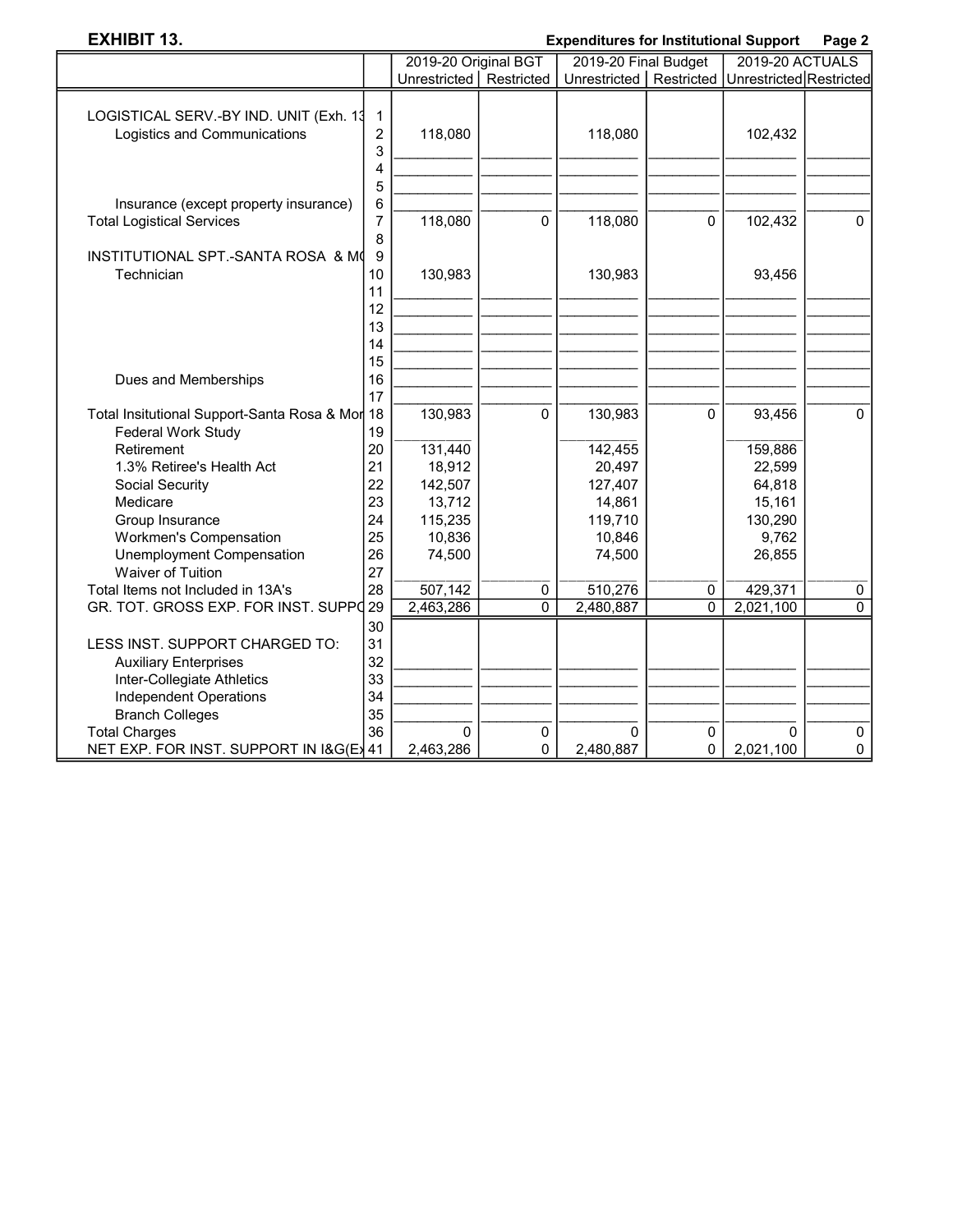┕

# EXHIBIT 13. Expenditures for Institutional Support Page 2

|                                                |                         | 2019-20 Original BGT      |                | 2019-20 Final Budget                                |   | 2019-20 ACTUALS |                |
|------------------------------------------------|-------------------------|---------------------------|----------------|-----------------------------------------------------|---|-----------------|----------------|
|                                                |                         | Unrestricted   Restricted |                | Unrestricted   Restricted   Unrestricted Restricted |   |                 |                |
|                                                |                         |                           |                |                                                     |   |                 |                |
| LOGISTICAL SERV.-BY IND. UNIT (Exh. 13         | $\mathbf{1}$            |                           |                |                                                     |   |                 |                |
| Logistics and Communications                   | $\overline{\mathbf{c}}$ | 118,080                   |                | 118,080                                             |   | 102,432         |                |
|                                                | 3                       |                           |                |                                                     |   |                 |                |
|                                                | 4                       |                           |                |                                                     |   |                 |                |
|                                                | 5                       |                           |                |                                                     |   |                 |                |
| Insurance (except property insurance)          | 6                       |                           |                |                                                     |   |                 |                |
| <b>Total Logistical Services</b>               | 7                       | 118,080                   | 0              | 118,080                                             | 0 | 102,432         | $\mathbf{0}$   |
| INSTITUTIONAL SPT.-SANTA ROSA & MO             | 8<br>9                  |                           |                |                                                     |   |                 |                |
| Technician                                     | 10                      | 130,983                   |                | 130,983                                             |   | 93,456          |                |
|                                                | 11                      |                           |                |                                                     |   |                 |                |
|                                                | 12                      |                           |                |                                                     |   |                 |                |
|                                                | 13                      |                           |                |                                                     |   |                 |                |
|                                                | 14                      |                           |                |                                                     |   |                 |                |
|                                                | 15                      |                           |                |                                                     |   |                 |                |
| Dues and Memberships                           | 16                      |                           |                |                                                     |   |                 |                |
|                                                | 17                      |                           |                |                                                     |   |                 |                |
| Total Insitutional Support-Santa Rosa & Mor 18 |                         | 130,983                   | 0              | 130,983                                             | 0 | 93,456          | 0              |
| Federal Work Study                             | 19                      |                           |                |                                                     |   |                 |                |
| Retirement                                     | 20                      | 131,440                   |                | 142,455                                             |   | 159,886         |                |
| 1.3% Retiree's Health Act                      | 21                      | 18,912                    |                | 20,497                                              |   | 22,599          |                |
| Social Security                                | 22                      | 142,507                   |                | 127,407                                             |   | 64,818          |                |
| Medicare                                       | 23                      | 13,712                    |                | 14,861                                              |   | 15,161          |                |
| Group Insurance                                | 24                      | 115,235                   |                | 119,710                                             |   | 130,290         |                |
| Workmen's Compensation                         | 25                      | 10,836                    |                | 10,846                                              |   | 9,762           |                |
| <b>Unemployment Compensation</b>               | 26                      | 74,500                    |                | 74,500                                              |   | 26,855          |                |
| <b>Waiver of Tuition</b>                       | 27                      |                           |                |                                                     |   |                 |                |
| Total Items not Included in 13A's              | 28                      | 507,142                   | 0              | 510,276                                             | 0 | 429,371         | 0              |
| GR. TOT. GROSS EXP. FOR INST. SUPPO 29         |                         | 2,463,286                 | $\overline{0}$ | 2,480,887                                           | 0 | 2,021,100       | $\overline{0}$ |
|                                                | 30                      |                           |                |                                                     |   |                 |                |
| LESS INST. SUPPORT CHARGED TO:                 | 31                      |                           |                |                                                     |   |                 |                |
| <b>Auxiliary Enterprises</b>                   | 32                      |                           |                |                                                     |   |                 |                |
| Inter-Collegiate Athletics                     | 33                      |                           |                |                                                     |   |                 |                |
| Independent Operations                         | 34                      |                           |                |                                                     |   |                 |                |
| <b>Branch Colleges</b>                         | 35                      |                           |                |                                                     |   |                 |                |
| <b>Total Charges</b>                           | 36                      | $\Omega$                  | 0              | $\Omega$                                            | 0 | 0               | $\mathbf 0$    |
| NET EXP. FOR INST. SUPPORT IN I&G(E) 41        |                         | 2,463,286                 | 0              | 2,480,887                                           | 0 | 2,021,100       | 0              |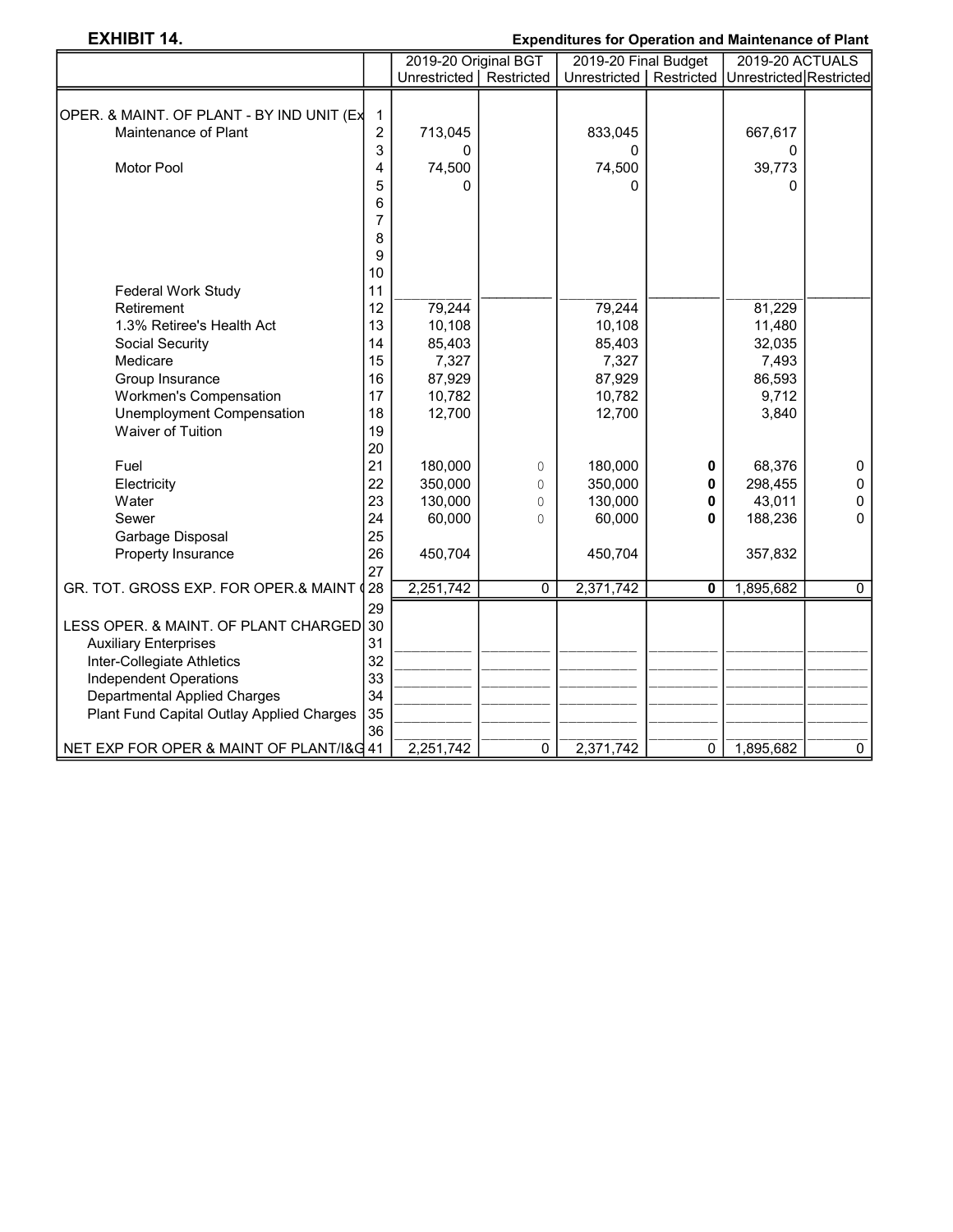# EXHIBIT 14. Expenditures for Operation and Maintenance of Plant

|                                           |                | 2019-20 Original BGT      |          | Aponanaroo tor Oporanon ana mamnonanoo<br>2019-20 Final Budget |   | 2019-20 ACTUALS |             |
|-------------------------------------------|----------------|---------------------------|----------|----------------------------------------------------------------|---|-----------------|-------------|
|                                           |                | Unrestricted   Restricted |          | Unrestricted   Restricted   Unrestricted   Restricted          |   |                 |             |
|                                           |                |                           |          |                                                                |   |                 |             |
| OPER. & MAINT. OF PLANT - BY IND UNIT (Ex | 1              |                           |          |                                                                |   |                 |             |
| Maintenance of Plant                      | $\overline{c}$ | 713,045                   |          | 833,045                                                        |   | 667,617         |             |
|                                           | 3              | O                         |          | U                                                              |   | 0               |             |
| <b>Motor Pool</b>                         | 4              | 74,500                    |          | 74,500                                                         |   | 39,773          |             |
|                                           | 5              | O                         |          | U                                                              |   | $\Omega$        |             |
|                                           | 6              |                           |          |                                                                |   |                 |             |
|                                           | 7              |                           |          |                                                                |   |                 |             |
|                                           | 8              |                           |          |                                                                |   |                 |             |
|                                           | 9              |                           |          |                                                                |   |                 |             |
|                                           | 10             |                           |          |                                                                |   |                 |             |
| <b>Federal Work Study</b>                 | 11             |                           |          |                                                                |   |                 |             |
| Retirement                                | 12             | 79,244                    |          | 79,244                                                         |   | 81,229          |             |
| 1.3% Retiree's Health Act                 | 13             | 10,108                    |          | 10,108                                                         |   | 11,480          |             |
| Social Security                           | 14             | 85,403                    |          | 85,403                                                         |   | 32,035          |             |
| Medicare                                  | 15             | 7,327                     |          | 7,327                                                          |   | 7,493           |             |
| Group Insurance                           | 16             | 87,929                    |          | 87,929                                                         |   | 86,593          |             |
| <b>Workmen's Compensation</b>             | 17             | 10,782                    |          | 10,782                                                         |   | 9,712           |             |
| Unemployment Compensation                 | 18             | 12,700                    |          | 12,700                                                         |   | 3,840           |             |
| Waiver of Tuition                         | 19             |                           |          |                                                                |   |                 |             |
|                                           | 20             |                           |          |                                                                |   |                 |             |
| Fuel                                      | 21             | 180,000                   | $\circ$  | 180,000                                                        | 0 | 68,376          | 0           |
| Electricity                               | 22             | 350,000                   | 0        | 350,000                                                        | 0 | 298,455         | 0           |
| Water                                     | 23             | 130,000                   | 0        | 130,000                                                        | 0 | 43,011          | 0           |
| Sewer                                     | 24             | 60,000                    | $\Omega$ | 60,000                                                         | 0 | 188,236         | 0           |
| Garbage Disposal                          | 25             |                           |          |                                                                |   |                 |             |
| Property Insurance                        | 26             | 450,704                   |          | 450,704                                                        |   | 357,832         |             |
|                                           | 27             |                           |          |                                                                |   |                 |             |
| GR. TOT. GROSS EXP. FOR OPER.& MAINT (    | 28             | 2,251,742                 | $\Omega$ | 2,371,742                                                      | 0 | 1,895,682       | $\mathbf 0$ |
|                                           | 29             |                           |          |                                                                |   |                 |             |
| LESS OPER. & MAINT. OF PLANT CHARGED      | 30             |                           |          |                                                                |   |                 |             |
| <b>Auxiliary Enterprises</b>              | 31             |                           |          |                                                                |   |                 |             |
| Inter-Collegiate Athletics                | 32             |                           |          |                                                                |   |                 |             |
| <b>Independent Operations</b>             | 33             |                           |          |                                                                |   |                 |             |
| <b>Departmental Applied Charges</b>       | 34             |                           |          |                                                                |   |                 |             |
| Plant Fund Capital Outlay Applied Charges | 35             |                           |          |                                                                |   |                 |             |
|                                           | 36             |                           |          |                                                                |   |                 |             |
| NET EXP FOR OPER & MAINT OF PLANT/I&G 41  |                | 2,251,742                 | 0        | 2,371,742                                                      | 0 | 1,895,682       | $\mathbf 0$ |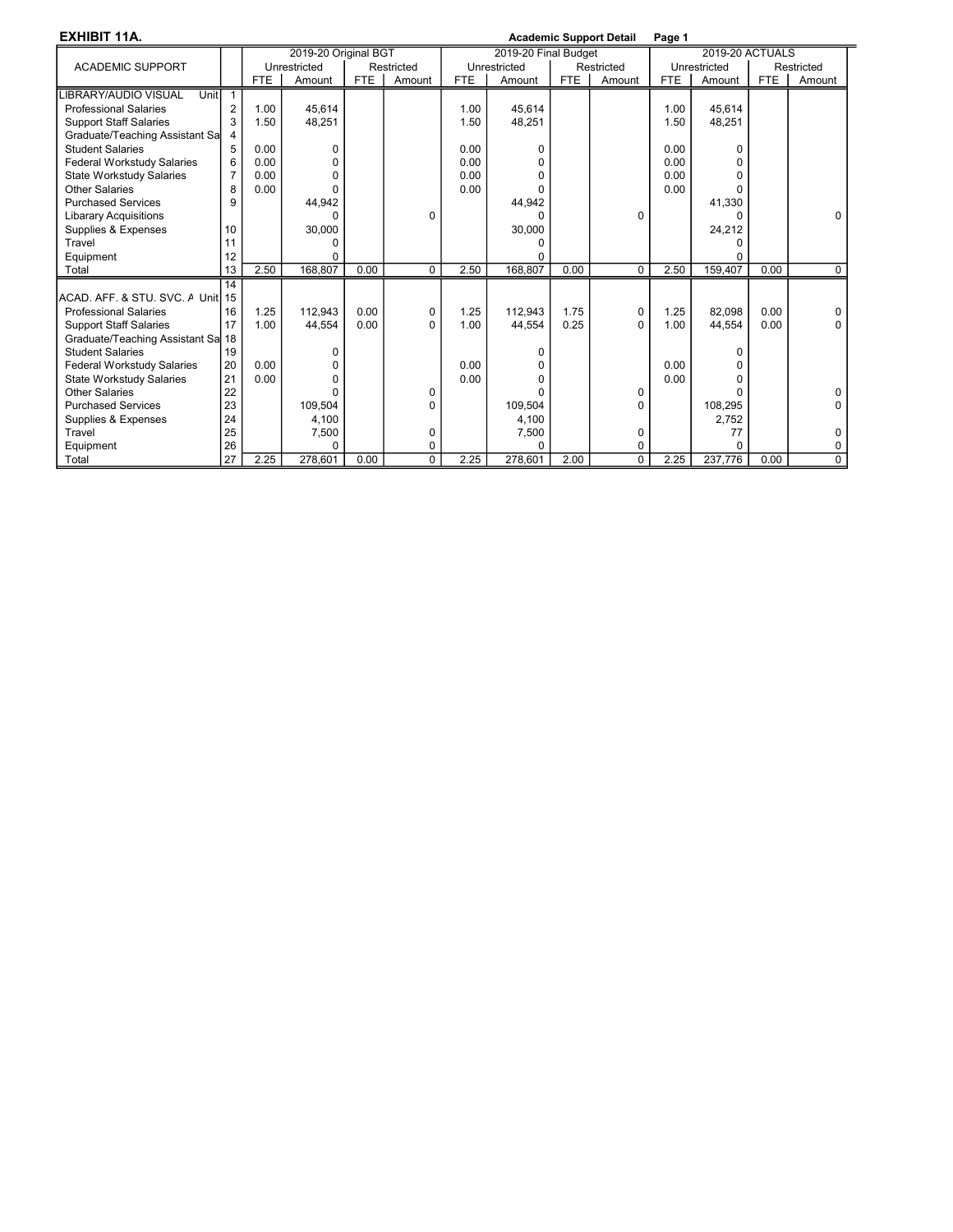EXHIBIT 11A. **Academic Support Detail Page 1** Academic Support Detail Page 1

| LAIIIDII IIA.                      |                |            |                      |            |            |            |                      |            | Academic Support Detail | raye ı     |                        |            |            |
|------------------------------------|----------------|------------|----------------------|------------|------------|------------|----------------------|------------|-------------------------|------------|------------------------|------------|------------|
|                                    |                |            | 2019-20 Original BGT |            |            |            | 2019-20 Final Budget |            |                         |            | <b>2019-20 ACTUALS</b> |            |            |
| <b>ACADEMIC SUPPORT</b>            |                |            | Unrestricted         |            | Restricted |            | Unrestricted         |            | Restricted              |            | Unrestricted           |            | Restricted |
|                                    |                | <b>FTE</b> | Amount               | <b>FTE</b> | Amount     | <b>FTE</b> | Amount               | <b>FTE</b> | Amount                  | <b>FTE</b> | Amount                 | <b>FTE</b> | Amount     |
| Unit<br><b>IBRARY/AUDIO VISUAL</b> | $\overline{1}$ |            |                      |            |            |            |                      |            |                         |            |                        |            |            |
| <b>Professional Salaries</b>       | $\overline{2}$ | 1.00       | 45,614               |            |            | 1.00       | 45,614               |            |                         | 1.00       | 45,614                 |            |            |
| <b>Support Staff Salaries</b>      | 3              | 1.50       | 48,251               |            |            | 1.50       | 48,251               |            |                         | 1.50       | 48,251                 |            |            |
| Graduate/Teaching Assistant Sa     |                |            |                      |            |            |            |                      |            |                         |            |                        |            |            |
| <b>Student Salaries</b>            | 5              | 0.00       | 0                    |            |            | 0.00       | $\Omega$             |            |                         | 0.00       | U                      |            |            |
| <b>Federal Workstudy Salaries</b>  | 6              | 0.00       | 0                    |            |            | 0.00       | $\Omega$             |            |                         | 0.00       |                        |            |            |
| State Workstudy Salaries           | $\overline{7}$ | 0.00       | 0                    |            |            | 0.00       | $\Omega$             |            |                         | 0.00       |                        |            |            |
| <b>Other Salaries</b>              | 8              | 0.00       | 0                    |            |            | 0.00       | $\Omega$             |            |                         | 0.00       |                        |            |            |
| <b>Purchased Services</b>          | 9              |            | 44,942               |            |            |            | 44,942               |            |                         |            | 41,330                 |            |            |
| <b>Libarary Acquisitions</b>       |                |            | U                    |            | 0          |            | <sup>0</sup>         |            | $\Omega$                |            |                        |            | $\Omega$   |
| Supplies & Expenses                | 10             |            | 30,000               |            |            |            | 30,000               |            |                         |            | 24,212                 |            |            |
| Travel                             | 11             |            | O                    |            |            |            | 0                    |            |                         |            |                        |            |            |
| Equipment                          | 12             |            | U                    |            |            |            | U                    |            |                         |            |                        |            |            |
| Total                              | 13             | 2.50       | 168,807              | 0.00       | $\Omega$   | 2.50       | 168,807              | 0.00       | $\Omega$                | 2.50       | 159,407                | 0.00       | $\Omega$   |
|                                    | 14             |            |                      |            |            |            |                      |            |                         |            |                        |            |            |
| ACAD. AFF. & STU. SVC. A Unit 15   |                |            |                      |            |            |            |                      |            |                         |            |                        |            |            |
| <b>Professional Salaries</b>       | 16             | 1.25       | 112.943              | 0.00       | 0          | 1.25       | 112.943              | 1.75       | 0                       | 1.25       | 82.098                 | 0.00       | 0          |
| <b>Support Staff Salaries</b>      | 17             | 1.00       | 44.554               | 0.00       | $\Omega$   | 1.00       | 44.554               | 0.25       | $\Omega$                | 1.00       | 44,554                 | 0.00       | $\Omega$   |
| Graduate/Teaching Assistant Sa 18  |                |            |                      |            |            |            |                      |            |                         |            |                        |            |            |
| <b>Student Salaries</b>            | 19             |            | 0                    |            |            |            | $\Omega$             |            |                         |            | 0                      |            |            |
| <b>Federal Workstudy Salaries</b>  | 20             | 0.00       | 0                    |            |            | 0.00       | $\Omega$             |            |                         | 0.00       |                        |            |            |
| <b>State Workstudy Salaries</b>    | 21             | 0.00       | 0                    |            |            | 0.00       | $\Omega$             |            |                         | 0.00       |                        |            |            |
| Other Salaries                     | 22             |            | U                    |            | 0          |            | U                    |            | 0                       |            |                        |            | U          |
| <b>Purchased Services</b>          | 23             |            | 109.504              |            |            |            | 109.504              |            | $\Omega$                |            | 108,295                |            |            |
| Supplies & Expenses                | 24             |            | 4,100                |            |            |            | 4,100                |            |                         |            | 2,752                  |            |            |
| Travel                             | 25             |            | 7,500                |            | 0          |            | 7,500                |            | 0                       |            | 77                     |            | U          |
| Equipment                          | 26             |            | U                    |            | 0          |            | $\Omega$             |            | 0                       |            | $\Omega$               |            |            |
| Total                              | 27             | 2.25       | 278,601              | 0.00       | $\Omega$   | 2.25       | 278,601              | 2.00       | $\Omega$                | 2.25       | 237,776                | 0.00       | $\Omega$   |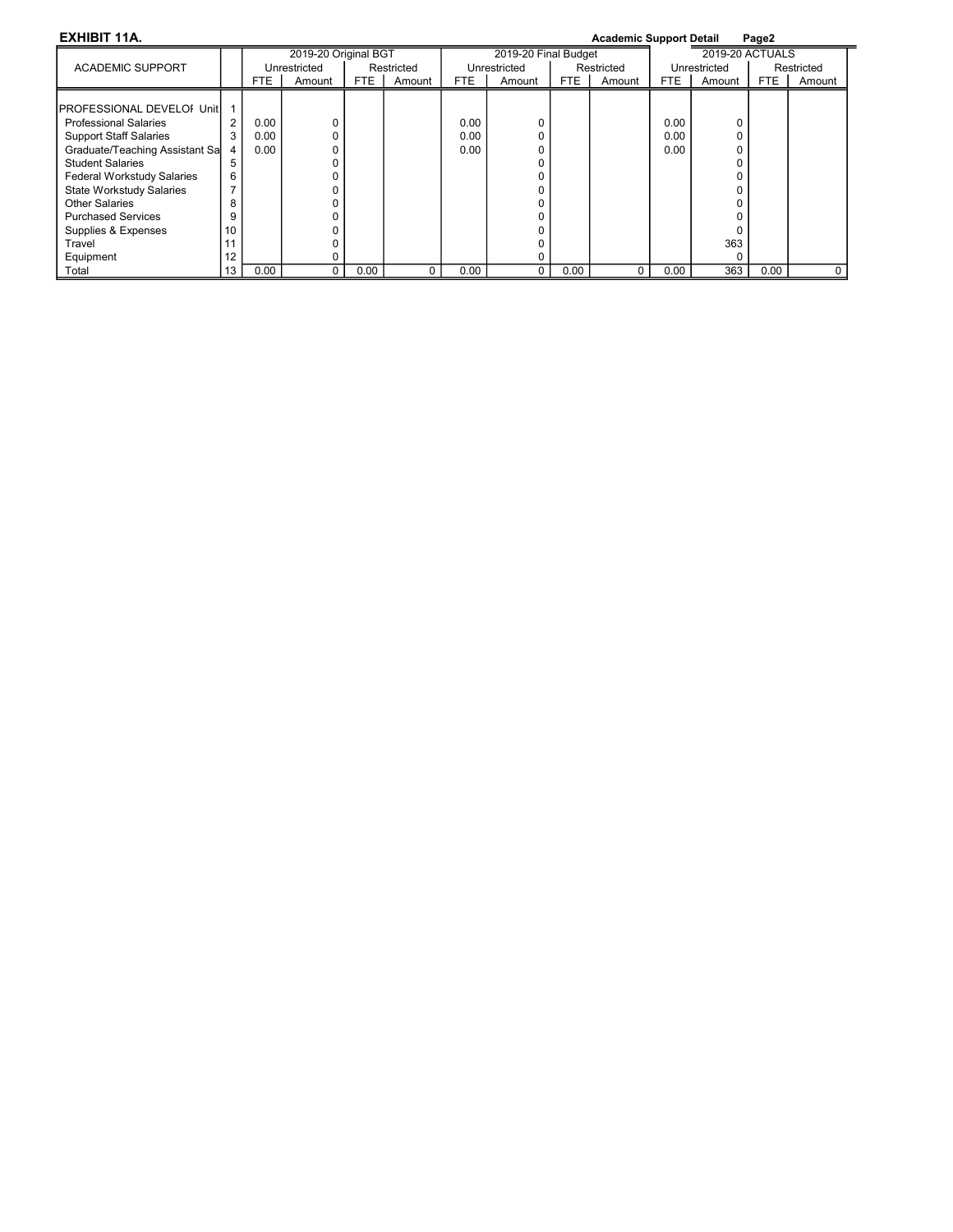| <b>EXHIBIT 11A.</b>                |    |      |                      |      |            |      |                      |      | <b>Academic Support Detail</b> |      |                 | Page2 |            |
|------------------------------------|----|------|----------------------|------|------------|------|----------------------|------|--------------------------------|------|-----------------|-------|------------|
|                                    |    |      | 2019-20 Original BGT |      |            |      | 2019-20 Final Budget |      |                                |      | 2019-20 ACTUALS |       |            |
| <b>ACADEMIC SUPPORT</b>            |    |      | Unrestricted         |      | Restricted |      | Unrestricted         |      | Restricted                     |      | Unrestricted    |       | Restricted |
|                                    |    | FTE. | Amount               | FTE  | Amount     | FTE. | Amount               | FTE  | Amount                         | FTE  | Amount          | FTE   | Amount     |
|                                    |    |      |                      |      |            |      |                      |      |                                |      |                 |       |            |
| <b>IPROFESSIONAL DEVELOI UnitI</b> |    |      |                      |      |            |      |                      |      |                                |      |                 |       |            |
| <b>Professional Salaries</b>       | 2  | 0.00 |                      |      |            | 0.00 |                      |      |                                | 0.00 |                 |       |            |
| <b>Support Staff Salaries</b>      | 3  | 0.00 |                      |      |            | 0.00 |                      |      |                                | 0.00 |                 |       |            |
| Graduate/Teaching Assistant Sa     | 4  | 0.00 |                      |      |            | 0.00 |                      |      |                                | 0.00 |                 |       |            |
| <b>Student Salaries</b>            | 5  |      |                      |      |            |      |                      |      |                                |      |                 |       |            |
| <b>Federal Workstudy Salaries</b>  | 6  |      |                      |      |            |      |                      |      |                                |      |                 |       |            |
| <b>State Workstudy Salaries</b>    |    |      |                      |      |            |      |                      |      |                                |      |                 |       |            |
| Other Salaries                     | 8  |      |                      |      |            |      |                      |      |                                |      |                 |       |            |
| <b>Purchased Services</b>          | 9  |      |                      |      |            |      |                      |      |                                |      |                 |       |            |
| Supplies & Expenses                | 10 |      |                      |      |            |      |                      |      |                                |      |                 |       |            |
| Travel                             |    |      |                      |      |            |      |                      |      |                                |      | 363             |       |            |
| Equipment                          | 12 |      |                      |      |            |      |                      |      |                                |      |                 |       |            |
| Total                              | 13 | 0.00 | 0                    | 0.00 |            | 0.00 |                      | 0.00 |                                | 0.00 | 363             | 0.00  | 0          |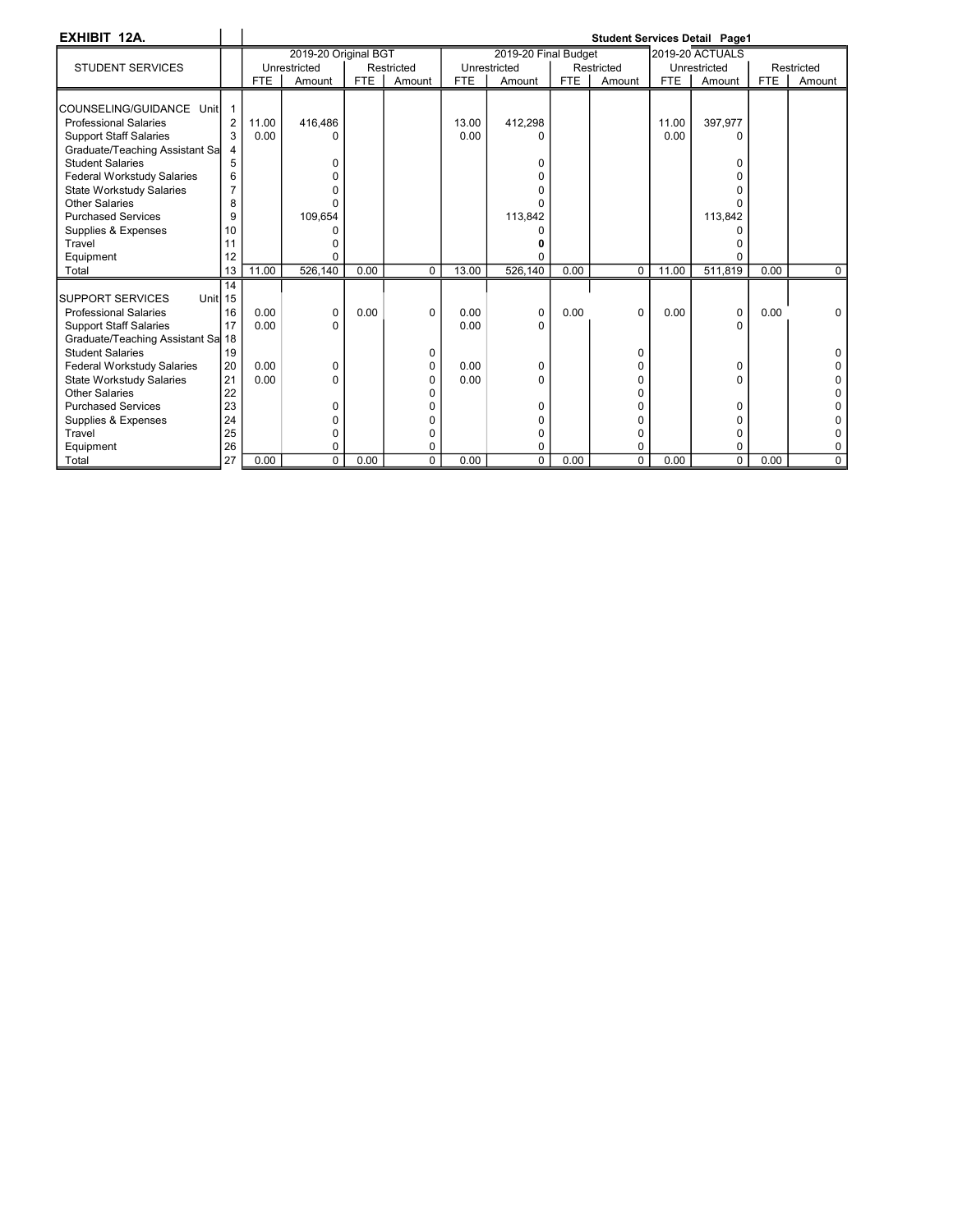| EXHIBIT 12A.                        |                |            |                      |            |              |            |                      |            |            |            | <b>Student Services Detail Page1</b> |            |             |
|-------------------------------------|----------------|------------|----------------------|------------|--------------|------------|----------------------|------------|------------|------------|--------------------------------------|------------|-------------|
|                                     |                |            | 2019-20 Original BGT |            |              |            | 2019-20 Final Budget |            |            |            | <b>2019-20 ACTUALS</b>               |            |             |
| <b>STUDENT SERVICES</b>             |                |            | Unrestricted         |            | Restricted   |            | Unrestricted         |            | Restricted |            | Unrestricted                         |            | Restricted  |
|                                     |                | <b>FTE</b> | Amount               | <b>FTE</b> | Amount       | <b>FTE</b> | Amount               | <b>FTE</b> | Amount     | <b>FTE</b> | Amount                               | <b>FTE</b> | Amount      |
|                                     |                |            |                      |            |              |            |                      |            |            |            |                                      |            |             |
| COUNSELING/GUIDANCE Unit            |                |            |                      |            |              |            |                      |            |            |            |                                      |            |             |
| <b>Professional Salaries</b>        | $\overline{2}$ | 11.00      | 416.486              |            |              | 13.00      | 412,298              |            |            | 11.00      | 397.977                              |            |             |
| <b>Support Staff Salaries</b>       | 3              | 0.00       | n                    |            |              | 0.00       | n                    |            |            | 0.00       | n                                    |            |             |
| Graduate/Teaching Assistant Sa      |                |            |                      |            |              |            |                      |            |            |            |                                      |            |             |
| <b>Student Salaries</b>             | 5              |            | O                    |            |              |            | 0                    |            |            |            | n                                    |            |             |
| <b>Federal Workstudy Salaries</b>   | 6              |            |                      |            |              |            | U                    |            |            |            |                                      |            |             |
| <b>State Workstudy Salaries</b>     | 7              |            |                      |            |              |            | n                    |            |            |            |                                      |            |             |
| <b>Other Salaries</b>               | 8              |            | n                    |            |              |            |                      |            |            |            |                                      |            |             |
| <b>Purchased Services</b>           | 9              |            | 109.654              |            |              |            | 113,842              |            |            |            | 113.842                              |            |             |
| Supplies & Expenses                 | 10             |            |                      |            |              |            |                      |            |            |            |                                      |            |             |
| Travel                              | 11             |            |                      |            |              |            |                      |            |            |            |                                      |            |             |
| Equipment                           | 12             |            | n                    |            |              |            |                      |            |            |            |                                      |            |             |
| Total                               | 13             | 11.00      | 526,140              | 0.00       | $\Omega$     | 13.00      | 526,140              | 0.00       | $\Omega$   | 11.00      | 511,819                              | 0.00       | $\mathbf 0$ |
|                                     | 14             |            |                      |            |              |            |                      |            |            |            |                                      |            |             |
| <b>SUPPORT SERVICES</b><br>Unitl 15 |                |            |                      |            |              |            |                      |            |            |            |                                      |            |             |
| <b>Professional Salaries</b>        | 16             | 0.00       | 0                    | 0.00       | $\Omega$     | 0.00       | 0                    | 0.00       | $\Omega$   | 0.00       | 0                                    | 0.00       | $\Omega$    |
| <b>Support Staff Salaries</b>       | 17             | 0.00       | 0                    |            |              | 0.00       | 0                    |            |            |            | 0                                    |            |             |
| Graduate/Teaching Assistant Sa 18   |                |            |                      |            |              |            |                      |            |            |            |                                      |            |             |
| <b>Student Salaries</b>             | 19             |            |                      |            | 0            |            |                      |            | U          |            |                                      |            |             |
| <b>Federal Workstudy Salaries</b>   | 20             | 0.00       | 0                    |            | 0            | 0.00       | 0                    |            |            |            | 0                                    |            |             |
| State Workstudy Salaries            | 21             | 0.00       | $\Omega$             |            | <sup>0</sup> | 0.00       | 0                    |            |            |            | n                                    |            |             |
| Other Salaries                      | 22             |            |                      |            |              |            |                      |            |            |            |                                      |            |             |
| <b>Purchased Services</b>           | 23             |            | 0                    |            |              |            | 0                    |            |            |            | $\Omega$                             |            |             |
| Supplies & Expenses                 | 24             |            | ი                    |            | U            |            | 0                    |            |            |            | n                                    |            |             |
| Travel                              | 25             |            | 0                    |            | 0            |            | 0                    |            | O          |            | 0                                    |            |             |
| Equipment                           | 26             |            | 0                    |            | 0            |            | 0                    |            |            |            | U                                    |            |             |
| Total                               | 27             | 0.00       | $\Omega$             | 0.00       | $\Omega$     | $0.00 -$   | $\Omega$             | 0.00       | $\Omega$   | 0.00       | $\Omega$                             | 0.00       | $\Omega$    |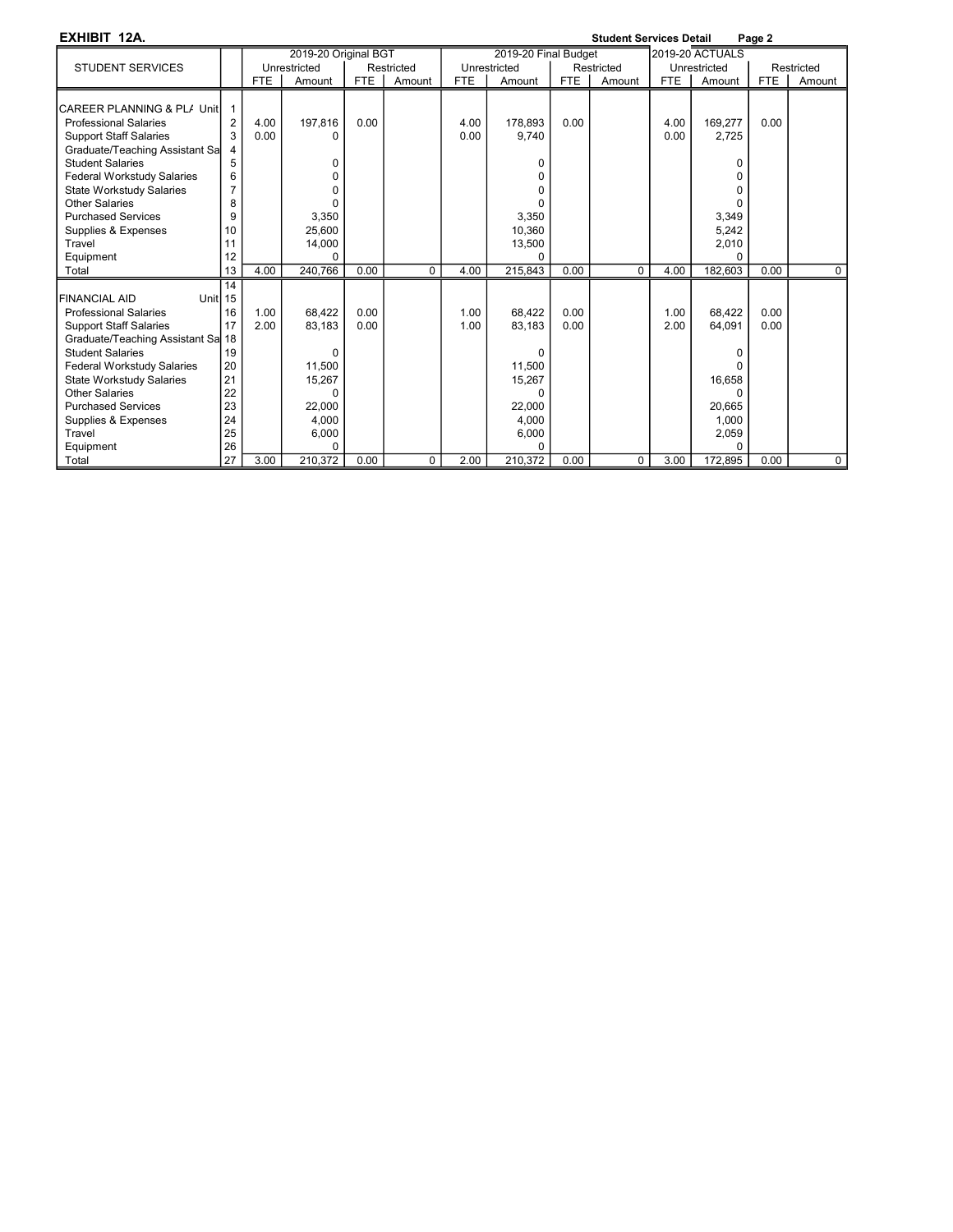EXHIBIT 12A. Student Services Detail Page 2

| -линин ка                         |                |            |                      |            |            |            |                      |            | υιαυσικ υσι νιυσο υσιαιι |            |                        | r aye 4    |             |
|-----------------------------------|----------------|------------|----------------------|------------|------------|------------|----------------------|------------|--------------------------|------------|------------------------|------------|-------------|
|                                   |                |            | 2019-20 Original BGT |            |            |            | 2019-20 Final Budget |            |                          |            | <b>2019-20 ACTUALS</b> |            |             |
| <b>STUDENT SERVICES</b>           |                |            | Unrestricted         |            | Restricted |            | Unrestricted         |            | Restricted               |            | Unrestricted           |            | Restricted  |
|                                   |                | <b>FTE</b> | Amount               | <b>FTE</b> | Amount     | <b>FTE</b> | Amount               | <b>FTE</b> | Amount                   | <b>FTE</b> | Amount                 | <b>FTE</b> | Amount      |
|                                   |                |            |                      |            |            |            |                      |            |                          |            |                        |            |             |
| CAREER PLANNING & PL/ Unit        |                |            |                      |            |            |            |                      |            |                          |            |                        |            |             |
| <b>Professional Salaries</b>      | $\overline{2}$ | 4.00       | 197,816              | 0.00       |            | 4.00       | 178.893              | 0.00       |                          | 4.00       | 169,277                | 0.00       |             |
| <b>Support Staff Salaries</b>     | 3              | 0.00       | U                    |            |            | 0.00       | 9,740                |            |                          | 0.00       | 2,725                  |            |             |
| Graduate/Teaching Assistant Sa    |                |            |                      |            |            |            |                      |            |                          |            |                        |            |             |
| <b>Student Salaries</b>           | 5              |            | 0                    |            |            |            |                      |            |                          |            |                        |            |             |
| <b>Federal Workstudy Salaries</b> | 6              |            |                      |            |            |            |                      |            |                          |            |                        |            |             |
| State Workstudy Salaries          |                |            |                      |            |            |            |                      |            |                          |            |                        |            |             |
| <b>Other Salaries</b>             | 8              |            |                      |            |            |            |                      |            |                          |            |                        |            |             |
| <b>Purchased Services</b>         | 9              |            | 3,350                |            |            |            | 3,350                |            |                          |            | 3,349                  |            |             |
| Supplies & Expenses               | 10             |            | 25,600               |            |            |            | 10,360               |            |                          |            | 5,242                  |            |             |
| Travel                            | 11             |            | 14,000               |            |            |            | 13,500               |            |                          |            | 2,010                  |            |             |
| Equipment                         | 12             |            | $\Omega$             |            |            |            |                      |            |                          |            | $\Omega$               |            |             |
| Total                             | 13             | 4.00       | 240,766              | 0.00       | $\Omega$   | 4.00       | 215,843              | 0.00       | $\Omega$                 | 4.00       | 182,603                | 0.00       | $\Omega$    |
|                                   | 14             |            |                      |            |            |            |                      |            |                          |            |                        |            |             |
| <b>FINANCIAL AID</b><br>Unitl 15  |                |            |                      |            |            |            |                      |            |                          |            |                        |            |             |
| <b>Professional Salaries</b>      | 16             | 1.00       | 68,422               | 0.00       |            | 1.00       | 68,422               | 0.00       |                          | 1.00       | 68,422                 | 0.00       |             |
| <b>Support Staff Salaries</b>     | 17             | 2.00       | 83,183               | 0.00       |            | 1.00       | 83.183               | 0.00       |                          | 2.00       | 64.091                 | 0.00       |             |
| Graduate/Teaching Assistant Sa 18 |                |            |                      |            |            |            |                      |            |                          |            |                        |            |             |
| <b>Student Salaries</b>           | 19             |            | $\Omega$             |            |            |            |                      |            |                          |            |                        |            |             |
| <b>Federal Workstudy Salaries</b> | 20             |            | 11,500               |            |            |            | 11,500               |            |                          |            |                        |            |             |
| State Workstudy Salaries          | 21             |            | 15,267               |            |            |            | 15,267               |            |                          |            | 16,658                 |            |             |
| Other Salaries                    | 22             |            | O                    |            |            |            |                      |            |                          |            |                        |            |             |
| <b>Purchased Services</b>         | 23             |            | 22,000               |            |            |            | 22,000               |            |                          |            | 20,665                 |            |             |
| Supplies & Expenses               | 24             |            | 4,000                |            |            |            | 4,000                |            |                          |            | 1,000                  |            |             |
| Travel                            | 25             |            | 6,000                |            |            |            | 6,000                |            |                          |            | 2,059                  |            |             |
| Equipment                         | 26             |            | $\Omega$             |            |            |            |                      |            |                          |            |                        |            |             |
| Total                             | 27             | 3.00       | 210,372              | 0.00       | 0          | 2.00       | 210,372              | 0.00       | 0                        | 3.00       | 172,895                | 0.00       | $\mathbf 0$ |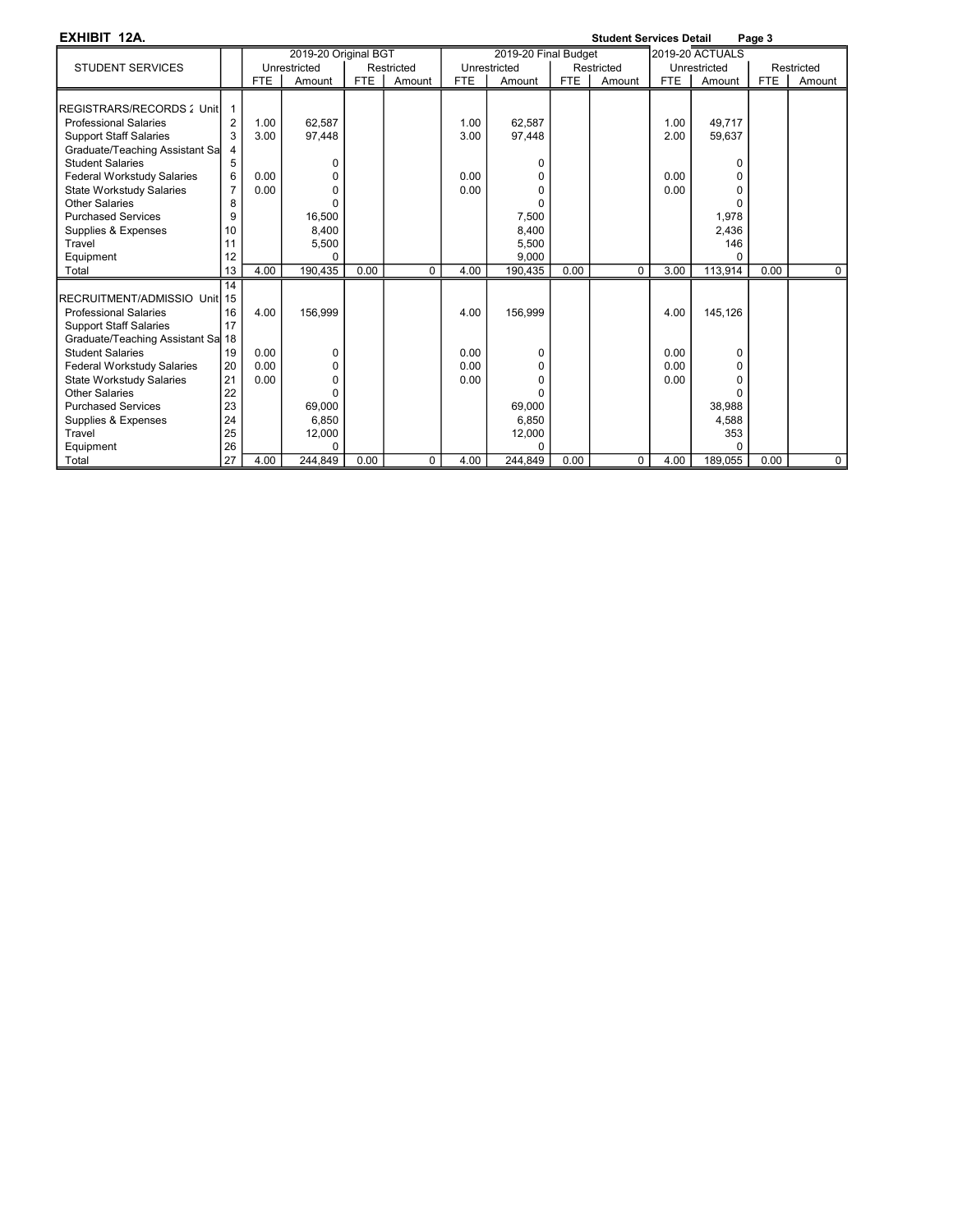| EXHIBIT 12A.                      |                |            |                      |            |            |            |                      |      | <b>Student Services Detail</b> |            |                        | Page 3     |             |
|-----------------------------------|----------------|------------|----------------------|------------|------------|------------|----------------------|------|--------------------------------|------------|------------------------|------------|-------------|
|                                   |                |            | 2019-20 Original BGT |            |            |            | 2019-20 Final Budget |      |                                |            | <b>2019-20 ACTUALS</b> |            |             |
| <b>STUDENT SERVICES</b>           |                |            | Unrestricted         |            | Restricted |            | Unrestricted         |      | Restricted                     |            | Unrestricted           |            | Restricted  |
|                                   |                | <b>FTE</b> | Amount               | <b>FTE</b> | Amount     | <b>FTE</b> | Amount               | FTE  | Amount                         | <b>FTE</b> | Amount                 | <b>FTE</b> | Amount      |
|                                   |                |            |                      |            |            |            |                      |      |                                |            |                        |            |             |
| REGISTRARS/RECORDS: Unit          |                |            |                      |            |            |            |                      |      |                                |            |                        |            |             |
| <b>Professional Salaries</b>      | $\overline{2}$ | 1.00       | 62,587               |            |            | 1.00       | 62.587               |      |                                | 1.00       | 49,717                 |            |             |
| <b>Support Staff Salaries</b>     | 3              | 3.00       | 97,448               |            |            | 3.00       | 97,448               |      |                                | 2.00       | 59,637                 |            |             |
| Graduate/Teaching Assistant Sa    |                |            |                      |            |            |            |                      |      |                                |            |                        |            |             |
| <b>Student Salaries</b>           | 5              |            | 0                    |            |            |            |                      |      |                                |            | <sup>0</sup>           |            |             |
| <b>Federal Workstudy Salaries</b> | 6              | 0.00       | 0                    |            |            | 0.00       |                      |      |                                | 0.00       | $\Omega$               |            |             |
| <b>State Workstudy Salaries</b>   | 7              | 0.00       | $\Omega$             |            |            | 0.00       | ŋ                    |      |                                | 0.00       | U                      |            |             |
| <b>Other Salaries</b>             | 8              |            | $\Omega$             |            |            |            |                      |      |                                |            | U                      |            |             |
| <b>Purchased Services</b>         | 9              |            | 16,500               |            |            |            | 7,500                |      |                                |            | 1,978                  |            |             |
| Supplies & Expenses               | 10             |            | 8.400                |            |            |            | 8.400                |      |                                |            | 2.436                  |            |             |
| Travel                            | 11             |            | 5,500                |            |            |            | 5,500                |      |                                |            | 146                    |            |             |
| Equipment                         | 12             |            | $\Omega$             |            |            |            | 9.000                |      |                                |            | <sup>0</sup>           |            |             |
| Total                             | 13             | 4.00       | 190,435              | 0.00       | $\Omega$   | 4.00       | 190,435              | 0.00 | $\Omega$                       | 3.00       | 113,914                | 0.00       | $\Omega$    |
|                                   | 14             |            |                      |            |            |            |                      |      |                                |            |                        |            |             |
| RECRUITMENT/ADMISSIO Unit 15      |                |            |                      |            |            |            |                      |      |                                |            |                        |            |             |
| <b>Professional Salaries</b>      | 16             | 4.00       | 156,999              |            |            | 4.00       | 156,999              |      |                                | 4.00       | 145,126                |            |             |
| <b>Support Staff Salaries</b>     | 17             |            |                      |            |            |            |                      |      |                                |            |                        |            |             |
| Graduate/Teaching Assistant Sa 18 |                |            |                      |            |            |            |                      |      |                                |            |                        |            |             |
| <b>Student Salaries</b>           | 19             | 0.00       | $\Omega$             |            |            | 0.00       |                      |      |                                | 0.00       | 0                      |            |             |
| <b>Federal Workstudy Salaries</b> | 20             | 0.00       | 0                    |            |            | 0.00       | $\Omega$             |      |                                | 0.00       | $\Omega$               |            |             |
| State Workstudy Salaries          | 21             | 0.00       | $\Omega$             |            |            | 0.00       | ŋ                    |      |                                | 0.00       | U                      |            |             |
| <b>Other Salaries</b>             | 22             |            | $\Omega$             |            |            |            |                      |      |                                |            | $\Omega$               |            |             |
| <b>Purchased Services</b>         | 23             |            | 69,000               |            |            |            | 69.000               |      |                                |            | 38.988                 |            |             |
| Supplies & Expenses               | 24             |            | 6,850                |            |            |            | 6,850                |      |                                |            | 4,588                  |            |             |
| Travel                            | 25             |            | 12,000               |            |            |            | 12,000               |      |                                |            | 353                    |            |             |
| Equipment                         | 26             |            | $\Omega$             |            |            |            |                      |      |                                |            |                        |            |             |
| Total                             | 27             | 4.00       | 244,849              | 0.00       | 0          | 4.00       | 244,849              | 0.00 | $\Omega$                       | 4.00       | 189,055                | 0.00       | $\mathbf 0$ |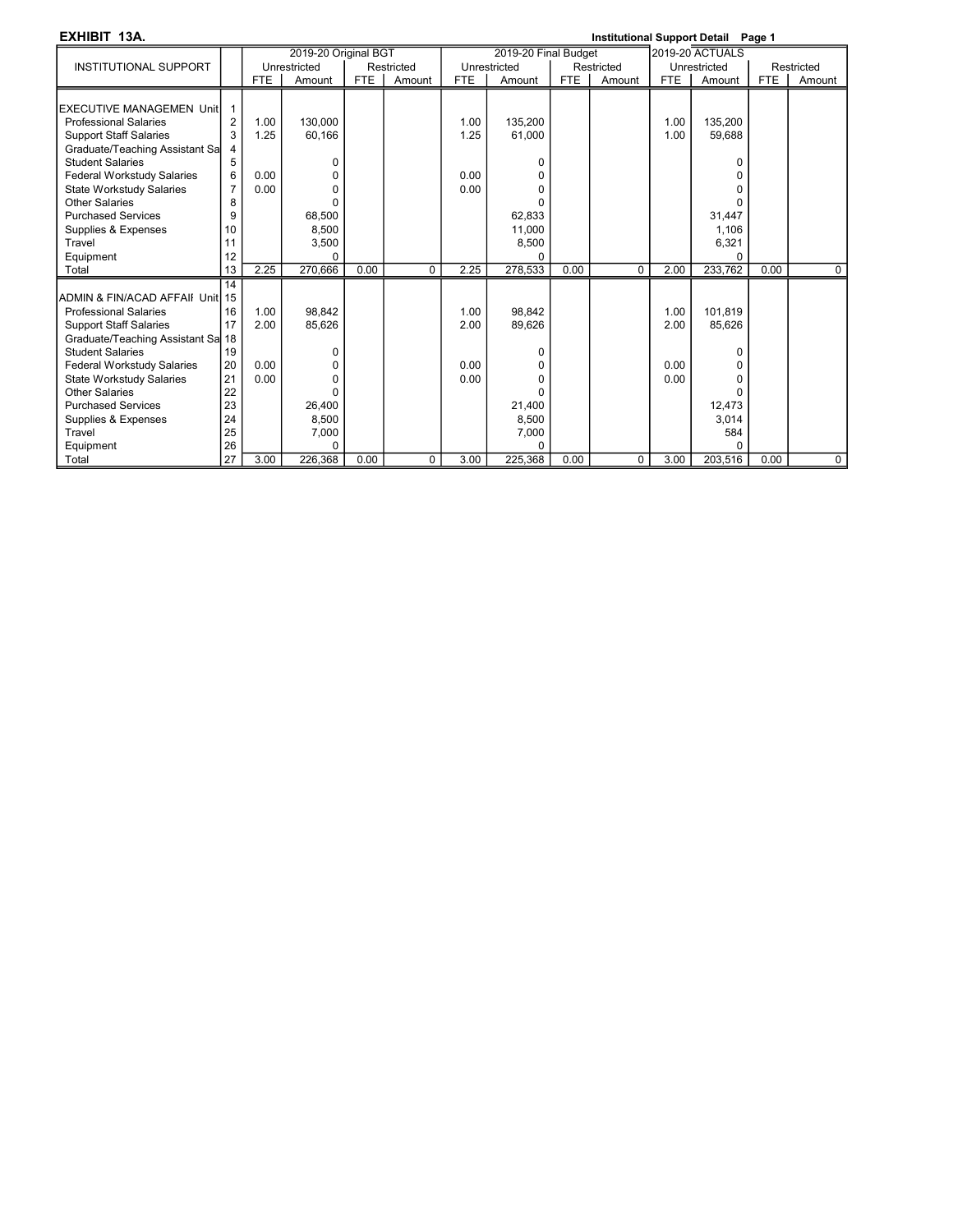EXHIBIT 13A. Institutional Support Detail Page 1

|                                   |                |            | 2019-20 Original BGT |            |             |            | 2019-20 Final Budget |            |             |            | <b>2019-20 ACTUALS</b> |            |             |
|-----------------------------------|----------------|------------|----------------------|------------|-------------|------------|----------------------|------------|-------------|------------|------------------------|------------|-------------|
| <b>INSTITUTIONAL SUPPORT</b>      |                |            | Unrestricted         |            | Restricted  |            | Unrestricted         |            | Restricted  |            | Unrestricted           |            | Restricted  |
|                                   |                | <b>FTE</b> | Amount               | <b>FTE</b> | Amount      | <b>FTE</b> | Amount               | <b>FTE</b> | Amount      | <b>FTE</b> | Amount                 | <b>FTE</b> | Amount      |
|                                   |                |            |                      |            |             |            |                      |            |             |            |                        |            |             |
| EXECUTIVE MANAGEMEN UnitI         |                |            |                      |            |             |            |                      |            |             |            |                        |            |             |
| <b>Professional Salaries</b>      | $\overline{2}$ | 1.00       | 130,000              |            |             | 1.00       | 135,200              |            |             | 1.00       | 135,200                |            |             |
| <b>Support Staff Salaries</b>     | 3              | 1.25       | 60,166               |            |             | 1.25       | 61,000               |            |             | 1.00       | 59,688                 |            |             |
| Graduate/Teaching Assistant Sa    | 4              |            |                      |            |             |            |                      |            |             |            |                        |            |             |
| <b>Student Salaries</b>           | 5              |            | 0                    |            |             |            | 0                    |            |             |            | $\Omega$               |            |             |
| <b>Federal Workstudy Salaries</b> | 6              | 0.00       | 0                    |            |             | 0.00       | 0                    |            |             |            | O                      |            |             |
| State Workstudy Salaries          | $\overline{7}$ | 0.00       | 0                    |            |             | 0.00       | U                    |            |             |            |                        |            |             |
| <b>Other Salaries</b>             | 8              |            | $\Omega$             |            |             |            |                      |            |             |            | $\Omega$               |            |             |
| <b>Purchased Services</b>         | 9              |            | 68,500               |            |             |            | 62,833               |            |             |            | 31,447                 |            |             |
| Supplies & Expenses               | 10             |            | 8,500                |            |             |            | 11,000               |            |             |            | 1,106                  |            |             |
| Travel                            | 11             |            | 3.500                |            |             |            | 8,500                |            |             |            | 6,321                  |            |             |
| Equipment                         | 12             |            | $\Omega$             |            |             |            | n                    |            |             |            | U                      |            |             |
| Total                             | 13             | 2.25       | 270.666              | 0.00       | $\mathbf 0$ | 2.25       | 278,533              | 0.00       | $\mathbf 0$ | 2.00       | 233.762                | 0.00       | $\mathbf 0$ |
|                                   | 14             |            |                      |            |             |            |                      |            |             |            |                        |            |             |
| ADMIN & FIN/ACAD AFFAII_UnitI 15  |                |            |                      |            |             |            |                      |            |             |            |                        |            |             |
| <b>Professional Salaries</b>      | 16             | 1.00       | 98.842               |            |             | 1.00       | 98.842               |            |             | 1.00       | 101.819                |            |             |
| <b>Support Staff Salaries</b>     | 17             | 2.00       | 85,626               |            |             | 2.00       | 89,626               |            |             | 2.00       | 85,626                 |            |             |
| Graduate/Teaching Assistant Sa 18 |                |            |                      |            |             |            |                      |            |             |            |                        |            |             |
| <b>Student Salaries</b>           | 19             |            | 0                    |            |             |            | 0                    |            |             |            | 0                      |            |             |
| <b>Federal Workstudy Salaries</b> | 20             | 0.00       | 0                    |            |             | 0.00       | U                    |            |             | 0.00       | O                      |            |             |
| <b>State Workstudy Salaries</b>   | 21             | 0.00       | 0                    |            |             | 0.00       | 0                    |            |             | 0.00       | O                      |            |             |
| Other Salaries                    | 22             |            | $\Omega$             |            |             |            |                      |            |             |            | ŋ                      |            |             |
| <b>Purchased Services</b>         | 23             |            | 26,400               |            |             |            | 21,400               |            |             |            | 12,473                 |            |             |
| Supplies & Expenses               | 24             |            | 8,500                |            |             |            | 8,500                |            |             |            | 3,014                  |            |             |
| Travel                            | 25             |            | 7,000                |            |             |            | 7,000                |            |             |            | 584                    |            |             |
| Equipment                         | 26             |            | $\Omega$             |            |             |            | U                    |            |             |            |                        |            |             |
| Total                             | 27             | 3.00       | 226,368              | 0.00       | $\Omega$    | 3.00       | 225,368              | 0.00       | $\Omega$    | 3.00       | 203,516                | 0.00       | $\Omega$    |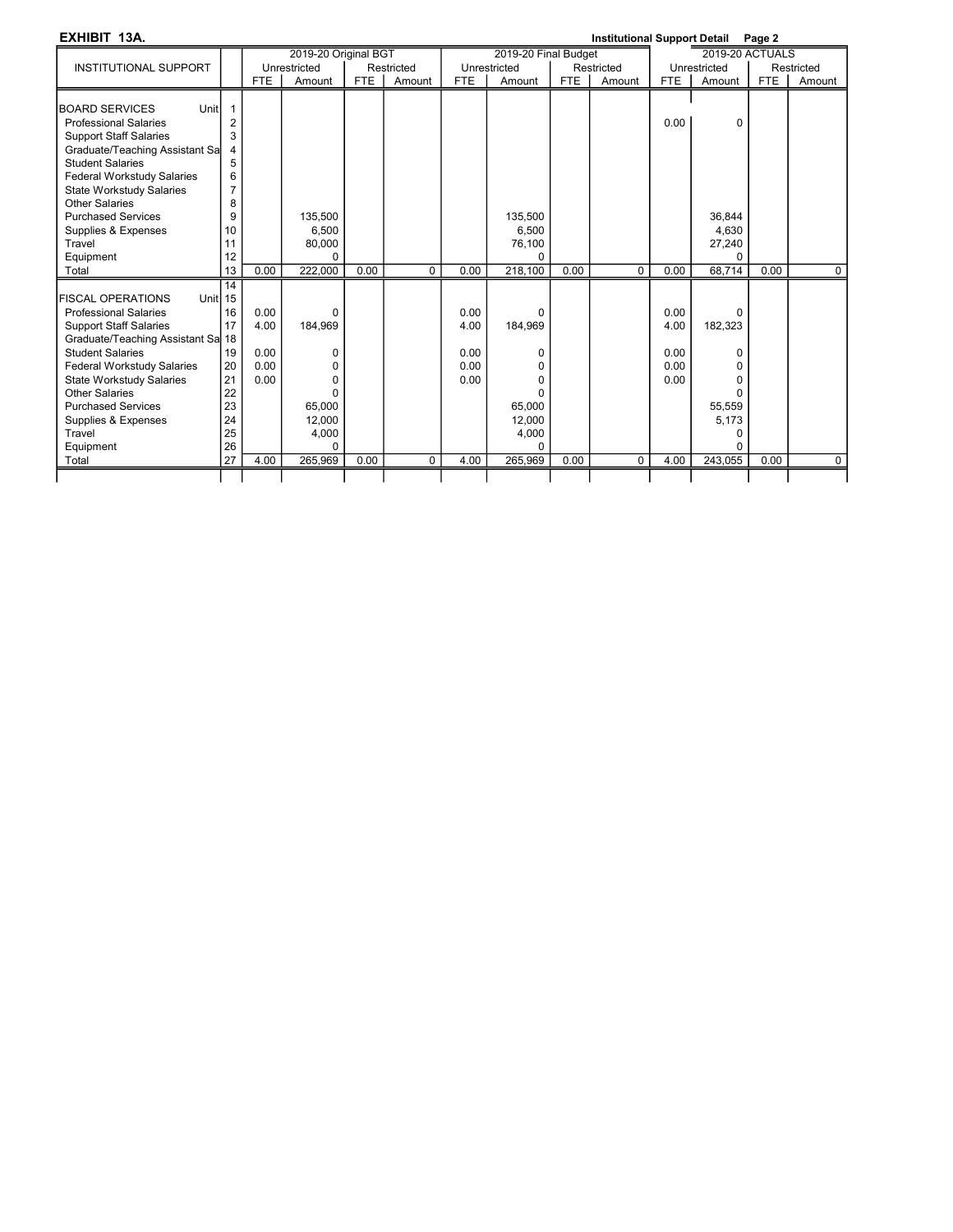| EXHIBIT 13A.                          |                |            |                      |            |            |            |                      |            | <b>Institutional Support Detail</b> |            |                        | Page 2     |             |
|---------------------------------------|----------------|------------|----------------------|------------|------------|------------|----------------------|------------|-------------------------------------|------------|------------------------|------------|-------------|
|                                       |                |            | 2019-20 Original BGT |            |            |            | 2019-20 Final Budget |            |                                     |            | <b>2019-20 ACTUALS</b> |            |             |
| <b>INSTITUTIONAL SUPPORT</b>          |                |            | Unrestricted         |            | Restricted |            | Unrestricted         |            | Restricted                          |            | Unrestricted           |            | Restricted  |
|                                       |                | <b>FTE</b> | Amount               | <b>FTE</b> | Amount     | <b>FTE</b> | Amount               | <b>FTE</b> | Amount                              | <b>FTE</b> | Amount                 | <b>FTE</b> | Amount      |
|                                       |                |            |                      |            |            |            |                      |            |                                     |            |                        |            |             |
| Unit<br><b>BOARD SERVICES</b>         | $\mathbf{1}$   |            |                      |            |            |            |                      |            |                                     |            |                        |            |             |
| <b>Professional Salaries</b>          | $\overline{2}$ |            |                      |            |            |            |                      |            |                                     | 0.00       | 0                      |            |             |
| <b>Support Staff Salaries</b>         | 3              |            |                      |            |            |            |                      |            |                                     |            |                        |            |             |
| Graduate/Teaching Assistant Sa        | 4              |            |                      |            |            |            |                      |            |                                     |            |                        |            |             |
| <b>Student Salaries</b>               | 5              |            |                      |            |            |            |                      |            |                                     |            |                        |            |             |
| <b>Federal Workstudy Salaries</b>     | 6              |            |                      |            |            |            |                      |            |                                     |            |                        |            |             |
| <b>State Workstudy Salaries</b>       | $\overline{7}$ |            |                      |            |            |            |                      |            |                                     |            |                        |            |             |
| Other Salaries                        | 8              |            |                      |            |            |            |                      |            |                                     |            |                        |            |             |
| <b>Purchased Services</b>             | 9              |            | 135.500              |            |            |            | 135,500              |            |                                     |            | 36.844                 |            |             |
| Supplies & Expenses                   | 10             |            | 6,500                |            |            |            | 6,500                |            |                                     |            | 4,630                  |            |             |
| Travel                                | 11             |            | 80,000               |            |            |            | 76,100               |            |                                     |            | 27,240                 |            |             |
| Equipment                             | 12             |            | $\Omega$             |            |            |            | $\Omega$             |            |                                     |            | $\Omega$               |            |             |
| Total                                 | 13             | 0.00       | 222,000              | 0.00       | 0          | 0.00       | 218,100              | 0.00       | $\mathbf 0$                         | 0.00       | 68.714                 | 0.00       | $\mathbf 0$ |
|                                       | 14             |            |                      |            |            |            |                      |            |                                     |            |                        |            |             |
| Unitl 15<br><b>IFISCAL OPERATIONS</b> |                |            |                      |            |            |            |                      |            |                                     |            |                        |            |             |
| <b>Professional Salaries</b>          | 16             | 0.00       | $\Omega$             |            |            | 0.00       | $\Omega$             |            |                                     | 0.00       | $\Omega$               |            |             |
| <b>Support Staff Salaries</b>         | 17             | 4.00       | 184,969              |            |            | 4.00       | 184,969              |            |                                     | 4.00       | 182,323                |            |             |
| Graduate/Teaching Assistant Sa 18     |                |            |                      |            |            |            |                      |            |                                     |            |                        |            |             |
| <b>Student Salaries</b>               | 19             | 0.00       | 0                    |            |            | 0.00       | $\Omega$             |            |                                     | 0.00       | 0                      |            |             |
| <b>Federal Workstudy Salaries</b>     | 20             | 0.00       | $\Omega$             |            |            | 0.00       | 0                    |            |                                     | 0.00       | 0                      |            |             |
| <b>State Workstudy Salaries</b>       | 21             | 0.00       | $\Omega$             |            |            | 0.00       | 0                    |            |                                     | 0.00       | 0                      |            |             |
| Other Salaries                        | 22             |            | $\Omega$             |            |            |            | $\Omega$             |            |                                     |            | 0                      |            |             |
| <b>Purchased Services</b>             | 23             |            | 65,000               |            |            |            | 65,000               |            |                                     |            | 55,559                 |            |             |
| Supplies & Expenses                   | 24             |            | 12,000               |            |            |            | 12,000               |            |                                     |            | 5.173                  |            |             |
| Travel                                | 25             |            | 4,000                |            |            |            | 4,000                |            |                                     |            | 0                      |            |             |
| Equipment                             | 26             |            | $\Omega$             |            |            |            | $\Omega$             |            |                                     |            | 0                      |            |             |
| Total                                 | 27             | 4.00       | 265,969              | 0.00       | $\Omega$   | 4.00       | 265,969              | 0.00       | $\Omega$                            | 4.00       | 243,055                | 0.00       | $\mathbf 0$ |
|                                       |                |            |                      |            |            |            |                      |            |                                     |            |                        |            |             |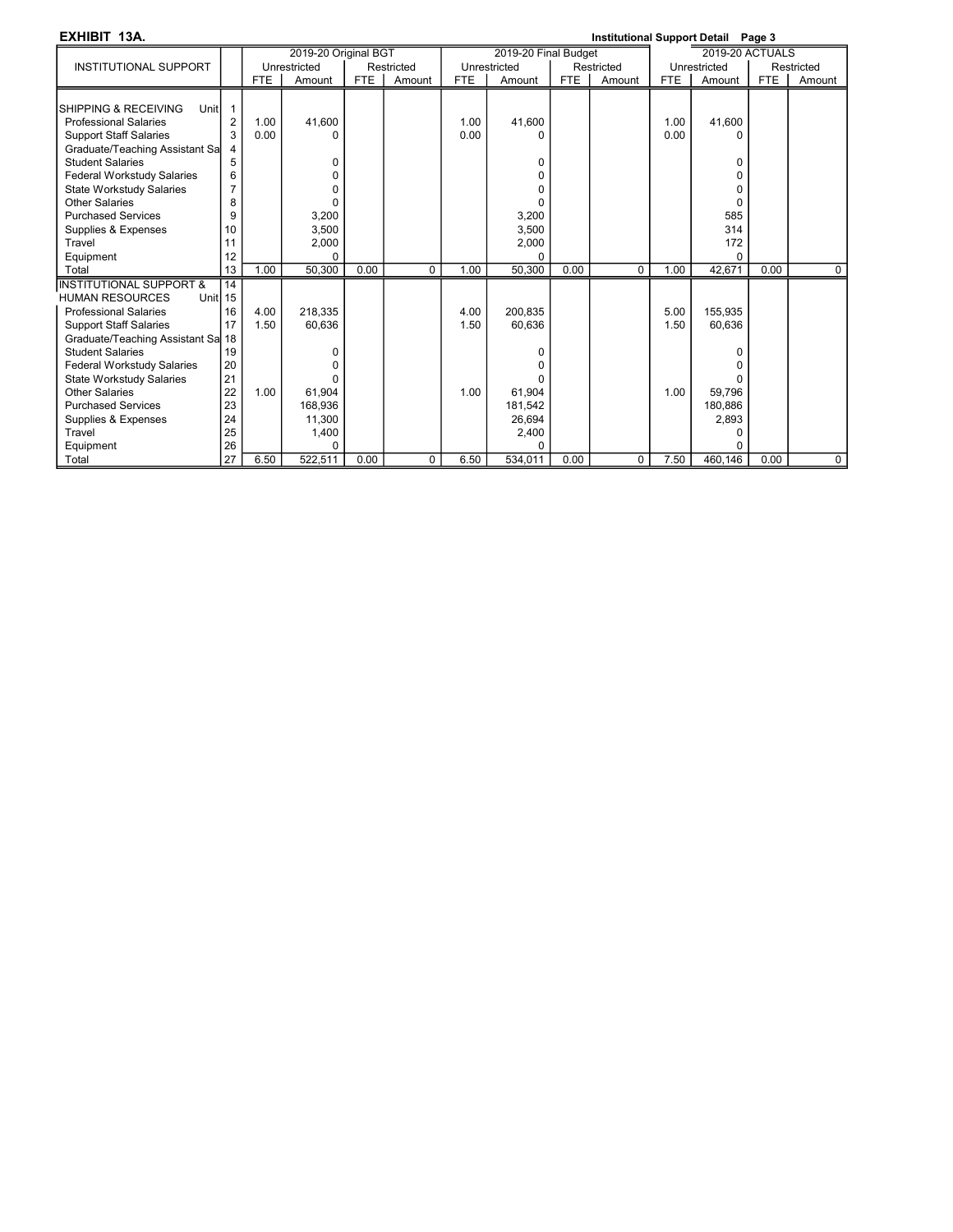| EXHIBIT 13A.                       |                |            |                      |            |            |            |                      |            | Institutional Support Detail Page 3 |      |                 |            |            |
|------------------------------------|----------------|------------|----------------------|------------|------------|------------|----------------------|------------|-------------------------------------|------|-----------------|------------|------------|
|                                    |                |            | 2019-20 Original BGT |            |            |            | 2019-20 Final Budget |            |                                     |      | 2019-20 ACTUALS |            |            |
| <b>INSTITUTIONAL SUPPORT</b>       |                |            | Unrestricted         |            | Restricted |            | Unrestricted         |            | Restricted                          |      | Unrestricted    |            | Restricted |
|                                    |                | <b>FTE</b> | Amount               | <b>FTE</b> | Amount     | <b>FTE</b> | Amount               | <b>FTE</b> | Amount                              | FTE  | Amount          | <b>FTE</b> | Amount     |
|                                    |                |            |                      |            |            |            |                      |            |                                     |      |                 |            |            |
| SHIPPING & RECEIVING<br>Unitl      |                |            |                      |            |            |            |                      |            |                                     |      |                 |            |            |
| <b>Professional Salaries</b>       | $\overline{2}$ | 1.00       | 41.600               |            |            | 1.00       | 41,600               |            |                                     | 1.00 | 41.600          |            |            |
| <b>Support Staff Salaries</b>      | 3              | 0.00       | $\Omega$             |            |            | 0.00       | O                    |            |                                     | 0.00 | O               |            |            |
| Graduate/Teaching Assistant Sal    | 4              |            |                      |            |            |            |                      |            |                                     |      |                 |            |            |
| <b>Student Salaries</b>            | 5              |            | $\Omega$             |            |            |            | 0                    |            |                                     |      | $\Omega$        |            |            |
| <b>Federal Workstudy Salaries</b>  | 6              |            | n                    |            |            |            | $\Omega$             |            |                                     |      | O               |            |            |
| <b>State Workstudy Salaries</b>    | $\overline{7}$ |            | O                    |            |            |            | $\Omega$             |            |                                     |      | O               |            |            |
| Other Salaries                     | 8              |            | U                    |            |            |            | U                    |            |                                     |      | $\Omega$        |            |            |
| <b>Purchased Services</b>          | 9              |            | 3,200                |            |            |            | 3,200                |            |                                     |      | 585             |            |            |
| Supplies & Expenses                | 10             |            | 3,500                |            |            |            | 3,500                |            |                                     |      | 314             |            |            |
| Travel                             | 11             |            | 2,000                |            |            |            | 2,000                |            |                                     |      | 172             |            |            |
| Equipment                          | 12             |            | $\Omega$             |            |            |            | 0                    |            |                                     |      | $\Omega$        |            |            |
| Total                              | 13             | 1.00       | 50,300               | 0.00       | $\Omega$   | 1.00       | 50,300               | 0.00       | $\Omega$                            | 1.00 | 42,671          | 0.00       | $\Omega$   |
| <b>INSTITUTIONAL SUPPORT &amp;</b> | 14             |            |                      |            |            |            |                      |            |                                     |      |                 |            |            |
| <b>HUMAN RESOURCES</b><br>Unitl 15 |                |            |                      |            |            |            |                      |            |                                     |      |                 |            |            |
| <b>Professional Salaries</b>       | 16             | 4.00       | 218.335              |            |            | 4.00       | 200.835              |            |                                     | 5.00 | 155,935         |            |            |
| <b>Support Staff Salaries</b>      | 17             | 1.50       | 60.636               |            |            | 1.50       | 60,636               |            |                                     | 1.50 | 60,636          |            |            |
| Graduate/Teaching Assistant Sa 18  |                |            |                      |            |            |            |                      |            |                                     |      |                 |            |            |
| <b>Student Salaries</b>            | 19             |            | 0                    |            |            |            | 0                    |            |                                     |      | 0               |            |            |
| <b>Federal Workstudy Salaries</b>  | 20             |            | U                    |            |            |            | n                    |            |                                     |      | U               |            |            |
| <b>State Workstudy Salaries</b>    | 21             |            | U                    |            |            |            |                      |            |                                     |      |                 |            |            |
| <b>Other Salaries</b>              | 22             | 1.00       | 61.904               |            |            | 1.00       | 61.904               |            |                                     | 1.00 | 59,796          |            |            |
| <b>Purchased Services</b>          | 23             |            | 168,936              |            |            |            | 181,542              |            |                                     |      | 180,886         |            |            |
| Supplies & Expenses                | 24             |            | 11.300               |            |            |            | 26,694               |            |                                     |      | 2,893           |            |            |
| Travel                             | 25             |            | 1,400                |            |            |            | 2,400                |            |                                     |      | 0               |            |            |
| Equipment                          | 26             |            | $\Omega$             |            |            |            | ŋ                    |            |                                     |      | U               |            |            |
| Total                              | 27             | 6.50       | 522,511              | 0.00       | $\Omega$   | 6.50       | 534,011              | 0.00       | $\Omega$                            | 7.50 | 460,146         | 0.00       | $\Omega$   |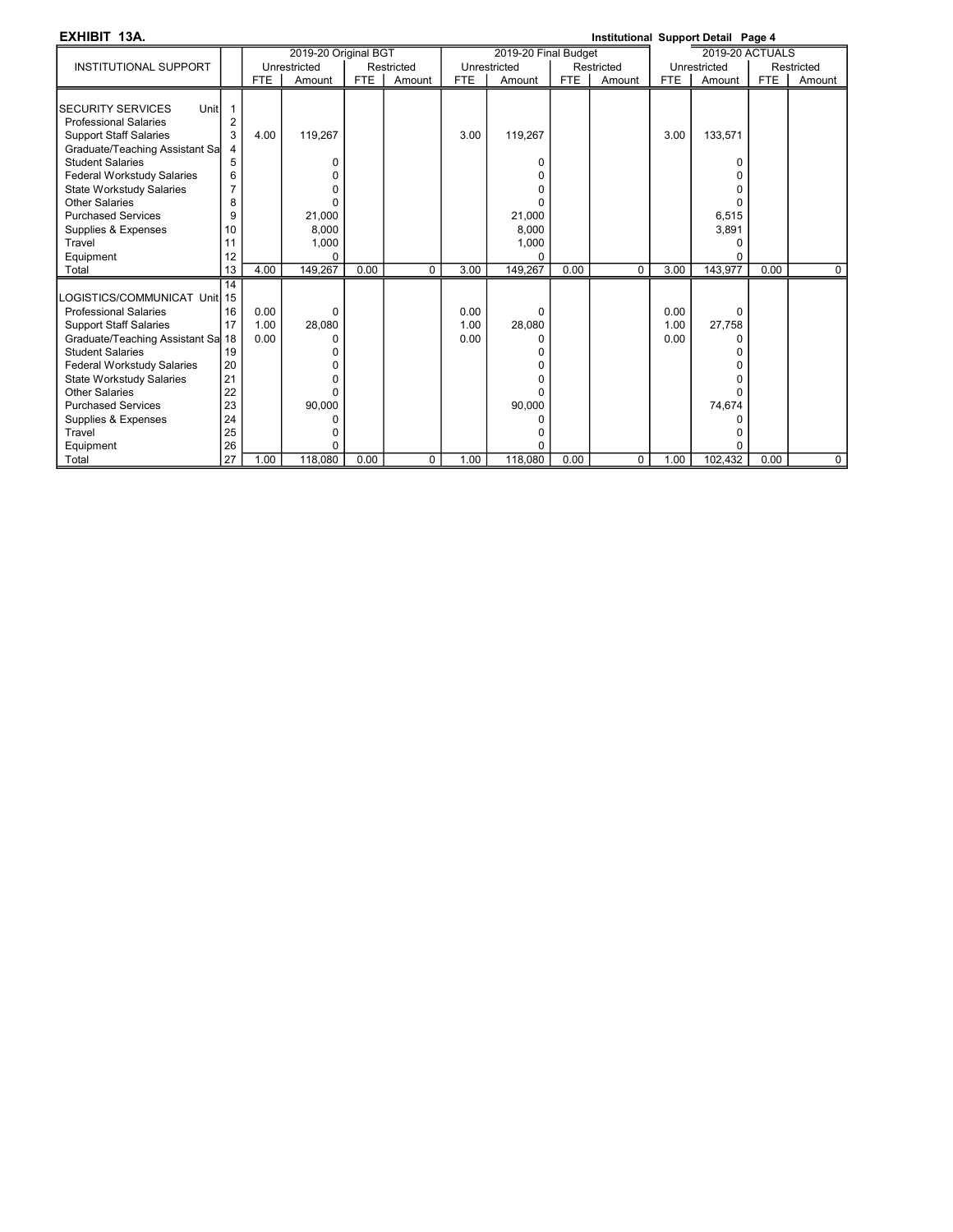EXHIBIT 13A. Institutional Support Detail Page 4

|                                   |                |            | 2019-20 Original BGT |            |            |      | 2019-20 Final Budget |            |            |            | <b>2019-20 ACTUALS</b> |            |              |
|-----------------------------------|----------------|------------|----------------------|------------|------------|------|----------------------|------------|------------|------------|------------------------|------------|--------------|
| <b>INSTITUTIONAL SUPPORT</b>      |                |            | Unrestricted         |            | Restricted |      | Unrestricted         |            | Restricted |            | Unrestricted           |            | Restricted   |
|                                   |                | <b>FTE</b> | Amount               | <b>FTE</b> | Amount     | FTE  | Amount               | <b>FTE</b> | Amount     | <b>FTE</b> | Amount                 | <b>FTE</b> | Amount       |
|                                   |                |            |                      |            |            |      |                      |            |            |            |                        |            |              |
| <b>SECURITY SERVICES</b><br>Unitl |                |            |                      |            |            |      |                      |            |            |            |                        |            |              |
| <b>Professional Salaries</b>      | $\overline{2}$ |            |                      |            |            |      |                      |            |            |            |                        |            |              |
| <b>Support Staff Salaries</b>     |                | 4.00       | 119,267              |            |            | 3.00 | 119,267              |            |            | 3.00       | 133,571                |            |              |
| Graduate/Teaching Assistant Sa    |                |            |                      |            |            |      |                      |            |            |            |                        |            |              |
| <b>Student Salaries</b>           | 5              |            | O                    |            |            |      |                      |            |            |            | $\Omega$               |            |              |
| Federal Workstudy Salaries        | 6              |            |                      |            |            |      |                      |            |            |            |                        |            |              |
| <b>State Workstudy Salaries</b>   | 7              |            |                      |            |            |      |                      |            |            |            | ŋ                      |            |              |
| <b>Other Salaries</b>             | 8              |            | $\Omega$             |            |            |      |                      |            |            |            | U                      |            |              |
| <b>Purchased Services</b>         | 9              |            | 21,000               |            |            |      | 21,000               |            |            |            | 6,515                  |            |              |
| Supplies & Expenses               | 10             |            | 8,000                |            |            |      | 8,000                |            |            |            | 3,891                  |            |              |
| Travel                            | 11             |            | 1,000                |            |            |      | 1,000                |            |            |            | $\Omega$               |            |              |
| Equipment                         | 12             |            | $\Omega$             |            |            |      |                      |            |            |            | $\Omega$               |            |              |
| Total                             | 13             | 4.00       | 149.267              | 0.00       | $\Omega$   | 3.00 | 149.267              | 0.00       | $\Omega$   | 3.00       | 143.977                | 0.00       | $\mathbf{0}$ |
|                                   | 14             |            |                      |            |            |      |                      |            |            |            |                        |            |              |
| LOGISTICS/COMMUNICAT_UnitI 15     |                |            |                      |            |            |      |                      |            |            |            |                        |            |              |
| <b>Professional Salaries</b>      | 16             | 0.00       | 0                    |            |            | 0.00 | $\Omega$             |            |            | 0.00       | $\Omega$               |            |              |
| <b>Support Staff Salaries</b>     | 17             | 1.00       | 28,080               |            |            | 1.00 | 28,080               |            |            | 1.00       | 27,758                 |            |              |
| Graduate/Teaching Assistant Sa 18 |                | 0.00       | O                    |            |            | 0.00 |                      |            |            | 0.00       | $\Omega$               |            |              |
| <b>Student Salaries</b>           | 19             |            |                      |            |            |      |                      |            |            |            | ŋ                      |            |              |
| Federal Workstudy Salaries        | 20             |            |                      |            |            |      |                      |            |            |            |                        |            |              |
| <b>State Workstudy Salaries</b>   | 21             |            |                      |            |            |      |                      |            |            |            |                        |            |              |
| Other Salaries                    | 22             |            | 0                    |            |            |      |                      |            |            |            | U                      |            |              |
| <b>Purchased Services</b>         | 23             |            | 90,000               |            |            |      | 90,000               |            |            |            | 74,674                 |            |              |
| Supplies & Expenses               | 24             |            | O                    |            |            |      |                      |            |            |            | 0                      |            |              |
| Travel                            | 25             |            | O                    |            |            |      |                      |            |            |            | n                      |            |              |
| Equipment                         | 26             |            | $\Omega$             |            |            |      |                      |            |            |            | $\Omega$               |            |              |
| Total                             | 27             | 1.00       | 118,080              | 0.00       | $\Omega$   | 1.00 | 118,080              | 0.00       | $\Omega$   | 1.00       | 102,432                | 0.00       | $\Omega$     |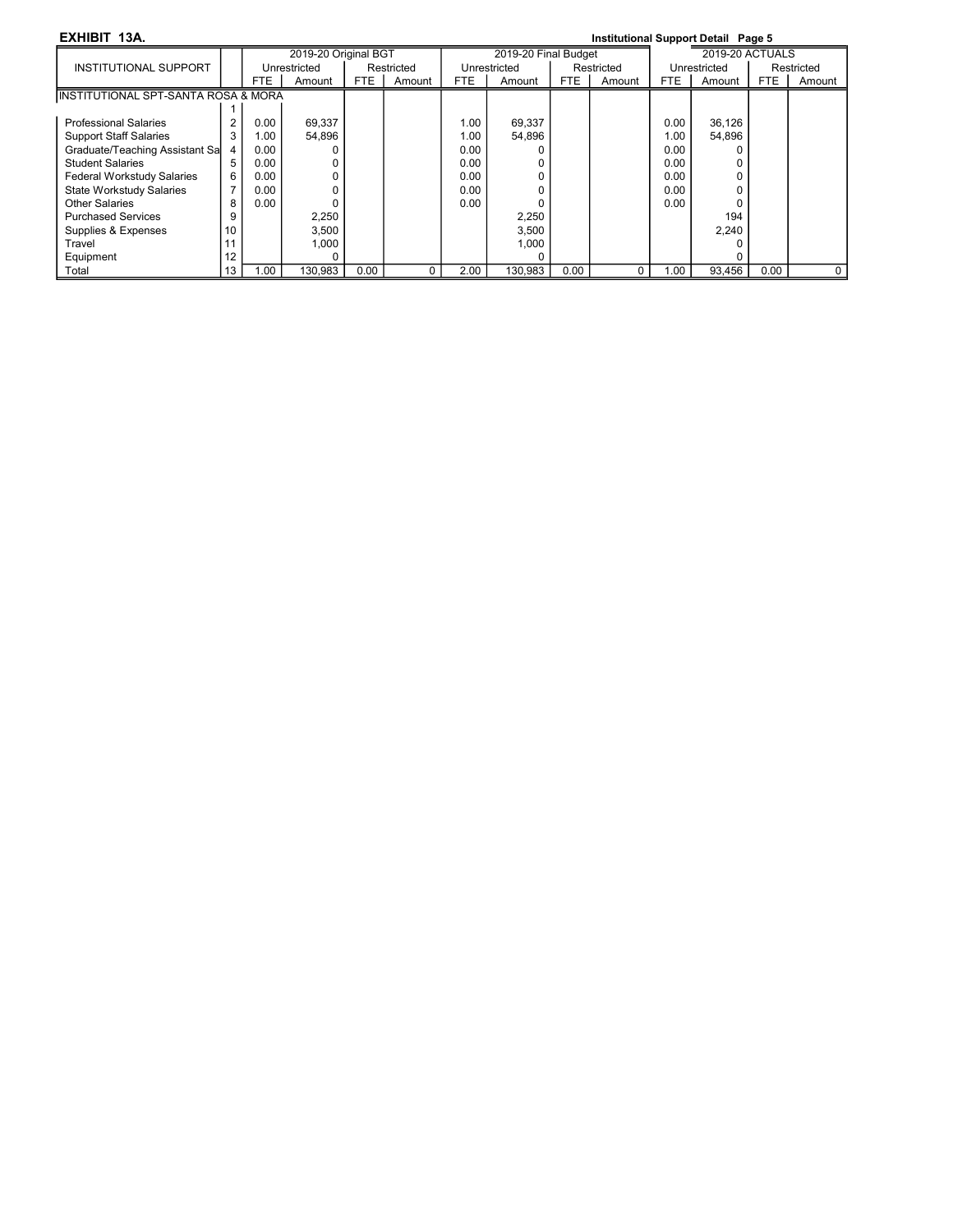### EXHIBIT 13A. Institutional Support Detail Page 5

|                                     |    |            | 2019-20 Original BGT |            |            |      | 2019-20 Final Budget |      |            |      | 2019-20 ACTUALS |      |            |
|-------------------------------------|----|------------|----------------------|------------|------------|------|----------------------|------|------------|------|-----------------|------|------------|
| INSTITUTIONAL SUPPORT               |    |            | Unrestricted         |            | Restricted |      | Unrestricted         |      | Restricted |      | Unrestricted    |      | Restricted |
|                                     |    | <b>FTE</b> | Amount               | <b>FTE</b> | Amount     | FTE. | Amount               | FTE. | Amount     | FTE  | Amount          | FTE  | Amount     |
| INSTITUTIONAL SPT-SANTA ROSA & MORA |    |            |                      |            |            |      |                      |      |            |      |                 |      |            |
|                                     |    |            |                      |            |            |      |                      |      |            |      |                 |      |            |
| <b>Professional Salaries</b>        | 2  | 0.00       | 69,337               |            |            | 1.00 | 69,337               |      |            | 0.00 | 36,126          |      |            |
| <b>Support Staff Salaries</b>       | 3  | 1.00       | 54,896               |            |            | 1.00 | 54,896               |      |            | 1.00 | 54,896          |      |            |
| Graduate/Teaching Assistant Sa      | 4  | 0.00       |                      |            |            | 0.00 |                      |      |            | 0.00 |                 |      |            |
| <b>Student Salaries</b>             | 5  | 0.00       |                      |            |            | 0.00 |                      |      |            | 0.00 |                 |      |            |
| <b>Federal Workstudy Salaries</b>   | 6  | 0.00       |                      |            |            | 0.00 |                      |      |            | 0.00 |                 |      |            |
| <b>State Workstudy Salaries</b>     | 7  | 0.00       |                      |            |            | 0.00 |                      |      |            | 0.00 |                 |      |            |
| Other Salaries                      | 8  | 0.00       |                      |            |            | 0.00 |                      |      |            | 0.00 |                 |      |            |
| <b>Purchased Services</b>           | 9  |            | 2,250                |            |            |      | 2,250                |      |            |      | 194             |      |            |
| Supplies & Expenses                 | 10 |            | 3,500                |            |            |      | 3,500                |      |            |      | 2.240           |      |            |
| Travel                              | 11 |            | 1,000                |            |            |      | 1,000                |      |            |      |                 |      |            |
| Equipment                           | 12 |            |                      |            |            |      |                      |      |            |      |                 |      |            |
| Total                               | 13 | .00        | 130.983              | 0.00       |            | 2.00 | 130.983              | 0.00 | 0          | 1.00 | 93.456          | 0.00 | 0          |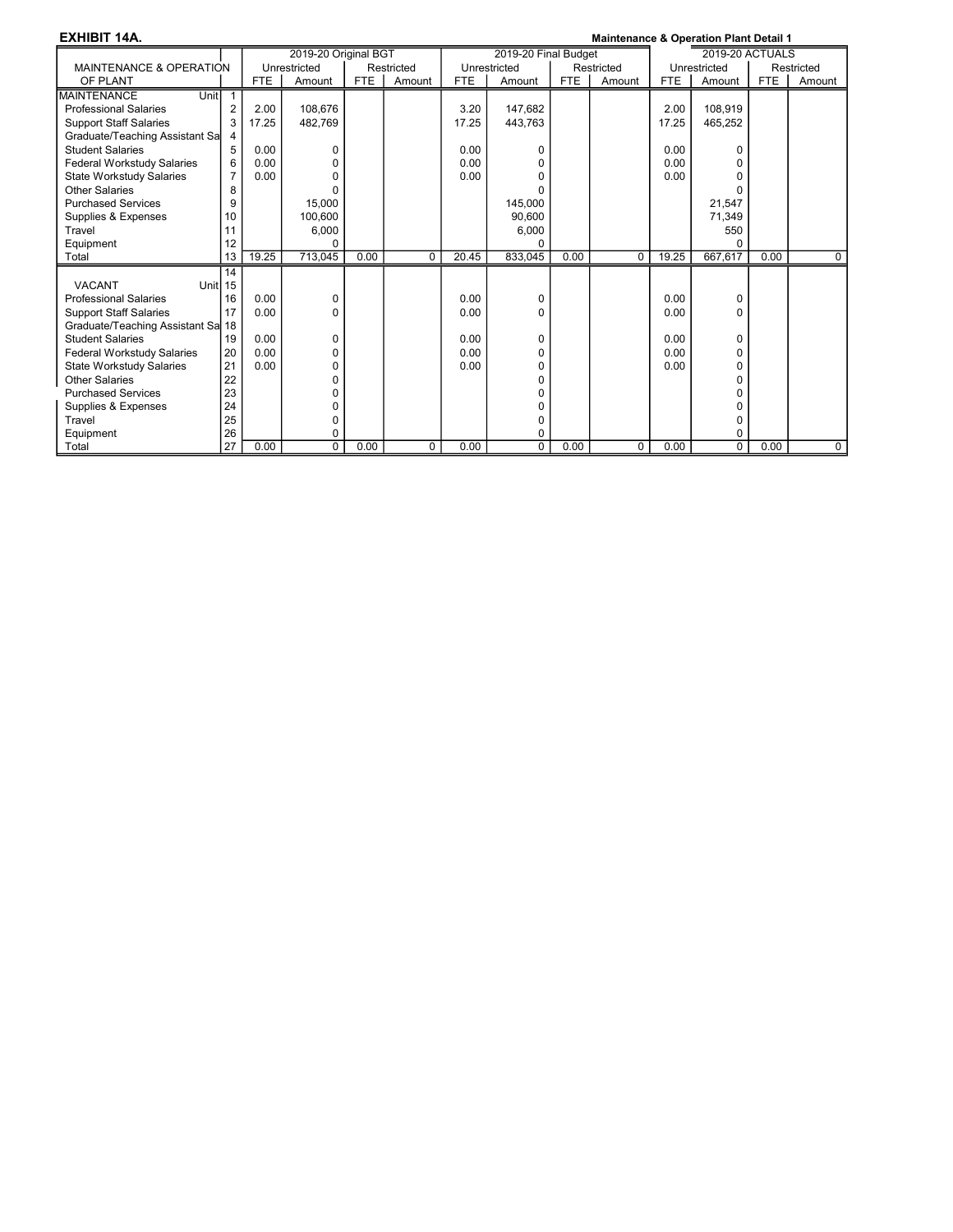| <b>EXHIBIT 14A.</b>               |                |            |                      |            |            |            |                      |            | <b>Maintenance &amp; Operation Plant Detail 1</b> |            |                 |            |             |
|-----------------------------------|----------------|------------|----------------------|------------|------------|------------|----------------------|------------|---------------------------------------------------|------------|-----------------|------------|-------------|
|                                   |                |            | 2019-20 Original BGT |            |            |            | 2019-20 Final Budget |            |                                                   |            | 2019-20 ACTUALS |            |             |
| MAINTENANCE & OPERATION           |                |            | Unrestricted         |            | Restricted |            | Unrestricted         |            | Restricted                                        |            | Unrestricted    |            | Restricted  |
| OF PLANT                          |                | <b>FTE</b> | Amount               | <b>FTE</b> | Amount     | <b>FTE</b> | Amount               | <b>FTE</b> | Amount                                            | <b>FTE</b> | Amount          | <b>FTE</b> | Amount      |
| Unit<br><b>MAINTENANCE</b>        |                |            |                      |            |            |            |                      |            |                                                   |            |                 |            |             |
| <b>Professional Salaries</b>      | $\overline{2}$ | 2.00       | 108.676              |            |            | 3.20       | 147.682              |            |                                                   | 2.00       | 108.919         |            |             |
| <b>Support Staff Salaries</b>     | 3              | 17.25      | 482,769              |            |            | 17.25      | 443.763              |            |                                                   | 17.25      | 465,252         |            |             |
| Graduate/Teaching Assistant Sa    | 4              |            |                      |            |            |            |                      |            |                                                   |            |                 |            |             |
| <b>Student Salaries</b>           | 5              | 0.00       | 0                    |            |            | 0.00       | 0                    |            |                                                   | 0.00       | 0               |            |             |
| <b>Federal Workstudy Salaries</b> | 6              | 0.00       | 0                    |            |            | 0.00       | n                    |            |                                                   | 0.00       | U               |            |             |
| <b>State Workstudy Salaries</b>   | 7              | 0.00       | 0                    |            |            | 0.00       |                      |            |                                                   | 0.00       | ŋ               |            |             |
| Other Salaries                    | 8              |            | $\Omega$             |            |            |            |                      |            |                                                   |            | O               |            |             |
| <b>Purchased Services</b>         | 9              |            | 15,000               |            |            |            | 145,000              |            |                                                   |            | 21,547          |            |             |
| Supplies & Expenses               | 10             |            | 100,600              |            |            |            | 90,600               |            |                                                   |            | 71,349          |            |             |
| Travel                            | 11             |            | 6,000                |            |            |            | 6,000                |            |                                                   |            | 550             |            |             |
| Equipment                         | 12             |            | $\Omega$             |            |            |            |                      |            |                                                   |            | ŋ               |            |             |
| Total                             | 13             | 19.25      | 713,045              | 0.00       | $\Omega$   | 20.45      | 833,045              | 0.00       | $\Omega$                                          | 19.25      | 667.617         | 0.00       | $\mathbf 0$ |
|                                   | 14             |            |                      |            |            |            |                      |            |                                                   |            |                 |            |             |
| <b>VACANT</b><br>Unitl 15         |                |            |                      |            |            |            |                      |            |                                                   |            |                 |            |             |
| <b>Professional Salaries</b>      | 16             | 0.00       | 0                    |            |            | 0.00       | $\mathbf 0$          |            |                                                   | 0.00       | 0               |            |             |
| <b>Support Staff Salaries</b>     | 17             | 0.00       | 0                    |            |            | 0.00       | $\Omega$             |            |                                                   | 0.00       | 0               |            |             |
| Graduate/Teaching Assistant Sa 18 |                |            |                      |            |            |            |                      |            |                                                   |            |                 |            |             |
| <b>Student Salaries</b>           | 19             | 0.00       | 0                    |            |            | 0.00       | $\Omega$             |            |                                                   | 0.00       | 0               |            |             |
| <b>Federal Workstudy Salaries</b> | 20             | 0.00       | $\mathbf 0$          |            |            | 0.00       | 0                    |            |                                                   | 0.00       | 0               |            |             |
| <b>State Workstudy Salaries</b>   | 21             | 0.00       | 0                    |            |            | 0.00       | $\Omega$             |            |                                                   | 0.00       | O               |            |             |
| Other Salaries                    | 22             |            | 0                    |            |            |            | 0                    |            |                                                   |            | 0               |            |             |
| <b>Purchased Services</b>         | 23             |            | 0                    |            |            |            | 0                    |            |                                                   |            | O               |            |             |
| Supplies & Expenses               | 24             |            | 0                    |            |            |            | n                    |            |                                                   |            | O               |            |             |
| Travel                            | 25             |            | 0                    |            |            |            | 0                    |            |                                                   |            | 0               |            |             |
| Equipment                         | 26             |            | 0                    |            |            |            | 0                    |            |                                                   |            | 0               |            |             |
| Total                             | 27             | 0.00       | 0                    | 0.00       | 0          | 0.00       | 0                    | 0.00       | 0                                                 | 0.00       | 0               | 0.00       | $\mathbf 0$ |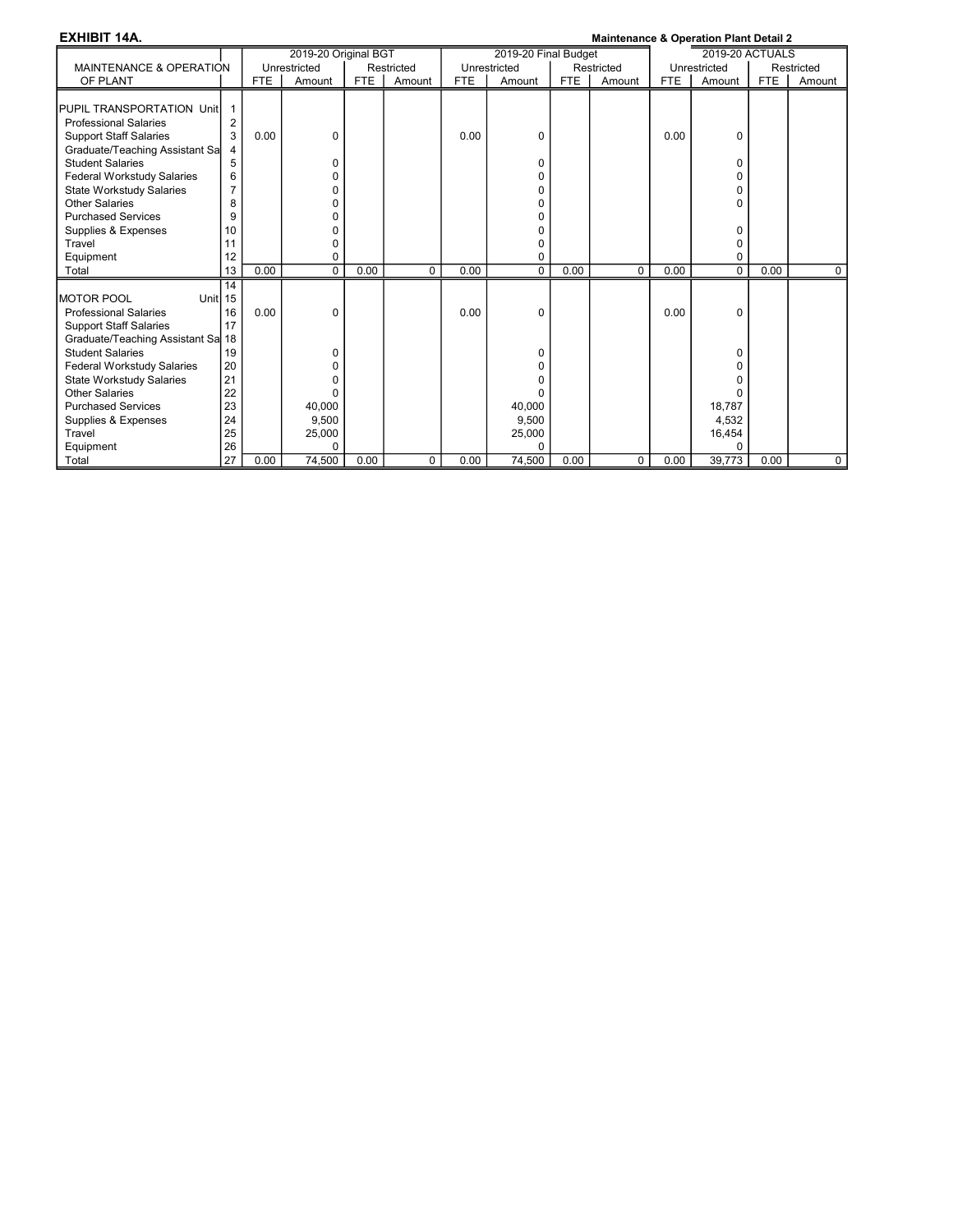| <b>EXHIBIT 14A.</b>                |                |      |                      |            |            |      |                      |            | <b>Maintenance &amp; Operation Plant Detail 2</b> |      |                        |            |            |
|------------------------------------|----------------|------|----------------------|------------|------------|------|----------------------|------------|---------------------------------------------------|------|------------------------|------------|------------|
|                                    |                |      | 2019-20 Original BGT |            |            |      | 2019-20 Final Budget |            |                                                   |      | <b>2019-20 ACTUALS</b> |            |            |
| <b>MAINTENANCE &amp; OPERATION</b> |                |      | Unrestricted         |            | Restricted |      | Unrestricted         |            | Restricted                                        |      | Unrestricted           |            | Restricted |
| OF PLANT                           |                | FTE  | Amount               | <b>FTE</b> | Amount     | FTE. | Amount               | <b>FTE</b> | Amount                                            | FTE  | Amount                 | <b>FTE</b> | Amount     |
|                                    |                |      |                      |            |            |      |                      |            |                                                   |      |                        |            |            |
| PUPIL TRANSPORTATION Unit          | 1              |      |                      |            |            |      |                      |            |                                                   |      |                        |            |            |
| <b>Professional Salaries</b>       | $\overline{2}$ |      |                      |            |            |      |                      |            |                                                   |      |                        |            |            |
| <b>Support Staff Salaries</b>      | 3              | 0.00 | 0                    |            |            | 0.00 | 0                    |            |                                                   | 0.00 | 0                      |            |            |
| Graduate/Teaching Assistant Sa     | 4              |      |                      |            |            |      |                      |            |                                                   |      |                        |            |            |
| <b>Student Salaries</b>            | 5              |      | 0                    |            |            |      | $\Omega$             |            |                                                   |      | 0                      |            |            |
| <b>Federal Workstudy Salaries</b>  | 6              |      | $\Omega$             |            |            |      | 0                    |            |                                                   |      | 0                      |            |            |
| <b>State Workstudy Salaries</b>    | $\overline{7}$ |      | 0                    |            |            |      | 0                    |            |                                                   |      | 0                      |            |            |
| Other Salaries                     | 8              |      | 0                    |            |            |      | O                    |            |                                                   |      | 0                      |            |            |
| <b>Purchased Services</b>          | 9              |      | 0                    |            |            |      | O                    |            |                                                   |      |                        |            |            |
| Supplies & Expenses                | 10             |      | 0                    |            |            |      | 0                    |            |                                                   |      | 0                      |            |            |
| Travel                             | 11             |      | 0                    |            |            |      | O                    |            |                                                   |      | 0                      |            |            |
| Equipment                          | 12             |      | 0                    |            |            |      | O                    |            |                                                   |      | 0                      |            |            |
| Total                              | 13             | 0.00 | $\Omega$             | 0.00       | $\Omega$   | 0.00 | $\Omega$             | 0.00       | $\Omega$                                          | 0.00 | $\Omega$               | 0.00       | 0          |
|                                    | 14             |      |                      |            |            |      |                      |            |                                                   |      |                        |            |            |
| Unitl 15<br>IMOTOR POOL            |                |      |                      |            |            |      |                      |            |                                                   |      |                        |            |            |
| <b>Professional Salaries</b>       | 16             | 0.00 | 0                    |            |            | 0.00 | $\Omega$             |            |                                                   | 0.00 | 0                      |            |            |
| <b>Support Staff Salaries</b>      | 17             |      |                      |            |            |      |                      |            |                                                   |      |                        |            |            |
| Graduate/Teaching Assistant Sa 18  |                |      |                      |            |            |      |                      |            |                                                   |      |                        |            |            |
| <b>Student Salaries</b>            | 19             |      | 0                    |            |            |      | 0                    |            |                                                   |      | 0                      |            |            |
| <b>Federal Workstudy Salaries</b>  | 20             |      | $\Omega$             |            |            |      | 0                    |            |                                                   |      | O                      |            |            |
| State Workstudy Salaries           | 21             |      | 0                    |            |            |      | O                    |            |                                                   |      | n                      |            |            |
| <b>Other Salaries</b>              | 22             |      | $\Omega$             |            |            |      | O                    |            |                                                   |      | O                      |            |            |
| <b>Purchased Services</b>          | 23             |      | 40,000               |            |            |      | 40,000               |            |                                                   |      | 18,787                 |            |            |
| Supplies & Expenses                | 24             |      | 9,500                |            |            |      | 9,500                |            |                                                   |      | 4,532                  |            |            |
| Travel                             | 25             |      | 25,000               |            |            |      | 25,000               |            |                                                   |      | 16,454                 |            |            |
| Equipment                          | 26             |      | 0                    |            |            |      |                      |            |                                                   |      | O                      |            |            |
| Total                              | 27             | 0.00 | 74,500               | 0.00       | $\Omega$   | 0.00 | 74,500               | 0.00       | $\Omega$                                          | 0.00 | 39,773                 | 0.00       | $\Omega$   |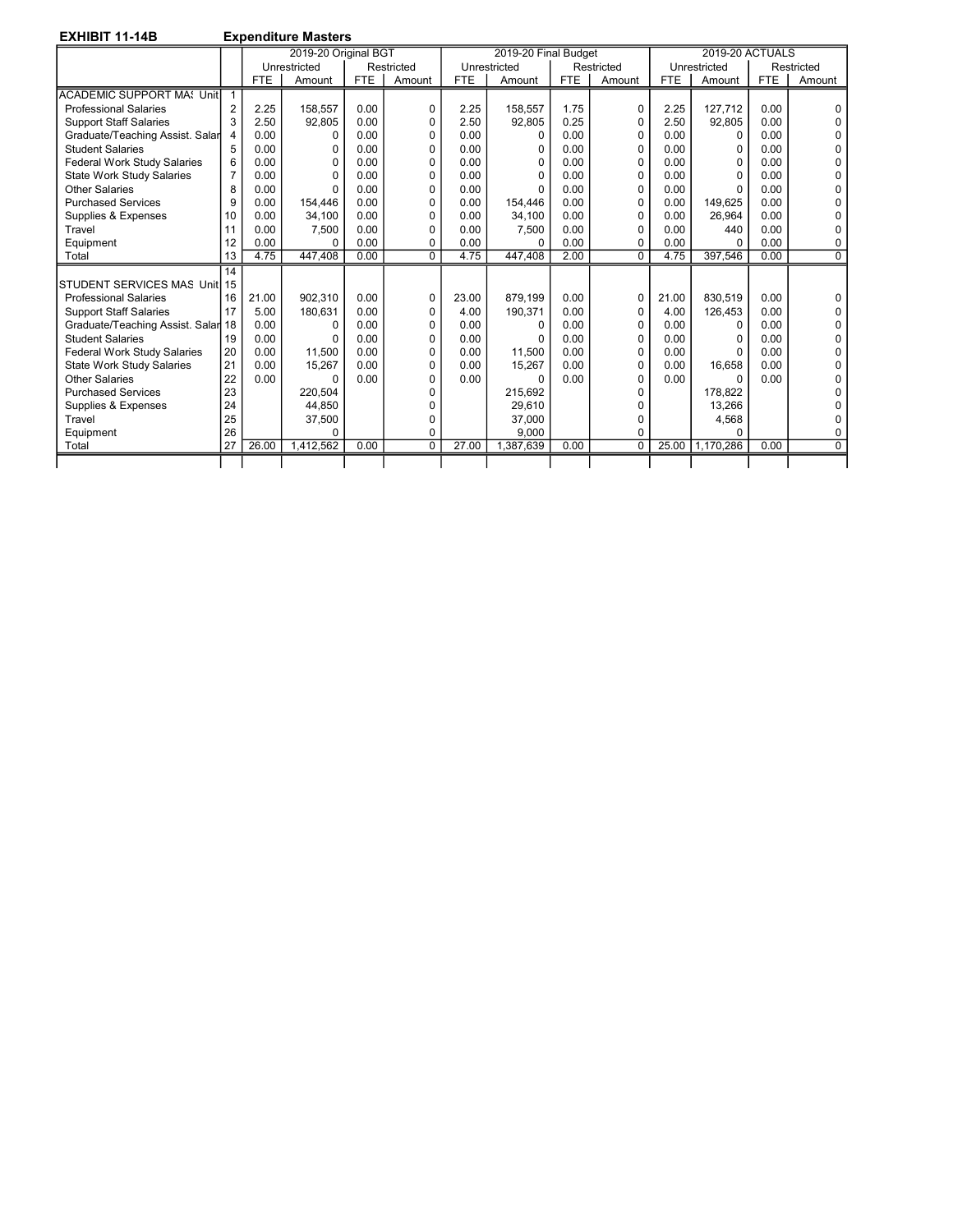EXHIBIT 11-14B Expenditure Masters

|                                    |                |            | 2019-20 Original BGT |            |              |            | 2019-20 Final Budget |            |            |            | <b>2019-20 ACTUALS</b> |            |                |
|------------------------------------|----------------|------------|----------------------|------------|--------------|------------|----------------------|------------|------------|------------|------------------------|------------|----------------|
|                                    |                |            | Unrestricted         |            | Restricted   |            | Unrestricted         |            | Restricted |            | Unrestricted           |            | Restricted     |
|                                    |                | <b>FTE</b> | Amount               | <b>FTE</b> | Amount       | <b>FTE</b> | Amount               | <b>FTE</b> | Amount     | <b>FTE</b> | Amount                 | <b>FTE</b> | Amount         |
| <b>ACADEMIC SUPPORT MA: Unit</b>   | $\overline{1}$ |            |                      |            |              |            |                      |            |            |            |                        |            |                |
| <b>Professional Salaries</b>       | $\overline{2}$ | 2.25       | 158.557              | 0.00       | 0            | 2.25       | 158.557              | 1.75       | 0          | 2.25       | 127.712                | 0.00       | $\Omega$       |
| <b>Support Staff Salaries</b>      | 3              | 2.50       | 92,805               | 0.00       | <sup>0</sup> | 2.50       | 92,805               | 0.25       | $\Omega$   | 2.50       | 92.805                 | 0.00       | $\Omega$       |
| Graduate/Teaching Assist. Salar    | 4              | 0.00       | 0                    | 0.00       | O            | 0.00       | 0                    | 0.00       | $\Omega$   | 0.00       | 0                      | 0.00       | 0              |
| <b>Student Salaries</b>            | 5              | 0.00       | 0                    | 0.00       | $\Omega$     | 0.00       | O                    | 0.00       | 0          | 0.00       | 0                      | 0.00       | $\Omega$       |
| <b>Federal Work Study Salaries</b> | 6              | 0.00       | O                    | 0.00       | $\Omega$     | 0.00       |                      | 0.00       | U          | 0.00       | $\Omega$               | 0.00       | 0              |
| <b>State Work Study Salaries</b>   | $\overline{7}$ | 0.00       | $\Omega$             | 0.00       | $\Omega$     | 0.00       |                      | 0.00       | $\Omega$   | 0.00       | $\Omega$               | 0.00       | $\Omega$       |
| <b>Other Salaries</b>              | 8              | 0.00       | $\Omega$             | 0.00       | 0            | 0.00       |                      | 0.00       | 0          | 0.00       | $\Omega$               | 0.00       | 0              |
| <b>Purchased Services</b>          | 9              | 0.00       | 154,446              | 0.00       | $\Omega$     | 0.00       | 154.446              | 0.00       | 0          | 0.00       | 149.625                | 0.00       | $\Omega$       |
| Supplies & Expenses                | 10             | 0.00       | 34,100               | 0.00       | O            | 0.00       | 34.100               | 0.00       | U          | 0.00       | 26.964                 | 0.00       | $\Omega$       |
| Travel                             | 11             | 0.00       | 7.500                | 0.00       | $\Omega$     | 0.00       | 7.500                | 0.00       | 0          | 0.00       | 440                    | 0.00       | 0              |
| Equipment                          | 12             | 0.00       | O                    | 0.00       | O            | 0.00       | U                    | 0.00       | 0          | 0.00       | U                      | 0.00       | 0              |
| Total                              | 13             | 4.75       | 447.408              | 0.00       | $\Omega$     | 4.75       | 447.408              | 2.00       | $\Omega$   | 4.75       | 397.546                | 0.00       | $\overline{0}$ |
|                                    | 14             |            |                      |            |              |            |                      |            |            |            |                        |            |                |
| STUDENT SERVICES MAS Unit 15       |                |            |                      |            |              |            |                      |            |            |            |                        |            |                |
| <b>Professional Salaries</b>       | 16             | 21.00      | 902.310              | 0.00       | $\Omega$     | 23.00      | 879.199              | 0.00       | $\Omega$   | 21.00      | 830.519                | 0.00       | $\Omega$       |
| <b>Support Staff Salaries</b>      | 17             | 5.00       | 180.631              | 0.00       | 0            | 4.00       | 190.371              | 0.00       | $\Omega$   | 4.00       | 126.453                | 0.00       | $\Omega$       |
| Graduate/Teaching Assist. Salar 18 |                | 0.00       | $\Omega$             | 0.00       | 0            | 0.00       |                      | 0.00       | $\Omega$   | 0.00       | 0                      | 0.00       | $\Omega$       |
| <b>Student Salaries</b>            | 19             | 0.00       | O                    | 0.00       | $\Omega$     | 0.00       |                      | 0.00       | U          | 0.00       | $\Omega$               | 0.00       | $\Omega$       |
| <b>Federal Work Study Salaries</b> | 20             | 0.00       | 11,500               | 0.00       | 0            | 0.00       | 11.500               | 0.00       | 0          | 0.00       | $\Omega$               | 0.00       | 0              |
| <b>State Work Study Salaries</b>   | 21             | 0.00       | 15,267               | 0.00       | 0            | 0.00       | 15.267               | 0.00       | $\Omega$   | 0.00       | 16.658                 | 0.00       | 0              |
| <b>Other Salaries</b>              | 22             | 0.00       | $\Omega$             | 0.00       | U            | 0.00       | ŋ                    | 0.00       | U          | 0.00       | $\Omega$               | 0.00       | 0              |
| <b>Purchased Services</b>          | 23             |            | 220.504              |            | n            |            | 215.692              |            | U          |            | 178.822                |            | $\Omega$       |
| Supplies & Expenses                | 24             |            | 44.850               |            |              |            | 29.610               |            | U          |            | 13.266                 |            | ŋ              |
| Travel                             | 25             |            | 37,500               |            |              |            | 37,000               |            | n          |            | 4,568                  |            | 0              |
| Equipment                          | 26             |            | 0                    |            | 0            |            | 9,000                |            | 0          |            | ŋ                      |            | 0              |
| Total                              | 27             | 26.00      | 1,412,562            | 0.00       | $\Omega$     | 27.00      | 1,387,639            | 0.00       | $\Omega$   | 25.00      | 1,170,286              | 0.00       | $\overline{0}$ |
|                                    |                |            |                      |            |              |            |                      |            |            |            |                        |            |                |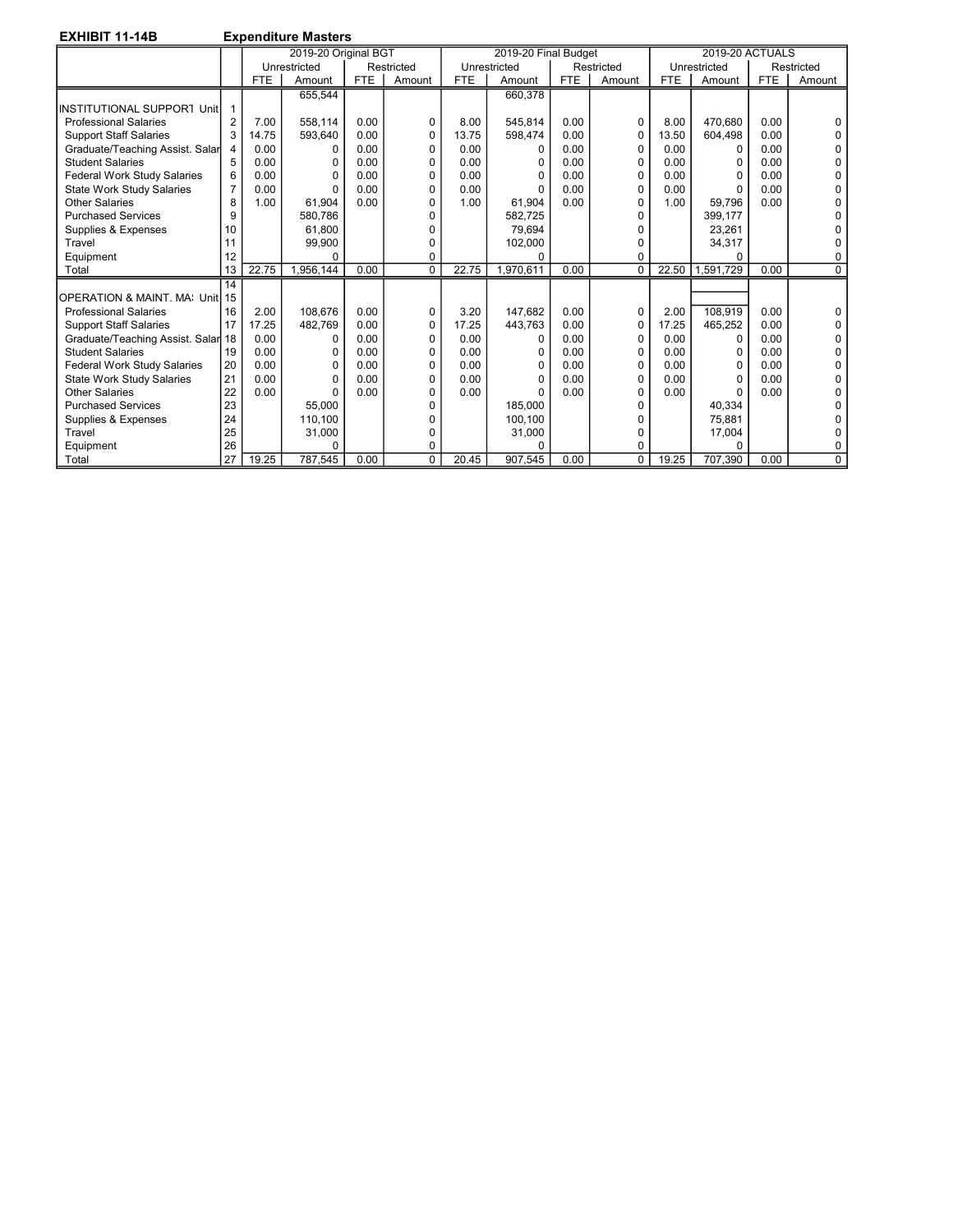| <b>EXHIBIT 11-14B</b>              |                |            | <b>Expenditure Masters</b> |            |             |            |                      |            |              |            |                        |            |            |
|------------------------------------|----------------|------------|----------------------------|------------|-------------|------------|----------------------|------------|--------------|------------|------------------------|------------|------------|
|                                    |                |            | 2019-20 Original BGT       |            |             |            | 2019-20 Final Budget |            |              |            | <b>2019-20 ACTUALS</b> |            |            |
|                                    |                |            | Unrestricted               |            | Restricted  |            | Unrestricted         |            | Restricted   |            | Unrestricted           |            | Restricted |
|                                    |                | <b>FTE</b> | Amount                     | <b>FTE</b> | Amount      | <b>FTE</b> | Amount               | <b>FTE</b> | Amount       | <b>FTE</b> | Amount                 | <b>FTE</b> | Amount     |
|                                    |                |            | 655,544                    |            |             |            | 660.378              |            |              |            |                        |            |            |
| <b>INSTITUTIONAL SUPPORT Unit</b>  |                |            |                            |            |             |            |                      |            |              |            |                        |            |            |
| <b>Professional Salaries</b>       | 2              | 7.00       | 558.114                    | 0.00       | $\Omega$    | 8.00       | 545.814              | 0.00       | $\Omega$     | 8.00       | 470.680                | 0.00       |            |
| <b>Support Staff Salaries</b>      | 3              | 14.75      | 593,640                    | 0.00       | $\mathbf 0$ | 13.75      | 598,474              | 0.00       | $\Omega$     | 13.50      | 604,498                | 0.00       |            |
| Graduate/Teaching Assist. Salar    | 4              | 0.00       | 0                          | 0.00       | $\Omega$    | 0.00       | $\Omega$             | 0.00       | 0            | 0.00       | $\Omega$               | 0.00       |            |
| <b>Student Salaries</b>            | 5              | 0.00       | O                          | 0.00       | $\Omega$    | 0.00       | 0                    | 0.00       | <sup>0</sup> | 0.00       | $\Omega$               | 0.00       |            |
| <b>Federal Work Study Salaries</b> | 6              | 0.00       | O                          | 0.00       | $\Omega$    | 0.00       |                      | 0.00       | $\Omega$     | 0.00       | $\Omega$               | 0.00       |            |
| <b>State Work Study Salaries</b>   | $\overline{7}$ | 0.00       | 0                          | 0.00       | $\Omega$    | 0.00       |                      | 0.00       | 0            | 0.00       | $\Omega$               | 0.00       |            |
| <b>Other Salaries</b>              | 8              | 1.00       | 61.904                     | 0.00       | $\Omega$    | 1.00       | 61.904               | 0.00       | O            | 1.00       | 59.796                 | 0.00       |            |
| <b>Purchased Services</b>          | 9              |            | 580.786                    |            |             |            | 582,725              |            |              |            | 399,177                |            |            |
| Supplies & Expenses                | 10             |            | 61.800                     |            |             |            | 79.694               |            |              |            | 23.261                 |            |            |
| Travel                             | 11             |            | 99,900                     |            | n           |            | 102,000              |            | n            |            | 34,317                 |            |            |
| Equipment                          | 12             |            | $\Omega$                   |            | $\Omega$    |            | U                    |            | 0            |            | ŋ                      |            |            |
| Total                              | 13             | 22.75      | 1.956.144                  | 0.00       | $\Omega$    | 22.75      | 1.970.611            | 0.00       | $\Omega$     | 22.50      | 1.591.729              | 0.00       | $\Omega$   |
|                                    | 14             |            |                            |            |             |            |                      |            |              |            |                        |            |            |
| OPERATION & MAINT. MA: Unit 15     |                |            |                            |            |             |            |                      |            |              |            |                        |            |            |
| <b>Professional Salaries</b>       | 16             | 2.00       | 108.676                    | 0.00       | 0           | 3.20       | 147.682              | 0.00       | 0            | 2.00       | 108,919                | 0.00       |            |
| <b>Support Staff Salaries</b>      | 17             | 17.25      | 482.769                    | 0.00       | $\Omega$    | 17.25      | 443.763              | 0.00       | 0            | 17.25      | 465.252                | 0.00       |            |
| Graduate/Teaching Assist. Salar 18 |                | 0.00       | 0                          | 0.00       | $\Omega$    | 0.00       | $\Omega$             | 0.00       | 0            | 0.00       | 0                      | 0.00       |            |
| <b>Student Salaries</b>            | 19             | 0.00       | O                          | 0.00       | $\Omega$    | 0.00       |                      | 0.00       | 0            | 0.00       | $\Omega$               | 0.00       |            |
| Federal Work Study Salaries        | 20             | 0.00       | O                          | 0.00       | $\Omega$    | 0.00       |                      | 0.00       | O            | 0.00       | $\Omega$               | 0.00       |            |
| <b>State Work Study Salaries</b>   | 21             | 0.00       | 0                          | 0.00       | $\Omega$    | 0.00       | U                    | 0.00       | 0            | 0.00       | $\Omega$               | 0.00       |            |
| Other Salaries                     | 22             | 0.00       | $\Omega$                   | 0.00       | $\Omega$    | 0.00       | U                    | 0.00       | O            | 0.00       | ŋ                      | 0.00       |            |
| <b>Purchased Services</b>          | 23             |            | 55.000                     |            |             |            | 185.000              |            |              |            | 40.334                 |            |            |
| Supplies & Expenses                | 24             |            | 110.100                    |            |             |            | 100,100              |            |              |            | 75.881                 |            |            |
| Travel                             | 25             |            | 31,000                     |            |             |            | 31,000               |            | n            |            | 17,004                 |            |            |
| Equipment                          | 26             |            | $\Omega$                   |            | 0           |            |                      |            | 0            |            |                        |            |            |
| Total                              | 27             | 19.25      | 787,545                    | 0.00       | $\Omega$    | 20.45      | 907,545              | 0.00       | $\Omega$     | 19.25      | 707,390                | 0.00       | $\Omega$   |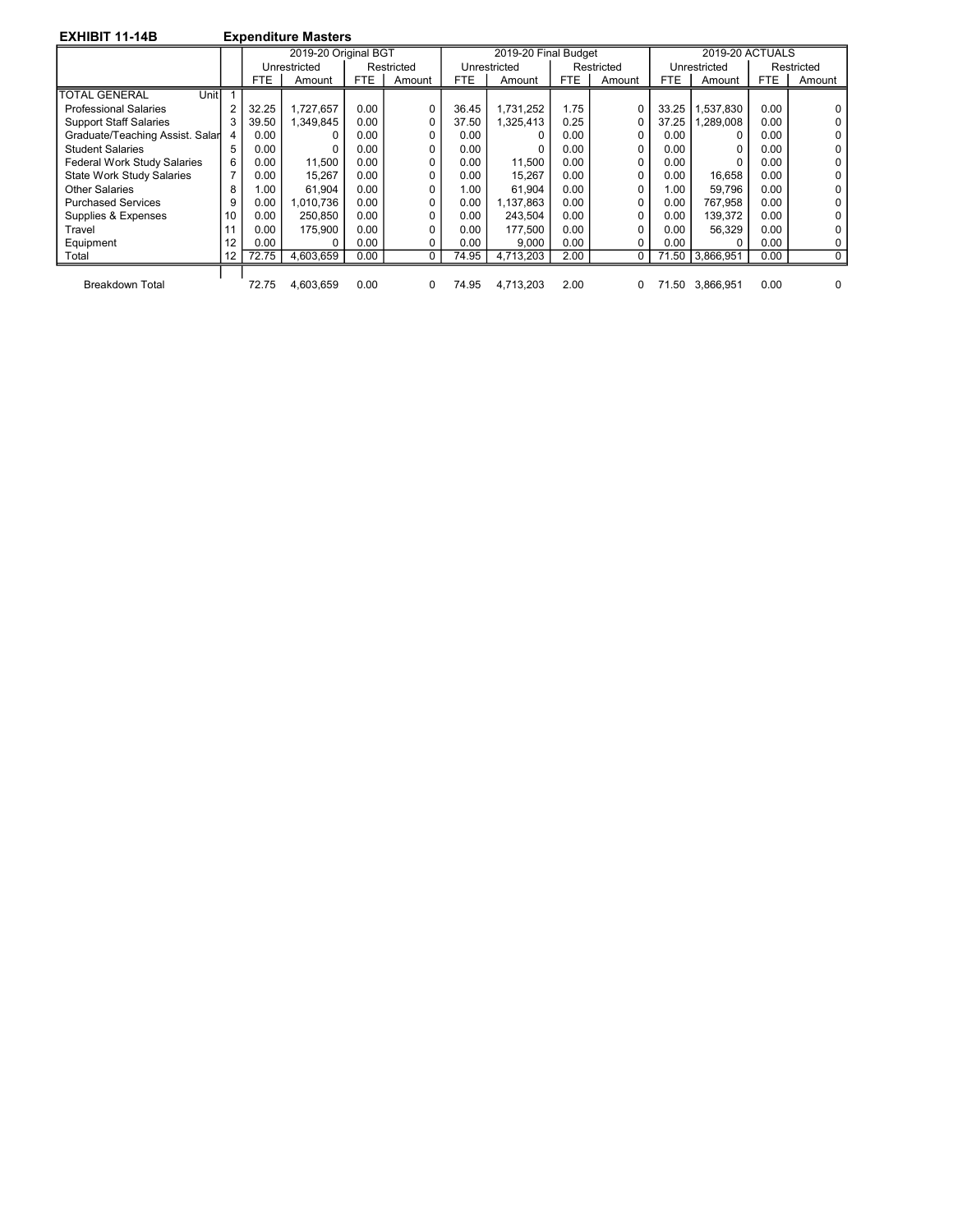| <b>EXHIBIT 11-14B</b> |  |
|-----------------------|--|
|-----------------------|--|

**Expenditure Masters** 

| -----------                      |                |            |                      |            |            |            |                      |      |            |            |                        |      |            |
|----------------------------------|----------------|------------|----------------------|------------|------------|------------|----------------------|------|------------|------------|------------------------|------|------------|
|                                  |                |            | 2019-20 Original BGT |            |            |            | 2019-20 Final Budget |      |            |            | <b>2019-20 ACTUALS</b> |      |            |
|                                  |                |            | Unrestricted         |            | Restricted |            | Unrestricted         |      | Restricted |            | Unrestricted           |      | Restricted |
|                                  |                | <b>FTE</b> | Amount               | <b>FTE</b> | Amount     | <b>FTE</b> | Amount               | FTE  | Amount     | <b>FTE</b> | Amount                 | FTE. | Amount     |
| Unitl<br><b>TOTAL GENERAL</b>    |                |            |                      |            |            |            |                      |      |            |            |                        |      |            |
| <b>Professional Salaries</b>     | $\overline{2}$ | 32.25      | 1.727.657            | 0.00       | 0          | 36.45      | 1.731.252            | 1.75 | 0          | 33.25      | 1,537,830              | 0.00 |            |
| <b>Support Staff Salaries</b>    | 3              | 39.50      | 349,845              | 0.00       | 0          | 37.50      | 1,325,413            | 0.25 | 0          | 37.25      | 1,289,008              | 0.00 |            |
| Graduate/Teaching Assist. Salar  | 4              | 0.00       |                      | 0.00       |            | 0.00       |                      | 0.00 | 0          | 0.00       | 0                      | 0.00 |            |
| <b>Student Salaries</b>          | 5              | 0.00       | 0                    | 0.00       |            | 0.00       |                      | 0.00 | 0          | 0.00       | 0                      | 0.00 |            |
| Federal Work Study Salaries      | 6              | 0.00       | 11.500               | 0.00       |            | 0.00       | 11.500               | 0.00 | 0          | 0.00       | 0                      | 0.00 |            |
| <b>State Work Study Salaries</b> | 7              | 0.00       | 15.267               | 0.00       |            | 0.00       | 15.267               | 0.00 | $\Omega$   | 0.00       | 16.658                 | 0.00 |            |
| Other Salaries                   | 8              | 1.00       | 61.904               | 0.00       |            | 1.00       | 61.904               | 0.00 | 0          | 1.00       | 59.796                 | 0.00 |            |
| <b>Purchased Services</b>        | 9              | 0.00       | .010.736             | 0.00       |            | 0.00       | 1,137,863            | 0.00 | 0          | 0.00       | 767.958                | 0.00 |            |
| Supplies & Expenses              | 10             | 0.00       | 250.850              | 0.00       |            | 0.00       | 243.504              | 0.00 | 0          | 0.00       | 139,372                | 0.00 |            |
| Travel                           | 11             | 0.00       | 175.900              | 0.00       |            | 0.00       | 177.500              | 0.00 | 0          | 0.00       | 56.329                 | 0.00 |            |
| Equipment                        | 12             | 0.00       | 0                    | 0.00       |            | 0.00       | 9,000                | 0.00 | 0          | $0.00\,$   | 0                      | 0.00 |            |
| Total                            | 12             | 72.75      | 4,603,659            | 0.00       | $\Omega$   | 74.95      | 4,713,203            | 2.00 | 0          |            | 71.50 3,866,951        | 0.00 | 0          |
|                                  |                |            |                      |            |            |            |                      |      |            |            |                        |      |            |
| <b>Breakdown Total</b>           |                | 72.75      | 4.603.659            | 0.00       | 0          | 74.95      | 4.713.203            | 2.00 | 0          | 71.50      | 3.866.951              | 0.00 |            |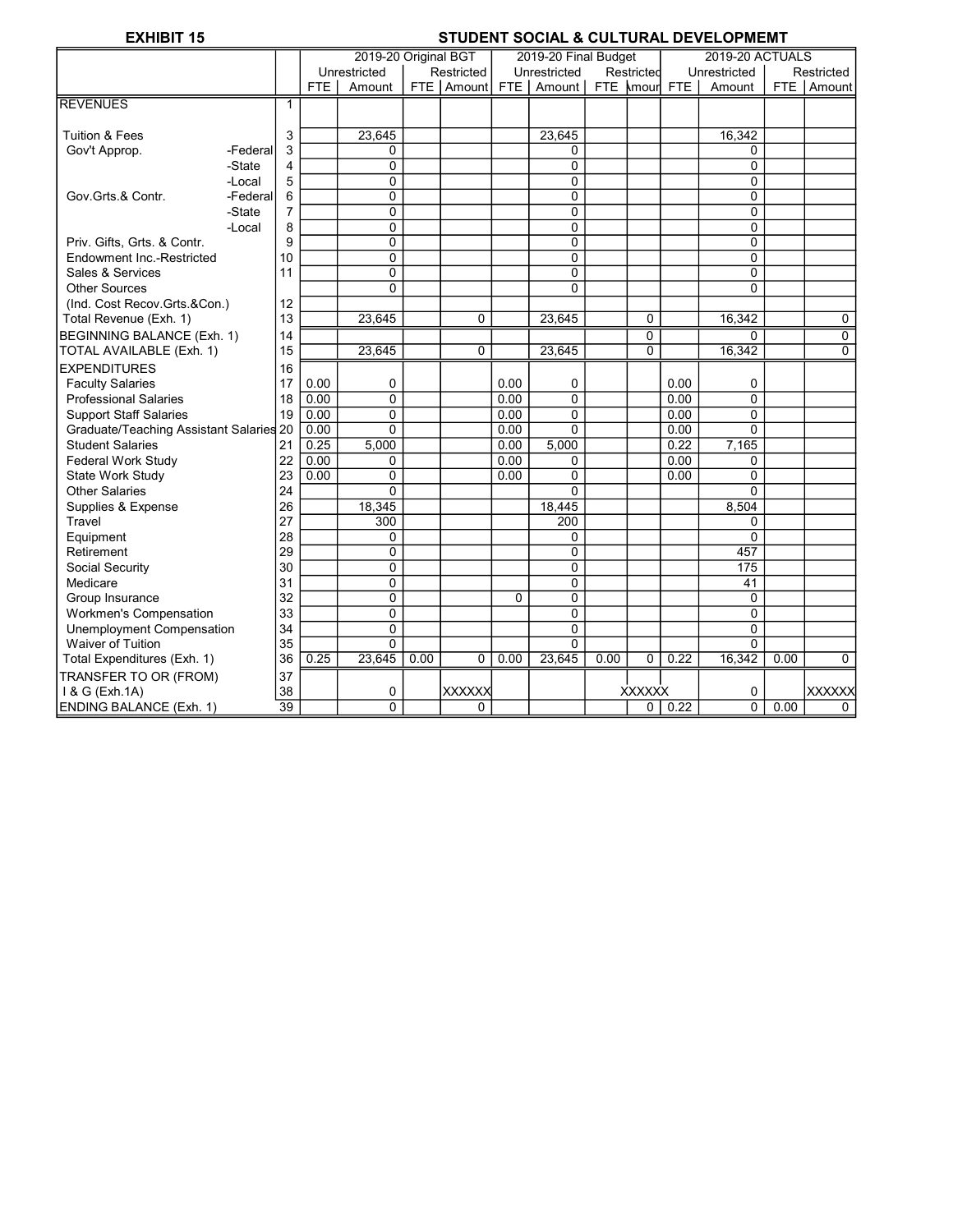# EXHIBIT 15 STUDENT SOCIAL & CULTURAL DEVELOPMENT

|                                         |          |                |      | 2019-20 Original BGT |      |               |                | 2019-20 Final Budget |      |                |      | <b>2019-20 ACTUALS</b> |      |                |
|-----------------------------------------|----------|----------------|------|----------------------|------|---------------|----------------|----------------------|------|----------------|------|------------------------|------|----------------|
|                                         |          |                |      | Unrestricted         |      | Restricted    |                | Unrestricted         |      | Restricted     |      | Unrestricted           |      | Restricted     |
|                                         |          |                | FTE  | Amount               |      | FTE Amount    | FTE I          | Amount               |      | FTE kmourl FTE |      | Amount                 |      | FTE   Amount   |
| <b>REVENUES</b>                         |          | 1              |      |                      |      |               |                |                      |      |                |      |                        |      |                |
|                                         |          |                |      |                      |      |               |                |                      |      |                |      |                        |      |                |
| <b>Tuition &amp; Fees</b>               |          | 3              |      | 23.645               |      |               |                | 23,645               |      |                |      | 16,342                 |      |                |
| Gov't Approp.                           | -Federal | 3              |      | 0                    |      |               |                | 0                    |      |                |      | 0                      |      |                |
|                                         | -State   | $\overline{4}$ |      | 0                    |      |               |                | 0                    |      |                |      | 0                      |      |                |
|                                         | -Local   | 5              |      | 0                    |      |               |                | 0                    |      |                |      | 0                      |      |                |
| Gov.Grts.& Contr.                       | -Federal | 6              |      | 0                    |      |               |                | 0                    |      |                |      | $\overline{0}$         |      |                |
|                                         | -State   | $\overline{7}$ |      | 0                    |      |               |                | $\mathbf 0$          |      |                |      | 0                      |      |                |
|                                         | -Local   | 8              |      | 0                    |      |               |                | 0                    |      |                |      | 0                      |      |                |
| Priv. Gifts, Grts. & Contr.             |          | 9              |      | 0                    |      |               |                | 0                    |      |                |      | 0                      |      |                |
| Endowment Inc.-Restricted               |          | 10             |      | 0                    |      |               |                | $\mathbf 0$          |      |                |      | 0                      |      |                |
| Sales & Services                        |          | 11             |      | 0                    |      |               |                | 0                    |      |                |      | 0                      |      |                |
| <b>Other Sources</b>                    |          |                |      | 0                    |      |               |                | $\Omega$             |      |                |      | $\Omega$               |      |                |
| (Ind. Cost Recov.Grts.&Con.)            |          | 12             |      |                      |      |               |                |                      |      |                |      |                        |      |                |
| Total Revenue (Exh. 1)                  |          | 13             |      | 23.645               |      | 0             |                | 23.645               |      | 0              |      | 16,342                 |      | 0              |
| BEGINNING BALANCE (Exh. 1)              |          | 14             |      |                      |      |               |                |                      |      | 0              |      | 0                      |      | $\overline{0}$ |
| TOTAL AVAILABLE (Exh. 1)                |          | 15             |      | 23,645               |      | 0             |                | 23,645               |      | $\Omega$       |      | 16,342                 |      | $\Omega$       |
| <b>EXPENDITURES</b>                     |          | 16             |      |                      |      |               |                |                      |      |                |      |                        |      |                |
| <b>Faculty Salaries</b>                 |          | 17             | 0.00 | 0                    |      |               | 0.00           | 0                    |      |                | 0.00 | 0                      |      |                |
| <b>Professional Salaries</b>            |          | 18             | 0.00 | 0                    |      |               | 0.00           | $\mathbf 0$          |      |                | 0.00 | $\Omega$               |      |                |
| <b>Support Staff Salaries</b>           |          | 19             | 0.00 | 0                    |      |               | 0.00           | 0                    |      |                | 0.00 | $\overline{0}$         |      |                |
| Graduate/Teaching Assistant Salaries 20 |          |                | 0.00 | $\Omega$             |      |               | 0.00           | $\Omega$             |      |                | 0.00 | $\Omega$               |      |                |
| <b>Student Salaries</b>                 |          | 21             | 0.25 | 5,000                |      |               | 0.00           | 5,000                |      |                | 0.22 | 7,165                  |      |                |
| Federal Work Study                      |          | 22             | 0.00 | 0                    |      |               | 0.00           | 0                    |      |                | 0.00 | 0                      |      |                |
| State Work Study                        |          | 23             | 0.00 | 0                    |      |               | 0.00           | $\Omega$             |      |                | 0.00 | $\Omega$               |      |                |
| <b>Other Salaries</b>                   |          | 24             |      | $\Omega$             |      |               |                | $\Omega$             |      |                |      | $\Omega$               |      |                |
| Supplies & Expense                      |          | 26             |      | 18,345               |      |               |                | 18,445               |      |                |      | 8,504                  |      |                |
| Travel                                  |          | 27             |      | 300                  |      |               |                | 200                  |      |                |      | 0                      |      |                |
| Equipment                               |          | 28             |      | 0                    |      |               |                | 0                    |      |                |      | 0                      |      |                |
| Retirement                              |          | 29             |      | 0                    |      |               |                | 0                    |      |                |      | 457                    |      |                |
| Social Security                         |          | 30             |      | 0                    |      |               |                | $\mathbf 0$          |      |                |      | 175                    |      |                |
| Medicare                                |          | 31             |      | 0                    |      |               |                | 0                    |      |                |      | 41                     |      |                |
| Group Insurance                         |          | 32             |      | 0                    |      |               | $\overline{0}$ | 0                    |      |                |      | 0                      |      |                |
| Workmen's Compensation                  |          | 33             |      | 0                    |      |               |                | $\pmb{0}$            |      |                |      | 0                      |      |                |
| Unemployment Compensation               |          | 34             |      | 0                    |      |               |                | 0                    |      |                |      | $\overline{0}$         |      |                |
| <b>Waiver of Tuition</b>                |          | 35             |      | 0                    |      |               |                | $\Omega$             |      |                |      | 0                      |      |                |
| Total Expenditures (Exh. 1)             |          | 36             | 0.25 | 23,645               | 0.00 | 0             | 0.00           | 23,645               | 0.00 | 0              | 0.22 | 16,342                 | 0.00 | 0              |
| TRANSFER TO OR (FROM)                   |          | 37             |      |                      |      |               |                |                      |      |                |      |                        |      |                |
| 1 & G (Exh.1A)                          |          | 38             |      | 0                    |      | <b>XXXXXX</b> |                |                      |      | <b>XXXXXX</b>  |      | 0                      |      | <b>XXXXXX</b>  |
| <b>ENDING BALANCE (Exh. 1)</b>          |          | 39             |      | 0                    |      | 0             |                |                      |      | $\overline{0}$ | 0.22 | $\overline{0}$         | 0.00 | $\Omega$       |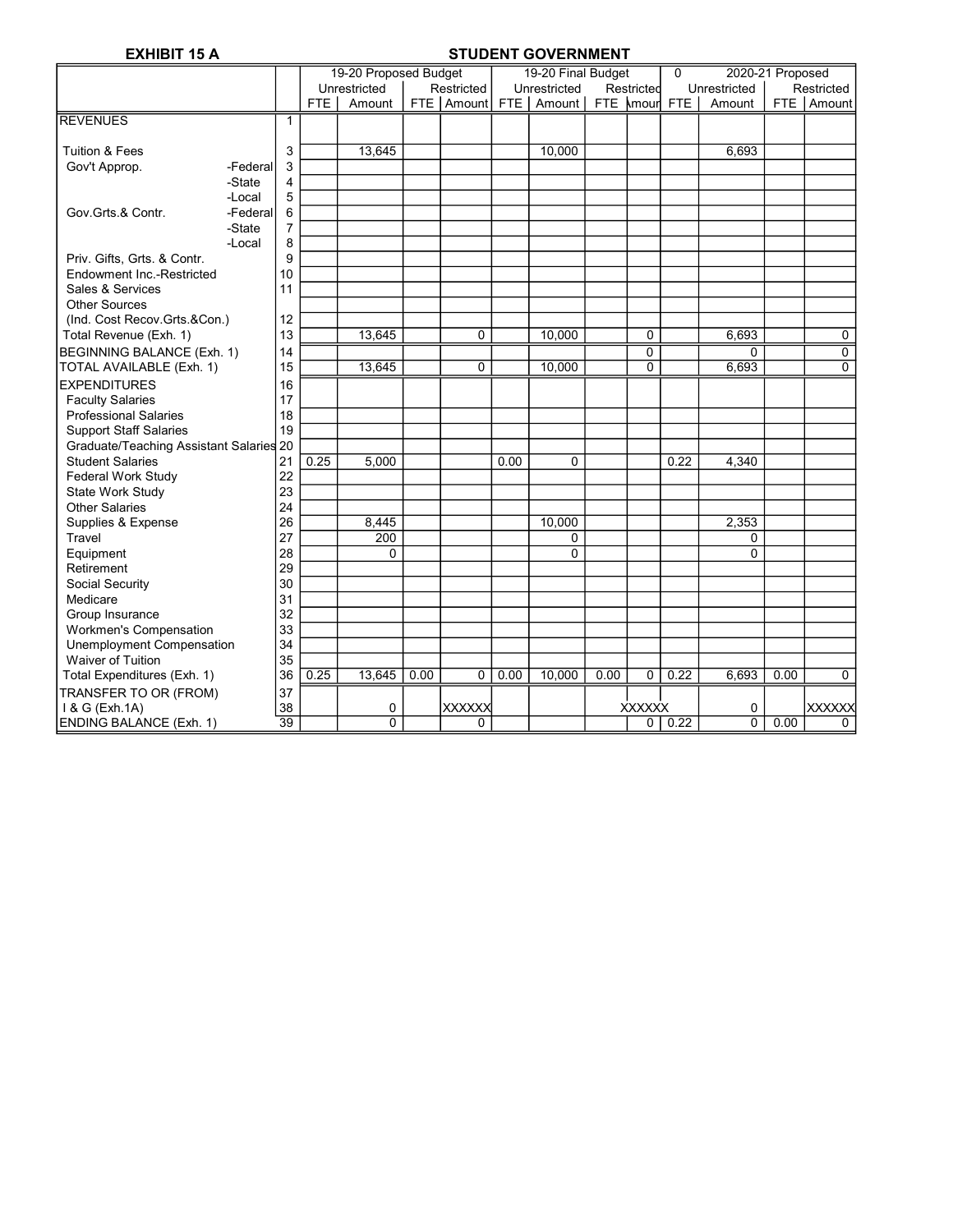### EXHIBIT 15 A STUDENT GOVERNMENT

|                                         |          |                |            | 19-20 Proposed Budget |      |                    |      | 19-20 Final Budget   |      |               | $\Omega$ | 2020-21 Proposed |      |                |
|-----------------------------------------|----------|----------------|------------|-----------------------|------|--------------------|------|----------------------|------|---------------|----------|------------------|------|----------------|
|                                         |          |                |            | Unrestricted          |      | Restricted         |      | Unrestricted         |      | Restricted    |          | Unrestricted     |      | Restricted     |
|                                         |          |                | <b>FTE</b> | Amount                |      | FTE   Amount   FTE |      | Amount FTE Amour FTE |      |               |          | Amount           |      | FTE   Amount   |
| <b>REVENUES</b>                         |          | $\mathbf{1}$   |            |                       |      |                    |      |                      |      |               |          |                  |      |                |
|                                         |          |                |            |                       |      |                    |      |                      |      |               |          |                  |      |                |
| <b>Tuition &amp; Fees</b>               |          | 3              |            | 13,645                |      |                    |      | 10,000               |      |               |          | 6,693            |      |                |
| Gov't Approp.                           | -Federal | 3              |            |                       |      |                    |      |                      |      |               |          |                  |      |                |
|                                         | -State   | 4              |            |                       |      |                    |      |                      |      |               |          |                  |      |                |
|                                         | -Local   | 5              |            |                       |      |                    |      |                      |      |               |          |                  |      |                |
| Gov.Grts.& Contr.                       | -Federal | 6              |            |                       |      |                    |      |                      |      |               |          |                  |      |                |
|                                         | -State   | $\overline{7}$ |            |                       |      |                    |      |                      |      |               |          |                  |      |                |
|                                         | -Local   | 8              |            |                       |      |                    |      |                      |      |               |          |                  |      |                |
| Priv. Gifts, Grts. & Contr.             |          | 9              |            |                       |      |                    |      |                      |      |               |          |                  |      |                |
| Endowment Inc.-Restricted               |          | 10             |            |                       |      |                    |      |                      |      |               |          |                  |      |                |
| Sales & Services                        |          | 11             |            |                       |      |                    |      |                      |      |               |          |                  |      |                |
| <b>Other Sources</b>                    |          |                |            |                       |      |                    |      |                      |      |               |          |                  |      |                |
| (Ind. Cost Recov.Grts.&Con.)            |          | 12             |            |                       |      |                    |      |                      |      |               |          |                  |      |                |
| Total Revenue (Exh. 1)                  |          | 13             |            | 13.645                |      | 0                  |      | 10.000               |      | $\Omega$      |          | 6,693            |      | $\mathbf 0$    |
| <b>BEGINNING BALANCE (Exh. 1)</b>       |          | 14             |            |                       |      |                    |      |                      |      | 0             |          | $\Omega$         |      | $\overline{0}$ |
| TOTAL AVAILABLE (Exh. 1)                |          | 15             |            | 13,645                |      | 0                  |      | 10,000               |      | 0             |          | 6,693            |      | $\Omega$       |
| <b>EXPENDITURES</b>                     |          | 16             |            |                       |      |                    |      |                      |      |               |          |                  |      |                |
| <b>Faculty Salaries</b>                 |          | 17             |            |                       |      |                    |      |                      |      |               |          |                  |      |                |
| <b>Professional Salaries</b>            |          | 18             |            |                       |      |                    |      |                      |      |               |          |                  |      |                |
| <b>Support Staff Salaries</b>           |          | 19             |            |                       |      |                    |      |                      |      |               |          |                  |      |                |
| Graduate/Teaching Assistant Salaries 20 |          |                |            |                       |      |                    |      |                      |      |               |          |                  |      |                |
| <b>Student Salaries</b>                 |          | 21             | 0.25       | 5,000                 |      |                    | 0.00 | 0                    |      |               | 0.22     | 4,340            |      |                |
| Federal Work Study                      |          | 22             |            |                       |      |                    |      |                      |      |               |          |                  |      |                |
| State Work Study                        |          | 23             |            |                       |      |                    |      |                      |      |               |          |                  |      |                |
| <b>Other Salaries</b>                   |          | 24             |            |                       |      |                    |      |                      |      |               |          |                  |      |                |
| Supplies & Expense                      |          | 26             |            | 8.445                 |      |                    |      | 10.000               |      |               |          | 2.353            |      |                |
| Travel                                  |          | 27             |            | 200                   |      |                    |      | 0                    |      |               |          | 0                |      |                |
| Equipment                               |          | 28             |            | 0                     |      |                    |      | $\Omega$             |      |               |          | $\Omega$         |      |                |
| Retirement                              |          | 29             |            |                       |      |                    |      |                      |      |               |          |                  |      |                |
| Social Security                         |          | 30             |            |                       |      |                    |      |                      |      |               |          |                  |      |                |
| Medicare                                |          | 31             |            |                       |      |                    |      |                      |      |               |          |                  |      |                |
| Group Insurance                         |          | 32             |            |                       |      |                    |      |                      |      |               |          |                  |      |                |
| Workmen's Compensation                  |          | 33             |            |                       |      |                    |      |                      |      |               |          |                  |      |                |
| Unemployment Compensation               |          | 34             |            |                       |      |                    |      |                      |      |               |          |                  |      |                |
| Waiver of Tuition                       |          | 35             |            |                       |      |                    |      |                      |      |               |          |                  |      |                |
| Total Expenditures (Exh. 1)             |          | 36             | 0.25       | 13,645                | 0.00 | 0                  | 0.00 | 10,000               | 0.00 | 0             | 0.22     | 6,693            | 0.00 | $\Omega$       |
| TRANSFER TO OR (FROM)                   |          | 37             |            |                       |      |                    |      |                      |      |               |          |                  |      |                |
| 1 & G (Exh.1A)                          |          | 38             |            | 0                     |      | <b>XXXXXX</b>      |      |                      |      | <b>XXXXXX</b> |          | 0                |      | <b>XXXXXX</b>  |
| <b>ENDING BALANCE (Exh. 1)</b>          |          | 39             |            | 0                     |      | 0                  |      |                      |      | 0             | 0.22     | $\overline{0}$   | 0.00 | $\Omega$       |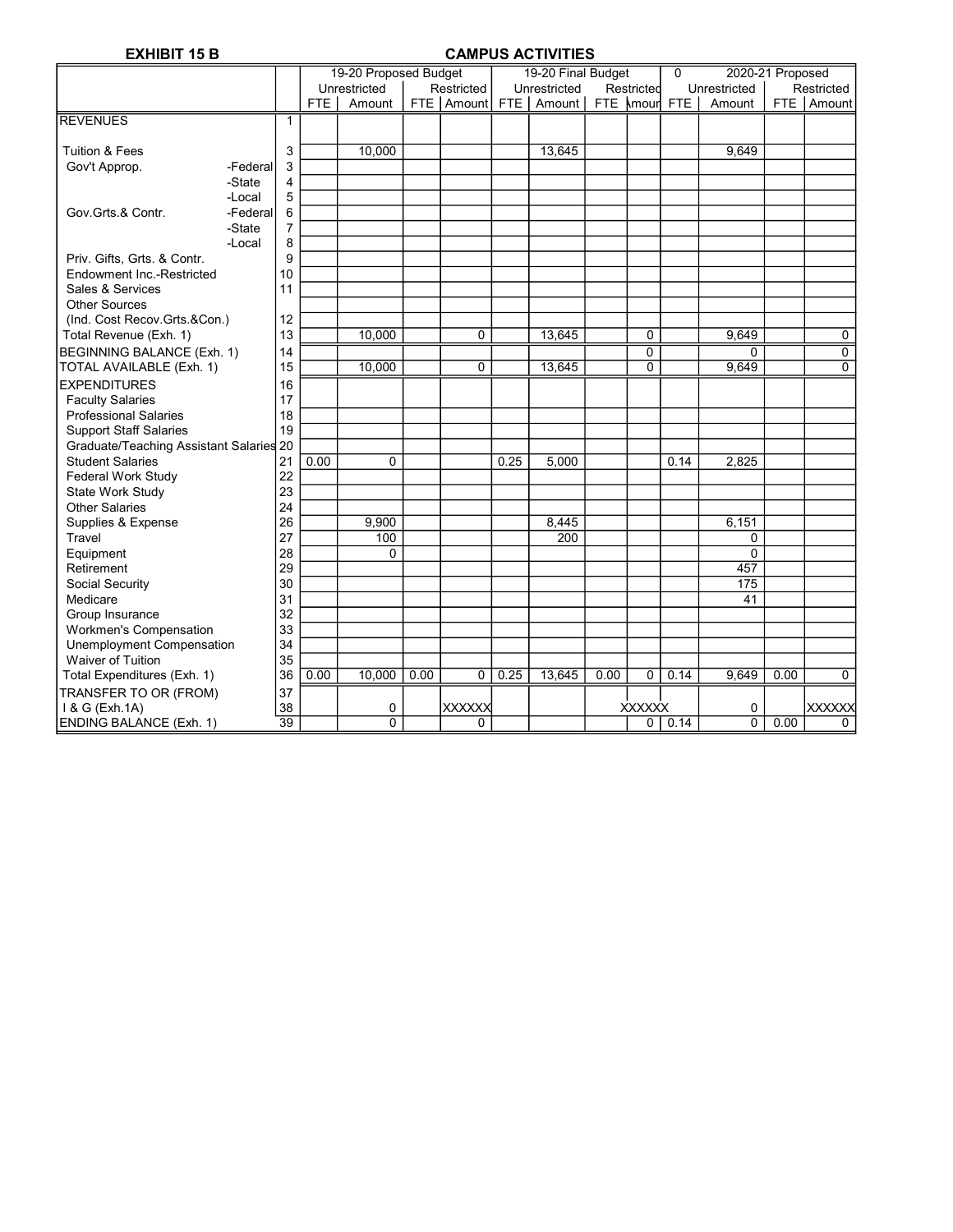### EXHIBIT 15 B CAMPUS ACTIVITIES

|                                         |          |                 |            | 19-20 Proposed Budget |      |               |       | 19-20 Final Budget   |      |               | $\Omega$ | 2020-21 Proposed |      |                |
|-----------------------------------------|----------|-----------------|------------|-----------------------|------|---------------|-------|----------------------|------|---------------|----------|------------------|------|----------------|
|                                         |          |                 |            | Unrestricted          |      | Restricted    |       | Unrestricted         |      | Restricted    |          | Unrestricted     |      | Restricted     |
|                                         |          |                 | <b>FTE</b> | Amount                |      | FTE Amount    | FTE I | Amount FTE Amour FTE |      |               |          | Amount           |      | FTE Amount     |
| <b>REVENUES</b>                         |          | $\mathbf{1}$    |            |                       |      |               |       |                      |      |               |          |                  |      |                |
|                                         |          |                 |            |                       |      |               |       |                      |      |               |          |                  |      |                |
| <b>Tuition &amp; Fees</b>               |          | 3               |            | 10,000                |      |               |       | 13,645               |      |               |          | 9,649            |      |                |
| Gov't Approp.                           | -Federal | 3               |            |                       |      |               |       |                      |      |               |          |                  |      |                |
|                                         | -State   | 4               |            |                       |      |               |       |                      |      |               |          |                  |      |                |
|                                         | -Local   | 5               |            |                       |      |               |       |                      |      |               |          |                  |      |                |
| Gov.Grts.& Contr.                       | -Federal | 6               |            |                       |      |               |       |                      |      |               |          |                  |      |                |
|                                         | -State   | $\overline{7}$  |            |                       |      |               |       |                      |      |               |          |                  |      |                |
|                                         | -Local   | 8               |            |                       |      |               |       |                      |      |               |          |                  |      |                |
| Priv. Gifts, Grts. & Contr.             |          | 9               |            |                       |      |               |       |                      |      |               |          |                  |      |                |
| Endowment Inc.-Restricted               |          | 10              |            |                       |      |               |       |                      |      |               |          |                  |      |                |
| Sales & Services                        |          | 11              |            |                       |      |               |       |                      |      |               |          |                  |      |                |
| <b>Other Sources</b>                    |          |                 |            |                       |      |               |       |                      |      |               |          |                  |      |                |
| (Ind. Cost Recov.Grts.&Con.)            |          | 12              |            |                       |      |               |       |                      |      |               |          |                  |      |                |
| Total Revenue (Exh. 1)                  |          | 13              |            | 10.000                |      | 0             |       | 13.645               |      | 0             |          | 9,649            |      | 0              |
| BEGINNING BALANCE (Exh. 1)              |          | 14              |            |                       |      |               |       |                      |      | 0             |          | 0                |      | 0              |
| TOTAL AVAILABLE (Exh. 1)                |          | 15              |            | 10,000                |      | 0             |       | 13,645               |      | 0             |          | 9,649            |      | $\overline{0}$ |
| <b>EXPENDITURES</b>                     |          | 16              |            |                       |      |               |       |                      |      |               |          |                  |      |                |
| <b>Faculty Salaries</b>                 |          | 17              |            |                       |      |               |       |                      |      |               |          |                  |      |                |
| <b>Professional Salaries</b>            |          | 18              |            |                       |      |               |       |                      |      |               |          |                  |      |                |
| <b>Support Staff Salaries</b>           |          | 19              |            |                       |      |               |       |                      |      |               |          |                  |      |                |
| Graduate/Teaching Assistant Salaries 20 |          |                 |            |                       |      |               |       |                      |      |               |          |                  |      |                |
| <b>Student Salaries</b>                 |          | 21              | 0.00       | $\Omega$              |      |               | 0.25  | 5,000                |      |               | 0.14     | 2.825            |      |                |
| Federal Work Study                      |          | 22              |            |                       |      |               |       |                      |      |               |          |                  |      |                |
| <b>State Work Study</b>                 |          | 23              |            |                       |      |               |       |                      |      |               |          |                  |      |                |
| <b>Other Salaries</b>                   |          | 24              |            |                       |      |               |       |                      |      |               |          |                  |      |                |
| Supplies & Expense                      |          | 26              |            | 9,900                 |      |               |       | 8,445                |      |               |          | 6,151            |      |                |
| Travel                                  |          | 27              |            | 100                   |      |               |       | 200                  |      |               |          | 0                |      |                |
| Equipment                               |          | 28              |            | 0                     |      |               |       |                      |      |               |          | $\Omega$         |      |                |
| Retirement                              |          | 29              |            |                       |      |               |       |                      |      |               |          | 457              |      |                |
| Social Security                         |          | 30              |            |                       |      |               |       |                      |      |               |          | 175              |      |                |
| Medicare                                |          | 31              |            |                       |      |               |       |                      |      |               |          | 41               |      |                |
| Group Insurance                         |          | 32              |            |                       |      |               |       |                      |      |               |          |                  |      |                |
| <b>Workmen's Compensation</b>           |          | 33              |            |                       |      |               |       |                      |      |               |          |                  |      |                |
| Unemployment Compensation               |          | 34              |            |                       |      |               |       |                      |      |               |          |                  |      |                |
| <b>Waiver of Tuition</b>                |          | 35              |            |                       |      |               |       |                      |      |               |          |                  |      |                |
| Total Expenditures (Exh. 1)             |          | 36              | 0.00       | 10.000                | 0.00 | 0             | 0.25  | 13,645               | 0.00 | $\mathbf{0}$  | 0.14     | 9.649            | 0.00 | $\Omega$       |
| TRANSFER TO OR (FROM)                   |          | 37              |            |                       |      |               |       |                      |      |               |          |                  |      |                |
| 1 & G (Exh.1A)                          |          | 38              |            | 0                     |      | <b>XXXXXX</b> |       |                      |      | <b>XXXXXX</b> |          | 0                |      | <b>XXXXXX</b>  |
| <b>ENDING BALANCE (Exh. 1)</b>          |          | $\overline{39}$ |            | 0                     |      | 0             |       |                      |      | 0             | 0.14     | $\overline{0}$   | 0.00 | $\Omega$       |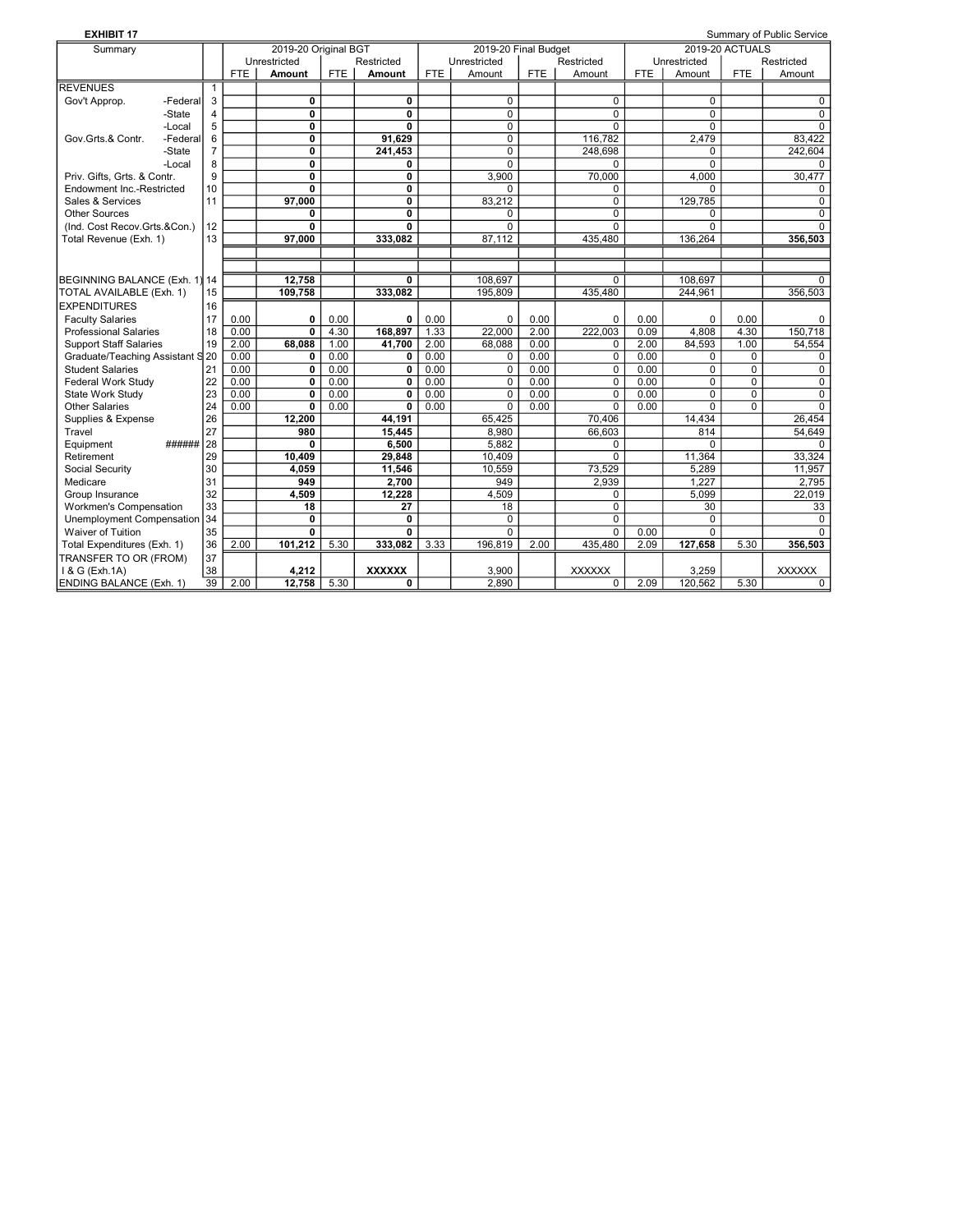| <b>EXHIBIT 17</b>                |          |              |            |                      |            |                |            |                      |      |               |            |                |                        | Summary of Public Service |
|----------------------------------|----------|--------------|------------|----------------------|------------|----------------|------------|----------------------|------|---------------|------------|----------------|------------------------|---------------------------|
| Summary                          |          |              |            | 2019-20 Original BGT |            |                |            | 2019-20 Final Budget |      |               |            |                | <b>2019-20 ACTUALS</b> |                           |
|                                  |          |              |            | Unrestricted         |            | Restricted     |            | Unrestricted         |      | Restricted    |            | Unrestricted   |                        | Restricted                |
|                                  |          |              | <b>FTE</b> | Amount               | <b>FTE</b> | Amount         | <b>FTE</b> | Amount               | FTE. | Amount        | <b>FTE</b> | Amount         | <b>FTE</b>             | Amount                    |
| <b>REVENUES</b>                  |          | $\mathbf{1}$ |            |                      |            |                |            |                      |      |               |            |                |                        |                           |
| Gov't Approp.                    | -Federal | 3            |            | 0                    |            | 0              |            | $\mathbf 0$          |      | 0             |            | $\mathbf 0$    |                        | $\Omega$                  |
|                                  | -State   | 4            |            | 0                    |            | $\mathbf 0$    |            | $\mathbf 0$          |      | $\mathbf 0$   |            | $\mathbf 0$    |                        | $\Omega$                  |
|                                  | -Local   | 5            |            | $\mathbf{0}$         |            | $\mathbf{0}$   |            | $\Omega$             |      | $\Omega$      |            | $\Omega$       |                        | $\Omega$                  |
| Gov.Grts.& Contr.                | -Federal | 6            |            | 0                    |            | 91,629         |            | $\mathbf 0$          |      | 116,782       |            | 2,479          |                        | 83.422                    |
|                                  | -State   | 7            |            | 0                    |            | 241,453        |            | $\Omega$             |      | 248,698       |            | $\Omega$       |                        | 242,604                   |
|                                  | -Local   | 8            |            | 0                    |            | 0              |            | $\Omega$             |      | $\Omega$      |            | $\Omega$       |                        | $\Omega$                  |
| Priv. Gifts. Grts. & Contr.      |          | 9            |            | $\mathbf{0}$         |            | 0              |            | 3.900                |      | 70.000        |            | 4.000          |                        | 30.477                    |
| Endowment Inc.-Restricted        |          | 10           |            | 0                    |            | $\mathbf 0$    |            | $\Omega$             |      | 0             |            | $\Omega$       |                        | $\Omega$                  |
| Sales & Services                 |          | 11           |            | 97.000               |            | $\overline{0}$ |            | 83,212               |      | $\Omega$      |            | 129,785        |                        | $\Omega$                  |
| <b>Other Sources</b>             |          |              |            | 0                    |            | $\overline{0}$ |            | 0                    |      | $\mathbf 0$   |            | 0              |                        | $\Omega$                  |
| (Ind. Cost Recov.Grts.&Con.)     |          | 12           |            | 0                    |            | $\mathbf{0}$   |            | $\Omega$             |      | $\Omega$      |            | $\Omega$       |                        | $\Omega$                  |
| Total Revenue (Exh. 1)           |          | 13           |            | 97.000               |            | 333,082        |            | 87,112               |      | 435,480       |            | 136,264        |                        | 356,503                   |
|                                  |          |              |            |                      |            |                |            |                      |      |               |            |                |                        |                           |
|                                  |          |              |            |                      |            |                |            |                      |      |               |            |                |                        |                           |
| BEGINNING BALANCE (Exh. 1) 14    |          |              |            | 12,758               |            | 0              |            | 108.697              |      | $\Omega$      |            | 108.697        |                        | <sup>0</sup>              |
| TOTAL AVAILABLE (Exh. 1)         |          | 15           |            | 109,758              |            | 333,082        |            | 195,809              |      | 435,480       |            | 244,961        |                        | 356,503                   |
| <b>EXPENDITURES</b>              |          | 16           |            |                      |            |                |            |                      |      |               |            |                |                        |                           |
| <b>Faculty Salaries</b>          |          | 17           | 0.00       | 0                    | 0.00       | 0              | 0.00       | $\mathbf 0$          | 0.00 | $\Omega$      | 0.00       | $\mathbf 0$    | 0.00                   | $\Omega$                  |
| <b>Professional Salaries</b>     |          | 18           | 0.00       | 0                    | 4.30       | 168.897        | 1.33       | 22,000               | 2.00 | 222.003       | 0.09       | 4.808          | 4.30                   | 150.718                   |
| <b>Support Staff Salaries</b>    |          | 19           | 2.00       | 68,088               | 1.00       | 41,700         | 2.00       | 68.088               | 0.00 | $\mathbf 0$   | 2.00       | 84,593         | 1.00                   | 54,554                    |
| Graduate/Teaching Assistant S 20 |          |              | 0.00       | 0                    | 0.00       | 0              | 0.00       | 0                    | 0.00 | $\mathbf 0$   | 0.00       | $\mathbf 0$    | $\Omega$               | 0                         |
| <b>Student Salaries</b>          |          | 21           | 0.00       | 0                    | 0.00       | 0              | 0.00       | 0                    | 0.00 | 0             | 0.00       | $\mathbf 0$    | 0                      | $\mathbf 0$               |
| Federal Work Study               |          | 22           | 0.00       | 0                    | 0.00       | $\mathbf 0$    | 0.00       | $\mathbf 0$          | 0.00 | $\mathbf 0$   | 0.00       | $\Omega$       | $\Omega$               | $\Omega$                  |
| State Work Study                 |          | 23           | 0.00       | 0                    | 0.00       | $\overline{0}$ | 0.00       | $\Omega$             | 0.00 | $\Omega$      | 0.00       | $\overline{0}$ | $\overline{0}$         | $\Omega$                  |
| Other Salaries                   |          | 24           | 0.00       | $\mathbf{0}$         | 0.00       | $\mathbf{0}$   | 0.00       | $\Omega$             | 0.00 | $\Omega$      | 0.00       | $\Omega$       | $\Omega$               | $\Omega$                  |
| Supplies & Expense               |          | 26           |            | 12.200               |            | 44,191         |            | 65.425               |      | 70.406        |            | 14,434         |                        | 26,454                    |
| Travel                           |          | 27           |            | 980                  |            | 15.445         |            | 8.980                |      | 66.603        |            | 814            |                        | 54.649                    |
| Equipment                        | ######   | 28           |            | 0                    |            | 6.500          |            | 5.882                |      | $\Omega$      |            | $\Omega$       |                        | $\Omega$                  |
| Retirement                       |          | 29           |            | 10.409               |            | 29,848         |            | 10,409               |      | $\Omega$      |            | 11,364         |                        | 33.324                    |
| Social Security                  |          | 30           |            | 4.059                |            | 11.546         |            | 10,559               |      | 73.529        |            | 5.289          |                        | 11.957                    |
| Medicare                         |          | 31           |            | 949                  |            | 2,700          |            | 949                  |      | 2.939         |            | 1.227          |                        | 2.795                     |
| Group Insurance                  |          | 32           |            | 4,509                |            | 12,228         |            | 4,509                |      | $\Omega$      |            | 5,099          |                        | 22,019                    |
| <b>Workmen's Compensation</b>    |          | 33           |            | 18                   |            | 27             |            | 18                   |      | $\mathbf 0$   |            | 30             |                        | 33                        |
| Unemployment Compensation        |          | 34           |            | 0                    |            | $\mathbf{0}$   |            | $\Omega$             |      | $\Omega$      |            | $\Omega$       |                        | $\Omega$                  |
| Waiver of Tuition                |          | 35           |            | $\mathbf{0}$         |            | 0              |            | $\Omega$             |      | $\Omega$      | 0.00       | $\Omega$       |                        | $\Omega$                  |
| Total Expenditures (Exh. 1)      |          | 36           | 2.00       | 101,212              | 5.30       | 333,082        | 3.33       | 196,819              | 2.00 | 435,480       | 2.09       | 127,658        | 5.30                   | 356,503                   |
| TRANSFER TO OR (FROM)            |          | 37           |            |                      |            |                |            |                      |      |               |            |                |                        |                           |
| 1 & G (Exh.1A)                   |          | 38           |            | 4.212                |            | <b>XXXXXX</b>  |            | 3,900                |      | <b>XXXXXX</b> |            | 3,259          |                        | <b>XXXXXX</b>             |
| ENDING BALANCE (Exh. 1)          |          | 39           | 2.00       | 12,758               | 5.30       | $\mathbf{0}$   |            | 2,890                |      | $\mathbf 0$   | 2.09       | 120,562        | 5.30                   | $\Omega$                  |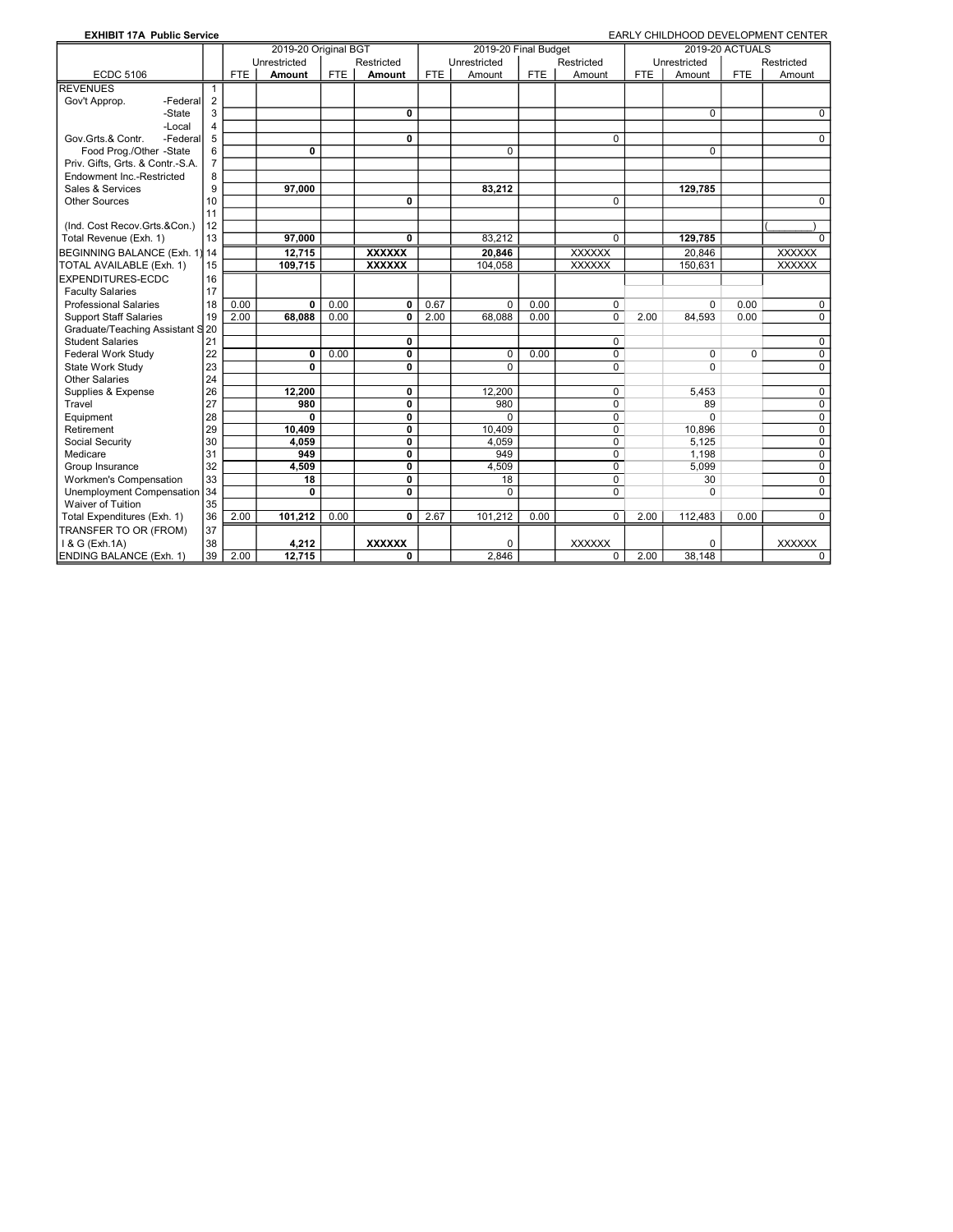| <b>EXHIBIT 17A Public Service</b> |                |            |                      |            |               |            |                      |            |                |            |              |                        | EARLY CHILDHOOD DEVELOPMENT CENTER |
|-----------------------------------|----------------|------------|----------------------|------------|---------------|------------|----------------------|------------|----------------|------------|--------------|------------------------|------------------------------------|
|                                   |                |            | 2019-20 Original BGT |            |               |            | 2019-20 Final Budget |            |                |            |              | <b>2019-20 ACTUALS</b> |                                    |
|                                   |                |            | Unrestricted         |            | Restricted    |            | Unrestricted         |            | Restricted     |            | Unrestricted |                        | Restricted                         |
| <b>ECDC 5106</b>                  |                | <b>FTE</b> | <b>Amount</b>        | <b>FTE</b> | Amount        | <b>FTE</b> | Amount               | <b>FTE</b> | Amount         | <b>FTE</b> | Amount       | <b>FTE</b>             | Amount                             |
| <b>REVENUES</b>                   | 1              |            |                      |            |               |            |                      |            |                |            |              |                        |                                    |
| Gov't Approp.<br>-Federall        | $\overline{2}$ |            |                      |            |               |            |                      |            |                |            |              |                        |                                    |
| -State                            | 3              |            |                      |            | 0             |            |                      |            |                |            | $\Omega$     |                        | $\Omega$                           |
| -Local                            | 4              |            |                      |            |               |            |                      |            |                |            |              |                        |                                    |
| Gov.Grts.& Contr.<br>-Federal     | 5              |            |                      |            | 0             |            |                      |            | $\mathbf 0$    |            |              |                        | $\Omega$                           |
| Food Prog./Other -State           | 6              |            | $\mathbf{0}$         |            |               |            | $\Omega$             |            |                |            | $\Omega$     |                        |                                    |
| Priv. Gifts, Grts. & Contr.-S.A.  | $\overline{7}$ |            |                      |            |               |            |                      |            |                |            |              |                        |                                    |
| Endowment Inc.-Restricted         | 8              |            |                      |            |               |            |                      |            |                |            |              |                        |                                    |
| Sales & Services                  | 9              |            | 97,000               |            |               |            | 83,212               |            |                |            | 129,785      |                        |                                    |
| <b>Other Sources</b>              | 10             |            |                      |            | 0             |            |                      |            | 0              |            |              |                        | 0                                  |
|                                   | 11             |            |                      |            |               |            |                      |            |                |            |              |                        |                                    |
| (Ind. Cost Recov.Grts.&Con.)      | 12             |            |                      |            |               |            |                      |            |                |            |              |                        |                                    |
| Total Revenue (Exh. 1)            | 13             |            | 97.000               |            | 0             |            | 83.212               |            | $\mathbf 0$    |            | 129.785      |                        | 0                                  |
| BEGINNING BALANCE (Exh. 1)        | 14             |            | 12.715               |            | <b>XXXXXX</b> |            | 20.846               |            | <b>XXXXXX</b>  |            | 20.846       |                        | <b>XXXXXX</b>                      |
| TOTAL AVAILABLE (Exh. 1)          | 15             |            | 109,715              |            | <b>XXXXXX</b> |            | 104,058              |            | XXXXXX         |            | 150,631      |                        | <b>XXXXXX</b>                      |
| EXPENDITURES-ECDC                 | 16             |            |                      |            |               |            |                      |            |                |            |              |                        |                                    |
| <b>Faculty Salaries</b>           | 17             |            |                      |            |               |            |                      |            |                |            |              |                        |                                    |
| <b>Professional Salaries</b>      | 18             | 0.00       | $\Omega$             | 0.00       | 0             | 0.67       | $\Omega$             | 0.00       | $\mathbf 0$    |            | $\Omega$     | 0.00                   | 0                                  |
| <b>Support Staff Salaries</b>     | 19             | 2.00       | 68,088               | 0.00       | 0             | 2.00       | 68,088               | 0.00       | $\mathbf 0$    | 2.00       | 84,593       | 0.00                   | 0                                  |
| Graduate/Teaching Assistant S 20  |                |            |                      |            |               |            |                      |            |                |            |              |                        |                                    |
| <b>Student Salaries</b>           | 21             |            |                      |            | 0             |            |                      |            | 0              |            |              |                        | $\mathbf 0$                        |
| Federal Work Study                | 22             |            | 0                    | 0.00       | 0             |            | $\Omega$             | 0.00       | 0              |            | 0            | 0                      | 0                                  |
| State Work Study                  | 23             |            | 0                    |            | 0             |            | $\Omega$             |            | $\mathbf 0$    |            | $\Omega$     |                        | 0                                  |
| <b>Other Salaries</b>             | 24             |            |                      |            |               |            |                      |            |                |            |              |                        |                                    |
| Supplies & Expense                | 26             |            | 12,200               |            | 0             |            | 12,200               |            | 0              |            | 5,453        |                        | $\mathbf 0$                        |
| Travel                            | 27             |            | 980                  |            | 0             |            | 980                  |            | $\mathbf 0$    |            | 89           |                        | $\mathbf 0$                        |
| Equipment                         | 28             |            | $\mathbf{0}$         |            | 0             |            | $\Omega$             |            | $\mathbf 0$    |            | $\Omega$     |                        | 0                                  |
| Retirement                        | 29             |            | 10,409               |            | 0             |            | 10,409               |            | $\overline{0}$ |            | 10,896       |                        | $\mathbf 0$                        |
| Social Security                   | 30             |            | 4,059                |            | 0             |            | 4,059                |            | $\mathbf 0$    |            | 5,125        |                        | $\mathbf 0$                        |
| Medicare                          | 31             |            | 949                  |            | 0             |            | 949                  |            | $\mathbf 0$    |            | 1,198        |                        | 0                                  |
| Group Insurance                   | 32             |            | 4.509                |            | 0             |            | 4.509                |            | 0              |            | 5,099        |                        | 0                                  |
| <b>Workmen's Compensation</b>     | 33             |            | 18                   |            | 0             |            | 18                   |            | $\mathbf 0$    |            | 30           |                        | 0                                  |
| Unemployment Compensation         | 34             |            | $\mathbf{0}$         |            | 0             |            | $\Omega$             |            | $\mathbf 0$    |            | $\Omega$     |                        | 0                                  |
| Waiver of Tuition                 | 35             |            |                      |            |               |            |                      |            |                |            |              |                        |                                    |
| Total Expenditures (Exh. 1)       | 36             | 2.00       | 101,212              | 0.00       | 0             | 2.67       | 101,212              | 0.00       | 0              | 2.00       | 112,483      | 0.00                   | $\Omega$                           |
| TRANSFER TO OR (FROM)             | 37             |            |                      |            |               |            |                      |            |                |            |              |                        |                                    |
| 1 & G (Exh.1A)                    | 38             |            | 4,212                |            | <b>XXXXXX</b> |            | $\Omega$             |            | <b>XXXXXX</b>  |            | 0            |                        | <b>XXXXXX</b>                      |
| <b>ENDING BALANCE (Exh. 1)</b>    | 39             | 2.00       | 12,715               |            | 0             |            | 2.846                |            | 0              | 2.00       | 38.148       |                        | 0                                  |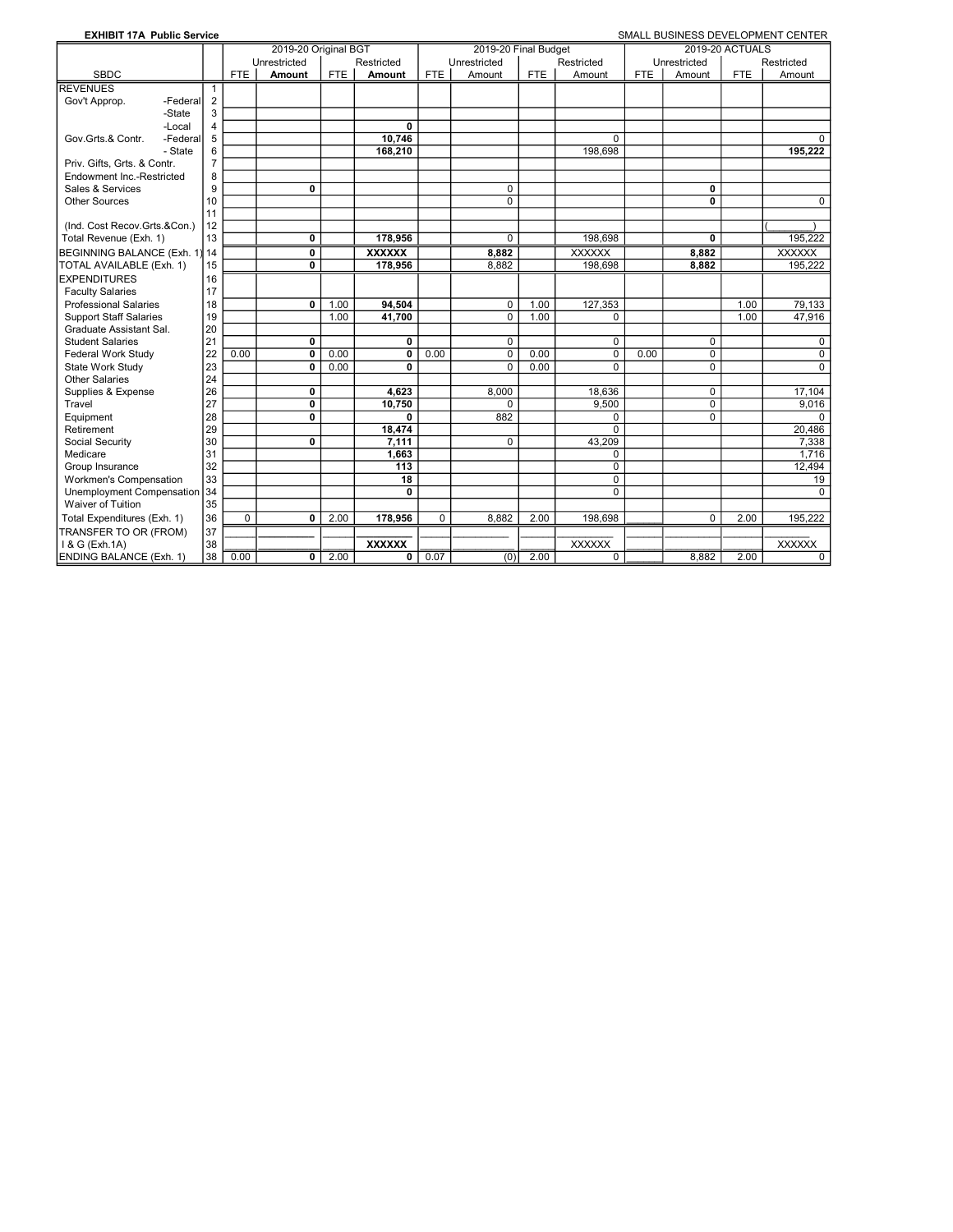| <b>EXHIBIT 17A Public Service</b> |                |            |                      |            |               |            |                      |            |                |            |                |                        | SMALL BUSINESS DEVELOPMENT CENTER |
|-----------------------------------|----------------|------------|----------------------|------------|---------------|------------|----------------------|------------|----------------|------------|----------------|------------------------|-----------------------------------|
|                                   |                |            | 2019-20 Original BGT |            |               |            | 2019-20 Final Budget |            |                |            |                | <b>2019-20 ACTUALS</b> |                                   |
|                                   |                |            | Unrestricted         |            | Restricted    |            | Unrestricted         |            | Restricted     |            | Unrestricted   |                        | Restricted                        |
| <b>SBDC</b>                       |                | <b>FTE</b> | Amount               | <b>FTE</b> | Amount        | <b>FTE</b> | Amount               | <b>FTE</b> | Amount         | <b>FTE</b> | Amount         | <b>FTE</b>             | Amount                            |
| <b>REVENUES</b>                   | 1              |            |                      |            |               |            |                      |            |                |            |                |                        |                                   |
| Gov't Approp.<br>-Federal         | $\overline{2}$ |            |                      |            |               |            |                      |            |                |            |                |                        |                                   |
| -State                            | 3              |            |                      |            |               |            |                      |            |                |            |                |                        |                                   |
| -Local                            | $\overline{4}$ |            |                      |            | 0             |            |                      |            |                |            |                |                        |                                   |
| Gov.Grts.& Contr.<br>-Federal     | 5              |            |                      |            | 10.746        |            |                      |            | $\Omega$       |            |                |                        | $\Omega$                          |
| - State                           | 6              |            |                      |            | 168,210       |            |                      |            | 198.698        |            |                |                        | 195.222                           |
| Priv. Gifts, Grts. & Contr.       | $\overline{7}$ |            |                      |            |               |            |                      |            |                |            |                |                        |                                   |
| <b>Endowment Inc.-Restricted</b>  | 8              |            |                      |            |               |            |                      |            |                |            |                |                        |                                   |
| Sales & Services                  | 9              |            | 0                    |            |               |            | $\Omega$             |            |                |            | 0              |                        |                                   |
| <b>Other Sources</b>              | 10             |            |                      |            |               |            | $\overline{0}$       |            |                |            | $\overline{0}$ |                        | $\Omega$                          |
|                                   | 11             |            |                      |            |               |            |                      |            |                |            |                |                        |                                   |
| (Ind. Cost Recov.Grts.&Con.)      | 12             |            |                      |            |               |            |                      |            |                |            |                |                        |                                   |
| Total Revenue (Exh. 1)            | 13             |            | 0                    |            | 178.956       |            | 0                    |            | 198.698        |            | $\mathbf{0}$   |                        | 195.222                           |
| BEGINNING BALANCE (Exh. 1)        | 14             |            | 0                    |            | <b>XXXXXX</b> |            | 8,882                |            | XXXXXX         |            | 8,882          |                        | <b>XXXXXX</b>                     |
| TOTAL AVAILABLE (Exh. 1)          | 15             |            | 0                    |            | 178.956       |            | 8.882                |            | 198.698        |            | 8.882          |                        | 195.222                           |
| <b>EXPENDITURES</b>               | 16             |            |                      |            |               |            |                      |            |                |            |                |                        |                                   |
| <b>Faculty Salaries</b>           | 17             |            |                      |            |               |            |                      |            |                |            |                |                        |                                   |
| <b>Professional Salaries</b>      | 18             |            | 0                    | 1.00       | 94,504        |            | $\Omega$             | 1.00       | 127,353        |            |                | 1.00                   | 79,133                            |
| <b>Support Staff Salaries</b>     | 19             |            |                      | 1.00       | 41,700        |            | $\Omega$             | 1.00       | 0              |            |                | 1.00                   | 47,916                            |
| Graduate Assistant Sal.           | 20             |            |                      |            |               |            |                      |            |                |            |                |                        |                                   |
| <b>Student Salaries</b>           | 21             |            | $\mathbf 0$          |            | 0             |            | $\Omega$             |            | $\mathbf 0$    |            | $\mathbf 0$    |                        | $\Omega$                          |
| Federal Work Study                | 22             | 0.00       | $\mathbf 0$          | 0.00       | 0             | 0.00       | $\Omega$             | 0.00       | $\mathbf 0$    | 0.00       | $\mathbf 0$    |                        | $\Omega$                          |
| State Work Study                  | 23             |            | 0                    | 0.00       | 0             |            | $\Omega$             | 0.00       | $\Omega$       |            | $\Omega$       |                        | $\Omega$                          |
| <b>Other Salaries</b>             | 24             |            |                      |            |               |            |                      |            |                |            |                |                        |                                   |
| Supplies & Expense                | 26             |            | 0                    |            | 4,623         |            | 8,000                |            | 18,636         |            | $\mathbf 0$    |                        | 17,104                            |
| Travel                            | 27             |            | 0                    |            | 10,750        |            | $\Omega$             |            | 9.500          |            | $\mathbf 0$    |                        | 9.016                             |
| Equipment                         | 28             |            | 0                    |            | 0             |            | 882                  |            | 0              |            | $\Omega$       |                        | $\Omega$                          |
| Retirement                        | 29             |            |                      |            | 18,474        |            |                      |            | $\overline{0}$ |            |                |                        | 20,486                            |
| Social Security                   | 30             |            | 0                    |            | 7,111         |            | $\Omega$             |            | 43,209         |            |                |                        | 7,338                             |
| Medicare                          | 31             |            |                      |            | 1,663         |            |                      |            | $\mathbf 0$    |            |                |                        | 1.716                             |
| Group Insurance                   | 32             |            |                      |            | 113           |            |                      |            | 0              |            |                |                        | 12,494                            |
| <b>Workmen's Compensation</b>     | 33             |            |                      |            | 18            |            |                      |            | $\overline{0}$ |            |                |                        | 19                                |
| Unemployment Compensation         | 34             |            |                      |            | 0             |            |                      |            | $\Omega$       |            |                |                        | $\Omega$                          |
| Waiver of Tuition                 | 35             |            |                      |            |               |            |                      |            |                |            |                |                        |                                   |
| Total Expenditures (Exh. 1)       | 36             | $\Omega$   | 0                    | 2.00       | 178,956       | $\Omega$   | 8.882                | 2.00       | 198,698        |            | $\Omega$       | 2.00                   | 195,222                           |
| TRANSFER TO OR (FROM)             | 37             |            |                      |            |               |            |                      |            |                |            |                |                        |                                   |
| 1 & G (Exh.1A)                    | 38             |            |                      |            | <b>XXXXXX</b> |            |                      |            | <b>XXXXXX</b>  |            |                |                        | <b>XXXXXX</b>                     |
| <b>ENDING BALANCE (Exh. 1)</b>    | 38             | 0.00       | 0                    | 2.00       | 0             | 0.07       | (0)                  | 2.00       | $\mathbf 0$    |            | 8,882          | 2.00                   | $\mathbf 0$                       |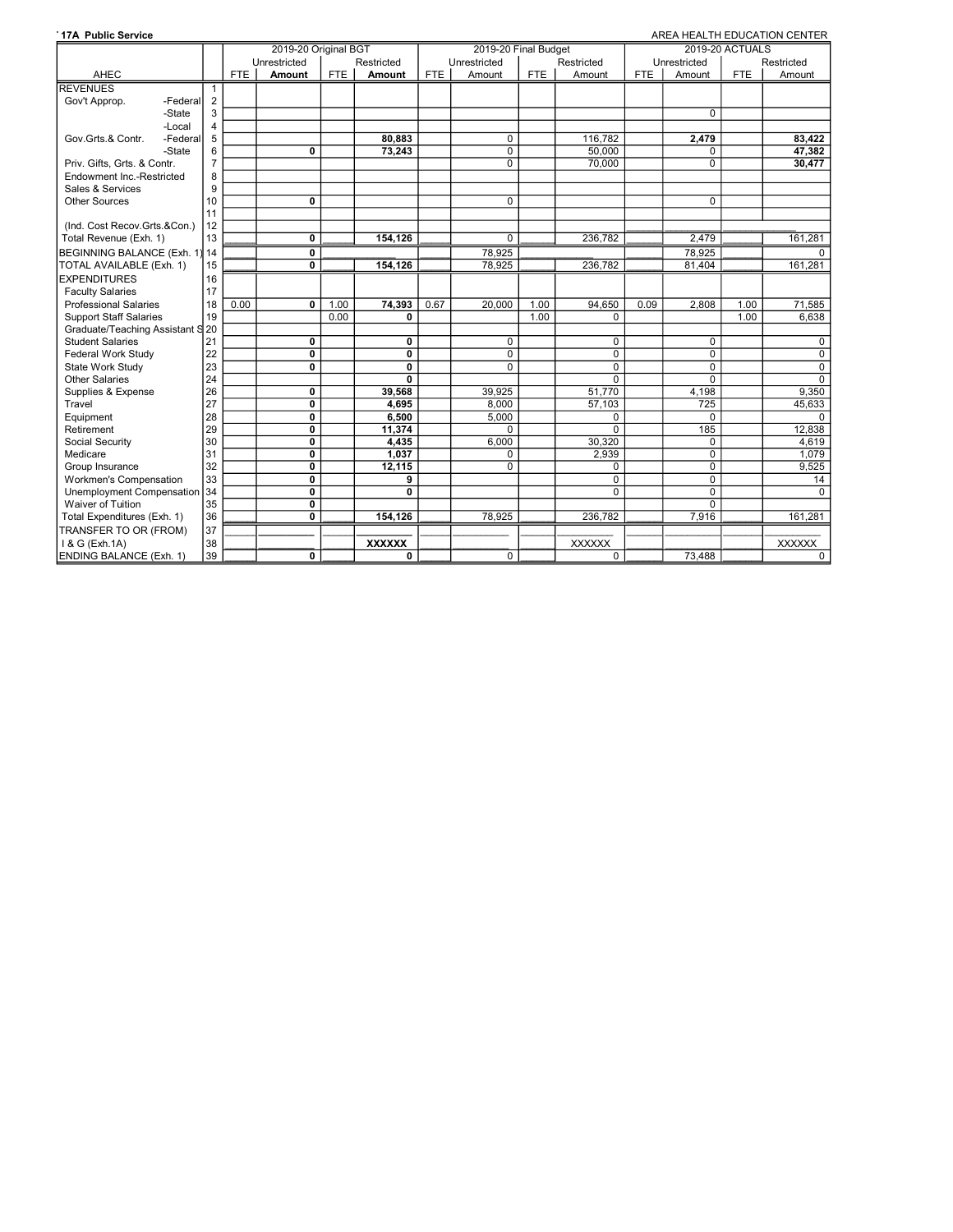| <b>17A Public Service</b>        |                |                      |                         |            |               |      |                      |            |                |            |              |                 | AREA HEALTH EDUCATION CENTER |
|----------------------------------|----------------|----------------------|-------------------------|------------|---------------|------|----------------------|------------|----------------|------------|--------------|-----------------|------------------------------|
|                                  |                | 2019-20 Original BGT |                         |            |               |      | 2019-20 Final Budget |            |                |            |              | 2019-20 ACTUALS |                              |
|                                  |                |                      | Unrestricted            |            | Restricted    |      | Unrestricted         |            | Restricted     |            | Unrestricted |                 | Restricted                   |
| AHEC                             |                | <b>FTE</b>           | <b>Amount</b>           | <b>FTE</b> | Amount        | FTE  | Amount               | <b>FTE</b> | Amount         | <b>FTE</b> | Amount       | <b>FTE</b>      | Amount                       |
| <b>REVENUES</b>                  |                |                      |                         |            |               |      |                      |            |                |            |              |                 |                              |
| Gov't Approp.<br>-Federal        | $\overline{2}$ |                      |                         |            |               |      |                      |            |                |            |              |                 |                              |
| -State                           | 3              |                      |                         |            |               |      |                      |            |                |            | 0            |                 |                              |
| -Local                           | 4              |                      |                         |            |               |      |                      |            |                |            |              |                 |                              |
| Gov.Grts.& Contr.<br>-Federal    | 5              |                      |                         |            | 80,883        |      | $\mathbf 0$          |            | 116,782        |            | 2,479        |                 | 83,422                       |
| -State                           | 6              |                      | $\mathbf{0}$            |            | 73.243        |      | $\mathbf 0$          |            | 50.000         |            | $\Omega$     |                 | 47,382                       |
| Priv. Gifts, Grts. & Contr.      | $\overline{7}$ |                      |                         |            |               |      | $\Omega$             |            | 70,000         |            | $\Omega$     |                 | 30.477                       |
| Endowment Inc.-Restricted        | 8              |                      |                         |            |               |      |                      |            |                |            |              |                 |                              |
| Sales & Services                 | 9              |                      |                         |            |               |      |                      |            |                |            |              |                 |                              |
| <b>Other Sources</b>             | 10             |                      | 0                       |            |               |      | $\mathbf 0$          |            |                |            | 0            |                 |                              |
|                                  | 11             |                      |                         |            |               |      |                      |            |                |            |              |                 |                              |
| (Ind. Cost Recov.Grts.&Con.)     | 12             |                      |                         |            |               |      |                      |            |                |            |              |                 |                              |
| Total Revenue (Exh. 1)           | 13             |                      | 0                       |            | 154.126       |      | $\Omega$             |            | 236.782        |            | 2.479        |                 | 161.281                      |
| BEGINNING BALANCE (Exh. 1) 14    |                |                      | 0                       |            |               |      | 78,925               |            |                |            | 78.925       |                 | $\mathbf{0}$                 |
| TOTAL AVAILABLE (Exh. 1)         | 15             |                      | $\mathbf{0}$            |            | 154,126       |      | 78,925               |            | 236,782        |            | 81,404       |                 | 161,281                      |
| <b>EXPENDITURES</b>              | 16             |                      |                         |            |               |      |                      |            |                |            |              |                 |                              |
| <b>Faculty Salaries</b>          | 17             |                      |                         |            |               |      |                      |            |                |            |              |                 |                              |
| <b>Professional Salaries</b>     | 18             | 0.00                 | $\mathbf{0}$            | 1.00       | 74.393        | 0.67 | 20.000               | 1.00       | 94.650         | 0.09       | 2.808        | 1.00            | 71,585                       |
| <b>Support Staff Salaries</b>    | 19             |                      |                         | 0.00       | 0             |      |                      | 1.00       | 0              |            |              | 1.00            | 6.638                        |
| Graduate/Teaching Assistant S 20 |                |                      |                         |            |               |      |                      |            |                |            |              |                 |                              |
| <b>Student Salaries</b>          | 21             |                      | 0                       |            | 0             |      | $\mathbf 0$          |            | $\Omega$       |            | $\Omega$     |                 | $\mathbf{0}$                 |
| Federal Work Study               | 22             |                      | $\mathbf 0$             |            | 0             |      | $\mathbf 0$          |            | $\mathbf 0$    |            | $\Omega$     |                 | $\mathbf 0$                  |
| State Work Study                 | 23             |                      | $\mathbf{0}$            |            | 0             |      | $\overline{0}$       |            | $\overline{0}$ |            | 0            |                 | $\overline{0}$               |
| <b>Other Salaries</b>            | 24             |                      |                         |            | 0             |      |                      |            | $\mathbf 0$    |            | $\Omega$     |                 | $\overline{0}$               |
| Supplies & Expense               | 26             |                      | 0                       |            | 39,568        |      | 39,925               |            | 51,770         |            | 4,198        |                 | 9,350                        |
| Travel                           | 27             |                      | $\mathbf 0$             |            | 4,695         |      | 8.000                |            | 57,103         |            | 725          |                 | 45,633                       |
| Equipment                        | 28             |                      | $\mathbf 0$             |            | 6,500         |      | 5,000                |            | 0              |            | $\Omega$     |                 | $\Omega$                     |
| Retirement                       | 29             |                      | $\overline{\mathbf{0}}$ |            | 11,374        |      | $\Omega$             |            | $\overline{0}$ |            | 185          |                 | 12,838                       |
| Social Security                  | 30             |                      | $\mathbf 0$             |            | 4,435         |      | 6.000                |            | 30,320         |            | $\Omega$     |                 | 4,619                        |
| Medicare                         | 31             |                      | $\overline{0}$          |            | 1,037         |      | $\Omega$             |            | 2,939          |            | $\Omega$     |                 | 1,079                        |
| Group Insurance                  | 32             |                      | $\mathbf 0$             |            | 12,115        |      | $\mathbf 0$          |            | $\mathbf 0$    |            | 0            |                 | 9,525                        |
| Workmen's Compensation           | 33             |                      | 0                       |            | 9             |      |                      |            | $\overline{0}$ |            | 0            |                 | 14                           |
| Unemployment Compensation 34     |                |                      | $\mathbf{0}$            |            | $\mathbf{0}$  |      |                      |            | $\Omega$       |            | $\Omega$     |                 | $\Omega$                     |
| Waiver of Tuition                | 35             |                      | $\mathbf{0}$            |            |               |      |                      |            |                |            | $\Omega$     |                 |                              |
| Total Expenditures (Exh. 1)      | 36             |                      | 0                       |            | 154.126       |      | 78,925               |            | 236.782        |            | 7,916        |                 | 161,281                      |
| TRANSFER TO OR (FROM)            | 37             |                      |                         |            |               |      |                      |            |                |            |              |                 |                              |
| I & G (Exh.1A)                   | 38             |                      |                         |            | <b>XXXXXX</b> |      |                      |            | <b>XXXXXX</b>  |            |              |                 | <b>XXXXXX</b>                |
| ENDING BALANCE (Exh. 1)          | 39             |                      | $\mathbf{0}$            |            | 0             |      | $\mathbf 0$          |            | $\mathbf 0$    |            | 73,488       |                 | $\mathbf 0$                  |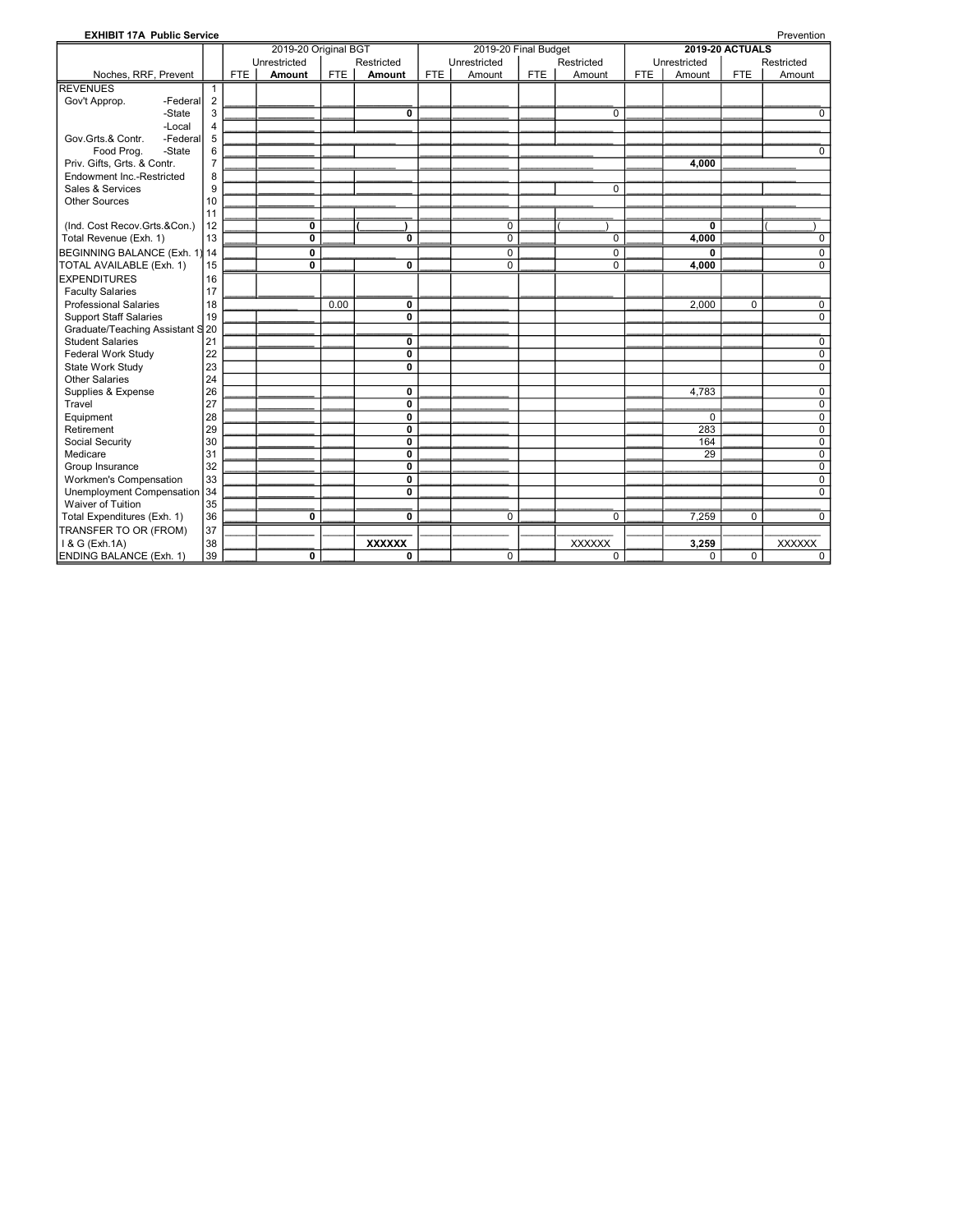| <b>EXHIBIT 17A Public Service</b> |                |            |                      |            |                |            |                      |            |               |            |              |                        | Prevention     |
|-----------------------------------|----------------|------------|----------------------|------------|----------------|------------|----------------------|------------|---------------|------------|--------------|------------------------|----------------|
|                                   |                |            | 2019-20 Original BGT |            |                |            | 2019-20 Final Budget |            |               |            |              | <b>2019-20 ACTUALS</b> |                |
|                                   |                |            | Unrestricted         |            | Restricted     |            | Unrestricted         |            | Restricted    |            | Unrestricted |                        | Restricted     |
| Noches, RRF, Prevent              |                | <b>FTE</b> | Amount               | <b>FTE</b> | Amount         | <b>FTE</b> | Amount               | <b>FTE</b> | Amount        | <b>FTE</b> | Amount       | <b>FTE</b>             | Amount         |
| <b>REVENUES</b>                   | 1              |            |                      |            |                |            |                      |            |               |            |              |                        |                |
| Gov't Approp.<br>-Federal         | $\overline{2}$ |            |                      |            |                |            |                      |            |               |            |              |                        |                |
| -State                            | 3              |            |                      |            | $\mathbf{0}$   |            |                      |            | $\Omega$      |            |              |                        | $\Omega$       |
| -Local                            | $\overline{4}$ |            |                      |            |                |            |                      |            |               |            |              |                        |                |
| Gov.Grts.& Contr.<br>-Federal     | 5              |            |                      |            |                |            |                      |            |               |            |              |                        |                |
| Food Prog.<br>-State              | 6              |            |                      |            |                |            |                      |            |               |            |              |                        | $\Omega$       |
| Priv. Gifts, Grts. & Contr.       | $\overline{7}$ |            |                      |            |                |            |                      |            |               |            | 4,000        |                        |                |
| Endowment Inc.-Restricted         | 8              |            |                      |            |                |            |                      |            |               |            |              |                        |                |
| Sales & Services                  | 9              |            |                      |            |                |            |                      |            | $\mathbf 0$   |            |              |                        |                |
| <b>Other Sources</b>              | 10             |            |                      |            |                |            |                      |            |               |            |              |                        |                |
|                                   | 11             |            |                      |            |                |            |                      |            |               |            |              |                        |                |
| (Ind. Cost Recov.Grts.&Con.)      | 12             |            | $\mathbf 0$          |            |                |            | $\mathbf 0$          |            |               |            | $\mathbf{0}$ |                        |                |
| Total Revenue (Exh. 1)            | 13             |            | 0                    |            | 0              |            | $\mathbf 0$          |            | $\mathbf 0$   |            | 4,000        |                        | 0              |
| BEGINNING BALANCE (Exh. 1)        | 14             |            | 0                    |            |                |            | $\mathbf 0$          |            | $\mathbf 0$   |            | 0            |                        | $\mathbf 0$    |
| TOTAL AVAILABLE (Exh. 1)          | 15             |            | 0                    |            | 0              |            | $\Omega$             |            | $\mathbf 0$   |            | 4,000        |                        | $\Omega$       |
| <b>EXPENDITURES</b>               | 16             |            |                      |            |                |            |                      |            |               |            |              |                        |                |
| <b>Faculty Salaries</b>           | 17             |            |                      |            |                |            |                      |            |               |            |              |                        |                |
| <b>Professional Salaries</b>      | 18             |            |                      | 0.00       | 0              |            |                      |            |               |            | 2,000        | $\Omega$               | $\mathbf 0$    |
| <b>Support Staff Salaries</b>     | 19             |            |                      |            | 0              |            |                      |            |               |            |              |                        | $\mathbf 0$    |
| Graduate/Teaching Assistant S     | 20             |            |                      |            |                |            |                      |            |               |            |              |                        |                |
| <b>Student Salaries</b>           | 21             |            |                      |            | 0              |            |                      |            |               |            |              |                        | $\mathbf 0$    |
| Federal Work Study                | 22             |            |                      |            | 0              |            |                      |            |               |            |              |                        | $\mathbf 0$    |
| State Work Study                  | 23             |            |                      |            | $\overline{0}$ |            |                      |            |               |            |              |                        | $\overline{0}$ |
| <b>Other Salaries</b>             | 24             |            |                      |            |                |            |                      |            |               |            |              |                        |                |
| Supplies & Expense                | 26             |            |                      |            | 0              |            |                      |            |               |            | 4,783        |                        | $\mathbf 0$    |
| Travel                            | 27             |            |                      |            | $\mathbf 0$    |            |                      |            |               |            |              |                        | $\mathbf 0$    |
| Equipment                         | 28             |            |                      |            | 0              |            |                      |            |               |            | $\Omega$     |                        | $\mathbf 0$    |
| Retirement                        | 29             |            |                      |            | 0              |            |                      |            |               |            | 283          |                        | $\overline{0}$ |
| Social Security                   | 30             |            |                      |            | 0              |            |                      |            |               |            | 164          |                        | $\mathbf 0$    |
| Medicare                          | 31             |            |                      |            | 0              |            |                      |            |               |            | 29           |                        | $\mathbf 0$    |
| Group Insurance                   | 32             |            |                      |            | 0              |            |                      |            |               |            |              |                        | $\mathbf 0$    |
| Workmen's Compensation            | 33             |            |                      |            | 0              |            |                      |            |               |            |              |                        | $\mathbf 0$    |
| Unemployment Compensation         | 34             |            |                      |            | 0              |            |                      |            |               |            |              |                        | $\Omega$       |
| Waiver of Tuition                 | 35             |            |                      |            |                |            |                      |            |               |            |              |                        |                |
| Total Expenditures (Exh. 1)       | 36             |            | 0                    |            | 0              |            | $\Omega$             |            | $\Omega$      |            | 7,259        | $\Omega$               | $\Omega$       |
| TRANSFER TO OR (FROM)             | 37             |            |                      |            |                |            |                      |            |               |            |              |                        |                |
| 1 & G (Exh.1A)                    | 38             |            |                      |            | <b>XXXXXX</b>  |            |                      |            | <b>XXXXXX</b> |            | 3,259        |                        | <b>XXXXXX</b>  |
| <b>ENDING BALANCE (Exh. 1)</b>    | 39             |            | 0                    |            | 0              |            | $\Omega$             |            | $\mathbf 0$   |            | 0            | $\Omega$               | $\Omega$       |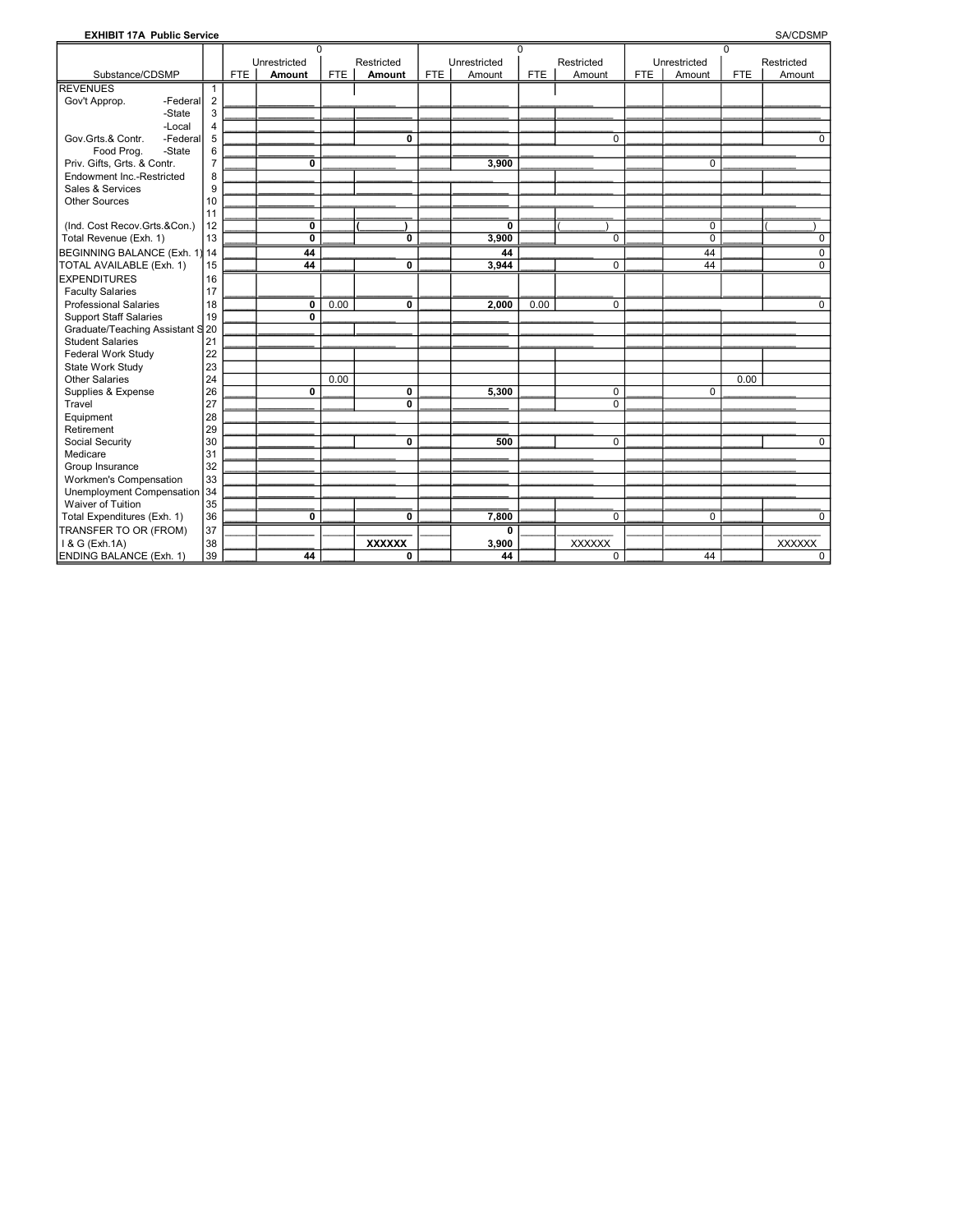### **EXHIBIT 17A Public Service**

**SA/CDSMP** 

|                                                          |                |            | $\Omega$                |            |               |            |                       | $\Omega$   |               |            |                            | $\Omega$   |             |
|----------------------------------------------------------|----------------|------------|-------------------------|------------|---------------|------------|-----------------------|------------|---------------|------------|----------------------------|------------|-------------|
|                                                          |                |            | Unrestricted            |            | Restricted    |            | Unrestricted          |            | Restricted    |            | Unrestricted               |            | Restricted  |
| Substance/CDSMP                                          |                | <b>FTE</b> | Amount                  | <b>FTE</b> | Amount        | <b>FTE</b> | Amount                | <b>FTE</b> | Amount        | <b>FTE</b> | Amount                     | <b>FTE</b> | Amount      |
| <b>REVENUES</b>                                          | 1              |            |                         |            |               |            |                       |            |               |            |                            |            |             |
| -Federal<br>Gov't Approp.                                | $\overline{2}$ |            |                         |            |               |            |                       |            |               |            |                            |            |             |
| -State                                                   | 3              |            |                         |            |               |            |                       |            |               |            |                            |            |             |
| -Local                                                   | $\overline{4}$ |            |                         |            |               |            |                       |            |               |            |                            |            |             |
| Gov.Grts.& Contr.<br>-Federal                            | 5              |            |                         |            | 0             |            |                       |            | $\mathbf 0$   |            |                            |            | $\Omega$    |
| Food Prog.<br>-State                                     | 6              |            |                         |            |               |            |                       |            |               |            |                            |            |             |
| Priv. Gifts, Grts. & Contr.<br>Endowment Inc.-Restricted | $\overline{7}$ |            | 0                       |            |               |            | 3,900                 |            |               |            | $\Omega$                   |            |             |
|                                                          | 8              |            |                         |            |               |            |                       |            |               |            |                            |            |             |
| Sales & Services                                         | 9              |            |                         |            |               |            |                       |            |               |            |                            |            |             |
| <b>Other Sources</b>                                     | 10             |            |                         |            |               |            |                       |            |               |            |                            |            |             |
|                                                          | 11             |            |                         |            |               |            |                       |            |               |            |                            |            |             |
| (Ind. Cost Recov.Grts.&Con.)                             | 12<br>13       |            | 0<br>0                  |            | 0             |            | $\mathbf{0}$<br>3,900 |            | $\mathbf 0$   |            | $\mathbf 0$<br>$\mathbf 0$ |            |             |
| Total Revenue (Exh. 1)                                   |                |            |                         |            |               |            |                       |            |               |            |                            |            | 0           |
| BEGINNING BALANCE (Exh. 1)                               | 14             |            | 44                      |            |               |            | 44                    |            |               |            | 44<br>44                   |            | $\mathbf 0$ |
| TOTAL AVAILABLE (Exh. 1)                                 | 15             |            | 44                      |            | 0             |            | 3,944                 |            | $\Omega$      |            |                            |            | $\Omega$    |
| <b>EXPENDITURES</b>                                      | 16             |            |                         |            |               |            |                       |            |               |            |                            |            |             |
| <b>Faculty Salaries</b>                                  | 17             |            |                         |            |               |            |                       |            |               |            |                            |            |             |
| <b>Professional Salaries</b>                             | 18             |            | $\mathbf{0}$            | 0.00       | 0             |            | 2,000                 | 0.00       | $\mathbf 0$   |            |                            |            | $\mathbf 0$ |
| <b>Support Staff Salaries</b>                            | 19             |            | $\overline{\mathbf{0}}$ |            |               |            |                       |            |               |            |                            |            |             |
| Graduate/Teaching Assistant S                            | 20             |            |                         |            |               |            |                       |            |               |            |                            |            |             |
| <b>Student Salaries</b>                                  | 21             |            |                         |            |               |            |                       |            |               |            |                            |            |             |
| Federal Work Study                                       | 22             |            |                         |            |               |            |                       |            |               |            |                            |            |             |
| State Work Study                                         | 23             |            |                         |            |               |            |                       |            |               |            |                            |            |             |
| <b>Other Salaries</b>                                    | 24             |            |                         | 0.00       |               |            |                       |            |               |            |                            | 0.00       |             |
| Supplies & Expense                                       | 26             |            | 0                       |            | 0             |            | 5,300                 |            | $\mathbf 0$   |            | $\Omega$                   |            |             |
| Travel                                                   | 27             |            |                         |            | 0             |            |                       |            | $\mathbf 0$   |            |                            |            |             |
| Equipment                                                | 28             |            |                         |            |               |            |                       |            |               |            |                            |            |             |
| Retirement                                               | 29             |            |                         |            |               |            |                       |            |               |            |                            |            |             |
| Social Security                                          | 30             |            |                         |            | 0             |            | 500                   |            | $\Omega$      |            |                            |            | $\Omega$    |
| Medicare                                                 | 31             |            |                         |            |               |            |                       |            |               |            |                            |            |             |
| Group Insurance                                          | 32             |            |                         |            |               |            |                       |            |               |            |                            |            |             |
| Workmen's Compensation                                   | 33             |            |                         |            |               |            |                       |            |               |            |                            |            |             |
| Unemployment Compensation                                | 34             |            |                         |            |               |            |                       |            |               |            |                            |            |             |
| <b>Waiver of Tuition</b>                                 | 35             |            |                         |            |               |            |                       |            |               |            |                            |            |             |
| Total Expenditures (Exh. 1)                              | 36             |            | $\mathbf{0}$            |            | 0             |            | 7,800                 |            | $\mathbf 0$   |            | $\Omega$                   |            | $\Omega$    |
| TRANSFER TO OR (FROM)                                    | 37             |            |                         |            |               |            | 0                     |            |               |            |                            |            |             |
| I & G (Exh.1A)                                           | 38             |            |                         |            | <b>XXXXXX</b> |            | 3,900                 |            | <b>XXXXXX</b> |            |                            |            | XXXXXX      |
| ENDING BALANCE (Exh. 1)                                  | 39             |            | 44                      |            | 0             |            | 44                    |            | $\mathbf 0$   |            | 44                         |            | 0           |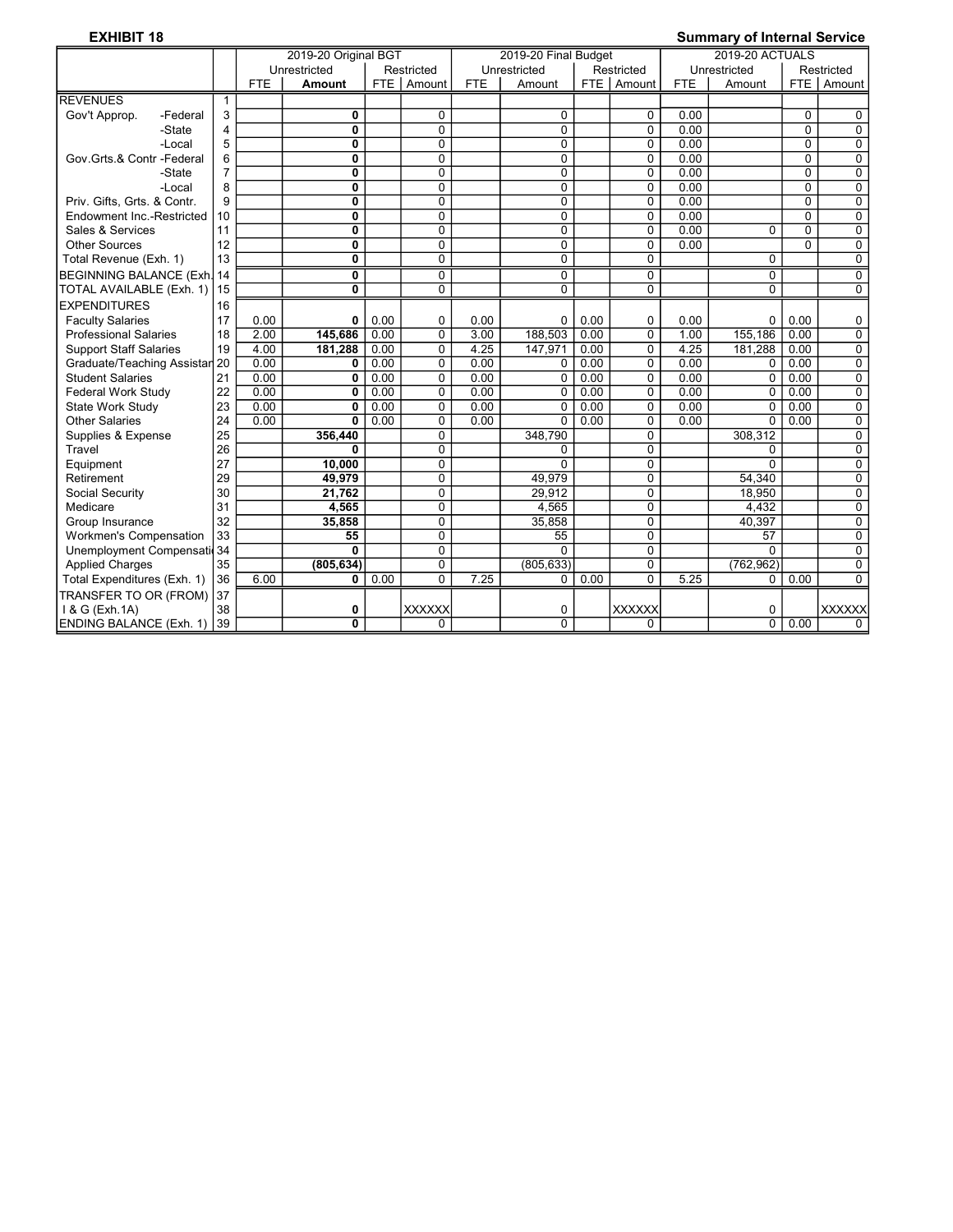## EXHIBIT 18 Summary of Internal Service

|                               |    | 2019-20 Original BGT |              |      |                | 2019-20 Final Budget |                |      |                | <b>2019-20 ACTUALS</b> |              |                |                |
|-------------------------------|----|----------------------|--------------|------|----------------|----------------------|----------------|------|----------------|------------------------|--------------|----------------|----------------|
|                               |    |                      | Unrestricted |      | Restricted     |                      | Unrestricted   |      | Restricted     |                        | Unrestricted |                | Restricted     |
|                               |    | <b>FTE</b>           | Amount       |      | FTE Amount     | <b>FTE</b>           | Amount         |      | FTE   Amount   | <b>FTE</b>             | Amount       |                | FTE   Amount   |
| <b>REVENUES</b>               |    |                      |              |      |                |                      |                |      |                |                        |              |                |                |
| Gov't Approp.<br>-Federal     | 3  |                      | 0            |      | 0              |                      | $\Omega$       |      | $\Omega$       | 0.00                   |              | $\Omega$       | $\Omega$       |
| -State                        | 4  |                      | 0            |      | $\mathbf 0$    |                      | $\mathbf 0$    |      | $\overline{0}$ | 0.00                   |              | $\overline{0}$ | $\mathbf 0$    |
| -Local                        | 5  |                      | $\mathbf{0}$ |      | $\Omega$       |                      | $\mathbf{0}$   |      | $\mathbf 0$    | 0.00                   |              | $\mathbf{0}$   | $\Omega$       |
| Gov.Grts.& Contr -Federal     | 6  |                      | 0            |      | $\overline{0}$ |                      | $\overline{0}$ |      | $\overline{0}$ | 0.00                   |              | $\overline{0}$ | $\overline{0}$ |
| -State                        | 7  |                      | 0            |      | 0              |                      | $\mathbf 0$    |      | 0              | 0.00                   |              | $\Omega$       | $\Omega$       |
| -Local                        | 8  |                      | 0            |      | $\mathbf 0$    |                      | $\mathbf 0$    |      | $\mathbf 0$    | 0.00                   |              | 0              | $\mathbf 0$    |
| Priv. Gifts, Grts. & Contr.   | 9  |                      | 0            |      | $\overline{0}$ |                      | $\mathbf 0$    |      | $\overline{0}$ | 0.00                   |              | $\overline{0}$ | $\overline{0}$ |
| Endowment Inc.-Restricted     | 10 |                      | 0            |      | $\Omega$       |                      | $\mathbf 0$    |      | $\mathbf 0$    | 0.00                   |              | 0              | $\mathbf 0$    |
| Sales & Services              | 11 |                      | 0            |      | $\Omega$       |                      | $\Omega$       |      | $\mathbf 0$    | 0.00                   | 0            | $\Omega$       | $\mathbf 0$    |
| <b>Other Sources</b>          | 12 |                      | 0            |      | $\mathbf 0$    |                      | $\mathbf 0$    |      | 0              | 0.00                   |              | $\Omega$       | 0              |
| Total Revenue (Exh. 1)        | 13 |                      | 0            |      | 0              |                      | $\Omega$       |      | $\Omega$       |                        | $\Omega$     |                | $\overline{0}$ |
| BEGINNING BALANCE (Exh. 14    |    |                      | 0            |      | $\mathbf 0$    |                      | $\mathbf 0$    |      | $\mathbf 0$    |                        | 0            |                | $\mathbf 0$    |
| TOTAL AVAILABLE (Exh. 1)      | 15 |                      | 0            |      | $\Omega$       |                      | $\Omega$       |      | $\Omega$       |                        | $\Omega$     |                | $\Omega$       |
| <b>EXPENDITURES</b>           | 16 |                      |              |      |                |                      |                |      |                |                        |              |                |                |
| <b>Faculty Salaries</b>       | 17 | 0.00                 | 0            | 0.00 | 0              | 0.00                 | $\mathbf 0$    | 0.00 | 0              | 0.00                   | $\Omega$     | 0.00           | 0              |
| <b>Professional Salaries</b>  | 18 | 2.00                 | 145,686      | 0.00 | $\overline{0}$ | 3.00                 | 188.503        | 0.00 | $\overline{0}$ | 1.00                   | 155.186      | 0.00           | $\overline{0}$ |
| <b>Support Staff Salaries</b> | 19 | 4.00                 | 181,288      | 0.00 | $\mathbf 0$    | 4.25                 | 147,971        | 0.00 | $\mathbf 0$    | 4.25                   | 181,288      | 0.00           | $\mathbf 0$    |
| Graduate/Teaching Assistar    | 20 | 0.00                 | 0            | 0.00 | 0              | 0.00                 | $\Omega$       | 0.00 | 0              | 0.00                   | $\Omega$     | 0.00           | $\mathbf 0$    |
| <b>Student Salaries</b>       | 21 | 0.00                 | 0            | 0.00 | $\Omega$       | 0.00                 | $\Omega$       | 0.00 | $\overline{0}$ | 0.00                   | $\Omega$     | 0.00           | $\overline{0}$ |
| Federal Work Study            | 22 | 0.00                 | 0            | 0.00 | $\mathbf 0$    | 0.00                 | $\mathbf 0$    | 0.00 | $\overline{0}$ | 0.00                   | $\Omega$     | 0.00           | $\mathbf 0$    |
| <b>State Work Study</b>       | 23 | 0.00                 | $\mathbf{0}$ | 0.00 | $\mathbf 0$    | 0.00                 | $\mathbf 0$    | 0.00 | $\mathbf 0$    | 0.00                   | $\Omega$     | 0.00           | $\mathbf 0$    |
| <b>Other Salaries</b>         | 24 | 0.00                 | 0            | 0.00 | $\Omega$       | 0.00                 | $\mathbf{0}$   | 0.00 | $\overline{0}$ | 0.00                   | $\Omega$     | 0.00           | $\mathbf 0$    |
| Supplies & Expense            | 25 |                      | 356.440      |      | 0              |                      | 348.790        |      | 0              |                        | 308.312      |                | $\mathbf 0$    |
| Travel                        | 26 |                      | 0            |      | $\Omega$       |                      | $\Omega$       |      | $\mathbf 0$    |                        | $\Omega$     |                | 0              |
| Equipment                     | 27 |                      | 10,000       |      | 0              |                      | $\Omega$       |      | 0              |                        | $\Omega$     |                | $\mathbf 0$    |
| Retirement                    | 29 |                      | 49.979       |      | 0              |                      | 49.979         |      | $\mathbf 0$    |                        | 54.340       |                | $\mathbf 0$    |
| Social Security               | 30 |                      | 21,762       |      | $\overline{0}$ |                      | 29.912         |      | $\overline{0}$ |                        | 18.950       |                | $\overline{0}$ |
| Medicare                      | 31 |                      | 4,565        |      | $\mathbf 0$    |                      | 4,565          |      | 0              |                        | 4,432        |                | $\Omega$       |
| Group Insurance               | 32 |                      | 35.858       |      | $\mathbf 0$    |                      | 35.858         |      | $\overline{0}$ |                        | 40.397       |                | $\mathbf 0$    |
| <b>Workmen's Compensation</b> | 33 |                      | 55           |      | $\overline{0}$ |                      | 55             |      | $\overline{0}$ |                        | 57           |                | $\overline{0}$ |
| Unemployment Compensati 34    |    |                      | $\mathbf{0}$ |      | $\Omega$       |                      | $\mathbf{0}$   |      | $\mathbf 0$    |                        | $\Omega$     |                | $\mathbf 0$    |
| <b>Applied Charges</b>        | 35 |                      | (805, 634)   |      | $\Omega$       |                      | (805, 633)     |      | 0              |                        | (762, 962)   |                | $\Omega$       |
| Total Expenditures (Exh. 1)   | 36 | 6.00                 | 0            | 0.00 | $\Omega$       | 7.25                 | 0              | 0.00 | $\overline{0}$ | 5.25                   | 0            | 0.00           | $\Omega$       |
| TRANSFER TO OR (FROM)         | 37 |                      |              |      |                |                      |                |      |                |                        |              |                |                |
| 1 & G (Exh. 1A)               | 38 |                      | 0            |      | <b>XXXXXX</b>  |                      | $\mathbf 0$    |      | <b>XXXXXX</b>  |                        | 0            |                | <b>XXXXXX</b>  |
| ENDING BALANCE (Exh. 1) 39    |    |                      | $\bf{0}$     |      | 0              |                      | $\Omega$       |      | 0              |                        | $\Omega$     | 0.00           | $\Omega$       |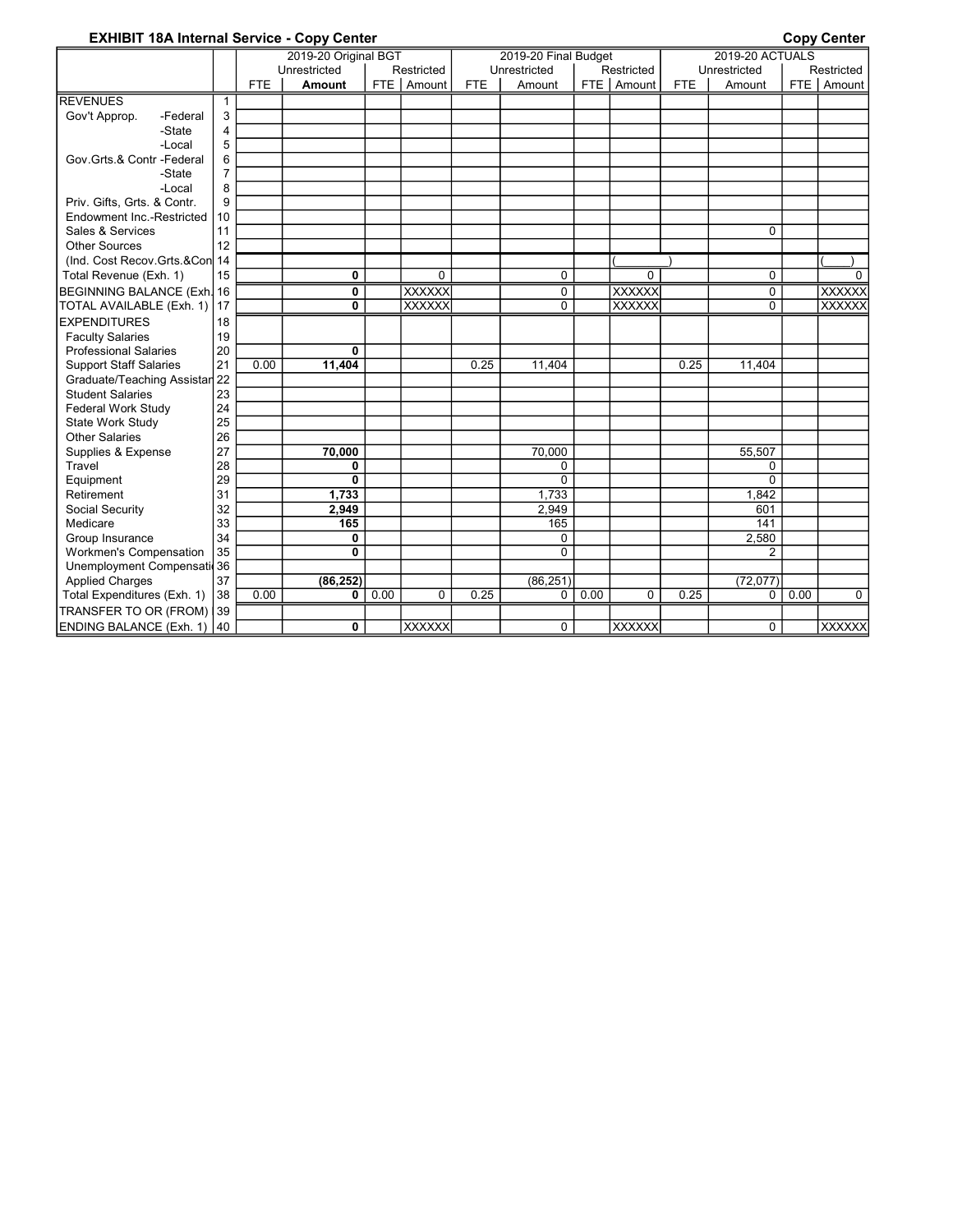### EXHIBIT 18A Internal Service - Copy Center Communication Copy Center Copy Center

|                                |                |            | 2019-20 Original BGT |      |               |            | 2019-20 Final Budget |      |                |            | <b>2019-20 ACTUALS</b> |      |               |
|--------------------------------|----------------|------------|----------------------|------|---------------|------------|----------------------|------|----------------|------------|------------------------|------|---------------|
|                                |                |            | Unrestricted         |      | Restricted    |            | Unrestricted         |      | Restricted     |            | Unrestricted           |      | Restricted    |
|                                |                | <b>FTE</b> | Amount               |      | FTE   Amount  | <b>FTE</b> | Amount               |      | FTE   Amount   | <b>FTE</b> | Amount                 |      | FTE   Amount  |
| <b>REVENUES</b>                | 1              |            |                      |      |               |            |                      |      |                |            |                        |      |               |
| Gov't Approp.<br>-Federal      | 3              |            |                      |      |               |            |                      |      |                |            |                        |      |               |
| -State                         | 4              |            |                      |      |               |            |                      |      |                |            |                        |      |               |
| -Local                         | 5              |            |                      |      |               |            |                      |      |                |            |                        |      |               |
| Gov.Grts.& Contr -Federal      | 6              |            |                      |      |               |            |                      |      |                |            |                        |      |               |
| -State                         | $\overline{7}$ |            |                      |      |               |            |                      |      |                |            |                        |      |               |
| -Local                         | 8              |            |                      |      |               |            |                      |      |                |            |                        |      |               |
| Priv. Gifts, Grts. & Contr.    | 9              |            |                      |      |               |            |                      |      |                |            |                        |      |               |
| Endowment Inc.-Restricted      | 10             |            |                      |      |               |            |                      |      |                |            |                        |      |               |
| Sales & Services               | 11             |            |                      |      |               |            |                      |      |                |            | $\Omega$               |      |               |
| <b>Other Sources</b>           | 12             |            |                      |      |               |            |                      |      |                |            |                        |      |               |
| (Ind. Cost Recov.Grts.&Con 14  |                |            |                      |      |               |            |                      |      |                |            |                        |      |               |
| Total Revenue (Exh. 1)         | 15             |            | 0                    |      | $\Omega$      |            | $\Omega$             |      | $\overline{0}$ |            | $\Omega$               |      | $\Omega$      |
| BEGINNING BALANCE (Exh. 16     |                |            | 0                    |      | <b>XXXXXX</b> |            | $\mathbf 0$          |      | <b>XXXXXX</b>  |            | $\mathbf 0$            |      | <b>XXXXXX</b> |
| TOTAL AVAILABLE (Exh. 1)       | 117            |            | 0                    |      | <b>XXXXXX</b> |            | $\Omega$             |      | <b>XXXXXX</b>  |            | $\Omega$               |      | <b>XXXXXX</b> |
| <b>EXPENDITURES</b>            | 18             |            |                      |      |               |            |                      |      |                |            |                        |      |               |
| <b>Faculty Salaries</b>        | 19             |            |                      |      |               |            |                      |      |                |            |                        |      |               |
| <b>Professional Salaries</b>   | 20             |            | 0                    |      |               |            |                      |      |                |            |                        |      |               |
| <b>Support Staff Salaries</b>  | 21             | 0.00       | 11,404               |      |               | 0.25       | 11.404               |      |                | 0.25       | 11.404                 |      |               |
| Graduate/Teaching Assistar 22  |                |            |                      |      |               |            |                      |      |                |            |                        |      |               |
| <b>Student Salaries</b>        | 23             |            |                      |      |               |            |                      |      |                |            |                        |      |               |
| <b>Federal Work Study</b>      | 24             |            |                      |      |               |            |                      |      |                |            |                        |      |               |
| State Work Study               | 25             |            |                      |      |               |            |                      |      |                |            |                        |      |               |
| <b>Other Salaries</b>          | 26             |            |                      |      |               |            |                      |      |                |            |                        |      |               |
| Supplies & Expense             | 27             |            | 70,000               |      |               |            | 70,000               |      |                |            | 55,507                 |      |               |
| Travel                         | 28             |            | 0                    |      |               |            | $\mathbf 0$          |      |                |            | 0                      |      |               |
| Equipment                      | 29             |            | 0                    |      |               |            | $\Omega$             |      |                |            | $\Omega$               |      |               |
| Retirement                     | 31             |            | 1.733                |      |               |            | 1,733                |      |                |            | 1,842                  |      |               |
| Social Security                | 32             |            | 2,949                |      |               |            | 2.949                |      |                |            | 601                    |      |               |
| Medicare                       | 33             |            | 165                  |      |               |            | 165                  |      |                |            | 141                    |      |               |
| Group Insurance                | 34             |            | 0                    |      |               |            | $\Omega$             |      |                |            | 2.580                  |      |               |
| Workmen's Compensation         | 35             |            | 0                    |      |               |            | $\Omega$             |      |                |            | $\overline{2}$         |      |               |
| Unemployment Compensati 36     |                |            |                      |      |               |            |                      |      |                |            |                        |      |               |
| <b>Applied Charges</b>         | 37             |            | (86, 252)            |      |               |            | (86, 251)            |      |                |            | (72, 077)              |      |               |
| Total Expenditures (Exh. 1)    | 38             | 0.00       | 0                    | 0.00 | $\Omega$      | 0.25       | $\mathbf 0$          | 0.00 | $\Omega$       | 0.25       | $\mathbf 0$            | 0.00 | $\Omega$      |
| TRANSFER TO OR (FROM)          | 39             |            |                      |      |               |            |                      |      |                |            |                        |      |               |
| <b>ENDING BALANCE (Exh. 1)</b> | 40             |            | 0                    |      | <b>XXXXXX</b> |            | $\Omega$             |      | <b>XXXXXX</b>  |            | $\Omega$               |      | <b>XXXXXX</b> |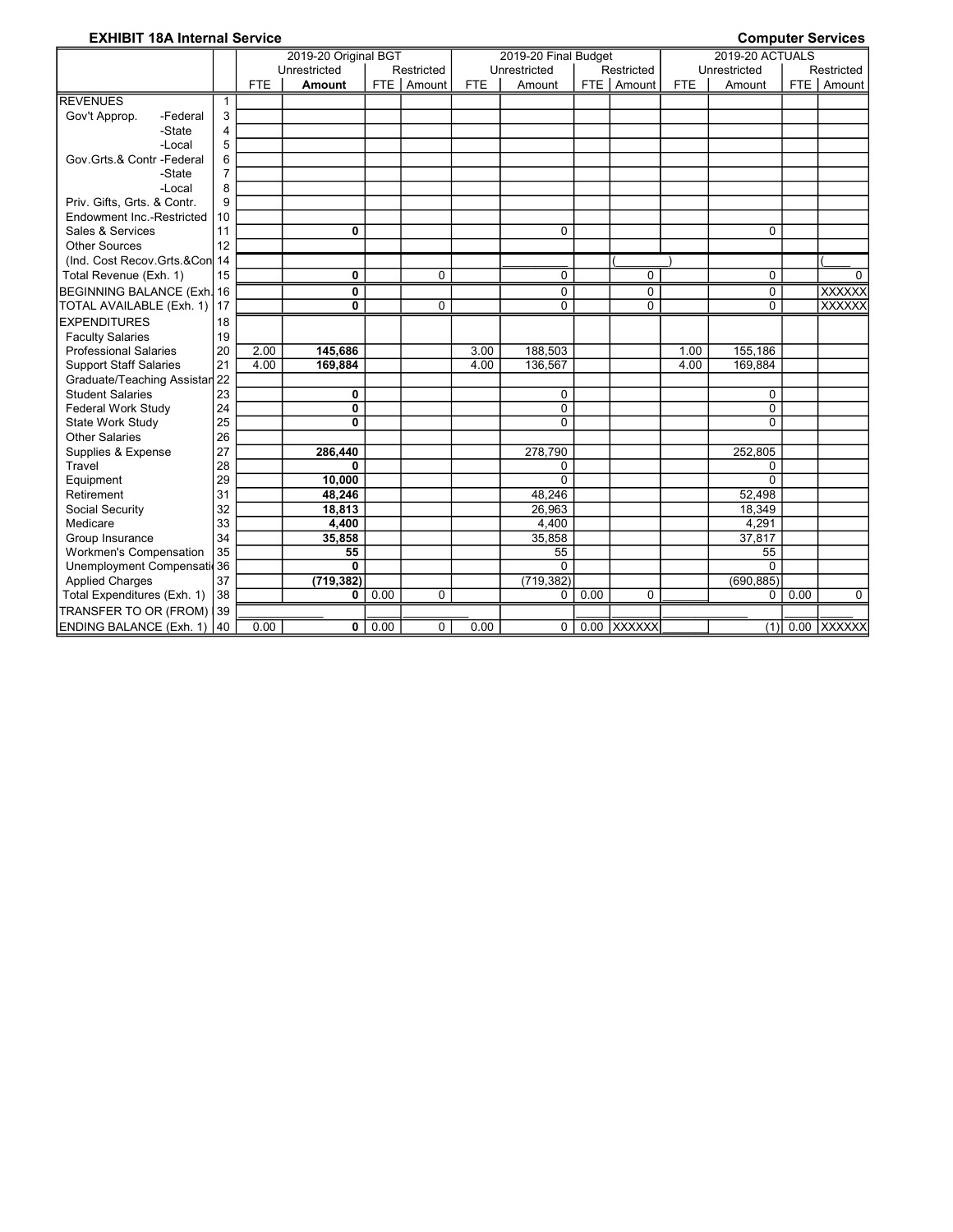## EXHIBIT 18A Internal Service **Computer Services** Computer Services

|                               |                |            | 2019-20 Original BGT |      |             |            | 2019-20 Final Budget |      |              |            | <b>2019-20 ACTUALS</b> |      |                   |
|-------------------------------|----------------|------------|----------------------|------|-------------|------------|----------------------|------|--------------|------------|------------------------|------|-------------------|
|                               |                |            | Unrestricted         |      | Restricted  |            | Unrestricted         |      | Restricted   |            | Unrestricted           |      | Restricted        |
|                               |                | <b>FTE</b> | <b>Amount</b>        |      | FTE Amount  | <b>FTE</b> | Amount               |      | FTE   Amount | <b>FTE</b> | Amount                 |      | FTE   Amount      |
| <b>REVENUES</b>               | $\mathbf 1$    |            |                      |      |             |            |                      |      |              |            |                        |      |                   |
| Gov't Approp.<br>-Federal     | 3              |            |                      |      |             |            |                      |      |              |            |                        |      |                   |
| -State                        | 4              |            |                      |      |             |            |                      |      |              |            |                        |      |                   |
| -Local                        | 5              |            |                      |      |             |            |                      |      |              |            |                        |      |                   |
| Gov.Grts.& Contr -Federal     | 6              |            |                      |      |             |            |                      |      |              |            |                        |      |                   |
| -State                        | $\overline{7}$ |            |                      |      |             |            |                      |      |              |            |                        |      |                   |
| -Local                        | 8              |            |                      |      |             |            |                      |      |              |            |                        |      |                   |
| Priv. Gifts, Grts. & Contr.   | 9              |            |                      |      |             |            |                      |      |              |            |                        |      |                   |
| Endowment Inc.-Restricted     | 10             |            |                      |      |             |            |                      |      |              |            |                        |      |                   |
| Sales & Services              | 11             |            | 0                    |      |             |            | $\Omega$             |      |              |            | $\Omega$               |      |                   |
| <b>Other Sources</b>          | 12             |            |                      |      |             |            |                      |      |              |            |                        |      |                   |
| (Ind. Cost Recov.Grts.&Con 14 |                |            |                      |      |             |            |                      |      |              |            |                        |      |                   |
| Total Revenue (Exh. 1)        | 15             |            | 0                    |      | $\Omega$    |            | $\Omega$             |      | $\mathbf 0$  |            | $\Omega$               |      | $\overline{0}$    |
| BEGINNING BALANCE (Exh. 16    |                |            | 0                    |      |             |            | 0                    |      | 0            |            | $\Omega$               |      | <b>XXXXXX</b>     |
| TOTAL AVAILABLE (Exh. 1)      | 17             |            | 0                    |      | $\mathbf 0$ |            | $\mathbf{0}$         |      | $\Omega$     |            | $\Omega$               |      | <b>XXXXXX</b>     |
| <b>EXPENDITURES</b>           | 18             |            |                      |      |             |            |                      |      |              |            |                        |      |                   |
| <b>Faculty Salaries</b>       | 19             |            |                      |      |             |            |                      |      |              |            |                        |      |                   |
| <b>Professional Salaries</b>  | 20             | 2.00       | 145,686              |      |             | 3.00       | 188.503              |      |              | 1.00       | 155,186                |      |                   |
| <b>Support Staff Salaries</b> | 21             | 4.00       | 169,884              |      |             | 4.00       | 136,567              |      |              | 4.00       | 169,884                |      |                   |
| Graduate/Teaching Assistar 22 |                |            |                      |      |             |            |                      |      |              |            |                        |      |                   |
| <b>Student Salaries</b>       | 23             |            | 0                    |      |             |            | 0                    |      |              |            | $\Omega$               |      |                   |
| <b>Federal Work Study</b>     | 24             |            | 0                    |      |             |            | $\mathbf 0$          |      |              |            | $\Omega$               |      |                   |
| State Work Study              | 25             |            | 0                    |      |             |            | $\mathbf 0$          |      |              |            | $\Omega$               |      |                   |
| <b>Other Salaries</b>         | 26             |            |                      |      |             |            |                      |      |              |            |                        |      |                   |
| Supplies & Expense            | 27             |            | 286,440              |      |             |            | 278,790              |      |              |            | 252,805                |      |                   |
| Travel                        | 28             |            | 0                    |      |             |            | 0                    |      |              |            | 0                      |      |                   |
| Equipment                     | 29             |            | 10,000               |      |             |            | $\Omega$             |      |              |            | $\Omega$               |      |                   |
| Retirement                    | 31             |            | 48,246               |      |             |            | 48,246               |      |              |            | 52,498                 |      |                   |
| Social Security               | 32             |            | 18,813               |      |             |            | 26,963               |      |              |            | 18,349                 |      |                   |
| Medicare                      | 33             |            | 4,400                |      |             |            | 4,400                |      |              |            | 4,291                  |      |                   |
| Group Insurance               | 34             |            | 35,858               |      |             |            | 35,858               |      |              |            | 37,817                 |      |                   |
| Workmen's Compensation        | 35             |            | 55                   |      |             |            | 55                   |      |              |            | 55                     |      |                   |
| Unemployment Compensati 36    |                |            | $\bf{0}$             |      |             |            | $\Omega$             |      |              |            | $\Omega$               |      |                   |
| <b>Applied Charges</b>        | 37             |            | (719, 382)           |      |             |            | (719, 382)           |      |              |            | (690, 885)             |      |                   |
| Total Expenditures (Exh. 1)   | 38             |            | 0                    | 0.00 | $\mathbf 0$ |            | $\mathbf 0$          | 0.00 | $\Omega$     |            | $\mathbf{0}$           | 0.00 | $\Omega$          |
| TRANSFER TO OR (FROM)         | 139            |            |                      |      |             |            |                      |      |              |            |                        |      |                   |
| ENDING BALANCE (Exh. 1)   40  |                | 0.00       | 0                    | 0.00 | 0           | 0.00       | $\Omega$             |      | 0.00 XXXXXX  |            |                        |      | $(1)$ 0.00 XXXXXX |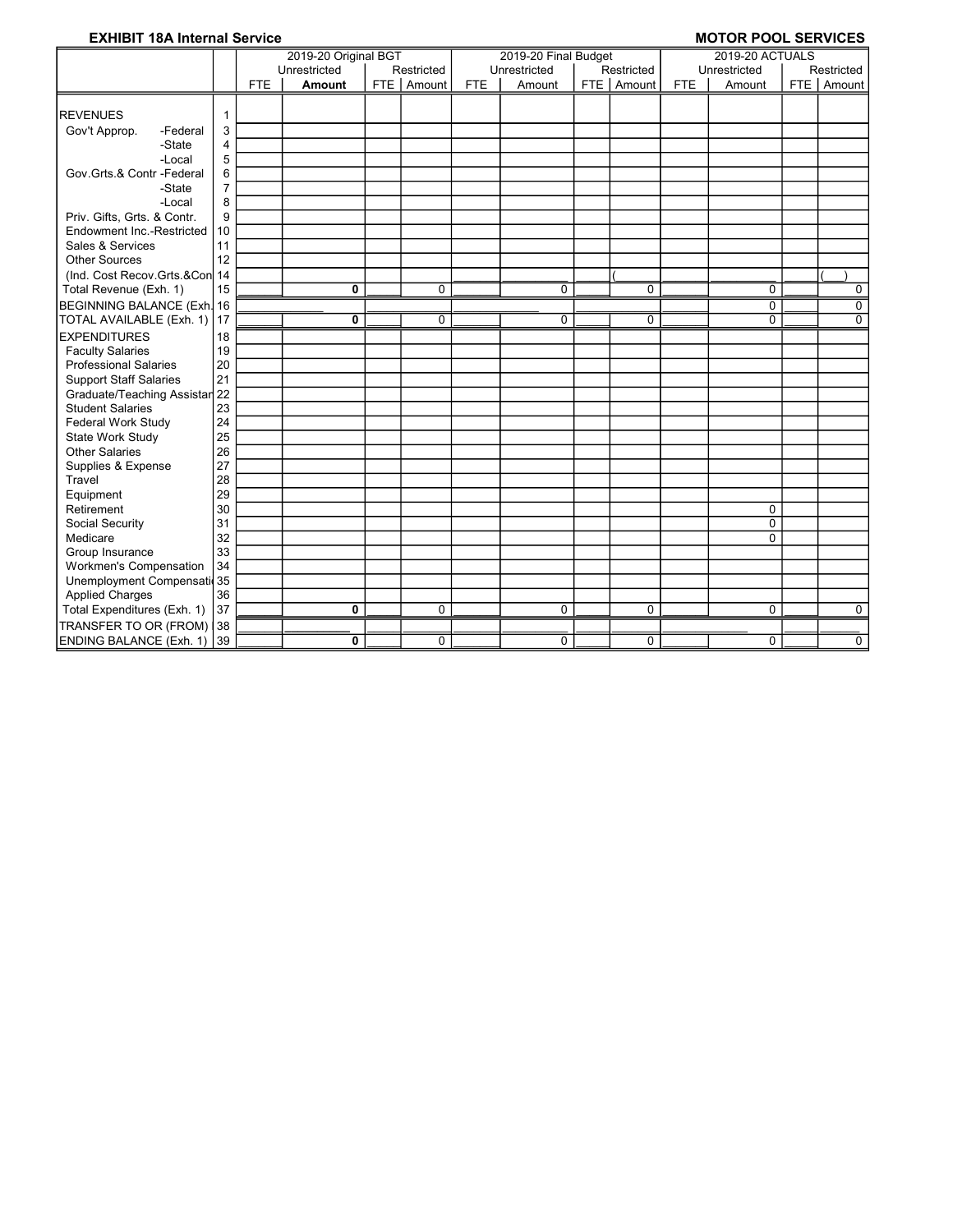### EXHIBIT 18A Internal Service **MOTOR POOL SERVICES**

|                                |                |            | 2019-20 Original BGT |              |            | 2019-20 Final Budget |              |            | <b>2019-20 ACTUALS</b> |                |
|--------------------------------|----------------|------------|----------------------|--------------|------------|----------------------|--------------|------------|------------------------|----------------|
|                                |                |            | Unrestricted         | Restricted   |            | Unrestricted         | Restricted   |            | Unrestricted           | Restricted     |
|                                |                | <b>FTE</b> | <b>Amount</b>        | FTE   Amount | <b>FTE</b> | Amount               | FTE   Amount | <b>FTE</b> | Amount                 | FTE Amount     |
|                                |                |            |                      |              |            |                      |              |            |                        |                |
| <b>REVENUES</b>                | 1              |            |                      |              |            |                      |              |            |                        |                |
| Gov't Approp.<br>-Federal      | 3              |            |                      |              |            |                      |              |            |                        |                |
| -State                         | 4              |            |                      |              |            |                      |              |            |                        |                |
| -Local                         | 5              |            |                      |              |            |                      |              |            |                        |                |
| Gov.Grts.& Contr -Federal      | 6              |            |                      |              |            |                      |              |            |                        |                |
| -State                         | $\overline{7}$ |            |                      |              |            |                      |              |            |                        |                |
| -Local                         | 8              |            |                      |              |            |                      |              |            |                        |                |
| Priv. Gifts, Grts. & Contr.    | 9              |            |                      |              |            |                      |              |            |                        |                |
| Endowment Inc.-Restricted      | 10             |            |                      |              |            |                      |              |            |                        |                |
| Sales & Services               | 11             |            |                      |              |            |                      |              |            |                        |                |
| <b>Other Sources</b>           | 12             |            |                      |              |            |                      |              |            |                        |                |
| (Ind. Cost Recov.Grts.&Con 14  |                |            |                      |              |            |                      |              |            |                        |                |
| Total Revenue (Exh. 1)         | 15             |            | 0                    | $\mathbf 0$  |            | $\mathbf 0$          | 0            |            | $\mathbf 0$            | 0              |
| BEGINNING BALANCE (Exh. 16     |                |            |                      |              |            |                      |              |            | $\mathbf 0$            | 0              |
| TOTAL AVAILABLE (Exh. 1)       | 17             |            | 0                    | $\Omega$     |            | $\Omega$             | 0            |            | $\Omega$               | $\overline{0}$ |
| <b>EXPENDITURES</b>            | 18             |            |                      |              |            |                      |              |            |                        |                |
| <b>Faculty Salaries</b>        | 19             |            |                      |              |            |                      |              |            |                        |                |
| <b>Professional Salaries</b>   | 20             |            |                      |              |            |                      |              |            |                        |                |
| <b>Support Staff Salaries</b>  | 21             |            |                      |              |            |                      |              |            |                        |                |
| Graduate/Teaching Assistar 22  |                |            |                      |              |            |                      |              |            |                        |                |
| <b>Student Salaries</b>        | 23             |            |                      |              |            |                      |              |            |                        |                |
| Federal Work Study             | 24             |            |                      |              |            |                      |              |            |                        |                |
| State Work Study               | 25             |            |                      |              |            |                      |              |            |                        |                |
| <b>Other Salaries</b>          | 26             |            |                      |              |            |                      |              |            |                        |                |
| Supplies & Expense             | 27             |            |                      |              |            |                      |              |            |                        |                |
| <b>Travel</b>                  | 28             |            |                      |              |            |                      |              |            |                        |                |
| Equipment                      | 29             |            |                      |              |            |                      |              |            |                        |                |
| Retirement                     | 30             |            |                      |              |            |                      |              |            | $\mathbf 0$            |                |
| Social Security                | 31             |            |                      |              |            |                      |              |            | $\mathbf 0$            |                |
| Medicare                       | 32             |            |                      |              |            |                      |              |            | $\Omega$               |                |
| Group Insurance                | 33             |            |                      |              |            |                      |              |            |                        |                |
| <b>Workmen's Compensation</b>  | 34             |            |                      |              |            |                      |              |            |                        |                |
| Unemployment Compensati 35     |                |            |                      |              |            |                      |              |            |                        |                |
| <b>Applied Charges</b>         | 36             |            |                      |              |            |                      |              |            |                        |                |
| Total Expenditures (Exh. 1)    | 37             |            | 0                    | $\mathbf 0$  |            | $\mathbf 0$          | 0            |            | $\mathbf 0$            | 0              |
| TRANSFER TO OR (FROM) 38       |                |            |                      |              |            |                      |              |            |                        |                |
| <b>ENDING BALANCE (Exh. 1)</b> | 39             |            | 0                    | $\Omega$     |            | 0                    | 0            |            | $\Omega$               | 0              |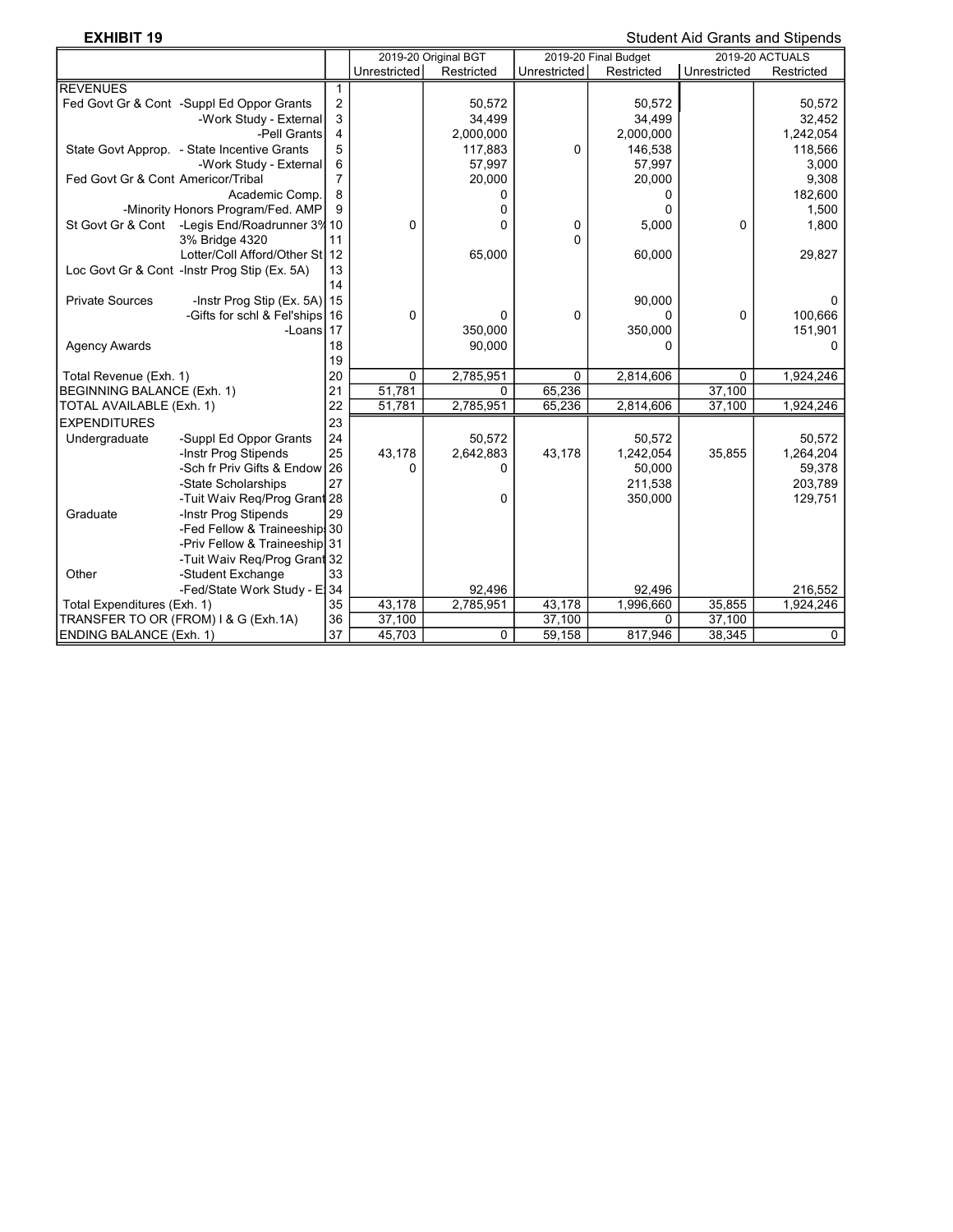**EXHIBIT 19** Student Aid Grants and Stipends

|                                              |                                |                  |              | 2019-20 Original BGT |              | 2019-20 Final Budget |              | <b>2019-20 ACTUALS</b> |
|----------------------------------------------|--------------------------------|------------------|--------------|----------------------|--------------|----------------------|--------------|------------------------|
|                                              |                                |                  | Unrestricted | Restricted           | Unrestricted | Restricted           | Unrestricted | Restricted             |
| REVENUES                                     |                                | $\mathbf{1}$     |              |                      |              |                      |              |                        |
| Fed Govt Gr & Cont -Suppl Ed Oppor Grants    |                                | $\boldsymbol{2}$ |              | 50,572               |              | 50,572               |              | 50,572                 |
|                                              | -Work Study - External         | 3                |              | 34,499               |              | 34,499               |              | 32,452                 |
|                                              | -Pell Grants                   | $\overline{4}$   |              | 2,000,000            |              | 2,000,000            |              | 1,242,054              |
| State Govt Approp. - State Incentive Grants  |                                | 5                |              | 117,883              | 0            | 146,538              |              | 118,566                |
|                                              | -Work Study - External         | 6                |              | 57,997               |              | 57,997               |              | 3,000                  |
| Fed Govt Gr & Cont Americor/Tribal           |                                | 7                |              | 20,000               |              | 20,000               |              | 9,308                  |
|                                              | Academic Comp.                 | 8                |              | 0                    |              | 0                    |              | 182,600                |
| -Minority Honors Program/Fed. AMP            |                                | 9                |              | 0                    |              | 0                    |              | 1,500                  |
| St Govt Gr & Cont                            | -Legis End/Roadrunner 3% 10    |                  | 0            | 0                    | 0            | 5,000                | 0            | 1,800                  |
| 3% Bridge 4320                               |                                | 11               |              |                      | 0            |                      |              |                        |
|                                              | Lotter/Coll Afford/Other St 12 |                  |              | 65,000               |              | 60,000               |              | 29,827                 |
| Loc Govt Gr & Cont -Instr Prog Stip (Ex. 5A) |                                | 13               |              |                      |              |                      |              |                        |
|                                              |                                | 14               |              |                      |              |                      |              |                        |
| <b>Private Sources</b>                       | -Instr Prog Stip $(Ex. 5A)$ 15 |                  |              |                      |              | 90,000               |              | 0                      |
|                                              | -Gifts for schl & Fel'ships 16 |                  | 0            | 0                    | 0            | 0                    | 0            | 100,666                |
|                                              | -Loans 17                      |                  |              | 350,000              |              | 350,000              |              | 151,901                |
| <b>Agency Awards</b>                         |                                | 18               |              | 90.000               |              | 0                    |              | 0                      |
|                                              |                                | 19               |              |                      |              |                      |              |                        |
| Total Revenue (Exh. 1)                       |                                | 20               | 0            | 2,785,951            | $\Omega$     | 2,814,606            | 0            | 1,924,246              |
| <b>BEGINNING BALANCE (Exh. 1)</b>            |                                | 21               | 51,781       | 0                    | 65,236       |                      | 37,100       |                        |
| TOTAL AVAILABLE (Exh. 1)                     |                                | 22               | 51,781       | 2,785,951            | 65,236       | 2,814,606            | 37,100       | 1,924,246              |
| <b>EXPENDITURES</b>                          |                                | 23               |              |                      |              |                      |              |                        |
| Undergraduate                                | -Suppl Ed Oppor Grants         | 24               |              | 50,572               |              | 50,572               |              | 50,572                 |
| -Instr Prog Stipends                         |                                | 25               | 43,178       | 2,642,883            | 43,178       | 1,242,054            | 35,855       | 1,264,204              |
|                                              | -Sch fr Priv Gifts & Endow 26  |                  | 0            | 0                    |              | 50,000               |              | 59,378                 |
| -State Scholarships                          |                                | 27               |              |                      |              | 211,538              |              | 203,789                |
|                                              | -Tuit Waiv Req/Prog Grant 28   |                  |              | 0                    |              | 350,000              |              | 129,751                |
| Graduate<br>-Instr Prog Stipends             |                                | 29               |              |                      |              |                      |              |                        |
|                                              | -Fed Fellow & Traineeship! 30  |                  |              |                      |              |                      |              |                        |
|                                              | -Priv Fellow & Traineeship 31  |                  |              |                      |              |                      |              |                        |
|                                              | -Tuit Waiv Reg/Prog Grant 32   |                  |              |                      |              |                      |              |                        |
| Other<br>-Student Exchange                   |                                | 33               |              |                      |              |                      |              |                        |
|                                              | -Fed/State Work Study - El 34  |                  |              | 92,496               |              | 92,496               |              | 216,552                |
| Total Expenditures (Exh. 1)                  |                                | 35               | 43,178       | 2,785,951            | 43,178       | 1,996,660            | 35,855       | 1,924,246              |
| TRANSFER TO OR (FROM) I & G (Exh.1A)         |                                | 36               | 37,100       |                      | 37,100       | 0                    | 37,100       |                        |
| <b>ENDING BALANCE (Exh. 1)</b>               |                                | 37               | 45,703       | 0                    | 59,158       | 817,946              | 38,345       | $\mathbf 0$            |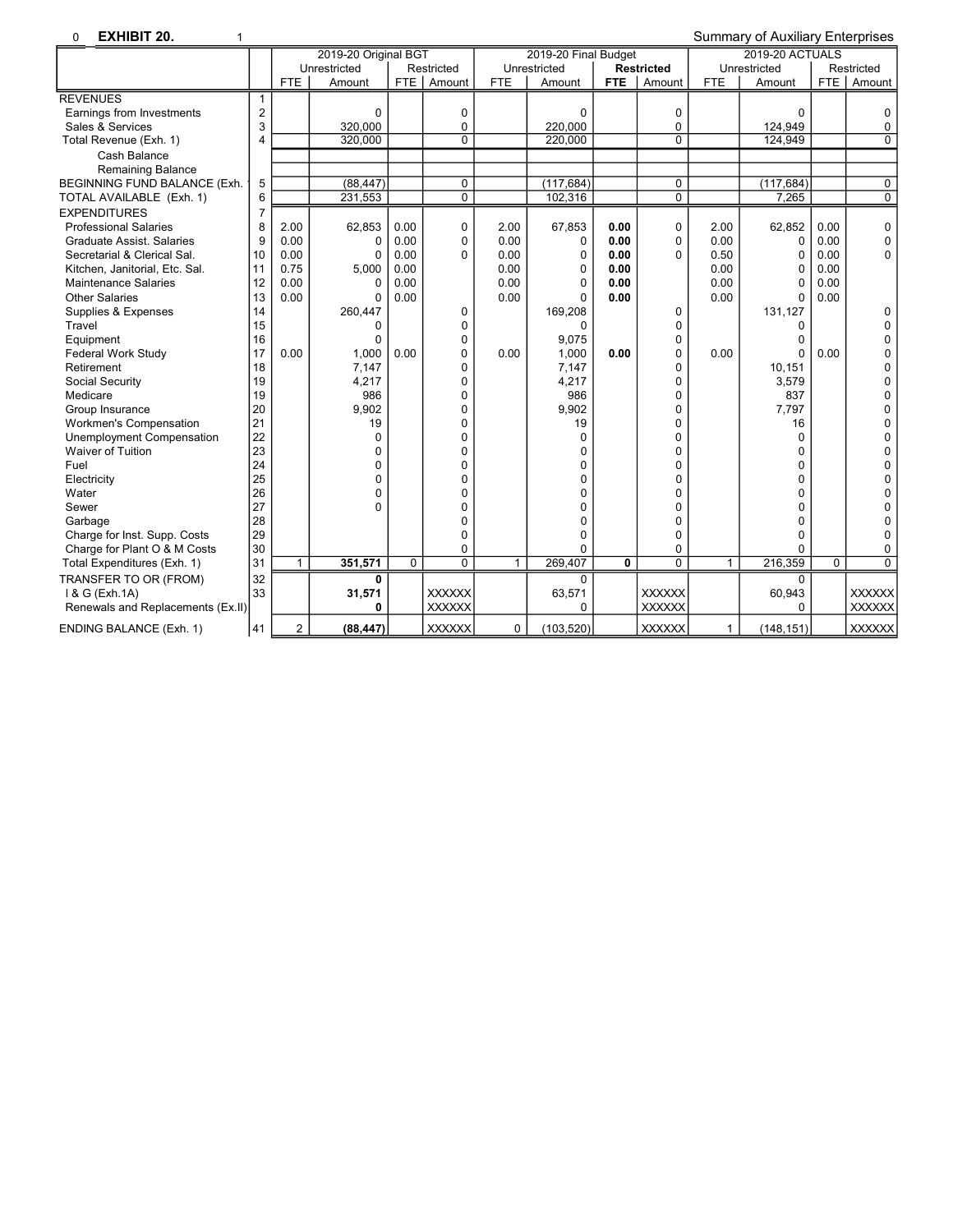| <b>EXHIBIT 20.</b><br>$\Omega$<br>1 |                |                |                      |             |                |              |                      |            |                   |              | <b>Summary of Auxiliary Enterprises</b> |          |               |
|-------------------------------------|----------------|----------------|----------------------|-------------|----------------|--------------|----------------------|------------|-------------------|--------------|-----------------------------------------|----------|---------------|
|                                     |                |                | 2019-20 Original BGT |             |                |              | 2019-20 Final Budget |            |                   |              | <b>2019-20 ACTUALS</b>                  |          |               |
|                                     |                |                | Unrestricted         |             | Restricted     |              | Unrestricted         |            | <b>Restricted</b> |              | Unrestricted                            |          | Restricted    |
|                                     |                | <b>FTE</b>     | Amount               | <b>FTE</b>  | Amount         | <b>FTE</b>   | Amount               | <b>FTE</b> | Amount            | <b>FTE</b>   | Amount                                  |          | FTE   Amount  |
| <b>REVENUES</b>                     |                |                |                      |             |                |              |                      |            |                   |              |                                         |          |               |
| Earnings from Investments           | $\overline{2}$ |                | 0                    |             | 0              |              | 0                    |            | 0                 |              | 0                                       |          | 0             |
| Sales & Services                    | 3              |                | 320.000              |             | 0              |              | 220.000              |            | $\mathbf{0}$      |              | 124,949                                 |          | 0             |
| Total Revenue (Exh. 1)              | 4              |                | 320,000              |             | $\overline{0}$ |              | 220,000              |            | $\overline{0}$    |              | 124,949                                 |          | $\Omega$      |
| Cash Balance                        |                |                |                      |             |                |              |                      |            |                   |              |                                         |          |               |
| Remaining Balance                   |                |                |                      |             |                |              |                      |            |                   |              |                                         |          |               |
| BEGINNING FUND BALANCE (Exh.        | 5              |                | (88, 447)            |             | 0              |              | (117, 684)           |            | 0                 |              | (117, 684)                              |          | 0             |
| TOTAL AVAILABLE (Exh. 1)            | 6              |                | 231.553              |             | $\overline{0}$ |              | 102,316              |            | $\overline{0}$    |              | 7.265                                   |          | 0             |
| <b>EXPENDITURES</b>                 | $\overline{7}$ |                |                      |             |                |              |                      |            |                   |              |                                         |          |               |
| <b>Professional Salaries</b>        | 8              | 2.00           | 62,853               | 0.00        | 0              | 2.00         | 67,853               | 0.00       | 0                 | 2.00         | 62,852                                  | 0.00     | 0             |
| <b>Graduate Assist, Salaries</b>    | 9              | 0.00           | 0                    | 0.00        | 0              | 0.00         | $\Omega$             | 0.00       | $\Omega$          | 0.00         | 0                                       | 0.00     | 0             |
| Secretarial & Clerical Sal.         | 10             | 0.00           | $\Omega$             | 0.00        | 0              | 0.00         | $\mathbf 0$          | 0.00       | $\Omega$          | 0.50         | 0                                       | 0.00     | 0             |
| Kitchen, Janitorial, Etc. Sal.      | 11             | 0.75           | 5.000                | 0.00        |                | 0.00         | $\Omega$             | 0.00       |                   | 0.00         | O                                       | 0.00     |               |
| <b>Maintenance Salaries</b>         | 12             | 0.00           | 0                    | 0.00        |                | 0.00         | $\mathbf 0$          | 0.00       |                   | 0.00         | $\Omega$                                | 0.00     |               |
| <b>Other Salaries</b>               | 13             | 0.00           | $\Omega$             | 0.00        |                | 0.00         | $\Omega$             | 0.00       |                   | 0.00         | $\Omega$                                | 0.00     |               |
| Supplies & Expenses                 | 14             |                | 260,447              |             | 0              |              | 169,208              |            | 0                 |              | 131,127                                 |          | $\Omega$      |
| Travel                              | 15             |                | $\Omega$             |             | 0              |              | $\Omega$             |            | $\Omega$          |              | 0                                       |          | $\Omega$      |
| Equipment                           | 16             |                | 0                    |             | 0              |              | 9,075                |            | 0                 |              |                                         |          | 0             |
| <b>Federal Work Study</b>           | 17             | 0.00           | 1,000                | 0.00        | 0              | 0.00         | 1,000                | 0.00       | $\Omega$          | 0.00         | U                                       | 0.00     | 0             |
| Retirement                          | 18             |                | 7,147                |             | $\Omega$       |              | 7,147                |            | $\Omega$          |              | 10,151                                  |          | $\Omega$      |
| Social Security                     | 19             |                | 4,217                |             | 0              |              | 4,217                |            | 0                 |              | 3,579                                   |          | $\Omega$      |
| Medicare                            | 19             |                | 986                  |             | 0              |              | 986                  |            | $\Omega$          |              | 837                                     |          | 0             |
| Group Insurance                     | 20             |                | 9.902                |             | $\Omega$       |              | 9.902                |            | $\Omega$          |              | 7.797                                   |          | $\Omega$      |
| Workmen's Compensation              | 21             |                | 19                   |             | $\overline{0}$ |              | 19                   |            | $\Omega$          |              | 16                                      |          | $\Omega$      |
| Unemployment Compensation           | 22             |                | 0                    |             | 0              |              | $\Omega$             |            | $\Omega$          |              | 0                                       |          | 0             |
| <b>Waiver of Tuition</b>            | 23             |                | 0                    |             | 0              |              | $\Omega$             |            | $\Omega$          |              | $\mathbf{0}$                            |          | 0             |
| Fuel                                | 24             |                | 0                    |             | $\Omega$       |              | $\Omega$             |            | $\Omega$          |              | 0                                       |          | $\Omega$      |
| Electricity                         | 25             |                | 0                    |             | 0              |              | $\Omega$             |            | $\Omega$          |              | 0                                       |          | O             |
| Water                               | 26             |                | 0                    |             | $\Omega$       |              | $\Omega$             |            | $\Omega$          |              | 0                                       |          | 0             |
| Sewer                               | 27             |                | 0                    |             | 0              |              | $\Omega$             |            | $\Omega$          |              | 0                                       |          | O             |
| Garbage                             | 28             |                |                      |             | $\Omega$       |              | $\Omega$             |            | $\Omega$          |              | $\Omega$                                |          | $\Omega$      |
| Charge for Inst. Supp. Costs        | 29             |                |                      |             | 0              |              | $\mathbf 0$          |            | $\Omega$          |              | 0                                       |          | 0             |
| Charge for Plant O & M Costs        | 30             |                |                      |             | 0              |              | $\Omega$             |            | $\mathbf{0}$      |              | 0                                       |          | 0             |
| Total Expenditures (Exh. 1)         | 31             | $\mathbf{1}$   | 351,571              | $\mathbf 0$ | $\overline{0}$ | $\mathbf{1}$ | 269,407              | 0          | $\Omega$          | $\mathbf{1}$ | 216,359                                 | $\Omega$ | $\Omega$      |
| TRANSFER TO OR (FROM)               | 32             |                | 0                    |             |                |              | $\Omega$             |            |                   |              | O                                       |          |               |
| 1 & G (Exh.1A)                      | 33             |                | 31,571               |             | <b>XXXXXX</b>  |              | 63,571               |            | <b>XXXXXX</b>     |              | 60,943                                  |          | <b>XXXXXX</b> |
| Renewals and Replacements (Ex.II)   |                |                | 0                    |             | <b>XXXXXX</b>  |              | $\Omega$             |            | XXXXXX            |              | 0                                       |          | <b>XXXXXX</b> |
| <b>ENDING BALANCE (Exh. 1)</b>      | 41             | $\overline{2}$ | (88, 447)            |             | <b>XXXXXX</b>  | 0            | (103, 520)           |            | <b>XXXXXX</b>     | $\mathbf{1}$ | (148, 151)                              |          | <b>XXXXXX</b> |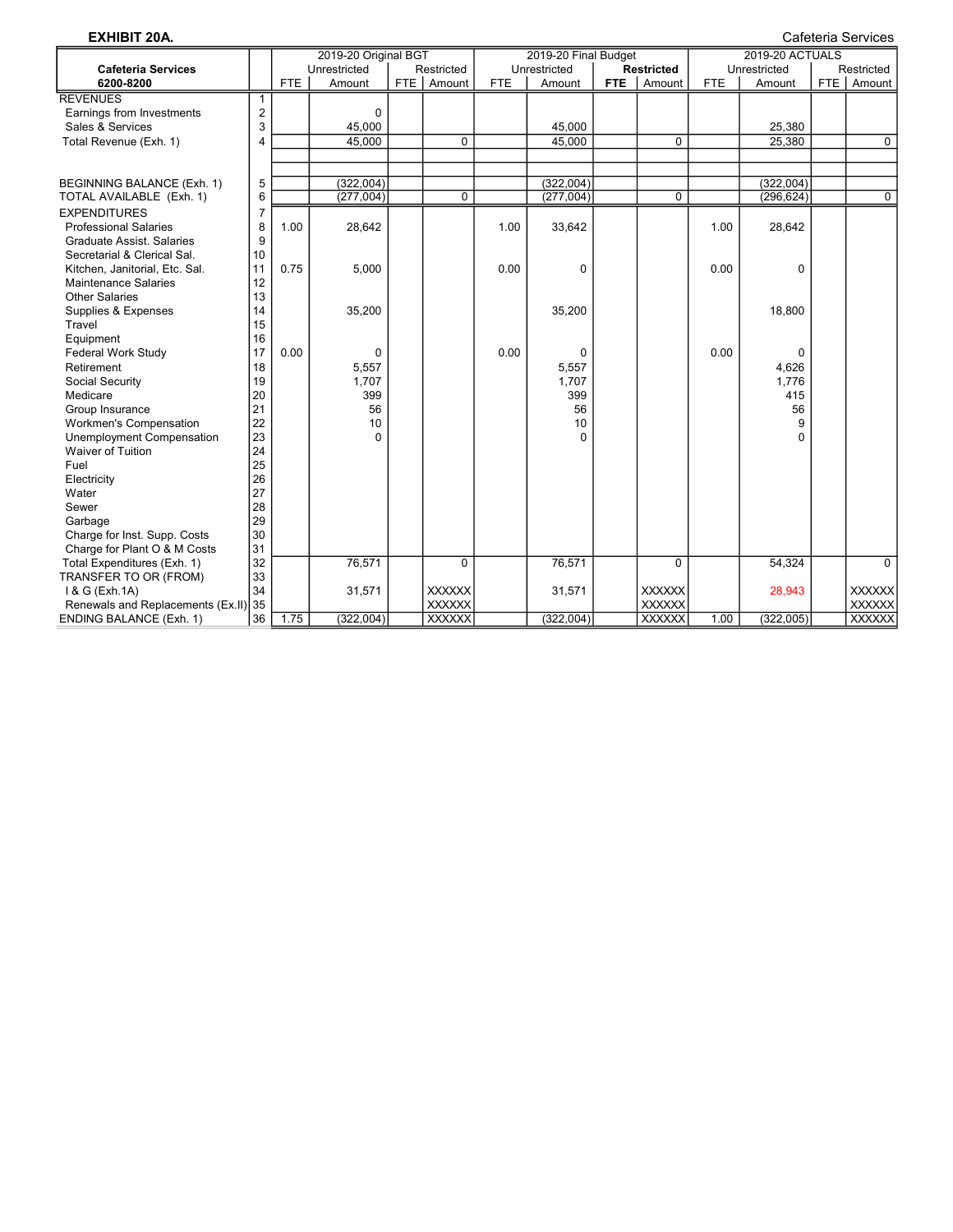| <b>EXHIBIT 20A.</b>               |                         |      |                      |                |            |                      |            |                   |            |                 |     | Cafeteria Services |
|-----------------------------------|-------------------------|------|----------------------|----------------|------------|----------------------|------------|-------------------|------------|-----------------|-----|--------------------|
|                                   |                         |      | 2019-20 Original BGT |                |            | 2019-20 Final Budget |            |                   |            | 2019-20 ACTUALS |     |                    |
| <b>Cafeteria Services</b>         |                         |      | Unrestricted         | Restricted     |            | Unrestricted         |            | <b>Restricted</b> |            | Unrestricted    |     | Restricted         |
| 6200-8200                         |                         | FTE  | Amount               | FTE   Amount   | <b>FTE</b> | Amount               | <b>FTE</b> | Amount            | <b>FTE</b> | Amount          | FTE | Amount             |
| <b>REVENUES</b>                   | $\mathbf{1}$            |      |                      |                |            |                      |            |                   |            |                 |     |                    |
| Earnings from Investments         | $\overline{2}$          |      | $\mathbf 0$          |                |            |                      |            |                   |            |                 |     |                    |
| Sales & Services                  | 3                       |      | 45,000               |                |            | 45.000               |            |                   |            | 25,380          |     |                    |
| Total Revenue (Exh. 1)            | $\overline{\mathbf{4}}$ |      | 45,000               | $\mathbf 0$    |            | 45,000               |            | $\mathbf 0$       |            | 25,380          |     | $\mathbf 0$        |
|                                   |                         |      |                      |                |            |                      |            |                   |            |                 |     |                    |
|                                   |                         |      |                      |                |            |                      |            |                   |            |                 |     |                    |
| BEGINNING BALANCE (Exh. 1)        | 5                       |      | (322,004)            |                |            | (322,004)            |            |                   |            | (322,004)       |     |                    |
| TOTAL AVAILABLE (Exh. 1)          | 6                       |      | (277,004)            | $\mathbf 0$    |            | (277,004)            |            | $\mathbf 0$       |            | (296, 624)      |     | $\mathbf 0$        |
| <b>EXPENDITURES</b>               | $\overline{7}$          |      |                      |                |            |                      |            |                   |            |                 |     |                    |
| <b>Professional Salaries</b>      | 8                       | 1.00 | 28,642               |                | 1.00       | 33,642               |            |                   | 1.00       | 28,642          |     |                    |
| <b>Graduate Assist, Salaries</b>  | 9                       |      |                      |                |            |                      |            |                   |            |                 |     |                    |
| Secretarial & Clerical Sal.       | 10                      |      |                      |                |            |                      |            |                   |            |                 |     |                    |
| Kitchen, Janitorial, Etc. Sal.    | 11                      | 0.75 | 5,000                |                | 0.00       | $\mathbf 0$          |            |                   | 0.00       | 0               |     |                    |
| <b>Maintenance Salaries</b>       | 12                      |      |                      |                |            |                      |            |                   |            |                 |     |                    |
| <b>Other Salaries</b>             | 13                      |      |                      |                |            |                      |            |                   |            |                 |     |                    |
| Supplies & Expenses               | 14                      |      | 35,200               |                |            | 35,200               |            |                   |            | 18.800          |     |                    |
| Travel                            | 15                      |      |                      |                |            |                      |            |                   |            |                 |     |                    |
| Equipment                         | 16                      |      |                      |                |            |                      |            |                   |            |                 |     |                    |
| <b>Federal Work Study</b>         | 17                      | 0.00 | 0                    |                | 0.00       | 0                    |            |                   | 0.00       | 0               |     |                    |
| Retirement                        | 18                      |      | 5,557                |                |            | 5,557                |            |                   |            | 4,626           |     |                    |
| Social Security                   | 19                      |      | 1,707                |                |            | 1,707                |            |                   |            | 1,776           |     |                    |
| Medicare                          | 20                      |      | 399                  |                |            | 399                  |            |                   |            | 415             |     |                    |
| Group Insurance                   | 21                      |      | 56                   |                |            | 56                   |            |                   |            | 56              |     |                    |
| <b>Workmen's Compensation</b>     | 22                      |      | 10                   |                |            | 10                   |            |                   |            | 9               |     |                    |
| Unemployment Compensation         | 23                      |      | $\Omega$             |                |            | $\Omega$             |            |                   |            | $\Omega$        |     |                    |
| <b>Waiver of Tuition</b>          | 24                      |      |                      |                |            |                      |            |                   |            |                 |     |                    |
| Fuel                              | 25                      |      |                      |                |            |                      |            |                   |            |                 |     |                    |
| Electricity                       | 26                      |      |                      |                |            |                      |            |                   |            |                 |     |                    |
| Water                             | 27                      |      |                      |                |            |                      |            |                   |            |                 |     |                    |
| Sewer                             | 28                      |      |                      |                |            |                      |            |                   |            |                 |     |                    |
| Garbage                           | 29                      |      |                      |                |            |                      |            |                   |            |                 |     |                    |
| Charge for Inst. Supp. Costs      | 30                      |      |                      |                |            |                      |            |                   |            |                 |     |                    |
| Charge for Plant O & M Costs      | 31                      |      |                      |                |            |                      |            |                   |            |                 |     |                    |
| Total Expenditures (Exh. 1)       | 32                      |      | 76,571               | $\overline{0}$ |            | 76,571               |            | $\overline{0}$    |            | 54,324          |     | $\overline{0}$     |
| TRANSFER TO OR (FROM)             | 33                      |      |                      |                |            |                      |            |                   |            |                 |     |                    |
| 1 & G (Exh.1A)                    | 34                      |      | 31,571               | <b>XXXXXX</b>  |            | 31,571               |            | <b>XXXXXX</b>     |            | 28,943          |     | <b>XXXXXX</b>      |
| Renewals and Replacements (Ex.II) | 35                      |      |                      | <b>XXXXXX</b>  |            |                      |            | <b>XXXXXX</b>     |            |                 |     | <b>XXXXXX</b>      |
| <b>ENDING BALANCE (Exh. 1)</b>    | 36                      | 1.75 | (322,004)            | <b>XXXXXX</b>  |            | (322,004)            |            | <b>XXXXXX</b>     | 1.00       | (322,005)       |     | <b>XXXXXX</b>      |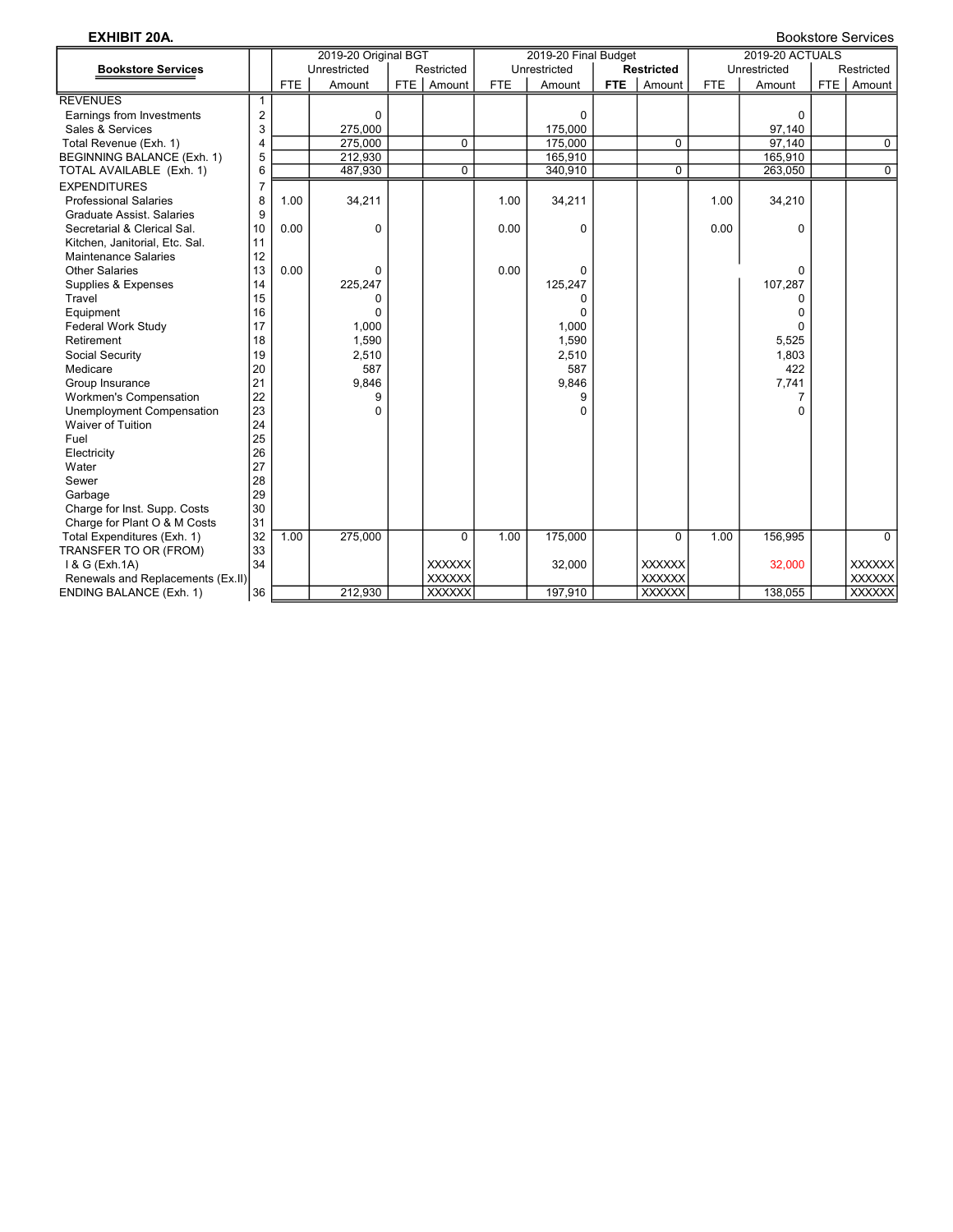| <b>EXHIBIT 20A.</b>               |                         |            |                      |       |               |            |                      |            |                   |            |                 |                  | <b>Bookstore Services</b> |
|-----------------------------------|-------------------------|------------|----------------------|-------|---------------|------------|----------------------|------------|-------------------|------------|-----------------|------------------|---------------------------|
|                                   |                         |            | 2019-20 Original BGT |       |               |            | 2019-20 Final Budget |            |                   |            | 2019-20 ACTUALS |                  |                           |
| <b>Bookstore Services</b>         |                         |            | Unrestricted         |       | Restricted    |            | Unrestricted         |            | <b>Restricted</b> |            | Unrestricted    |                  | Restricted                |
|                                   |                         | <b>FTE</b> | Amount               | FTE I | Amount        | <b>FTE</b> | Amount               | <b>FTE</b> | Amount            | <b>FTE</b> | Amount          | FTE <sup>I</sup> | Amount                    |
| <b>REVENUES</b>                   | 1                       |            |                      |       |               |            |                      |            |                   |            |                 |                  |                           |
| Earnings from Investments         | $\overline{\mathbf{c}}$ |            | 0                    |       |               |            | $\mathbf 0$          |            |                   |            | 0               |                  |                           |
| Sales & Services                  | 3                       |            | 275,000              |       |               |            | 175,000              |            |                   |            | 97,140          |                  |                           |
| Total Revenue (Exh. 1)            | 4                       |            | 275,000              |       | 0             |            | 175,000              |            | 0                 |            | 97,140          |                  | $\mathbf 0$               |
| BEGINNING BALANCE (Exh. 1)        | 5                       |            | 212,930              |       |               |            | 165,910              |            |                   |            | 165,910         |                  |                           |
| TOTAL AVAILABLE (Exh. 1)          | 6                       |            | 487,930              |       | 0             |            | 340,910              |            | $\Omega$          |            | 263,050         |                  | $\overline{0}$            |
| <b>EXPENDITURES</b>               | $\overline{7}$          |            |                      |       |               |            |                      |            |                   |            |                 |                  |                           |
| <b>Professional Salaries</b>      | 8                       | 1.00       | 34,211               |       |               | 1.00       | 34,211               |            |                   | 1.00       | 34,210          |                  |                           |
| <b>Graduate Assist, Salaries</b>  | 9                       |            |                      |       |               |            |                      |            |                   |            |                 |                  |                           |
| Secretarial & Clerical Sal.       | 10                      | 0.00       | 0                    |       |               | 0.00       | 0                    |            |                   | 0.00       | 0               |                  |                           |
| Kitchen, Janitorial, Etc. Sal.    | 11                      |            |                      |       |               |            |                      |            |                   |            |                 |                  |                           |
| <b>Maintenance Salaries</b>       | 12                      |            |                      |       |               |            |                      |            |                   |            |                 |                  |                           |
| <b>Other Salaries</b>             | 13                      | 0.00       | 0                    |       |               | 0.00       | 0                    |            |                   |            | 0               |                  |                           |
| Supplies & Expenses               | 14                      |            | 225,247              |       |               |            | 125,247              |            |                   |            | 107,287         |                  |                           |
| Travel                            | 15                      |            | 0                    |       |               |            | 0                    |            |                   |            | 0               |                  |                           |
| Equipment                         | 16                      |            | 0                    |       |               |            | $\Omega$             |            |                   |            | 0               |                  |                           |
| Federal Work Study                | 17                      |            | 1,000                |       |               |            | 1.000                |            |                   |            | ŋ               |                  |                           |
| Retirement                        | 18                      |            | 1,590                |       |               |            | 1,590                |            |                   |            | 5,525           |                  |                           |
| Social Security                   | 19                      |            | 2,510                |       |               |            | 2,510                |            |                   |            | 1,803           |                  |                           |
| Medicare                          | 20                      |            | 587                  |       |               |            | 587                  |            |                   |            | 422             |                  |                           |
| Group Insurance                   | 21                      |            | 9,846                |       |               |            | 9,846                |            |                   |            | 7,741           |                  |                           |
| <b>Workmen's Compensation</b>     | 22                      |            | 9                    |       |               |            | 9                    |            |                   |            | 7               |                  |                           |
| <b>Unemployment Compensation</b>  | 23                      |            | 0                    |       |               |            | $\Omega$             |            |                   |            | 0               |                  |                           |
| <b>Waiver of Tuition</b>          | 24                      |            |                      |       |               |            |                      |            |                   |            |                 |                  |                           |
| Fuel                              | 25                      |            |                      |       |               |            |                      |            |                   |            |                 |                  |                           |
| Electricity                       | 26                      |            |                      |       |               |            |                      |            |                   |            |                 |                  |                           |
| Water                             | 27                      |            |                      |       |               |            |                      |            |                   |            |                 |                  |                           |
| Sewer                             | 28                      |            |                      |       |               |            |                      |            |                   |            |                 |                  |                           |
| Garbage                           | 29                      |            |                      |       |               |            |                      |            |                   |            |                 |                  |                           |
| Charge for Inst. Supp. Costs      | 30                      |            |                      |       |               |            |                      |            |                   |            |                 |                  |                           |
| Charge for Plant O & M Costs      | 31                      |            |                      |       |               |            |                      |            |                   |            |                 |                  |                           |
| Total Expenditures (Exh. 1)       | 32                      | 1.00       | 275,000              |       | $\Omega$      | 1.00       | 175,000              |            | $\Omega$          | 1.00       | 156,995         |                  | $\Omega$                  |
| TRANSFER TO OR (FROM)             | 33                      |            |                      |       |               |            |                      |            |                   |            |                 |                  |                           |
| 1 & G (Exh.1A)                    | 34                      |            |                      |       | <b>XXXXXX</b> |            | 32,000               |            | <b>XXXXXX</b>     |            | 32,000          |                  | <b>XXXXXX</b>             |
| Renewals and Replacements (Ex.II) |                         |            |                      |       | <b>XXXXXX</b> |            |                      |            | <b>XXXXXX</b>     |            |                 |                  | <b>XXXXXX</b>             |
| <b>ENDING BALANCE (Exh. 1)</b>    | 36                      |            | 212.930              |       | <b>XXXXXX</b> |            | 197.910              |            | <b>XXXXXX</b>     |            | 138.055         |                  | <b>XXXXXX</b>             |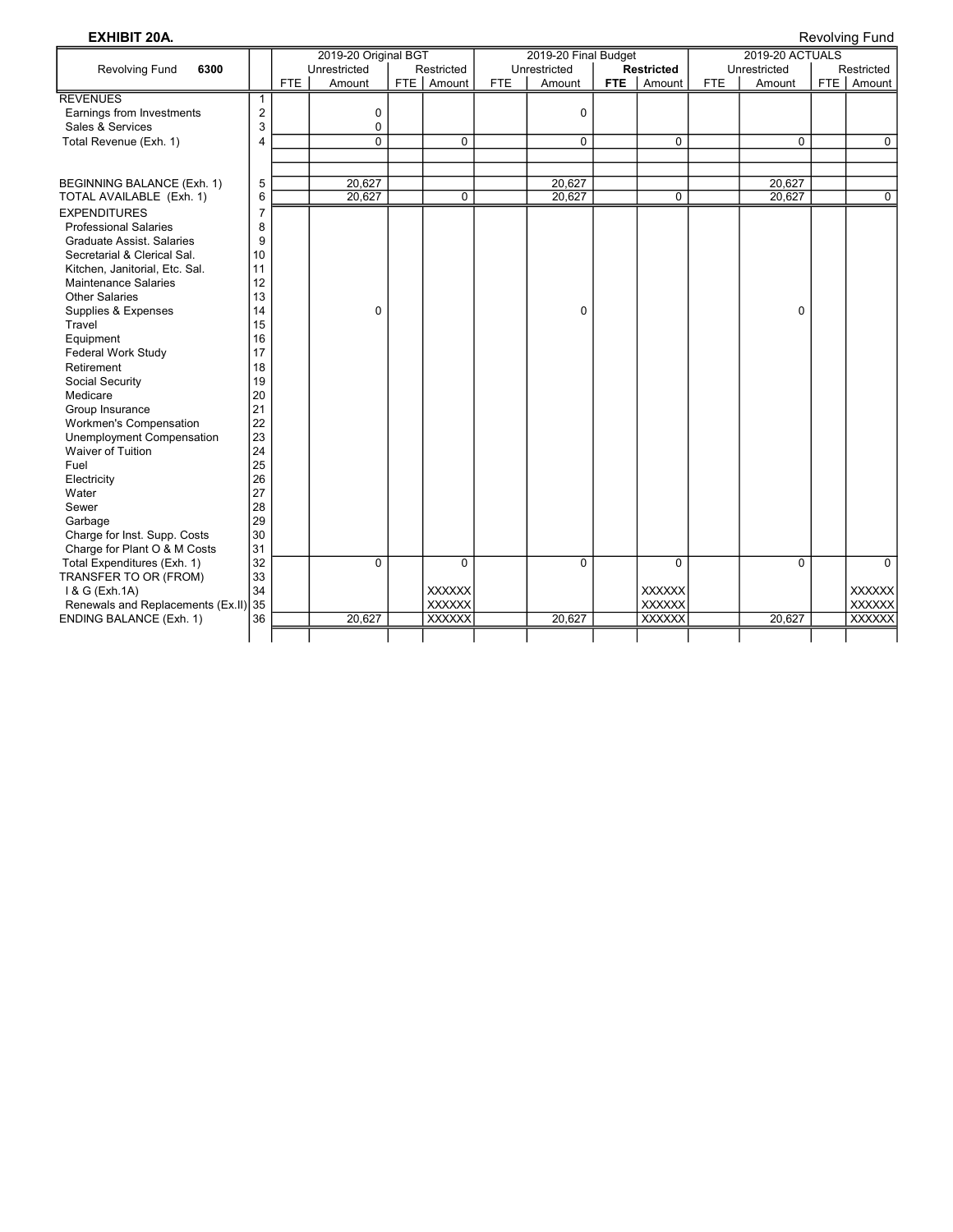**EXHIBIT 20A.** Revolving Fund and Second Second Second Second Second Second Second Second Second Second Second Second Second Second Second Second Second Second Second Second Second Second Second Second Second Second Second

|                                                                 |                |     | 2019-20 Original BGT |       |                |            | 2019-20 Final Budget |     |                   |            | 2019-20 ACTUALS |                |
|-----------------------------------------------------------------|----------------|-----|----------------------|-------|----------------|------------|----------------------|-----|-------------------|------------|-----------------|----------------|
| <b>Revolving Fund</b><br>6300                                   |                |     | Unrestricted         |       | Restricted     |            | Unrestricted         |     | <b>Restricted</b> |            | Unrestricted    | Restricted     |
|                                                                 |                | FTE | Amount               | FTE I | Amount         | <b>FTE</b> | Amount               | FTE | Amount            | <b>FTE</b> | Amount          | FTE Amount     |
| <b>REVENUES</b>                                                 | 1              |     |                      |       |                |            |                      |     |                   |            |                 |                |
| Earnings from Investments                                       | $\overline{2}$ |     | 0                    |       |                |            | $\mathbf 0$          |     |                   |            |                 |                |
| Sales & Services                                                | 3              |     | 0                    |       |                |            |                      |     |                   |            |                 |                |
| Total Revenue (Exh. 1)                                          | 4              |     | $\overline{0}$       |       | 0              |            | $\Omega$             |     | $\Omega$          |            | $\Omega$        | 0              |
|                                                                 |                |     |                      |       |                |            |                      |     |                   |            |                 |                |
|                                                                 |                |     |                      |       |                |            |                      |     |                   |            |                 |                |
| BEGINNING BALANCE (Exh. 1)                                      | 5              |     | 20,627               |       |                |            | 20,627               |     |                   |            | 20,627          |                |
| TOTAL AVAILABLE (Exh. 1)                                        | 6              |     | 20,627               |       | $\overline{0}$ |            | 20,627               |     | $\mathbf 0$       |            | 20,627          | $\overline{0}$ |
| <b>EXPENDITURES</b>                                             | $\overline{7}$ |     |                      |       |                |            |                      |     |                   |            |                 |                |
| <b>Professional Salaries</b>                                    | 8              |     |                      |       |                |            |                      |     |                   |            |                 |                |
| <b>Graduate Assist, Salaries</b><br>Secretarial & Clerical Sal. | 9<br>10        |     |                      |       |                |            |                      |     |                   |            |                 |                |
| Kitchen, Janitorial, Etc. Sal.                                  | 11             |     |                      |       |                |            |                      |     |                   |            |                 |                |
| <b>Maintenance Salaries</b>                                     | 12             |     |                      |       |                |            |                      |     |                   |            |                 |                |
| <b>Other Salaries</b>                                           | 13             |     |                      |       |                |            |                      |     |                   |            |                 |                |
| Supplies & Expenses                                             | 14             |     | 0                    |       |                |            | $\Omega$             |     |                   |            | 0               |                |
| Travel                                                          | 15             |     |                      |       |                |            |                      |     |                   |            |                 |                |
| Equipment                                                       | 16             |     |                      |       |                |            |                      |     |                   |            |                 |                |
| <b>Federal Work Study</b>                                       | 17             |     |                      |       |                |            |                      |     |                   |            |                 |                |
| Retirement                                                      | 18             |     |                      |       |                |            |                      |     |                   |            |                 |                |
| Social Security                                                 | 19             |     |                      |       |                |            |                      |     |                   |            |                 |                |
| Medicare                                                        | 20             |     |                      |       |                |            |                      |     |                   |            |                 |                |
| Group Insurance                                                 | 21             |     |                      |       |                |            |                      |     |                   |            |                 |                |
| <b>Workmen's Compensation</b>                                   | 22             |     |                      |       |                |            |                      |     |                   |            |                 |                |
| Unemployment Compensation                                       | 23             |     |                      |       |                |            |                      |     |                   |            |                 |                |
| Waiver of Tuition                                               | 24             |     |                      |       |                |            |                      |     |                   |            |                 |                |
| Fuel                                                            | 25             |     |                      |       |                |            |                      |     |                   |            |                 |                |
| Electricity                                                     | 26             |     |                      |       |                |            |                      |     |                   |            |                 |                |
| Water                                                           | 27             |     |                      |       |                |            |                      |     |                   |            |                 |                |
| Sewer                                                           | 28             |     |                      |       |                |            |                      |     |                   |            |                 |                |
| Garbage                                                         | 29             |     |                      |       |                |            |                      |     |                   |            |                 |                |
| Charge for Inst. Supp. Costs                                    | 30             |     |                      |       |                |            |                      |     |                   |            |                 |                |
| Charge for Plant O & M Costs                                    | 31             |     |                      |       |                |            |                      |     |                   |            |                 |                |
| Total Expenditures (Exh. 1)                                     | 32             |     | $\overline{0}$       |       | $\overline{0}$ |            | $\Omega$             |     | $\overline{0}$    |            | $\overline{0}$  | $\mathbf{0}$   |
| TRANSFER TO OR (FROM)                                           | 33             |     |                      |       |                |            |                      |     |                   |            |                 |                |
| 1 & G (Exh.1A)                                                  | 34             |     |                      |       | <b>XXXXXX</b>  |            |                      |     | <b>XXXXXX</b>     |            |                 | <b>XXXXXX</b>  |
| Renewals and Replacements (Ex.II)                               | 35             |     |                      |       | <b>XXXXXX</b>  |            |                      |     | <b>XXXXXX</b>     |            |                 | <b>XXXXXX</b>  |
| ENDING BALANCE (Exh. 1)                                         | 36             |     | 20,627               |       | <b>XXXXXX</b>  |            | 20,627               |     | <b>XXXXXX</b>     |            | 20,627          | <b>XXXXXX</b>  |
|                                                                 |                |     |                      |       |                |            |                      |     |                   |            |                 |                |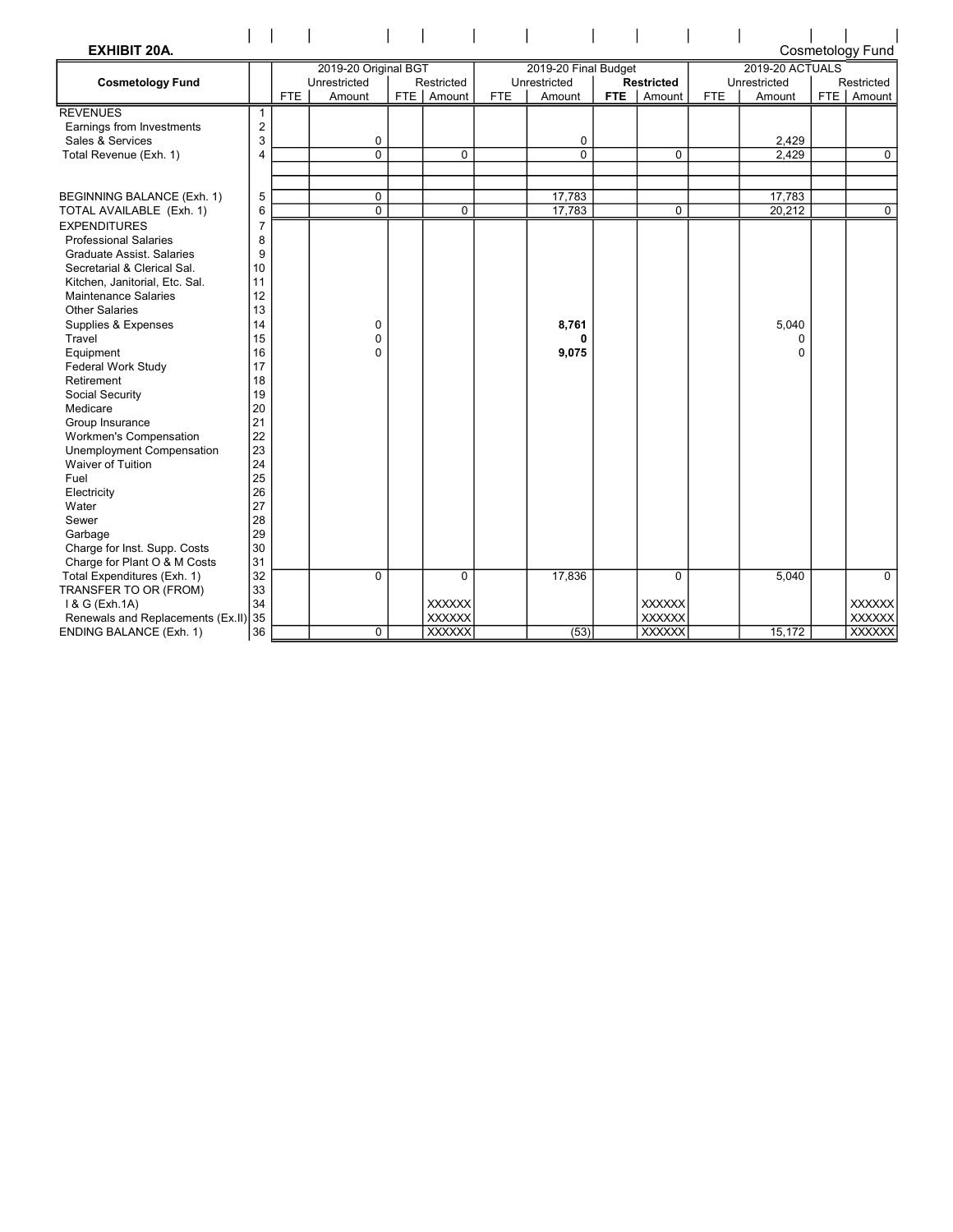| <b>EXHIBIT 20A.</b><br><b>Cosmetology Fund</b>                |                |      |                      |            |               |              |                      |                   |               |              |                  |            |               |  |
|---------------------------------------------------------------|----------------|------|----------------------|------------|---------------|--------------|----------------------|-------------------|---------------|--------------|------------------|------------|---------------|--|
|                                                               |                |      | 2019-20 Original BGT |            |               |              | 2019-20 Final Budget |                   |               |              | 2019-20 ACTUALS  |            |               |  |
| <b>Cosmetology Fund</b>                                       |                |      | Unrestricted         | Restricted |               | Unrestricted |                      | <b>Restricted</b> |               | Unrestricted |                  | Restricted |               |  |
|                                                               |                | FTE. | Amount               | FTE        | Amount        | FTE.         | Amount               | <b>FTE</b>        | Amount        | <b>FTE</b>   | Amount           |            | FTE Amount    |  |
| <b>REVENUES</b>                                               | $\mathbf{1}$   |      |                      |            |               |              |                      |                   |               |              |                  |            |               |  |
| Earnings from Investments                                     | $\overline{2}$ |      |                      |            |               |              |                      |                   |               |              |                  |            |               |  |
| Sales & Services                                              | 3              |      | 0                    |            |               |              | 0                    |                   |               |              | 2,429            |            |               |  |
| Total Revenue (Exh. 1)                                        | 4              |      | $\overline{0}$       |            | $\Omega$      |              | $\mathbf{0}$         |                   | $\Omega$      |              | 2.429            |            | $\mathbf{0}$  |  |
|                                                               |                |      |                      |            |               |              |                      |                   |               |              |                  |            |               |  |
|                                                               |                |      |                      |            |               |              |                      |                   |               |              |                  |            |               |  |
| BEGINNING BALANCE (Exh. 1)                                    | 5              |      | 0<br>$\overline{0}$  |            |               |              | 17,783<br>17,783     |                   |               |              | 17,783<br>20,212 |            | $\Omega$      |  |
| TOTAL AVAILABLE (Exh. 1)                                      | 6              |      |                      |            | $\mathbf 0$   |              |                      |                   | $\mathbf 0$   |              |                  |            |               |  |
| <b>EXPENDITURES</b>                                           | $\overline{7}$ |      |                      |            |               |              |                      |                   |               |              |                  |            |               |  |
| <b>Professional Salaries</b>                                  | 8              |      |                      |            |               |              |                      |                   |               |              |                  |            |               |  |
| <b>Graduate Assist, Salaries</b>                              | 9              |      |                      |            |               |              |                      |                   |               |              |                  |            |               |  |
| Secretarial & Clerical Sal.                                   | 10<br>11       |      |                      |            |               |              |                      |                   |               |              |                  |            |               |  |
| Kitchen, Janitorial, Etc. Sal.<br><b>Maintenance Salaries</b> | 12             |      |                      |            |               |              |                      |                   |               |              |                  |            |               |  |
| <b>Other Salaries</b>                                         | 13             |      |                      |            |               |              |                      |                   |               |              |                  |            |               |  |
| Supplies & Expenses                                           | 14             |      | 0                    |            |               |              | 8,761                |                   |               |              | 5.040            |            |               |  |
| Travel                                                        | 15             |      | 0                    |            |               |              | 0                    |                   |               |              | 0                |            |               |  |
| Equipment                                                     | 16             |      | $\mathbf{0}$         |            |               |              | 9,075                |                   |               |              | $\Omega$         |            |               |  |
| Federal Work Study                                            | 17             |      |                      |            |               |              |                      |                   |               |              |                  |            |               |  |
| Retirement                                                    | 18             |      |                      |            |               |              |                      |                   |               |              |                  |            |               |  |
| Social Security                                               | 19             |      |                      |            |               |              |                      |                   |               |              |                  |            |               |  |
| Medicare                                                      | 20             |      |                      |            |               |              |                      |                   |               |              |                  |            |               |  |
| Group Insurance                                               | 21             |      |                      |            |               |              |                      |                   |               |              |                  |            |               |  |
| <b>Workmen's Compensation</b>                                 | 22             |      |                      |            |               |              |                      |                   |               |              |                  |            |               |  |
| <b>Unemployment Compensation</b>                              | 23             |      |                      |            |               |              |                      |                   |               |              |                  |            |               |  |
| Waiver of Tuition                                             | 24             |      |                      |            |               |              |                      |                   |               |              |                  |            |               |  |
| Fuel                                                          | 25             |      |                      |            |               |              |                      |                   |               |              |                  |            |               |  |
| Electricity                                                   | 26             |      |                      |            |               |              |                      |                   |               |              |                  |            |               |  |
| Water                                                         | 27             |      |                      |            |               |              |                      |                   |               |              |                  |            |               |  |
| Sewer                                                         | 28             |      |                      |            |               |              |                      |                   |               |              |                  |            |               |  |
| Garbage                                                       | 29             |      |                      |            |               |              |                      |                   |               |              |                  |            |               |  |
| Charge for Inst. Supp. Costs                                  | 30             |      |                      |            |               |              |                      |                   |               |              |                  |            |               |  |
| Charge for Plant O & M Costs                                  | 31             |      |                      |            |               |              |                      |                   |               |              |                  |            |               |  |
| Total Expenditures (Exh. 1)                                   | 32             |      | 0                    |            | $\mathbf 0$   |              | 17,836               |                   | $\mathbf 0$   |              | 5,040            |            | $\Omega$      |  |
| TRANSFER TO OR (FROM)                                         | 33             |      |                      |            |               |              |                      |                   |               |              |                  |            |               |  |
| 1 & G (Exh.1A)                                                | 34             |      |                      |            | <b>XXXXXX</b> |              |                      |                   | <b>XXXXXX</b> |              |                  |            | <b>XXXXXX</b> |  |
| Renewals and Replacements (Ex.II)                             | 35             |      |                      |            | <b>XXXXXX</b> |              |                      |                   | <b>XXXXXX</b> |              |                  |            | <b>XXXXXX</b> |  |
| ENDING BALANCE (Exh. 1)                                       | 36             |      | 0                    |            | <b>XXXXXX</b> |              | (53)                 |                   | <b>XXXXXX</b> |              | 15,172           |            | <b>XXXXXX</b> |  |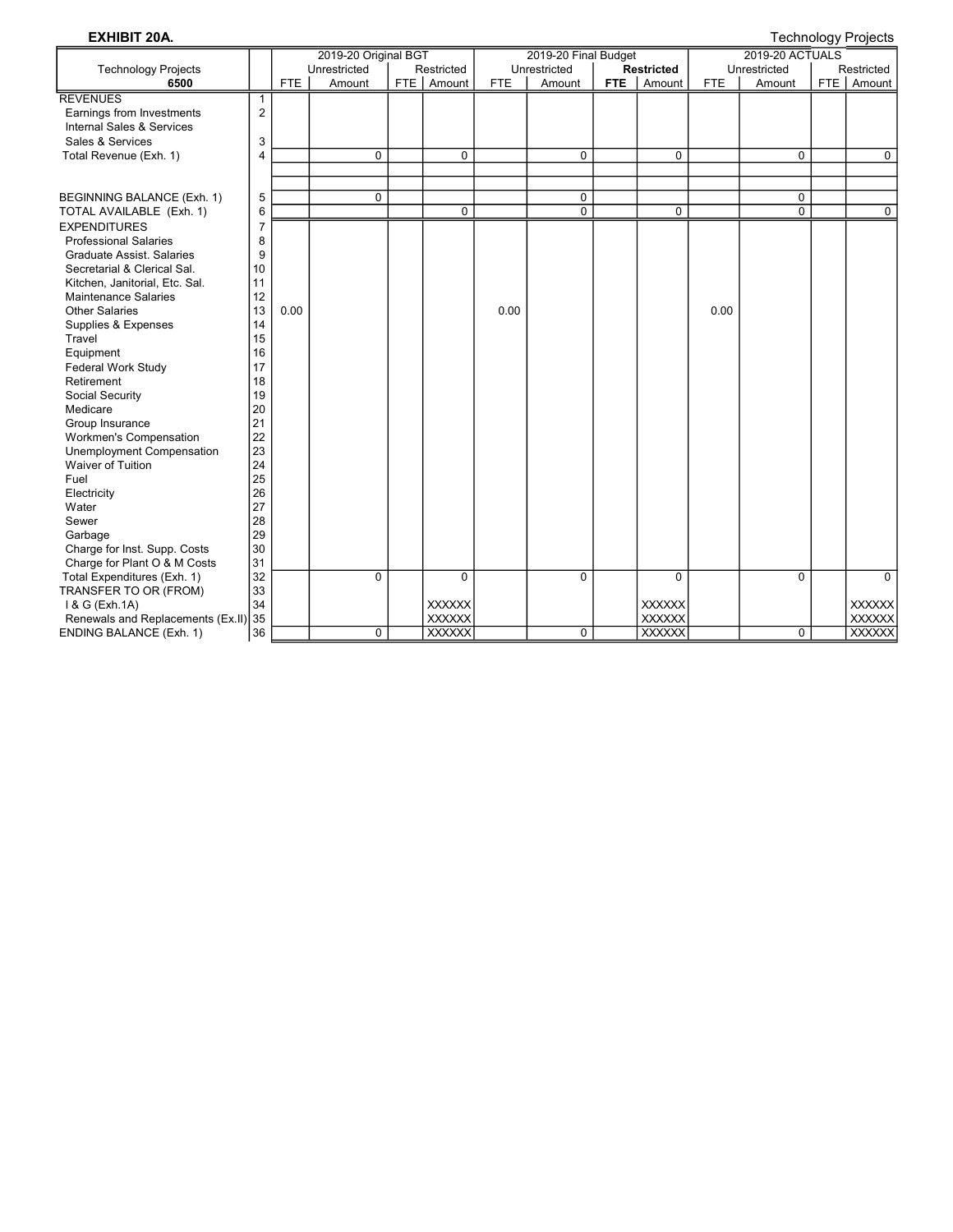EXHIBIT 20A. Technology Projects

|                                      |                |            | 2019-20 Original BGT |               |            | 2019-20 Final Budget |            |                   |            | 2019-20 ACTUALS | J.  |               |
|--------------------------------------|----------------|------------|----------------------|---------------|------------|----------------------|------------|-------------------|------------|-----------------|-----|---------------|
| <b>Technology Projects</b>           |                |            | Unrestricted         | Restricted    |            | Unrestricted         |            | <b>Restricted</b> |            | Unrestricted    |     | Restricted    |
| 6500                                 |                | <b>FTE</b> | Amount               | FTE   Amount  | <b>FTE</b> | Amount               | <b>FTE</b> | Amount            | <b>FTE</b> | Amount          | FTE | Amount        |
| <b>REVENUES</b>                      | 1              |            |                      |               |            |                      |            |                   |            |                 |     |               |
| Earnings from Investments            | $\overline{2}$ |            |                      |               |            |                      |            |                   |            |                 |     |               |
| <b>Internal Sales &amp; Services</b> |                |            |                      |               |            |                      |            |                   |            |                 |     |               |
| Sales & Services                     | 3              |            |                      |               |            |                      |            |                   |            |                 |     |               |
| Total Revenue (Exh. 1)               | $\overline{4}$ |            | 0                    | 0             |            | $\mathbf 0$          |            | 0                 |            | 0               |     | $\mathbf 0$   |
|                                      |                |            |                      |               |            |                      |            |                   |            |                 |     |               |
|                                      |                |            |                      |               |            |                      |            |                   |            |                 |     |               |
| BEGINNING BALANCE (Exh. 1)           | 5              |            | $\mathbf 0$          |               |            | $\mathbf 0$          |            |                   |            | 0               |     |               |
| TOTAL AVAILABLE (Exh. 1)             | 6              |            |                      | 0             |            | $\mathbf{0}$         |            | $\mathbf 0$       |            | $\overline{0}$  |     | $\mathbf 0$   |
| <b>EXPENDITURES</b>                  | $\overline{7}$ |            |                      |               |            |                      |            |                   |            |                 |     |               |
| <b>Professional Salaries</b>         | 8              |            |                      |               |            |                      |            |                   |            |                 |     |               |
| <b>Graduate Assist, Salaries</b>     | 9              |            |                      |               |            |                      |            |                   |            |                 |     |               |
| Secretarial & Clerical Sal.          | 10             |            |                      |               |            |                      |            |                   |            |                 |     |               |
| Kitchen, Janitorial, Etc. Sal.       | 11             |            |                      |               |            |                      |            |                   |            |                 |     |               |
| <b>Maintenance Salaries</b>          | 12             |            |                      |               |            |                      |            |                   |            |                 |     |               |
| <b>Other Salaries</b>                | 13             | 0.00       |                      |               | 0.00       |                      |            |                   | 0.00       |                 |     |               |
| Supplies & Expenses                  | 14             |            |                      |               |            |                      |            |                   |            |                 |     |               |
| Travel                               | 15             |            |                      |               |            |                      |            |                   |            |                 |     |               |
| Equipment                            | 16             |            |                      |               |            |                      |            |                   |            |                 |     |               |
| Federal Work Study                   | 17             |            |                      |               |            |                      |            |                   |            |                 |     |               |
| Retirement                           | 18             |            |                      |               |            |                      |            |                   |            |                 |     |               |
| Social Security                      | 19             |            |                      |               |            |                      |            |                   |            |                 |     |               |
| Medicare                             | 20             |            |                      |               |            |                      |            |                   |            |                 |     |               |
| Group Insurance                      | 21             |            |                      |               |            |                      |            |                   |            |                 |     |               |
| Workmen's Compensation               | 22             |            |                      |               |            |                      |            |                   |            |                 |     |               |
| Unemployment Compensation            | 23             |            |                      |               |            |                      |            |                   |            |                 |     |               |
| Waiver of Tuition                    | 24             |            |                      |               |            |                      |            |                   |            |                 |     |               |
| Fuel                                 | 25             |            |                      |               |            |                      |            |                   |            |                 |     |               |
| Electricity                          | 26             |            |                      |               |            |                      |            |                   |            |                 |     |               |
| Water                                | 27             |            |                      |               |            |                      |            |                   |            |                 |     |               |
| Sewer                                | 28             |            |                      |               |            |                      |            |                   |            |                 |     |               |
| Garbage                              | 29             |            |                      |               |            |                      |            |                   |            |                 |     |               |
| Charge for Inst. Supp. Costs         | 30             |            |                      |               |            |                      |            |                   |            |                 |     |               |
| Charge for Plant O & M Costs         | 31             |            |                      |               |            |                      |            |                   |            |                 |     |               |
| Total Expenditures (Exh. 1)          | 32             |            | 0                    | 0             |            | $\Omega$             |            | $\Omega$          |            | $\Omega$        |     | $\mathbf{0}$  |
| TRANSFER TO OR (FROM)                | 33             |            |                      |               |            |                      |            |                   |            |                 |     |               |
| 1 & G (Exh.1A)                       | 34             |            |                      | <b>XXXXXX</b> |            |                      |            | <b>XXXXXX</b>     |            |                 |     | <b>XXXXXX</b> |
| Renewals and Replacements (Ex.II)    | 35             |            |                      | XXXXXX        |            |                      |            | XXXXXX            |            |                 |     | <b>XXXXXX</b> |
| ENDING BALANCE (Exh. 1)              | 36             |            | $\mathbf 0$          | <b>XXXXXX</b> |            | $\Omega$             |            | <b>XXXXXX</b>     |            | $\mathbf 0$     |     | <b>XXXXXX</b> |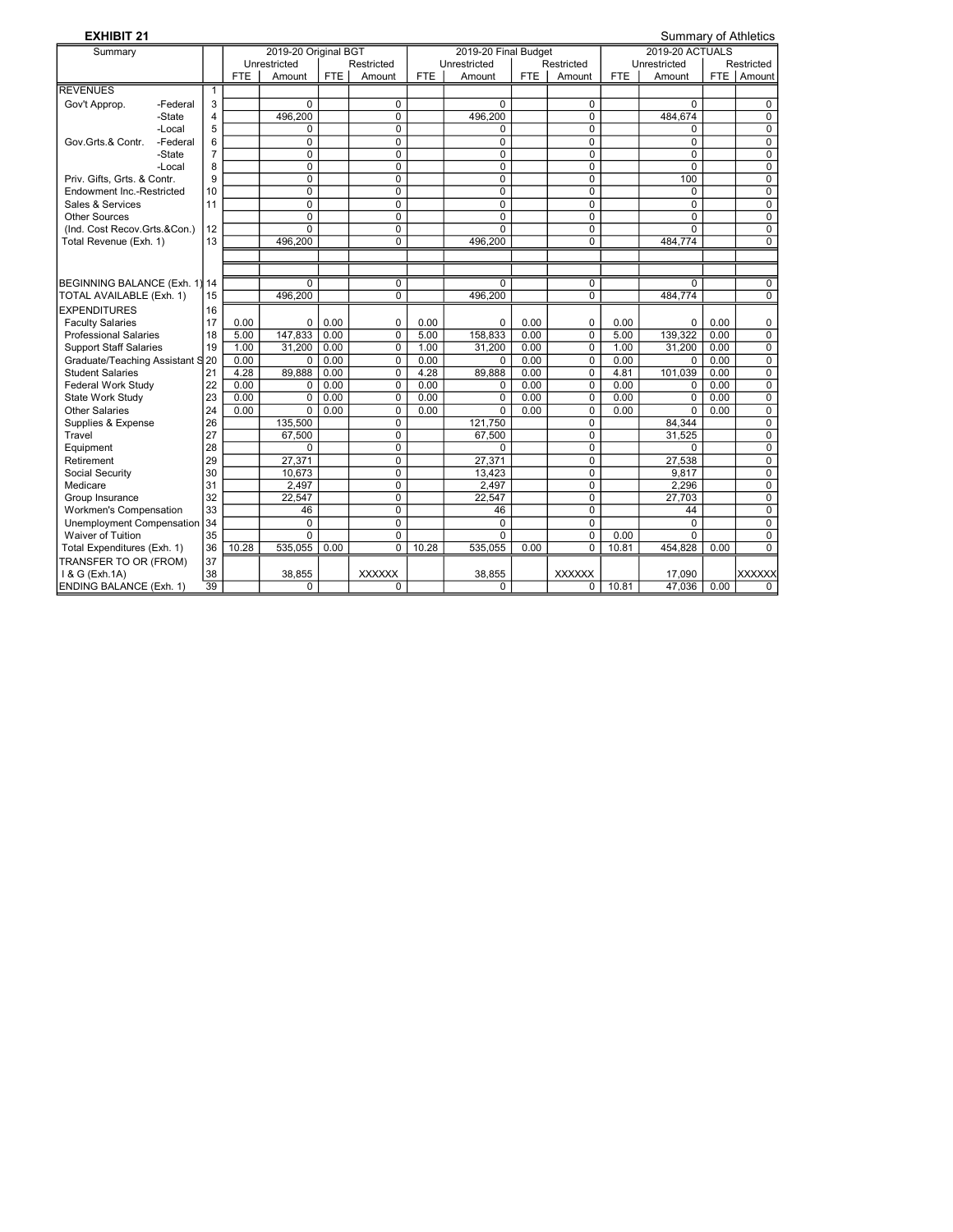| <b>EXHIBIT 21</b>                |          |                 |            |                      |            |                |            |                      |            |                | <b>Summary of Athletics</b> |                        |       |                |  |  |
|----------------------------------|----------|-----------------|------------|----------------------|------------|----------------|------------|----------------------|------------|----------------|-----------------------------|------------------------|-------|----------------|--|--|
| Summary                          |          |                 |            | 2019-20 Original BGT |            |                |            | 2019-20 Final Budget |            |                |                             | <b>2019-20 ACTUALS</b> |       |                |  |  |
|                                  |          |                 |            | Unrestricted         |            | Restricted     |            | Unrestricted         |            | Restricted     |                             | Unrestricted           |       | Restricted     |  |  |
|                                  |          |                 | <b>FTE</b> | Amount               | <b>FTE</b> | Amount         | <b>FTE</b> | Amount               | <b>FTE</b> | Amount         | <b>FTE</b>                  | Amount                 | FTE I | Amount         |  |  |
| <b>REVENUES</b>                  |          | $\mathbf{1}$    |            |                      |            |                |            |                      |            |                |                             |                        |       |                |  |  |
| Gov't Approp.                    | -Federal | 3               |            | $\Omega$             |            | 0              |            | $\Omega$             |            | 0              |                             | $\Omega$               |       | 0              |  |  |
|                                  | -State   | 4               |            | 496,200              |            | 0              |            | 496,200              |            | 0              |                             | 484,674                |       | $\overline{0}$ |  |  |
|                                  | -Local   | 5               |            | 0                    |            | 0              |            | 0                    |            | 0              |                             | 0                      |       | $\mathbf 0$    |  |  |
| Gov.Grts.& Contr.                | -Federal | 6               |            | $\mathbf 0$          |            | 0              |            | 0                    |            | 0              |                             | $\overline{0}$         |       | $\mathbf 0$    |  |  |
|                                  | -State   | $\overline{7}$  |            | $\mathbf 0$          |            | 0              |            | $\mathbf 0$          |            | 0              |                             | $\mathbf 0$            |       | $\mathbf 0$    |  |  |
|                                  | -Local   | 8               |            | $\overline{0}$       |            | $\Omega$       |            | $\overline{0}$       |            | $\Omega$       |                             | $\overline{0}$         |       | $\overline{0}$ |  |  |
| Priv. Gifts. Grts. & Contr.      |          | 9               |            | $\mathbf 0$          |            | 0              |            | $\mathbf 0$          |            | 0              |                             | 100                    |       | $\mathbf 0$    |  |  |
| Endowment Inc.-Restricted        |          | 10              |            | $\mathbf 0$          |            | 0              |            | $\mathbf 0$          |            | 0              |                             | 0                      |       | $\overline{0}$ |  |  |
| Sales & Services                 |          | 11              |            | $\overline{0}$       |            | $\Omega$       |            | $\overline{0}$       |            | $\Omega$       |                             | $\Omega$               |       | $\overline{0}$ |  |  |
| <b>Other Sources</b>             |          |                 |            | $\Omega$             |            | $\Omega$       |            | $\Omega$             |            | $\Omega$       |                             | $\Omega$               |       | 0              |  |  |
| (Ind. Cost Recov.Grts.&Con.)     |          | 12              |            | $\overline{0}$       |            | 0              |            | $\overline{0}$       |            | 0              |                             | $\overline{0}$         |       | $\overline{0}$ |  |  |
| Total Revenue (Exh. 1)           |          | 13              |            | 496,200              |            | 0              |            | 496,200              |            | $\Omega$       |                             | 484,774                |       | $\overline{0}$ |  |  |
|                                  |          |                 |            |                      |            |                |            |                      |            |                |                             |                        |       |                |  |  |
|                                  |          |                 |            |                      |            |                |            |                      |            |                |                             |                        |       |                |  |  |
| BEGINNING BALANCE (Exh. 1) 14    |          |                 |            | $\Omega$             |            | 0              |            | $\Omega$             |            | 0              |                             | $\Omega$               |       | 0              |  |  |
| TOTAL AVAILABLE (Exh. 1)         |          | 15              |            | 496,200              |            | $\Omega$       |            | 496,200              |            | $\Omega$       |                             | 484,774                |       | $\overline{0}$ |  |  |
| <b>EXPENDITURES</b>              |          | 16              |            |                      |            |                |            |                      |            |                |                             |                        |       |                |  |  |
| <b>Faculty Salaries</b>          |          | 17              | 0.00       | 0                    | 0.00       | 0              | 0.00       | $\Omega$             | 0.00       | 0              | 0.00                        | 0                      | 0.00  | 0              |  |  |
| <b>Professional Salaries</b>     |          | 18              | 5.00       | 147.833              | 0.00       | $\overline{0}$ | 5.00       | 158.833              | 0.00       | $\overline{0}$ | 5.00                        | 139.322                | 0.00  | $\overline{0}$ |  |  |
| <b>Support Staff Salaries</b>    |          | 19              | 1.00       | 31,200               | 0.00       | 0              | 1.00       | 31,200               | 0.00       | 0              | 1.00                        | 31.200                 | 0.00  | 0              |  |  |
| Graduate/Teaching Assistant S 20 |          |                 | 0.00       | $\Omega$             | 0.00       | $\Omega$       | 0.00       | $\Omega$             | 0.00       | $\Omega$       | 0.00                        | $\Omega$               | 0.00  | $\mathbf 0$    |  |  |
| <b>Student Salaries</b>          |          | 21              | 4.28       | 89,888               | 0.00       | $\Omega$       | 4.28       | 89,888               | 0.00       | 0              | 4.81                        | 101,039                | 0.00  | $\mathbf 0$    |  |  |
| Federal Work Study               |          | 22              | 0.00       | 0                    | 0.00       | 0              | 0.00       | 0                    | 0.00       | 0              | 0.00                        | 0                      | 0.00  | $\mathbf 0$    |  |  |
| State Work Study                 |          | 23              | 0.00       | $\Omega$             | 0.00       | $\Omega$       | 0.00       | $\Omega$             | 0.00       | $\Omega$       | 0.00                        | $\Omega$               | 0.00  | $\mathbf 0$    |  |  |
| Other Salaries                   |          | 24              | 0.00       | $\Omega$             | 0.00       | $\Omega$       | 0.00       | $\Omega$             | 0.00       | $\Omega$       | 0.00                        | $\Omega$               | 0.00  | $\mathbf 0$    |  |  |
| Supplies & Expense               |          | 26              |            | 135,500              |            | 0              |            | 121,750              |            | 0              |                             | 84.344                 |       | $\mathbf 0$    |  |  |
| Travel                           |          | 27              |            | 67,500               |            | 0              |            | 67,500               |            | 0              |                             | 31,525                 |       | $\mathbf 0$    |  |  |
| Equipment                        |          | 28              |            | $\Omega$             |            | 0              |            | $\Omega$             |            | 0              |                             | $\Omega$               |       | $\overline{0}$ |  |  |
| Retirement                       |          | 29              |            | 27,371               |            | 0              |            | 27,371               |            | 0              |                             | 27,538                 |       | $\mathbf 0$    |  |  |
| Social Security                  |          | 30              |            | 10.673               |            | $\Omega$       |            | 13,423               |            | $\Omega$       |                             | 9.817                  |       | $\mathbf 0$    |  |  |
| Medicare                         |          | 31              |            | 2,497                |            | 0              |            | 2,497                |            | 0              |                             | 2,296                  |       | 0              |  |  |
| Group Insurance                  |          | 32              |            | 22.547               |            | 0              |            | 22.547               |            | 0              |                             | 27.703                 |       | $\mathbf 0$    |  |  |
| Workmen's Compensation           |          | 33              |            | 46                   |            | $\Omega$       |            | 46                   |            | $\Omega$       |                             | 44                     |       | $\mathbf 0$    |  |  |
| Unemployment Compensation        |          | 34              |            | $\Omega$             |            | $\Omega$       |            | $\Omega$             |            | $\Omega$       |                             | $\Omega$               |       | $\mathbf 0$    |  |  |
| <b>Waiver of Tuition</b>         |          | 35              |            | $\Omega$             |            | 0              |            | $\Omega$             |            | 0              | 0.00                        | $\mathbf 0$            |       | 0              |  |  |
| Total Expenditures (Exh. 1)      |          | 36              | 10.28      | 535,055              | 0.00       | $\overline{0}$ | 10.28      | 535,055              | 0.00       | $\overline{0}$ | 10.81                       | 454,828                | 0.00  | $\overline{0}$ |  |  |
| TRANSFER TO OR (FROM)            |          | 37              |            |                      |            |                |            |                      |            |                |                             |                        |       |                |  |  |
| I & G (Exh.1A)                   |          | 38              |            | 38,855               |            | <b>XXXXXX</b>  |            | 38,855               |            | <b>XXXXXX</b>  |                             | 17,090                 |       | <b>XXXXXX</b>  |  |  |
| <b>ENDING BALANCE (Exh. 1)</b>   |          | $\overline{39}$ |            | $\Omega$             |            | $\Omega$       |            | $\Omega$             |            | 0              | 10.81                       | 47.036                 | 0.00  | $\Omega$       |  |  |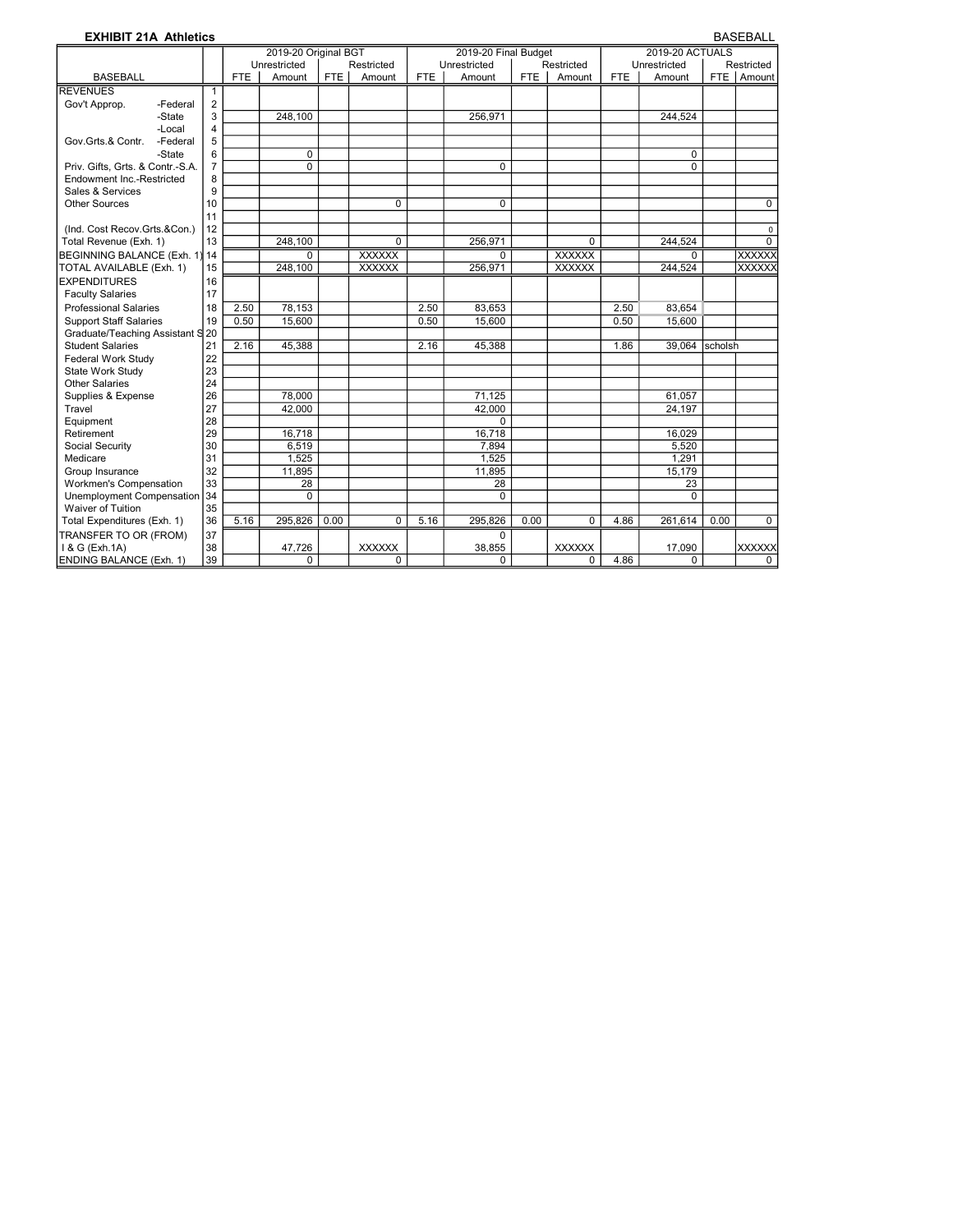| <b>EXHIBIT 21A Athletics</b>     |                |            |                      |            |               |            |                      |            |               |            |                        |                | <b>BASEBALL</b> |
|----------------------------------|----------------|------------|----------------------|------------|---------------|------------|----------------------|------------|---------------|------------|------------------------|----------------|-----------------|
|                                  |                |            | 2019-20 Original BGT |            |               |            | 2019-20 Final Budget |            |               |            | <b>2019-20 ACTUALS</b> |                |                 |
|                                  |                |            | Unrestricted         |            | Restricted    |            | Unrestricted         |            | Restricted    |            | Unrestricted           |                | Restricted      |
| <b>BASEBALL</b>                  |                | <b>FTE</b> | Amount               | <b>FTE</b> | Amount        | <b>FTE</b> | Amount               | <b>FTE</b> | Amount        | <b>FTE</b> | Amount                 | <b>FTE</b>     | Amount          |
| <b>REVENUES</b>                  | $\mathbf{1}$   |            |                      |            |               |            |                      |            |               |            |                        |                |                 |
| Gov't Approp.<br>-Federal        | $\overline{2}$ |            |                      |            |               |            |                      |            |               |            |                        |                |                 |
| -State                           | 3              |            | 248,100              |            |               |            | 256,971              |            |               |            | 244,524                |                |                 |
| -Local                           | $\overline{4}$ |            |                      |            |               |            |                      |            |               |            |                        |                |                 |
| Gov.Grts.& Contr.<br>-Federal    | 5              |            |                      |            |               |            |                      |            |               |            |                        |                |                 |
| -State                           | 6              |            | $\Omega$             |            |               |            |                      |            |               |            | $\Omega$               |                |                 |
| Priv. Gifts, Grts. & Contr.-S.A. | $\overline{7}$ |            | $\Omega$             |            |               |            | $\Omega$             |            |               |            | $\Omega$               |                |                 |
| Endowment Inc.-Restricted        | 8              |            |                      |            |               |            |                      |            |               |            |                        |                |                 |
| Sales & Services                 | 9              |            |                      |            |               |            |                      |            |               |            |                        |                |                 |
| <b>Other Sources</b>             | 10             |            |                      |            | $\Omega$      |            | $\Omega$             |            |               |            |                        |                | $\Omega$        |
|                                  | 11             |            |                      |            |               |            |                      |            |               |            |                        |                |                 |
| (Ind. Cost Recov.Grts.&Con.)     | 12             |            |                      |            |               |            |                      |            |               |            |                        |                | $\mathsf 0$     |
| Total Revenue (Exh. 1)           | 13             |            | 248.100              |            | $\Omega$      |            | 256,971              |            | 0             |            | 244,524                |                | $\Omega$        |
| BEGINNING BALANCE (Exh. 1) 14    |                |            | $\Omega$             |            | <b>XXXXXX</b> |            | $\Omega$             |            | <b>XXXXXX</b> |            | $\Omega$               |                | <b>XXXXXX</b>   |
| TOTAL AVAILABLE (Exh. 1)         | 15             |            | 248,100              |            | <b>XXXXXX</b> |            | 256,971              |            | <b>XXXXXX</b> |            | 244,524                |                | XXXXXX          |
| <b>EXPENDITURES</b>              | 16             |            |                      |            |               |            |                      |            |               |            |                        |                |                 |
| <b>Faculty Salaries</b>          | 17             |            |                      |            |               |            |                      |            |               |            |                        |                |                 |
| <b>Professional Salaries</b>     | 18             | 2.50       | 78,153               |            |               | 2.50       | 83,653               |            |               | 2.50       | 83,654                 |                |                 |
| <b>Support Staff Salaries</b>    | 19             | 0.50       | 15,600               |            |               | 0.50       | 15.600               |            |               | 0.50       | 15,600                 |                |                 |
| Graduate/Teaching Assistant S 20 |                |            |                      |            |               |            |                      |            |               |            |                        |                |                 |
| <b>Student Salaries</b>          | 21             | 2.16       | 45.388               |            |               | 2.16       | 45.388               |            |               | 1.86       | 39.064                 | <b>scholsh</b> |                 |
| Federal Work Study               | 22             |            |                      |            |               |            |                      |            |               |            |                        |                |                 |
| State Work Study                 | 23             |            |                      |            |               |            |                      |            |               |            |                        |                |                 |
| Other Salaries                   | 24             |            |                      |            |               |            |                      |            |               |            |                        |                |                 |
| Supplies & Expense               | 26             |            | 78,000               |            |               |            | 71,125               |            |               |            | 61,057                 |                |                 |
| Travel                           | 27             |            | 42.000               |            |               |            | 42.000               |            |               |            | 24.197                 |                |                 |
| Equipment                        | 28             |            |                      |            |               |            | $\Omega$             |            |               |            |                        |                |                 |
| Retirement                       | 29             |            | 16,718               |            |               |            | 16,718               |            |               |            | 16.029                 |                |                 |
| Social Security                  | 30             |            | 6,519                |            |               |            | 7,894                |            |               |            | 5,520                  |                |                 |
| Medicare                         | 31             |            | 1.525                |            |               |            | 1,525                |            |               |            | 1.291                  |                |                 |
| Group Insurance                  | 32             |            | 11,895               |            |               |            | 11,895               |            |               |            | 15,179                 |                |                 |
| Workmen's Compensation           | 33             |            | 28                   |            |               |            | 28                   |            |               |            | 23                     |                |                 |
| Unemployment Compensation        | 34             |            | $\Omega$             |            |               |            | $\Omega$             |            |               |            | $\Omega$               |                |                 |
| Waiver of Tuition                | 35             |            |                      |            |               |            |                      |            |               |            |                        |                |                 |
| Total Expenditures (Exh. 1)      | 36             | 5.16       | 295,826              | 0.00       | $\Omega$      | 5.16       | 295,826              | 0.00       | $\Omega$      | 4.86       | 261,614                | 0.00           | $\Omega$        |
| TRANSFER TO OR (FROM)            | 37             |            |                      |            |               |            | $\Omega$             |            |               |            |                        |                |                 |
| I & G (Exh.1A)                   | 38             |            | 47,726               |            | <b>XXXXXX</b> |            | 38,855               |            | <b>XXXXXX</b> |            | 17,090                 |                | XXXXXX          |
| <b>ENDING BALANCE (Exh. 1)</b>   | 39             |            | 0                    |            | 0             |            | $\Omega$             |            | 0             | 4.86       | $\Omega$               |                | $\Omega$        |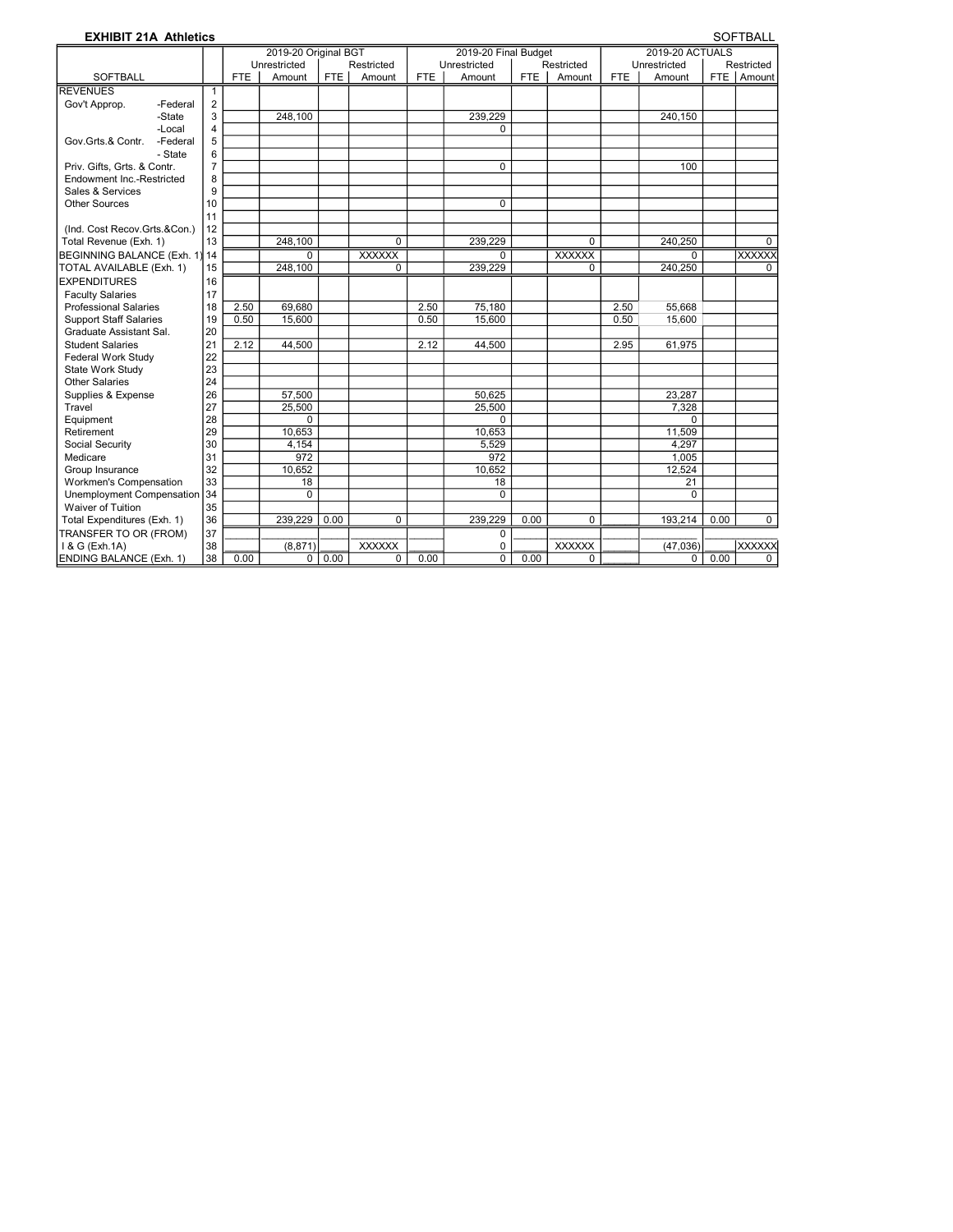| <b>EXHIBIT 21A Athletics</b>      |                |            |                      |            |                |            |                      |            |               |            |                        |            | <b>SOFTBALL</b> |
|-----------------------------------|----------------|------------|----------------------|------------|----------------|------------|----------------------|------------|---------------|------------|------------------------|------------|-----------------|
|                                   |                |            | 2019-20 Original BGT |            |                |            | 2019-20 Final Budget |            |               |            | <b>2019-20 ACTUALS</b> |            |                 |
|                                   |                |            | Unrestricted         |            | Restricted     |            | Unrestricted         |            | Restricted    |            | Unrestricted           |            | Restricted      |
| <b>SOFTBALL</b>                   |                | <b>FTE</b> | Amount               | <b>FTE</b> | Amount         | <b>FTE</b> | Amount               | <b>FTE</b> | Amount        | <b>FTE</b> | Amount                 | <b>FTE</b> | Amount          |
| <b>REVENUES</b>                   | $\mathbf{1}$   |            |                      |            |                |            |                      |            |               |            |                        |            |                 |
| Gov't Approp.<br>-Federal         | $\overline{2}$ |            |                      |            |                |            |                      |            |               |            |                        |            |                 |
| -State                            | 3              |            | 248.100              |            |                |            | 239,229              |            |               |            | 240.150                |            |                 |
| -Local                            | $\overline{4}$ |            |                      |            |                |            | 0                    |            |               |            |                        |            |                 |
| Gov.Grts.& Contr.<br>-Federal     | 5              |            |                      |            |                |            |                      |            |               |            |                        |            |                 |
| - State                           | 6              |            |                      |            |                |            |                      |            |               |            |                        |            |                 |
| Priv. Gifts, Grts. & Contr.       | $\overline{7}$ |            |                      |            |                |            | $\mathbf 0$          |            |               |            | 100                    |            |                 |
| Endowment Inc.-Restricted         | 8              |            |                      |            |                |            |                      |            |               |            |                        |            |                 |
| Sales & Services                  | 9              |            |                      |            |                |            |                      |            |               |            |                        |            |                 |
| <b>Other Sources</b>              | 10             |            |                      |            |                |            | $\Omega$             |            |               |            |                        |            |                 |
|                                   | 11             |            |                      |            |                |            |                      |            |               |            |                        |            |                 |
| (Ind. Cost Recov.Grts.&Con.)      | 12             |            |                      |            |                |            |                      |            |               |            |                        |            |                 |
| Total Revenue (Exh. 1)            | 13             |            | 248,100              |            | $\overline{0}$ |            | 239,229              |            | $\Omega$      |            | 240,250                |            | $\Omega$        |
| <b>BEGINNING BALANCE (Exh. 1)</b> | 14             |            | $\Omega$             |            | <b>XXXXXX</b>  |            | $\Omega$             |            | <b>XXXXXX</b> |            | $\Omega$               |            | <b>XXXXXX</b>   |
| TOTAL AVAILABLE (Exh. 1)          | 15             |            | 248,100              |            | $\mathbf 0$    |            | 239.229              |            | $\mathbf 0$   |            | 240.250                |            | $\mathbf 0$     |
| <b>EXPENDITURES</b>               | 16             |            |                      |            |                |            |                      |            |               |            |                        |            |                 |
| <b>Faculty Salaries</b>           | 17             |            |                      |            |                |            |                      |            |               |            |                        |            |                 |
| <b>Professional Salaries</b>      | 18             | 2.50       | 69,680               |            |                | 2.50       | 75,180               |            |               | 2.50       | 55,668                 |            |                 |
| <b>Support Staff Salaries</b>     | 19             | 0.50       | 15.600               |            |                | 0.50       | 15,600               |            |               | 0.50       | 15.600                 |            |                 |
| Graduate Assistant Sal.           | 20             |            |                      |            |                |            |                      |            |               |            |                        |            |                 |
| <b>Student Salaries</b>           | 21             | 2.12       | 44,500               |            |                | 2.12       | 44,500               |            |               | 2.95       | 61,975                 |            |                 |
| Federal Work Study                | 22             |            |                      |            |                |            |                      |            |               |            |                        |            |                 |
| State Work Study                  | 23             |            |                      |            |                |            |                      |            |               |            |                        |            |                 |
| <b>Other Salaries</b>             | 24             |            |                      |            |                |            |                      |            |               |            |                        |            |                 |
| Supplies & Expense                | 26             |            | 57,500               |            |                |            | 50.625               |            |               |            | 23,287                 |            |                 |
| Travel                            | 27             |            | 25,500               |            |                |            | 25,500               |            |               |            | 7.328                  |            |                 |
| Equipment                         | 28             |            | $\Omega$             |            |                |            | $\Omega$             |            |               |            | 0                      |            |                 |
| Retirement                        | 29             |            | 10,653               |            |                |            | 10,653               |            |               |            | 11,509                 |            |                 |
| Social Security                   | 30             |            | 4.154                |            |                |            | 5,529                |            |               |            | 4,297                  |            |                 |
| Medicare                          | 31             |            | 972                  |            |                |            | 972                  |            |               |            | 1,005                  |            |                 |
| Group Insurance                   | 32             |            | 10,652               |            |                |            | 10,652               |            |               |            | 12,524                 |            |                 |
| Workmen's Compensation            | 33             |            | 18                   |            |                |            | 18                   |            |               |            | 21                     |            |                 |
| Unemployment Compensation         | 34             |            | $\Omega$             |            |                |            | $\Omega$             |            |               |            | $\Omega$               |            |                 |
| Waiver of Tuition                 | 35             |            |                      |            |                |            |                      |            |               |            |                        |            |                 |
| Total Expenditures (Exh. 1)       | 36             |            | 239.229              | 0.00       | 0              |            | 239,229              | 0.00       | $\mathbf 0$   |            | 193,214                | 0.00       | $\mathbf 0$     |
| TRANSFER TO OR (FROM)             | 37             |            |                      |            |                |            | $\mathbf 0$          |            |               |            |                        |            |                 |
| I & G (Exh.1A)                    | 38             |            | (8, 871)             |            | <b>XXXXXX</b>  |            | 0                    |            | <b>XXXXXX</b> |            | (47,036)               |            | <b>XXXXXX</b>   |
| <b>ENDING BALANCE (Exh. 1)</b>    | 38             | 0.00       | 0                    | 0.00       | 0              | 0.00       | $\overline{0}$       | 0.00       | 0             |            | 0                      | 0.00       | $\Omega$        |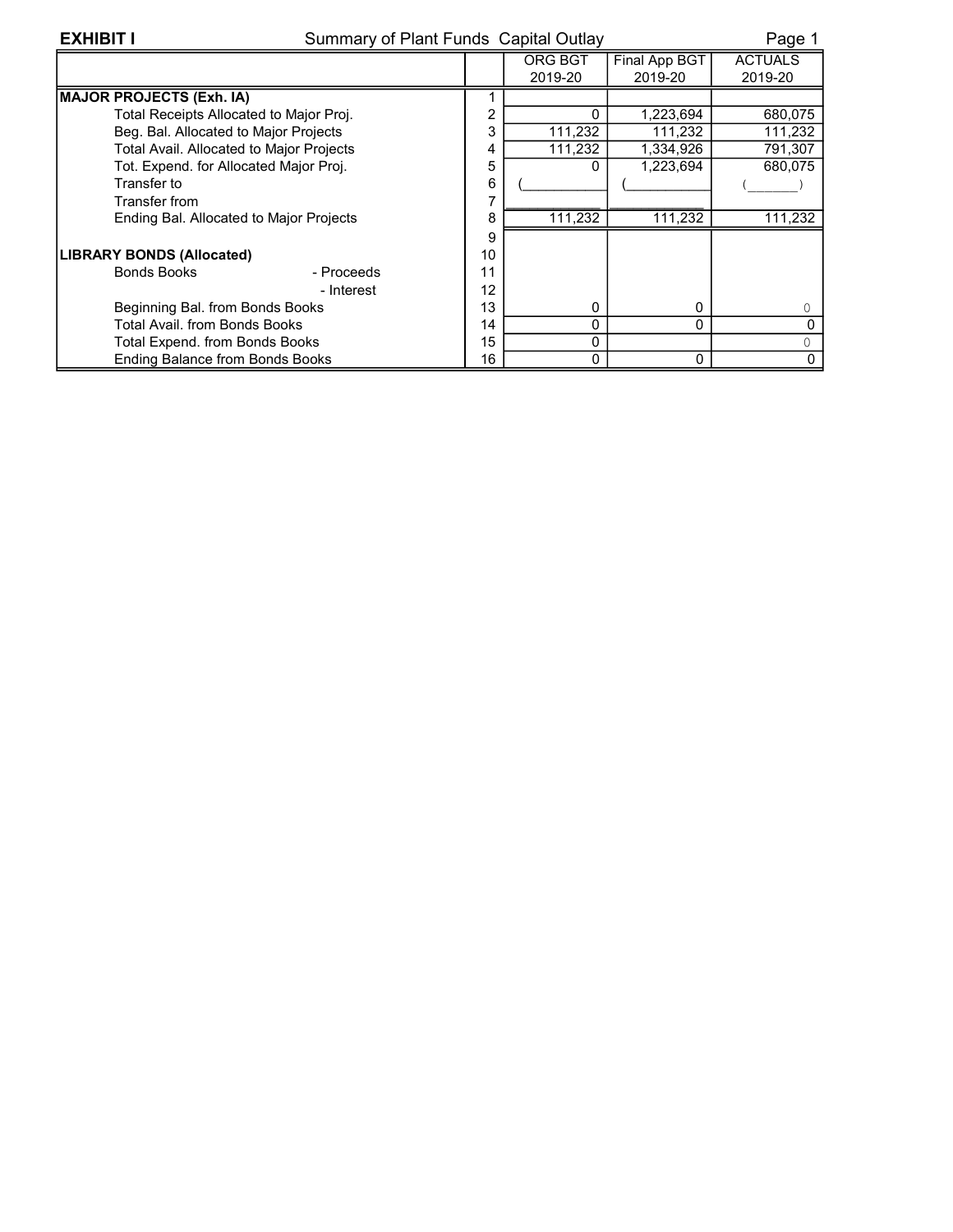## EXHIBIT I Summary of Plant Funds Capital Outlay Page 1

|                                                 |    | ORG BGT      | Final App BGT | <b>ACTUALS</b> |
|-------------------------------------------------|----|--------------|---------------|----------------|
|                                                 |    | 2019-20      | 2019-20       | 2019-20        |
| MAJOR PROJECTS (Exh. IA)                        |    |              |               |                |
| Total Receipts Allocated to Major Proj.         | 2  | $\Omega$     | 1,223,694     | 680,075        |
| Beg. Bal. Allocated to Major Projects           | 3  | 111,232      | 111,232       | 111,232        |
| <b>Total Avail. Allocated to Major Projects</b> | 4  | 111,232      | 1,334,926     | 791,307        |
| Tot. Expend. for Allocated Major Proj.          | 5  | 0            | 1,223,694     | 680,075        |
| Transfer to                                     | 6  |              |               |                |
| Transfer from                                   |    |              |               |                |
| Ending Bal. Allocated to Major Projects         | 8  | 111,232      | 111,232       | 111,232        |
|                                                 | 9  |              |               |                |
| <b>LIBRARY BONDS (Allocated)</b>                | 10 |              |               |                |
| <b>Bonds Books</b><br>- Proceeds                | 11 |              |               |                |
| - Interest                                      | 12 |              |               |                |
| Beginning Bal. from Bonds Books                 | 13 | 0            | 0             |                |
| <b>Total Avail, from Bonds Books</b>            | 14 | 0            | 0             |                |
| <b>Total Expend. from Bonds Books</b>           | 15 | 0            |               |                |
| <b>Ending Balance from Bonds Books</b>          | 16 | $\mathbf{0}$ | 0             |                |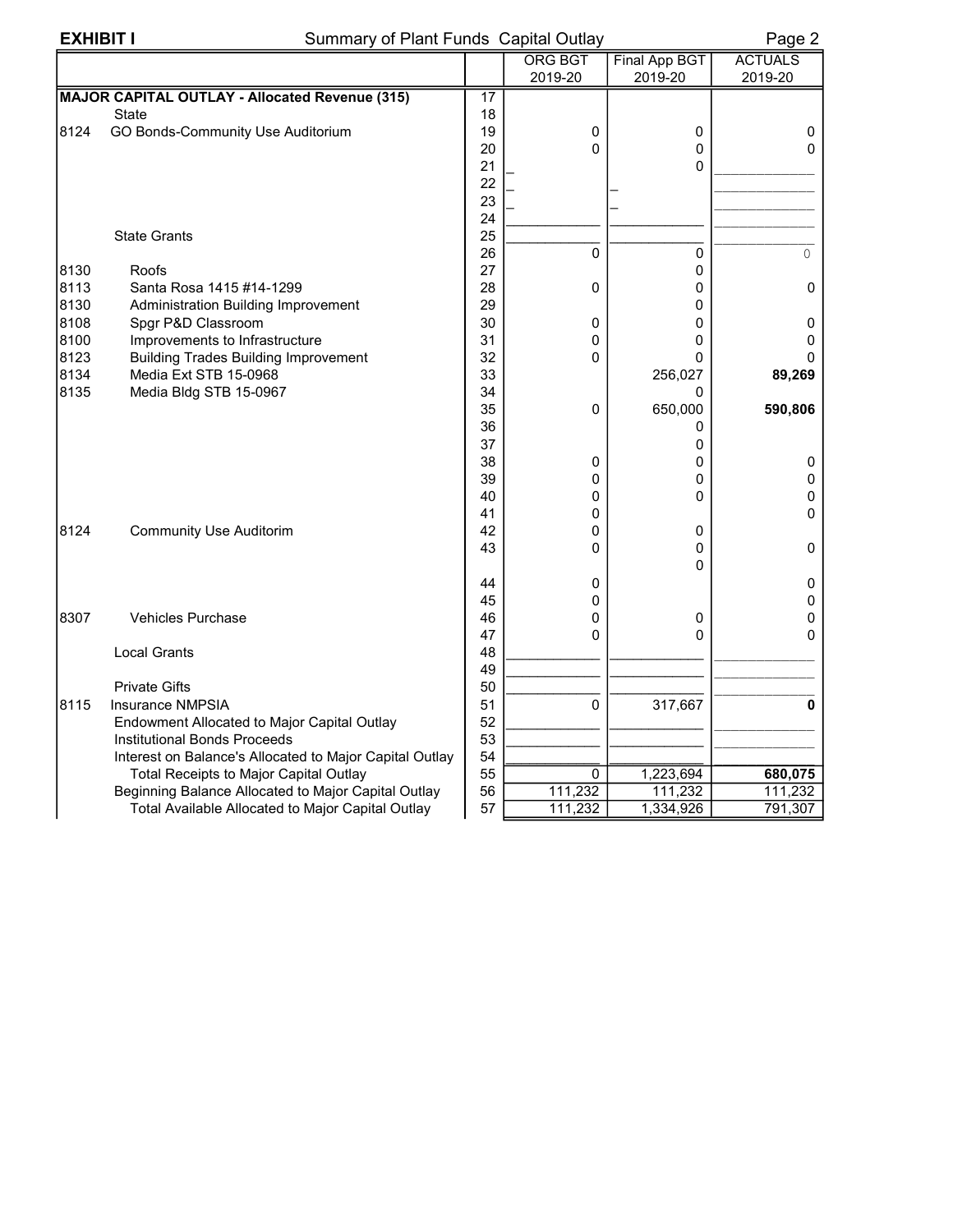# EXHIBIT I Summary of Plant Funds Capital Outlay Page 2

|      |                                                         |    | <b>ORG BGT</b> | <b>Final App BGT</b> | <b>ACTUALS</b> |
|------|---------------------------------------------------------|----|----------------|----------------------|----------------|
|      |                                                         |    | 2019-20        | 2019-20              | 2019-20        |
|      | <b>MAJOR CAPITAL OUTLAY - Allocated Revenue (315)</b>   | 17 |                |                      |                |
|      | <b>State</b>                                            | 18 |                |                      |                |
| 8124 | GO Bonds-Community Use Auditorium                       | 19 | 0              | 0                    | 0              |
|      |                                                         | 20 | $\Omega$       | $\mathbf 0$          | $\Omega$       |
|      |                                                         | 21 |                | $\mathbf{0}$         |                |
|      |                                                         | 22 |                |                      |                |
|      |                                                         | 23 |                |                      |                |
|      |                                                         | 24 |                |                      |                |
|      | <b>State Grants</b>                                     | 25 |                |                      |                |
|      |                                                         | 26 | $\Omega$       | 0                    | 0              |
| 8130 | Roofs                                                   | 27 |                | $\mathbf 0$          |                |
| 8113 | Santa Rosa 1415 #14-1299                                | 28 | 0              | 0                    | 0              |
| 8130 | Administration Building Improvement                     | 29 |                | 0                    |                |
| 8108 | Spgr P&D Classroom                                      | 30 | 0              | $\Omega$             | 0              |
| 8100 | Improvements to Infrastructure                          | 31 | 0              | 0                    | 0              |
| 8123 | <b>Building Trades Building Improvement</b>             | 32 | 0              | 0                    |                |
| 8134 | Media Ext STB 15-0968                                   | 33 |                | 256,027              | 89,269         |
| 8135 | Media Bldg STB 15-0967                                  | 34 |                | 0                    |                |
|      |                                                         | 35 | 0              | 650,000              | 590,806        |
|      |                                                         | 36 |                | 0                    |                |
|      |                                                         | 37 |                | 0                    |                |
|      |                                                         | 38 | 0              | 0                    | 0              |
|      |                                                         | 39 | 0              | 0                    | 0              |
|      |                                                         | 40 | 0              | 0                    | 0              |
|      |                                                         | 41 | 0              |                      | 0              |
| 8124 | <b>Community Use Auditorim</b>                          | 42 | 0              | 0                    |                |
|      |                                                         | 43 | 0              | 0                    | 0              |
|      |                                                         |    |                | 0                    |                |
|      |                                                         | 44 | 0              |                      | 0              |
|      |                                                         | 45 | 0              |                      | 0              |
| 8307 | <b>Vehicles Purchase</b>                                | 46 | 0              | 0                    | 0              |
|      |                                                         | 47 | 0              | 0                    | 0              |
|      | <b>Local Grants</b>                                     | 48 |                |                      |                |
|      |                                                         | 49 |                |                      |                |
|      | <b>Private Gifts</b>                                    | 50 |                |                      |                |
| 8115 | Insurance NMPSIA                                        | 51 | $\mathbf 0$    | 317,667              | 0              |
|      | Endowment Allocated to Major Capital Outlay             | 52 |                |                      |                |
|      | <b>Institutional Bonds Proceeds</b>                     | 53 |                |                      |                |
|      | Interest on Balance's Allocated to Major Capital Outlay | 54 |                |                      |                |
|      | Total Receipts to Major Capital Outlay                  | 55 | 0              | 1,223,694            | 680,075        |
|      | Beginning Balance Allocated to Major Capital Outlay     | 56 | 111,232        | 111,232              | 111,232        |
|      | Total Available Allocated to Major Capital Outlay       | 57 | 111,232        | 1,334,926            | 791,307        |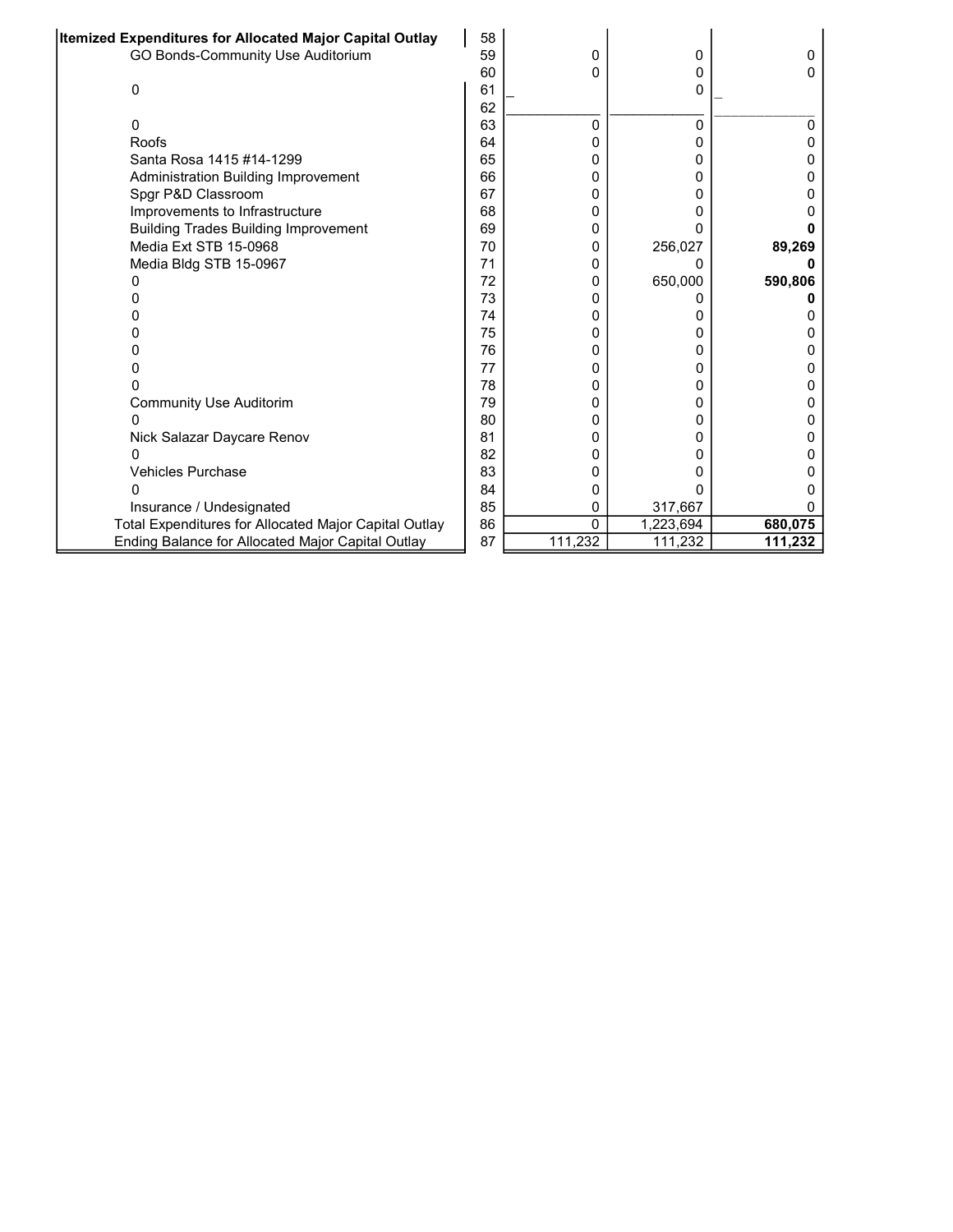| Itemized Expenditures for Allocated Major Capital Outlay | 58 |         |           |         |
|----------------------------------------------------------|----|---------|-----------|---------|
| GO Bonds-Community Use Auditorium                        | 59 | 0       | 0         | 0       |
|                                                          | 60 | 0       | 0         | n       |
| 0                                                        | 61 |         | 0         |         |
|                                                          | 62 |         |           |         |
| 0                                                        | 63 | 0       | 0         | ი       |
| Roofs                                                    | 64 | 0       | 0         |         |
| Santa Rosa 1415 #14-1299                                 | 65 | 0       | 0         |         |
| <b>Administration Building Improvement</b>               | 66 | 0       | 0         |         |
| Spgr P&D Classroom                                       | 67 | 0       | 0         |         |
| Improvements to Infrastructure                           | 68 | 0       | O         |         |
| <b>Building Trades Building Improvement</b>              | 69 | 0       | 0         |         |
| Media Ext STB 15-0968                                    | 70 | 0       | 256,027   | 89,269  |
| Media Bldg STB 15-0967                                   | 71 | 0       | O         |         |
|                                                          | 72 | 0       | 650,000   | 590,806 |
|                                                          | 73 | 0       | O         |         |
|                                                          | 74 | 0       | 0         |         |
| 0                                                        | 75 | 0       | 0         |         |
|                                                          | 76 | 0       | 0         |         |
|                                                          | 77 | 0       | 0         |         |
|                                                          | 78 | 0       | 0         |         |
| <b>Community Use Auditorim</b>                           | 79 | 0       | 0         |         |
| O                                                        | 80 | 0       | 0         |         |
| Nick Salazar Daycare Renov                               | 81 | 0       | Ω         |         |
| O                                                        | 82 | 0       | 0         |         |
| <b>Vehicles Purchase</b>                                 | 83 | 0       | O         |         |
|                                                          | 84 | 0       | O         |         |
| Insurance / Undesignated                                 | 85 | 0       | 317,667   |         |
| Total Expenditures for Allocated Major Capital Outlay    | 86 | 0       | 1,223,694 | 680,075 |
| Ending Balance for Allocated Major Capital Outlay        | 87 | 111,232 | 111,232   | 111,232 |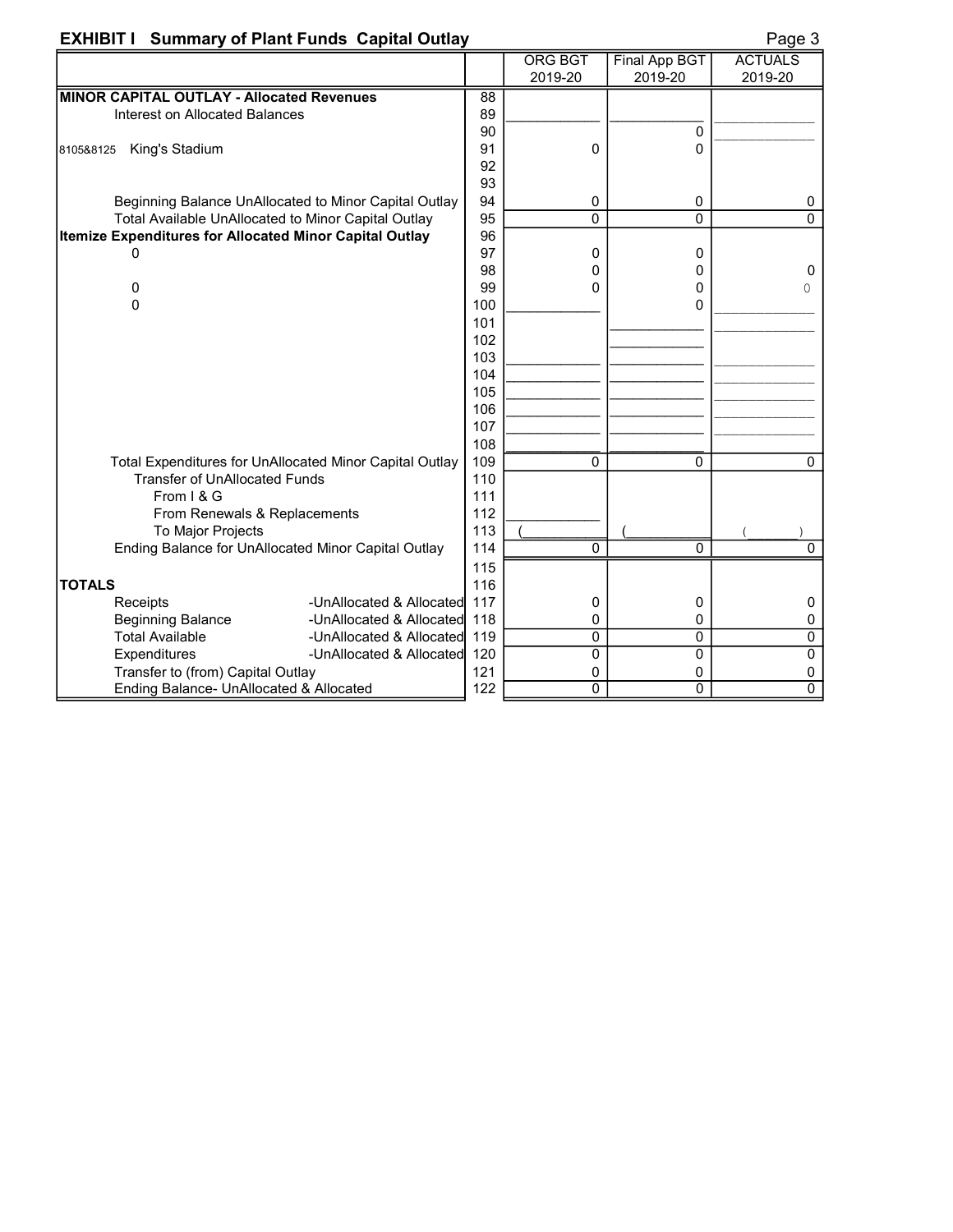# EXHIBIT I Summary of Plant Funds Capital Outlay **EXHIBIT I Summary of Plant Funds Capital Outlay**

|--|--|

|                                                         |     | <b>ORG BGT</b> | <b>Final App BGT</b> | <b>ACTUALS</b> |
|---------------------------------------------------------|-----|----------------|----------------------|----------------|
|                                                         |     | 2019-20        | 2019-20              | 2019-20        |
| MINOR CAPITAL OUTLAY - Allocated Revenues               | 88  |                |                      |                |
| Interest on Allocated Balances                          | 89  |                |                      |                |
|                                                         | 90  |                | 0                    |                |
| King's Stadium<br>8105&8125                             | 91  | 0              | 0                    |                |
|                                                         | 92  |                |                      |                |
|                                                         | 93  |                |                      |                |
| Beginning Balance UnAllocated to Minor Capital Outlay   | 94  | 0              | 0                    | 0              |
| Total Available UnAllocated to Minor Capital Outlay     | 95  | 0              | 0                    | $\Omega$       |
| Itemize Expenditures for Allocated Minor Capital Outlay | 96  |                |                      |                |
| 0                                                       | 97  | 0              | 0                    |                |
|                                                         | 98  | 0              | 0                    | $\mathbf 0$    |
| 0                                                       | 99  | 0              | 0                    | 0              |
| 0                                                       | 100 |                | 0                    |                |
|                                                         | 101 |                |                      |                |
|                                                         | 102 |                |                      |                |
|                                                         | 103 |                |                      |                |
|                                                         | 104 |                |                      |                |
|                                                         | 105 |                |                      |                |
|                                                         | 106 |                |                      |                |
|                                                         | 107 |                |                      |                |
|                                                         | 108 |                |                      |                |
| Total Expenditures for UnAllocated Minor Capital Outlay | 109 | 0              | 0                    | $\Omega$       |
| <b>Transfer of UnAllocated Funds</b>                    | 110 |                |                      |                |
| From I & G                                              | 111 |                |                      |                |
| From Renewals & Replacements                            | 112 |                |                      |                |
| To Major Projects                                       | 113 |                |                      |                |
| Ending Balance for UnAllocated Minor Capital Outlay     | 114 | 0              | 0                    | $\mathbf{0}$   |
|                                                         | 115 |                |                      |                |
| <b>TOTALS</b>                                           | 116 |                |                      |                |
| Receipts<br>-UnAllocated & Allocated                    | 117 | 0              | 0                    | 0              |
| <b>Beginning Balance</b><br>-UnAllocated & Allocated    | 118 | 0              | 0                    | 0              |
| <b>Total Available</b><br>-UnAllocated & Allocated      | 119 | 0              | 0                    | $\pmb{0}$      |
| Expenditures<br>-UnAllocated & Allocated                | 120 | 0              | 0                    | $\overline{0}$ |
| Transfer to (from) Capital Outlay                       | 121 | 0              | 0                    | 0              |
| Ending Balance- UnAllocated & Allocated                 | 122 | $\overline{0}$ | $\overline{0}$       | $\overline{0}$ |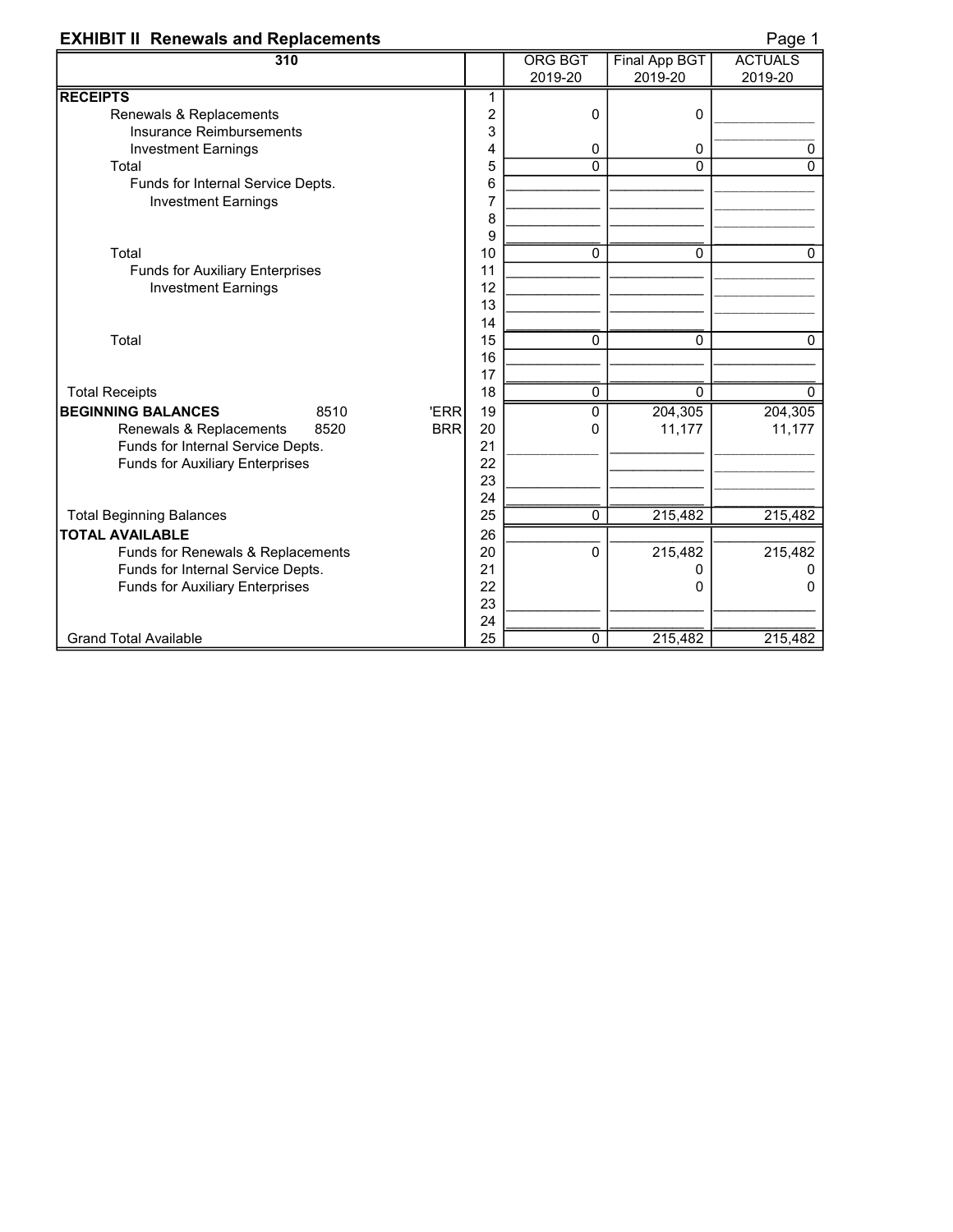### **EXHIBIT II Renewals and Replacements EXHIBIT II** Renewals and Replacements

| 310                                           |                         | <b>ORG BGT</b> | <b>Final App BGT</b> | ∽ອ<br><b>ACTUALS</b> |
|-----------------------------------------------|-------------------------|----------------|----------------------|----------------------|
|                                               |                         | 2019-20        | 2019-20              | 2019-20              |
| <b>RECEIPTS</b>                               | 1                       |                |                      |                      |
| Renewals & Replacements                       | $\overline{\mathbf{c}}$ | 0              | 0                    |                      |
| Insurance Reimbursements                      | 3                       |                |                      |                      |
| <b>Investment Earnings</b>                    | 4                       | 0              | $\mathbf 0$          | 0                    |
| Total                                         | 5                       | $\mathbf{0}$   | 0                    | $\mathbf 0$          |
| Funds for Internal Service Depts.             | 6                       |                |                      |                      |
| <b>Investment Earnings</b>                    | 7                       |                |                      |                      |
|                                               | 8                       |                |                      |                      |
|                                               | 9                       |                |                      |                      |
| Total                                         | 10                      | 0              | 0                    | $\mathbf{0}$         |
| <b>Funds for Auxiliary Enterprises</b>        | 11                      |                |                      |                      |
| <b>Investment Earnings</b>                    | 12                      |                |                      |                      |
|                                               | 13                      |                |                      |                      |
|                                               | 14                      |                |                      |                      |
| Total                                         | 15                      | $\mathbf 0$    | 0                    | $\Omega$             |
|                                               | 16                      |                |                      |                      |
|                                               | 17                      |                |                      |                      |
| <b>Total Receipts</b>                         | 18                      | $\mathbf 0$    | 0                    | $\mathbf{0}$         |
| <b>BEGINNING BALANCES</b><br>8510<br>'ERR     | 19                      | 0              | 204,305              | 204,305              |
| 8520<br><b>BRR</b><br>Renewals & Replacements | 20                      | $\Omega$       | 11,177               | 11,177               |
| Funds for Internal Service Depts.             | 21                      |                |                      |                      |
| <b>Funds for Auxiliary Enterprises</b>        | 22                      |                |                      |                      |
|                                               | 23                      |                |                      |                      |
|                                               | 24                      |                |                      |                      |
| <b>Total Beginning Balances</b>               | 25                      | $\pmb{0}$      | 215,482              | 215,482              |
| <b>TOTAL AVAILABLE</b>                        | 26                      |                |                      |                      |
| Funds for Renewals & Replacements             | 20                      | $\Omega$       | 215,482              | 215,482              |
| Funds for Internal Service Depts.             | 21                      |                | 0                    |                      |
| <b>Funds for Auxiliary Enterprises</b>        | 22<br>23                |                | 0                    | ი                    |
|                                               | 24                      |                |                      |                      |
| <b>Grand Total Available</b>                  | 25                      | 0              | 215,482              | 215,482              |
|                                               |                         |                |                      |                      |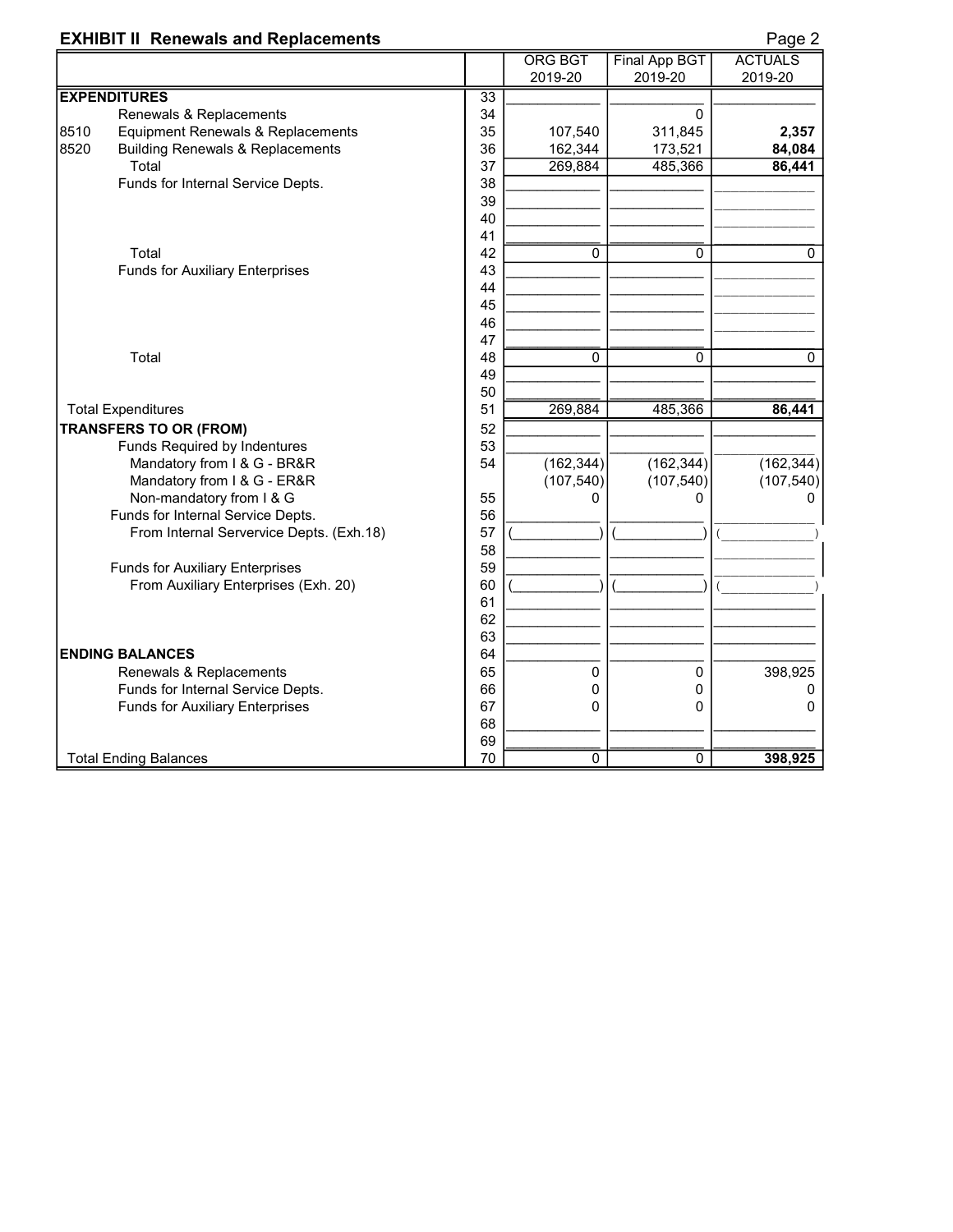### **EXHIBIT II Renewals and Replacements Page 2** Page 2

|      |                                             |                 | <b>ORG BGT</b><br>2019-20 | <b>Final App BGT</b><br>2019-20 | <b>ACTUALS</b><br>2019-20 |
|------|---------------------------------------------|-----------------|---------------------------|---------------------------------|---------------------------|
|      | <b>EXPENDITURES</b>                         | $\overline{33}$ |                           |                                 |                           |
|      | Renewals & Replacements                     | 34              |                           | $\mathbf 0$                     |                           |
| 8510 | Equipment Renewals & Replacements           | 35              | 107,540                   | 311,845                         | 2,357                     |
| 8520 | <b>Building Renewals &amp; Replacements</b> | 36              | 162,344                   | 173,521                         | 84,084                    |
|      | Total                                       | 37              | 269,884                   | 485,366                         | 86,441                    |
|      | Funds for Internal Service Depts.           | 38              |                           |                                 |                           |
|      |                                             | 39              |                           |                                 |                           |
|      |                                             | 40              |                           |                                 |                           |
|      |                                             | 41              |                           |                                 |                           |
|      | Total                                       | 42              | 0                         | 0                               | 0                         |
|      | <b>Funds for Auxiliary Enterprises</b>      | 43              |                           |                                 |                           |
|      |                                             | 44              |                           |                                 |                           |
|      |                                             | 45              |                           |                                 |                           |
|      |                                             | 46              |                           |                                 |                           |
|      |                                             | 47              |                           |                                 |                           |
|      | Total                                       | 48              | $\overline{0}$            | 0                               | 0                         |
|      |                                             | 49              |                           |                                 |                           |
|      |                                             | 50              |                           |                                 |                           |
|      | <b>Total Expenditures</b>                   | 51              | 269,884                   | 485,366                         | 86,441                    |
|      | <b>TRANSFERS TO OR (FROM)</b>               | 52              |                           |                                 |                           |
|      | Funds Required by Indentures                | 53              |                           |                                 |                           |
|      | Mandatory from I & G - BR&R                 | 54              | (162, 344)                | (162, 344)                      | (162, 344)                |
|      | Mandatory from I & G - ER&R                 |                 | (107, 540)                | (107, 540)                      | (107, 540)                |
|      | Non-mandatory from I & G                    | 55              | 0                         | 0                               |                           |
|      | Funds for Internal Service Depts.           | 56              |                           |                                 |                           |
|      | From Internal Servervice Depts. (Exh.18)    | 57              |                           |                                 |                           |
|      |                                             | 58              |                           |                                 |                           |
|      | <b>Funds for Auxiliary Enterprises</b>      | 59              |                           |                                 |                           |
|      | From Auxiliary Enterprises (Exh. 20)        | 60              |                           |                                 |                           |
|      |                                             | 61              |                           |                                 |                           |
|      |                                             | 62              |                           |                                 |                           |
|      |                                             | 63              |                           |                                 |                           |
|      | <b>ENDING BALANCES</b>                      | 64              |                           |                                 |                           |
|      | Renewals & Replacements                     | 65              | 0                         | 0                               | 398,925                   |
|      | Funds for Internal Service Depts.           | 66              | $\mathbf 0$               | 0                               | 0                         |
|      | <b>Funds for Auxiliary Enterprises</b>      | 67              | 0                         | 0                               | 0                         |
|      |                                             | 68              |                           |                                 |                           |
|      |                                             | 69              |                           |                                 |                           |
|      | <b>Total Ending Balances</b>                | 70              | $\overline{0}$            | $\overline{0}$                  | 398,925                   |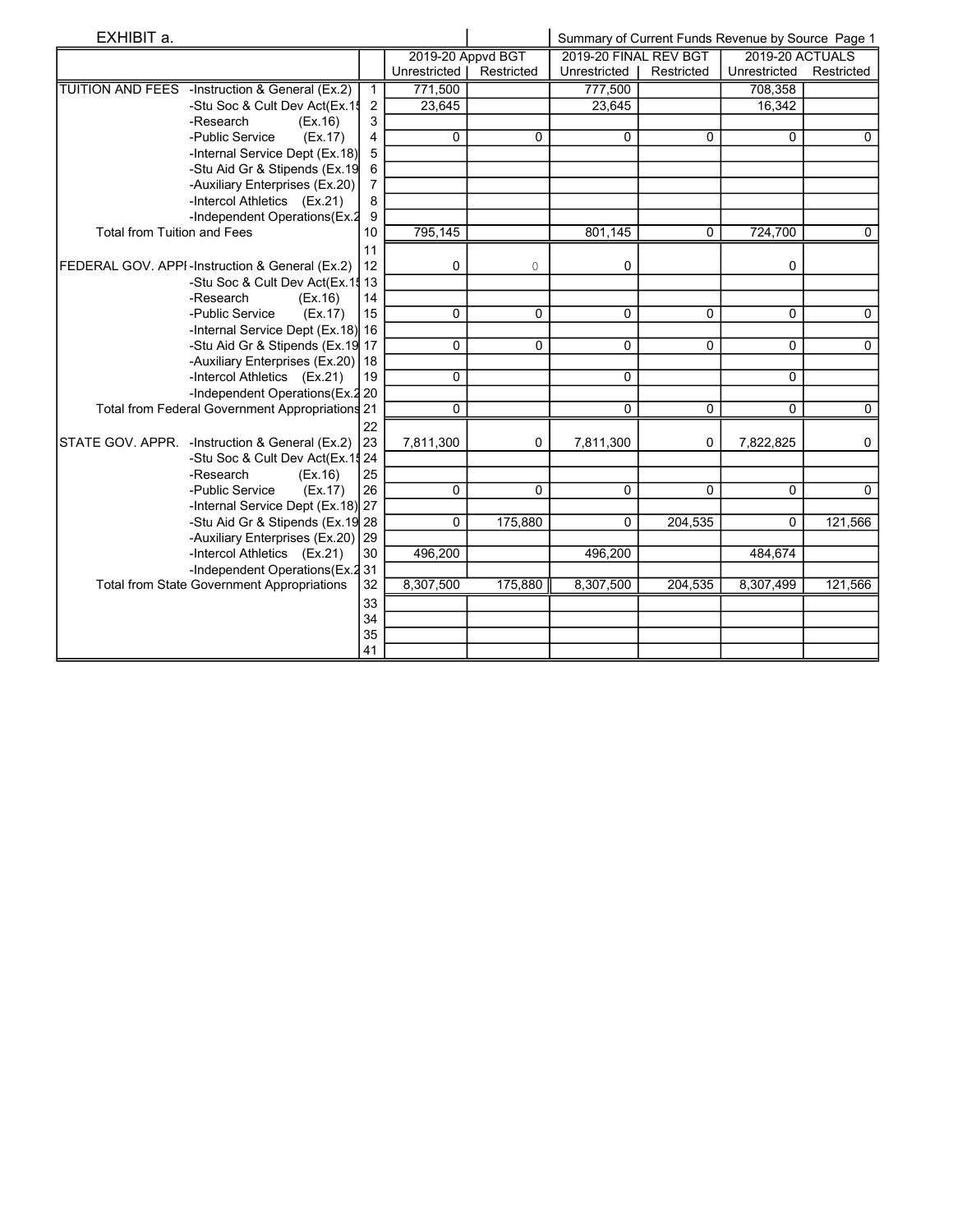| EXHIBIT a.                                        |                |                   |            | Summary of Current Funds Revenue by Source Page 1 |            |                 |                |
|---------------------------------------------------|----------------|-------------------|------------|---------------------------------------------------|------------|-----------------|----------------|
|                                                   |                | 2019-20 Appvd BGT |            | 2019-20 FINAL REV BGT                             |            | 2019-20 ACTUALS |                |
|                                                   |                | Unrestricted      | Restricted | Unrestricted                                      | Restricted | Unrestricted    | Restricted     |
| TUITION AND FEES -Instruction & General (Ex.2)    | $\mathbf{1}$   | 771.500           |            | 777.500                                           |            | 708.358         |                |
| -Stu Soc & Cult Dev Act(Ex.1!                     | 2              | 23.645            |            | 23.645                                            |            | 16.342          |                |
| -Research<br>(EX.16)                              | 3              |                   |            |                                                   |            |                 |                |
| -Public Service<br>(EX.17)                        | 4              | $\Omega$          | 0          | 0                                                 | $\Omega$   | 0               | $\mathbf{0}$   |
| -Internal Service Dept (Ex.18)                    | 5              |                   |            |                                                   |            |                 |                |
| -Stu Aid Gr & Stipends (Ex.19                     | 6              |                   |            |                                                   |            |                 |                |
| -Auxiliary Enterprises (Ex.20)                    | $\overline{7}$ |                   |            |                                                   |            |                 |                |
| -Intercol Athletics (Ex.21)                       | 8              |                   |            |                                                   |            |                 |                |
| -Independent Operations (Ex.2)                    | 9              |                   |            |                                                   |            |                 |                |
| <b>Total from Tuition and Fees</b>                | 10             | 795,145           |            | 801,145                                           | $\Omega$   | 724,700         | $\mathbf 0$    |
|                                                   | 11             |                   |            |                                                   |            |                 |                |
| FEDERAL GOV. APPI-Instruction & General (Ex.2)    | 12             | 0                 | 0          | 0                                                 |            | 0               |                |
| -Stu Soc & Cult Dev Act(Ex.1\$13                  |                |                   |            |                                                   |            |                 |                |
| -Research<br>(EX.16)                              | 14             |                   |            |                                                   |            |                 |                |
| -Public Service<br>(EX.17)                        | 15             | 0                 | 0          | $\Omega$                                          | 0          | $\Omega$        | 0              |
| -Internal Service Dept (Ex.18) 16                 |                |                   |            |                                                   |            |                 |                |
| -Stu Aid Gr & Stipends (Ex.19 17                  |                | 0                 | 0          | 0                                                 | 0          | $\Omega$        | $\mathbf 0$    |
| -Auxiliary Enterprises (Ex.20) 18                 |                |                   |            |                                                   |            |                 |                |
| -Intercol Athletics (Ex.21)                       | 19             | 0                 |            | $\Omega$                                          |            | 0               |                |
| -Independent Operations (Ex. 2 20                 |                |                   |            |                                                   |            |                 |                |
| Total from Federal Government Appropriations 21   |                | 0                 |            | $\Omega$                                          | 0          | 0               | $\overline{0}$ |
|                                                   | 22             |                   |            |                                                   |            |                 |                |
| STATE GOV. APPR. - Instruction & General (Ex.2)   | 23             | 7,811,300         | 0          | 7,811,300                                         | 0          | 7,822,825       | 0              |
| -Stu Soc & Cult Dev Act(Ex.11 24                  |                |                   |            |                                                   |            |                 |                |
| -Research<br>(EX.16)                              | 25             |                   |            |                                                   |            |                 |                |
| -Public Service<br>(EX.17)                        | 26             | 0                 | $\Omega$   | $\Omega$                                          | $\Omega$   | $\Omega$        | $\Omega$       |
| -Internal Service Dept (Ex.18) 27                 |                |                   |            |                                                   |            |                 |                |
| -Stu Aid Gr & Stipends (Ex.19 28                  |                | 0                 | 175,880    | $\Omega$                                          | 204,535    | 0               | 121,566        |
| -Auxiliary Enterprises (Ex.20)                    | 29             |                   |            |                                                   |            |                 |                |
| -Intercol Athletics (Ex.21)                       | 30             | 496,200           |            | 496,200                                           |            | 484,674         |                |
| -Independent Operations (Ex.2 31)                 |                |                   |            |                                                   |            |                 |                |
| <b>Total from State Government Appropriations</b> | 32             | 8,307,500         | 175,880    | 8,307,500                                         | 204,535    | 8,307,499       | 121,566        |
|                                                   | 33             |                   |            |                                                   |            |                 |                |
|                                                   | 34             |                   |            |                                                   |            |                 |                |
|                                                   | 35             |                   |            |                                                   |            |                 |                |
|                                                   | 41             |                   |            |                                                   |            |                 |                |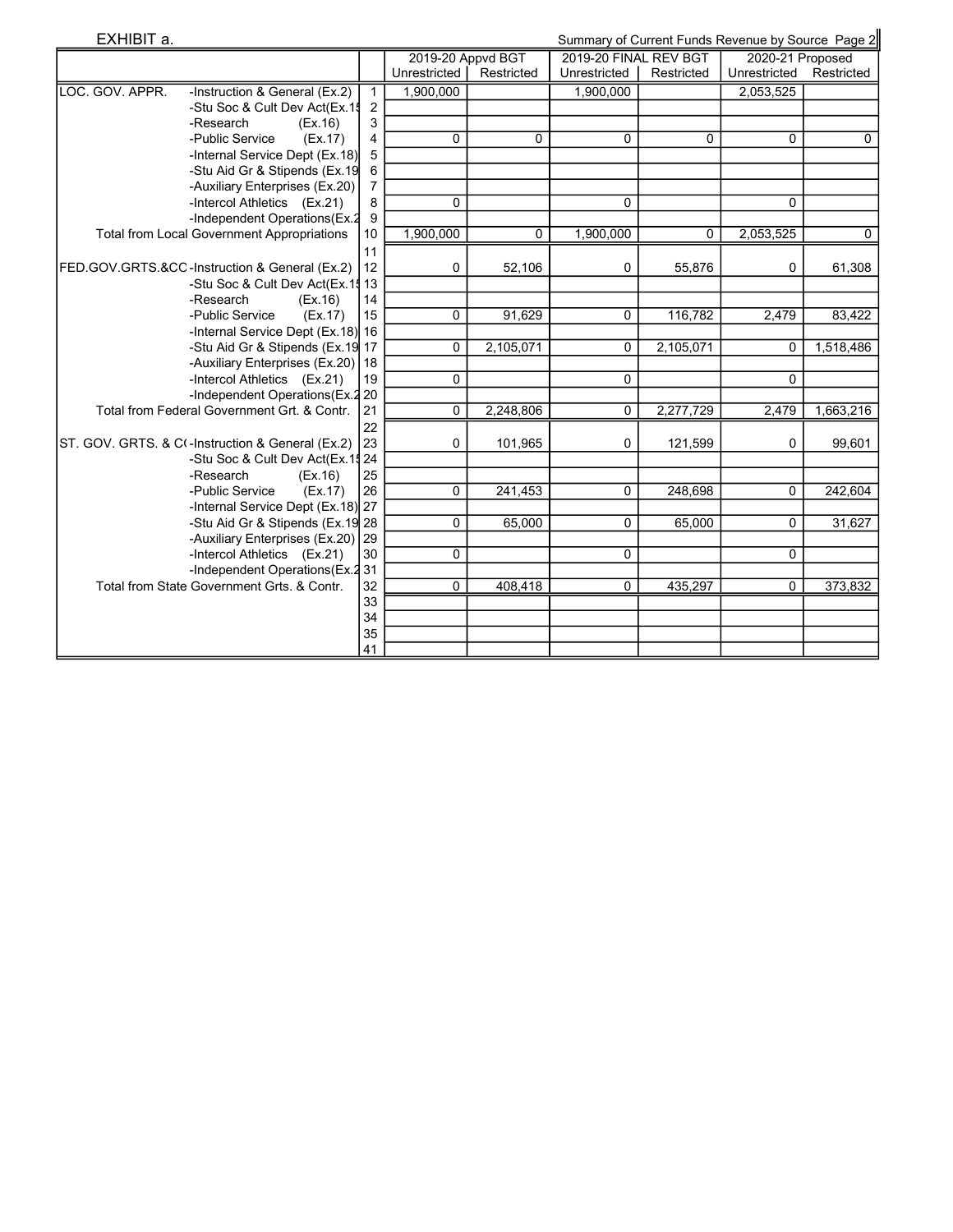| EXHIBIT a.      |                                                   |                |                   |            |                       |            | Summary of Current Funds Revenue by Source Page 2 |             |
|-----------------|---------------------------------------------------|----------------|-------------------|------------|-----------------------|------------|---------------------------------------------------|-------------|
|                 |                                                   |                | 2019-20 Appvd BGT |            | 2019-20 FINAL REV BGT |            | 2020-21 Proposed                                  |             |
|                 |                                                   |                | Unrestricted      | Restricted | Unrestricted          | Restricted | Unrestricted                                      | Restricted  |
| LOC. GOV. APPR. | -Instruction & General (Ex.2)                     | $\mathbf{1}$   | 1,900,000         |            | 1,900,000             |            | 2,053,525                                         |             |
|                 | -Stu Soc & Cult Dev Act(Ex.1\$                    | 2              |                   |            |                       |            |                                                   |             |
|                 | -Research<br>(EX.16)                              | 3              |                   |            |                       |            |                                                   |             |
|                 | -Public Service<br>(EX.17)                        | 4              | 0                 | 0          | 0                     | 0          | 0                                                 | $\mathbf 0$ |
|                 | -Internal Service Dept (Ex.18)                    | 5              |                   |            |                       |            |                                                   |             |
|                 | -Stu Aid Gr & Stipends (Ex.19                     | 6              |                   |            |                       |            |                                                   |             |
|                 | -Auxiliary Enterprises (Ex.20)                    | $\overline{7}$ |                   |            |                       |            |                                                   |             |
|                 | -Intercol Athletics (Ex.21)                       | 8              | 0                 |            | 0                     |            | $\Omega$                                          |             |
|                 | -Independent Operations(Ex.2                      | 9              |                   |            |                       |            |                                                   |             |
|                 | <b>Total from Local Government Appropriations</b> | 10             | 1,900,000         | 0          | 1,900,000             | 0          | 2,053,525                                         | 0           |
|                 |                                                   | 11             |                   |            |                       |            |                                                   |             |
|                 | FED.GOV.GRTS.&CO-Instruction & General (Ex.2)     | 12             | 0                 | 52,106     | 0                     | 55,876     | 0                                                 | 61,308      |
|                 | -Stu Soc & Cult Dev Act(Ex.1! 13                  |                |                   |            |                       |            |                                                   |             |
|                 | -Research<br>(EX.16)                              | 14             |                   |            |                       |            |                                                   |             |
|                 | -Public Service<br>(EX.17)                        | 15             | 0                 | 91,629     | 0                     | 116,782    | 2,479                                             | 83,422      |
|                 | -Internal Service Dept (Ex.18) 16                 |                |                   |            |                       |            |                                                   |             |
|                 | -Stu Aid Gr & Stipends (Ex.19 17                  |                | 0                 | 2,105,071  | 0                     | 2,105,071  | 0                                                 | 1,518,486   |
|                 | -Auxiliary Enterprises (Ex.20) 18                 |                |                   |            |                       |            |                                                   |             |
|                 | -Intercol Athletics (Ex.21)                       | 19             | 0                 |            | 0                     |            | 0                                                 |             |
|                 | -Independent Operations (Ex.2 20                  |                |                   |            |                       |            |                                                   |             |
|                 | Total from Federal Government Grt. & Contr.       | 21             | 0                 | 2,248,806  | 0                     | 2,277,729  | 2,479                                             | 1,663,216   |
|                 |                                                   | 22             |                   |            |                       |            |                                                   |             |
|                 | ST. GOV. GRTS. & C(-Instruction & General (Ex.2)  | 23             | 0                 | 101,965    | 0                     | 121,599    | 0                                                 | 99,601      |
|                 | -Stu Soc & Cult Dev Act(Ex.1\$ 24                 |                |                   |            |                       |            |                                                   |             |
|                 | -Research<br>(EX.16)                              | 25             |                   |            |                       |            |                                                   |             |
|                 | -Public Service<br>(EX.17)                        | 26             | $\Omega$          | 241,453    | 0                     | 248,698    | 0                                                 | 242,604     |
|                 | -Internal Service Dept (Ex.18) 27                 |                |                   |            |                       |            |                                                   |             |
|                 | -Stu Aid Gr & Stipends (Ex.19 28                  |                | $\Omega$          | 65.000     | $\mathbf{0}$          | 65.000     | $\Omega$                                          | 31,627      |
|                 | -Auxiliary Enterprises (Ex.20) 29                 |                |                   |            |                       |            |                                                   |             |
|                 | -Intercol Athletics (Ex.21)                       | 30             | 0                 |            | 0                     |            | 0                                                 |             |
|                 | -Independent Operations(Ex.2                      | 31             |                   |            |                       |            |                                                   |             |
|                 | Total from State Government Grts, & Contr.        | 32             | 0                 | 408,418    | 0                     | 435,297    | 0                                                 | 373,832     |
|                 |                                                   | 33             |                   |            |                       |            |                                                   |             |
|                 |                                                   | 34             |                   |            |                       |            |                                                   |             |

35 41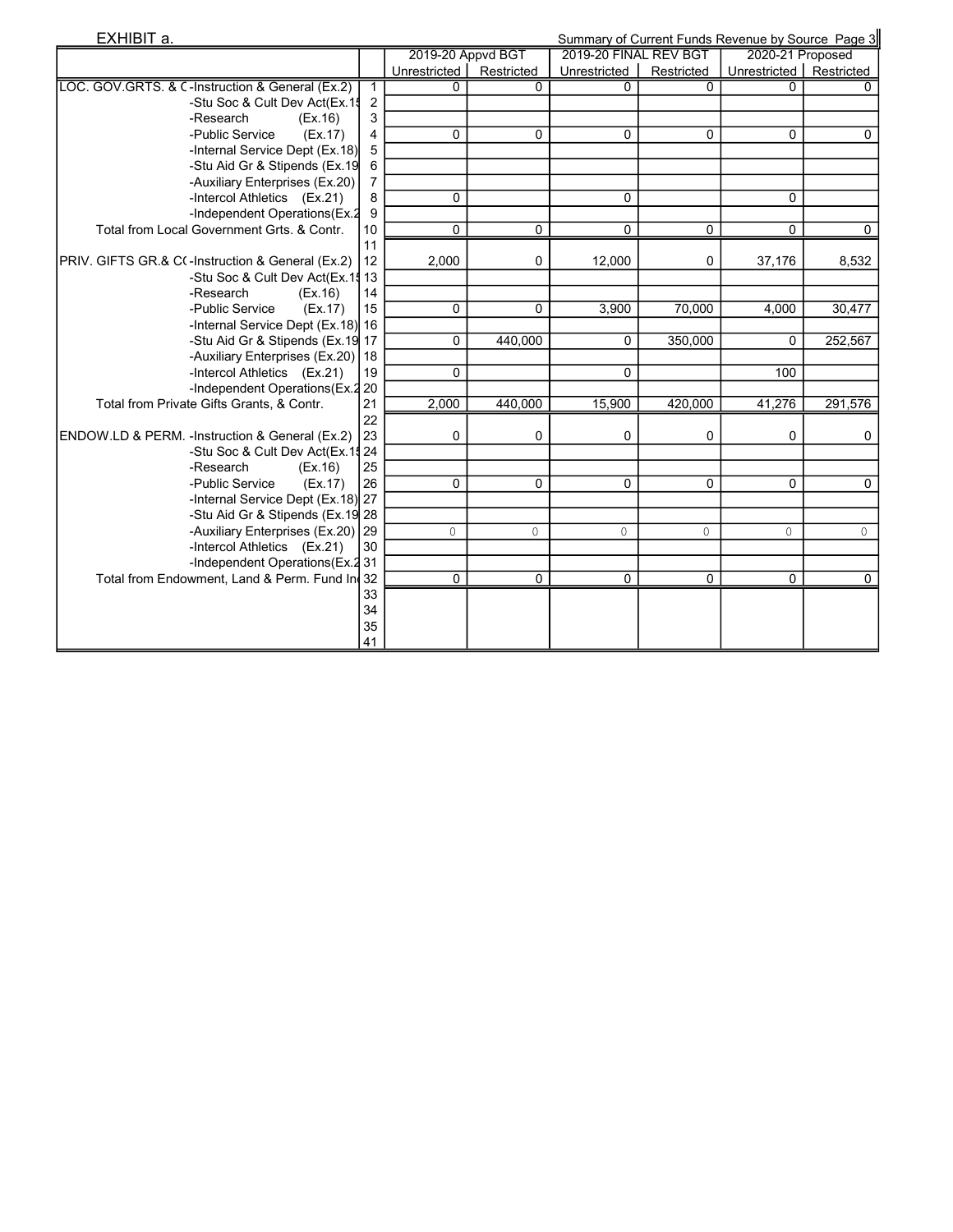| EXHIBIT a.                                                                         | Summary of Current Funds Revenue by Source Page 3 |                           |                     |                       |            |                           |             |
|------------------------------------------------------------------------------------|---------------------------------------------------|---------------------------|---------------------|-----------------------|------------|---------------------------|-------------|
|                                                                                    |                                                   | 2019-20 Appvd BGT         |                     | 2019-20 FINAL REV BGT |            | 2020-21 Proposed          |             |
|                                                                                    |                                                   | Unrestricted   Restricted |                     | Unrestricted          | Restricted | Unrestricted   Restricted |             |
| LOC. GOV.GRTS. & C-Instruction & General (Ex.2)                                    | 1                                                 | U                         | $\Omega$            | $\Omega$              | $\Omega$   |                           | 0           |
| -Stu Soc & Cult Dev Act(Ex.1\$                                                     | $\overline{2}$                                    |                           |                     |                       |            |                           |             |
| -Research<br>(EX.16)                                                               | 3                                                 |                           |                     |                       |            |                           |             |
| -Public Service<br>(EX.17)                                                         | 4                                                 | 0                         | 0                   | 0                     | 0          | 0                         | $\mathbf 0$ |
| -Internal Service Dept (Ex.18)                                                     | 5                                                 |                           |                     |                       |            |                           |             |
| -Stu Aid Gr & Stipends (Ex.19                                                      | 6                                                 |                           |                     |                       |            |                           |             |
| -Auxiliary Enterprises (Ex.20)                                                     | $\overline{7}$                                    |                           |                     |                       |            |                           |             |
| -Intercol Athletics (Ex.21)                                                        | 8                                                 | 0                         |                     | $\Omega$              |            | 0                         |             |
| -Independent Operations(Ex.2                                                       | 9                                                 |                           |                     |                       |            |                           |             |
| Total from Local Government Grts, & Contr.                                         | 10                                                | 0                         | 0                   | 0                     | 0          | 0                         | $\mathbf 0$ |
|                                                                                    | 11                                                |                           |                     |                       |            |                           |             |
| PRIV. GIFTS GR.& C(-Instruction & General (Ex.2)                                   | 12                                                | 2,000                     | 0                   | 12,000                | 0          | 37,176                    | 8,532       |
| -Stu Soc & Cult Dev Act(Ex.1                                                       | $\frac{4}{3}$ 13                                  |                           |                     |                       |            |                           |             |
| -Research<br>(EX.16)                                                               | 14                                                |                           |                     |                       |            |                           |             |
| -Public Service<br>(EX.17)                                                         | 15                                                | 0                         | $\Omega$            | 3,900                 | 70,000     | 4,000                     | 30,477      |
| -Internal Service Dept (Ex.18) 16                                                  |                                                   |                           |                     |                       |            |                           |             |
| -Stu Aid Gr & Stipends (Ex.19 17                                                   |                                                   | 0                         | 440,000             | 0                     | 350,000    | $\Omega$                  | 252,567     |
| -Auxiliary Enterprises (Ex.20) 18                                                  |                                                   |                           |                     |                       |            |                           |             |
| -Intercol Athletics (Ex.21)                                                        | 19                                                | 0                         |                     | $\Omega$              |            | 100                       |             |
| -Independent Operations (Ex.2 20                                                   |                                                   |                           |                     |                       |            |                           |             |
| Total from Private Gifts Grants, & Contr.                                          | 21                                                | 2,000                     | 440,000             | 15,900                | 420,000    | 41,276                    | 291,576     |
|                                                                                    | 22                                                |                           |                     |                       |            |                           |             |
| ENDOW.LD & PERM. -Instruction & General (Ex.2)<br>-Stu Soc & Cult Dev Act(Ex.1\$24 | 23                                                | 0                         | 0                   | 0                     | 0          | 0                         | 0           |
| -Research                                                                          | 25                                                |                           |                     |                       |            |                           |             |
| (EX.16)<br>-Public Service<br>(EX.17)                                              | 26                                                | 0                         | $\mathbf 0$         | 0                     | 0          | 0                         | $\mathbf 0$ |
| -Internal Service Dept (Ex.18) 27                                                  |                                                   |                           |                     |                       |            |                           |             |
| -Stu Aid Gr & Stipends (Ex.19 28                                                   |                                                   |                           |                     |                       |            |                           |             |
| -Auxiliary Enterprises (Ex.20) 29                                                  |                                                   | 0                         | $\mathsf{O}\xspace$ | $\mathsf{O}\xspace$   | $\circ$    | $\mathbb O$               | $\circ$     |
| -Intercol Athletics (Ex.21)                                                        | 30                                                |                           |                     |                       |            |                           |             |
| -Independent Operations (Ex.2 31                                                   |                                                   |                           |                     |                       |            |                           |             |
| Total from Endowment, Land & Perm. Fund In 32                                      |                                                   | 0                         | $\mathbf 0$         | 0                     | 0          | $\mathbf{0}$              | $\mathbf 0$ |
|                                                                                    | 33                                                |                           |                     |                       |            |                           |             |
|                                                                                    | 34                                                |                           |                     |                       |            |                           |             |
|                                                                                    | 35                                                |                           |                     |                       |            |                           |             |
|                                                                                    | 41                                                |                           |                     |                       |            |                           |             |
|                                                                                    |                                                   |                           |                     |                       |            |                           |             |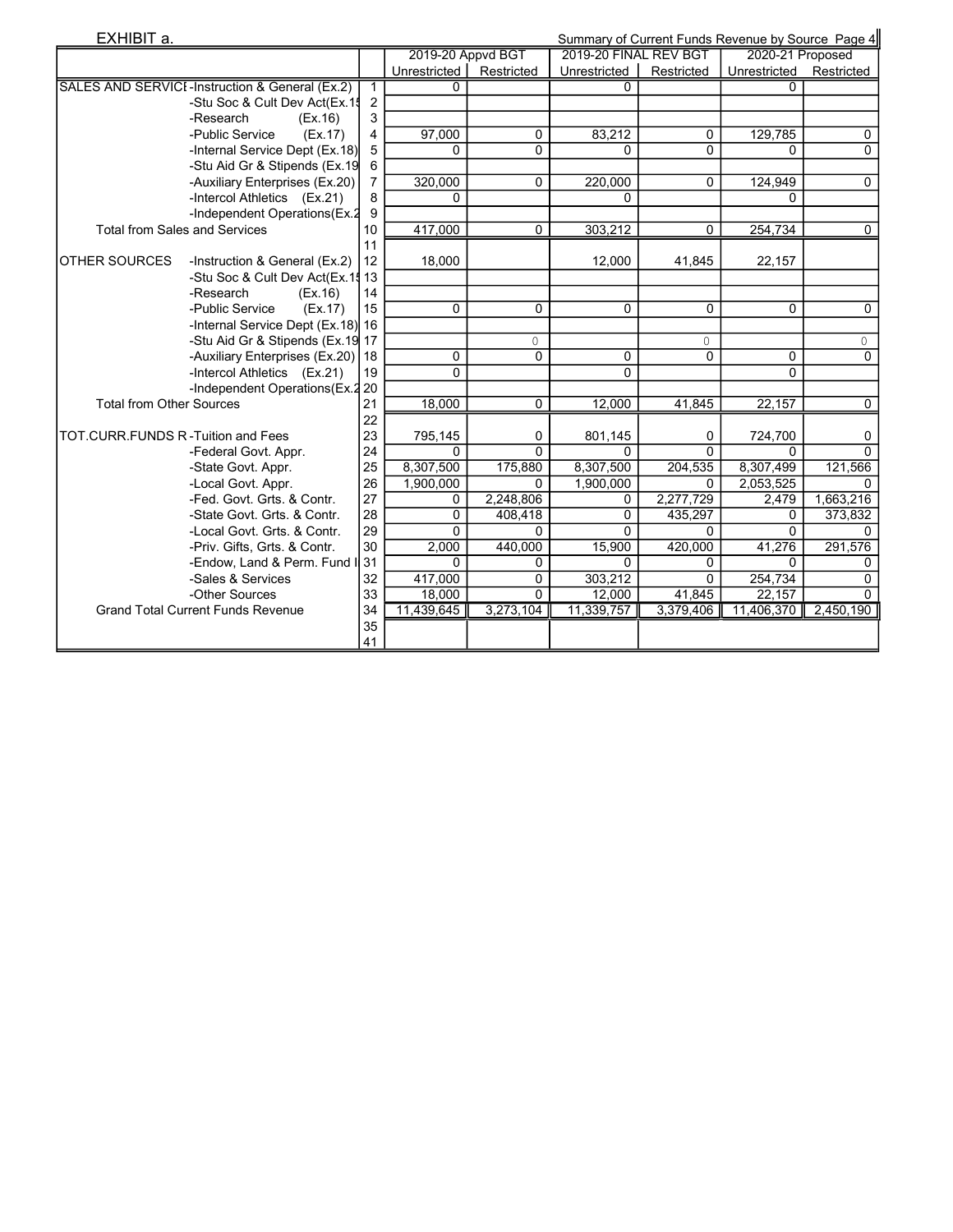| EXHIBIT a.                        |                                                | Summary of Current Funds Revenue by Source Page 4 |                           |              |                       |            |                         |             |  |
|-----------------------------------|------------------------------------------------|---------------------------------------------------|---------------------------|--------------|-----------------------|------------|-------------------------|-------------|--|
|                                   |                                                |                                                   | 2019-20 Appvd BGT         |              | 2019-20 FINAL REV BGT |            | 2020-21 Proposed        |             |  |
|                                   |                                                |                                                   | Unrestricted   Restricted |              | Unrestricted          | Restricted | Unrestricted Restricted |             |  |
|                                   | SALES AND SERVICI-Instruction & General (Ex.2) | 1                                                 |                           |              |                       |            |                         |             |  |
|                                   | -Stu Soc & Cult Dev Act(Ex.1\$                 | $\overline{2}$                                    |                           |              |                       |            |                         |             |  |
|                                   | -Research<br>(EX.16)                           | 3                                                 |                           |              |                       |            |                         |             |  |
|                                   | -Public Service<br>(EX.17)                     | 4                                                 | 97,000                    | $\mathbf{0}$ | 83,212                | $\Omega$   | 129,785                 | 0           |  |
|                                   | -Internal Service Dept (Ex.18)                 | 5                                                 | 0                         | 0            | 0                     | $\Omega$   | $\Omega$                | $\mathbf 0$ |  |
|                                   | -Stu Aid Gr & Stipends (Ex.19                  | 6                                                 |                           |              |                       |            |                         |             |  |
|                                   | -Auxiliary Enterprises (Ex.20)                 | 7                                                 | 320,000                   | $\mathbf{0}$ | 220,000               | $\Omega$   | 124,949                 | $\mathbf 0$ |  |
|                                   | -Intercol Athletics (Ex.21)                    | 8                                                 | 0                         |              | 0                     |            | $\Omega$                |             |  |
|                                   | -Independent Operations(Ex.2                   | 9                                                 |                           |              |                       |            |                         |             |  |
|                                   | <b>Total from Sales and Services</b>           | 10                                                | 417,000                   | 0            | 303,212               | $\Omega$   | 254,734                 | $\mathbf 0$ |  |
|                                   |                                                | 11                                                |                           |              |                       |            |                         |             |  |
| <b>OTHER SOURCES</b>              | -Instruction & General (Ex.2)                  | 12                                                | 18,000                    |              | 12,000                | 41,845     | 22,157                  |             |  |
|                                   | -Stu Soc & Cult Dev Act(Ex.1                   | ₫ 13                                              |                           |              |                       |            |                         |             |  |
|                                   | -Research<br>(EX.16)                           | 14                                                |                           |              |                       |            |                         |             |  |
|                                   | -Public Service<br>(EX.17)                     | 15                                                | 0                         | $\Omega$     | $\Omega$              | $\Omega$   | $\Omega$                | $\Omega$    |  |
|                                   | -Internal Service Dept (Ex.18) 16              |                                                   |                           |              |                       |            |                         |             |  |
|                                   | -Stu Aid Gr & Stipends (Ex.19 17               |                                                   |                           | 0            |                       | 0          |                         | $\circ$     |  |
|                                   | -Auxiliary Enterprises (Ex.20)                 | 18                                                | 0                         | 0            | 0                     | 0          | $\mathbf 0$             | 0           |  |
|                                   | -Intercol Athletics (Ex.21)                    | 19                                                | $\Omega$                  |              | $\Omega$              |            | $\Omega$                |             |  |
|                                   | -Independent Operations (Ex.2 20               |                                                   |                           |              |                       |            |                         |             |  |
| <b>Total from Other Sources</b>   |                                                | 21                                                | 18,000                    | $\mathbf 0$  | 12,000                | 41,845     | 22,157                  | 0           |  |
|                                   |                                                | 22                                                |                           |              |                       |            |                         |             |  |
| TOT.CURR.FUNDS R-Tuition and Fees |                                                | 23                                                | 795,145                   | 0            | 801,145               | 0          | 724,700                 | 0           |  |
|                                   | -Federal Govt. Appr.                           | 24                                                | $\Omega$                  | $\Omega$     | $\Omega$              | $\Omega$   | $\Omega$                | $\Omega$    |  |
|                                   | -State Govt. Appr.                             | 25                                                | 8,307,500                 | 175,880      | 8,307,500             | 204,535    | 8,307,499               | 121,566     |  |
|                                   | -Local Govt. Appr.                             | 26                                                | 1,900,000                 | 0            | 1,900,000             | $\Omega$   | 2,053,525               | $\Omega$    |  |
|                                   | -Fed. Govt. Grts. & Contr.                     | 27                                                | 0                         | 2,248,806    | 0                     | 2,277,729  | 2,479                   | 1,663,216   |  |
|                                   | -State Govt. Grts. & Contr.                    | 28                                                | 0                         | 408,418      | $\Omega$              | 435,297    | 0                       | 373,832     |  |
|                                   | -Local Govt. Grts. & Contr.                    | 29                                                | $\Omega$                  | 0            | $\overline{0}$        | $\Omega$   | $\mathbf{0}$            | 0           |  |
|                                   | -Priv. Gifts, Grts. & Contr.                   | 30                                                | 2,000                     | 440,000      | 15,900                | 420,000    | 41,276                  | 291,576     |  |
|                                   | -Endow, Land & Perm. Fund I 31                 |                                                   | $\Omega$                  | 0            | $\Omega$              | $\Omega$   | $\Omega$                | $\Omega$    |  |
|                                   | -Sales & Services                              | 32                                                | 417,000                   | $\Omega$     | 303,212               | $\Omega$   | 254,734                 | $\Omega$    |  |
|                                   | -Other Sources                                 | 33                                                | 18,000                    | $\Omega$     | 12,000                | 41,845     | 22,157                  | $\Omega$    |  |
|                                   | <b>Grand Total Current Funds Revenue</b>       | 34                                                | 11,439,645                | 3,273,104    | 11,339,757            | 3,379,406  | 11,406,370              | 2,450,190   |  |
|                                   |                                                | 35                                                |                           |              |                       |            |                         |             |  |
|                                   |                                                | 41                                                |                           |              |                       |            |                         |             |  |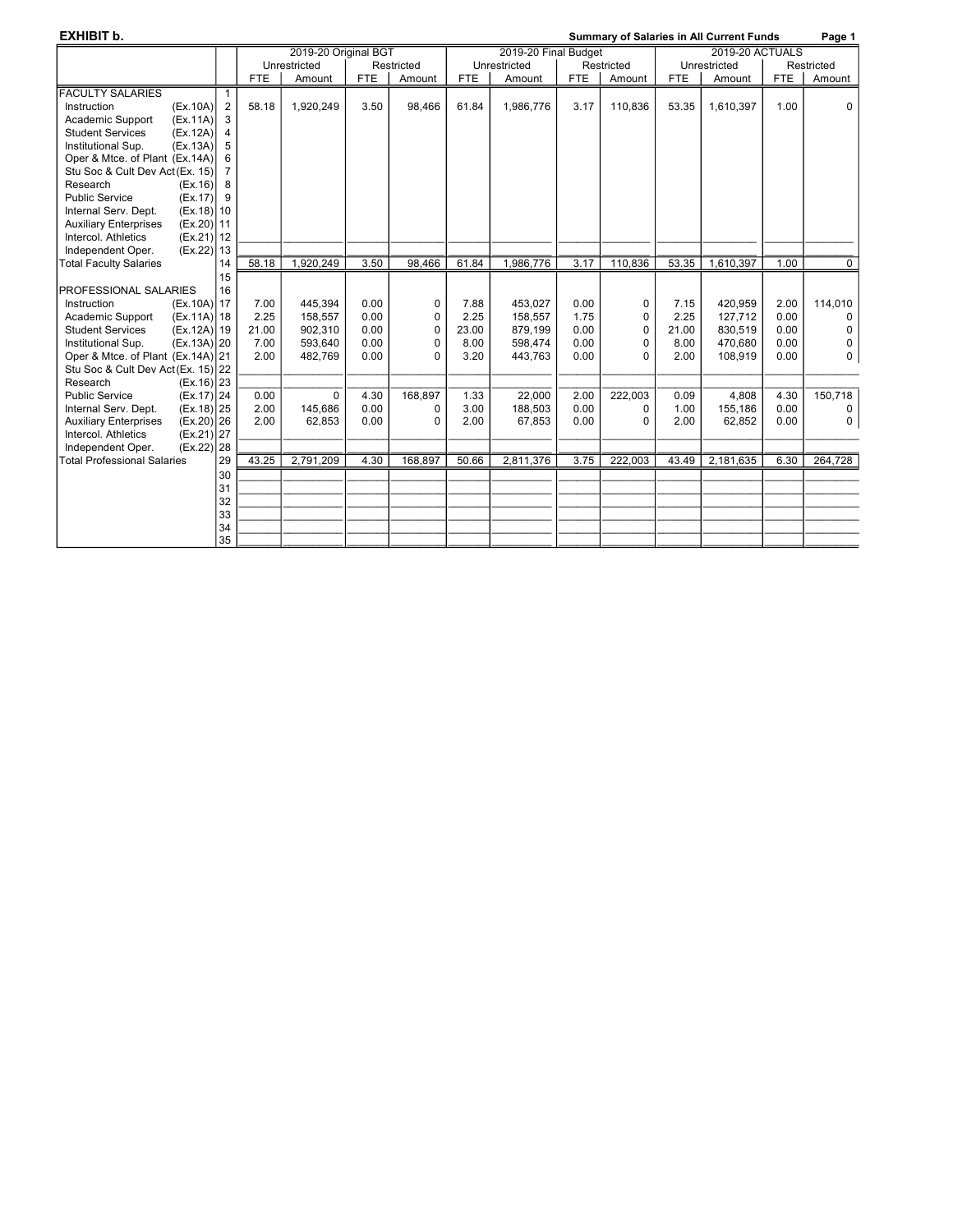| <b>EXHIBIT b.</b>                            |    |            |                                                                        |            | <b>Summary of Salaries in All Current Funds</b> |            |              |            |            |            |              | Page 1     |             |
|----------------------------------------------|----|------------|------------------------------------------------------------------------|------------|-------------------------------------------------|------------|--------------|------------|------------|------------|--------------|------------|-------------|
|                                              |    |            | 2019-20 Original BGT<br>2019-20 Final Budget<br><b>2019-20 ACTUALS</b> |            |                                                 |            |              |            |            |            |              |            |             |
|                                              |    |            | Unrestricted                                                           |            | Restricted                                      |            | Unrestricted |            | Restricted |            | Unrestricted |            | Restricted  |
|                                              |    | <b>FTE</b> | Amount                                                                 | <b>FTE</b> | Amount                                          | <b>FTE</b> | Amount       | <b>FTE</b> | Amount     | <b>FTE</b> | Amount       | <b>FTE</b> | Amount      |
| <b>FACULTY SALARIES</b>                      | -1 |            |                                                                        |            |                                                 |            |              |            |            |            |              |            |             |
| Instruction<br>(EX.10A)                      | 2  | 58.18      | 1,920,249                                                              | 3.50       | 98,466                                          | 61.84      | 1,986,776    | 3.17       | 110,836    | 53.35      | 1,610,397    | 1.00       | 0           |
| Academic Support<br>(EX.11A)                 | 3  |            |                                                                        |            |                                                 |            |              |            |            |            |              |            |             |
| <b>Student Services</b><br>(Ex.12A)          | 4  |            |                                                                        |            |                                                 |            |              |            |            |            |              |            |             |
| (EX.13A)<br>Institutional Sup.               | 5  |            |                                                                        |            |                                                 |            |              |            |            |            |              |            |             |
| Oper & Mtce. of Plant (Ex.14A)               |    |            |                                                                        |            |                                                 |            |              |            |            |            |              |            |             |
| Stu Soc & Cult Dev Act (Ex. 15)              |    |            |                                                                        |            |                                                 |            |              |            |            |            |              |            |             |
| Research<br>(Ex.16)                          | 8  |            |                                                                        |            |                                                 |            |              |            |            |            |              |            |             |
| <b>Public Service</b><br>(EX.17)             | 9  |            |                                                                        |            |                                                 |            |              |            |            |            |              |            |             |
| Internal Serv. Dept.<br>$(Ex.18)$ 10         |    |            |                                                                        |            |                                                 |            |              |            |            |            |              |            |             |
| <b>Auxiliary Enterprises</b><br>(Ex.20) 11   |    |            |                                                                        |            |                                                 |            |              |            |            |            |              |            |             |
| Intercol. Athletics<br>$(Ex.21)$ 12          |    |            |                                                                        |            |                                                 |            |              |            |            |            |              |            |             |
| Independent Oper.<br>(EX.22)                 | 13 |            |                                                                        |            |                                                 |            |              |            |            |            |              |            |             |
| <b>Total Faculty Salaries</b>                | 14 | 58.18      | 1,920,249                                                              | 3.50       | 98.466                                          | 61.84      | 1,986,776    | 3.17       | 110.836    | 53.35      | 1,610,397    | 1.00       | 0           |
|                                              | 15 |            |                                                                        |            |                                                 |            |              |            |            |            |              |            |             |
| PROFESSIONAL SALARIES                        | 16 |            |                                                                        |            |                                                 |            |              |            |            |            |              |            |             |
| (Ex.10A) 17<br>Instruction                   |    | 7.00       | 445.394                                                                | 0.00       | 0                                               | 7.88       | 453.027      | 0.00       | 0          | 7.15       | 420,959      | 2.00       | 114,010     |
| $(Ex.11A)$ 18<br>Academic Support            |    | 2.25       | 158,557                                                                | 0.00       | 0                                               | 2.25       | 158,557      | 1.75       | 0          | 2.25       | 127,712      | 0.00       | 0           |
| $(Ex.12A)$ 19<br><b>Student Services</b>     |    | 21.00      | 902,310                                                                | 0.00       | 0                                               | 23.00      | 879,199      | 0.00       | 0          | 21.00      | 830,519      | 0.00       | 0           |
| Institutional Sup.<br>$(Ex.13A)$ 20          |    | 7.00       | 593,640                                                                | 0.00       | 0                                               | 8.00       | 598,474      | 0.00       | 0          | 8.00       | 470,680      | 0.00       | 0           |
| Oper & Mtce. of Plant (Ex.14A) 21            |    | 2.00       | 482,769                                                                | 0.00       | 0                                               | 3.20       | 443,763      | 0.00       | 0          | 2.00       | 108,919      | 0.00       | $\mathbf 0$ |
| Stu Soc & Cult Dev Act (Ex. 15) 22           |    |            |                                                                        |            |                                                 |            |              |            |            |            |              |            |             |
| Research<br>$(Ex.16)$ 23                     |    |            |                                                                        |            |                                                 |            |              |            |            |            |              |            |             |
| <b>Public Service</b><br>$(Ex.17)$   24      |    | 0.00       | $\Omega$                                                               | 4.30       | 168,897                                         | 1.33       | 22,000       | 2.00       | 222,003    | 0.09       | 4,808        | 4.30       | 150,718     |
| $(Ex.18)$   25<br>Internal Serv. Dept.       |    | 2.00       | 145,686                                                                | 0.00       | 0                                               | 3.00       | 188,503      | 0.00       | 0          | 1.00       | 155,186      | 0.00       | 0           |
| $(Ex.20)$ 26<br><b>Auxiliary Enterprises</b> |    | 2.00       | 62,853                                                                 | 0.00       | 0                                               | 2.00       | 67,853       | 0.00       | 0          | 2.00       | 62,852       | 0.00       | 0           |
| Intercol. Athletics<br>(EX.21)               | 27 |            |                                                                        |            |                                                 |            |              |            |            |            |              |            |             |
| Independent Oper.<br>(EX.22)                 | 28 |            |                                                                        |            |                                                 |            |              |            |            |            |              |            |             |
| <b>Total Professional Salaries</b>           | 29 | 43.25      | 2,791,209                                                              | 4.30       | 168.897                                         | 50.66      | 2,811,376    | 3.75       | 222,003    | 43.49      | 2,181,635    | 6.30       | 264,728     |
|                                              | 30 |            |                                                                        |            |                                                 |            |              |            |            |            |              |            |             |
|                                              | 31 |            |                                                                        |            |                                                 |            |              |            |            |            |              |            |             |
|                                              | 32 |            |                                                                        |            |                                                 |            |              |            |            |            |              |            |             |
|                                              | 33 |            |                                                                        |            |                                                 |            |              |            |            |            |              |            |             |
|                                              | 34 |            |                                                                        |            |                                                 |            |              |            |            |            |              |            |             |
|                                              | 35 |            |                                                                        |            |                                                 |            |              |            |            |            |              |            |             |
|                                              |    |            |                                                                        |            |                                                 |            |              |            |            |            |              |            |             |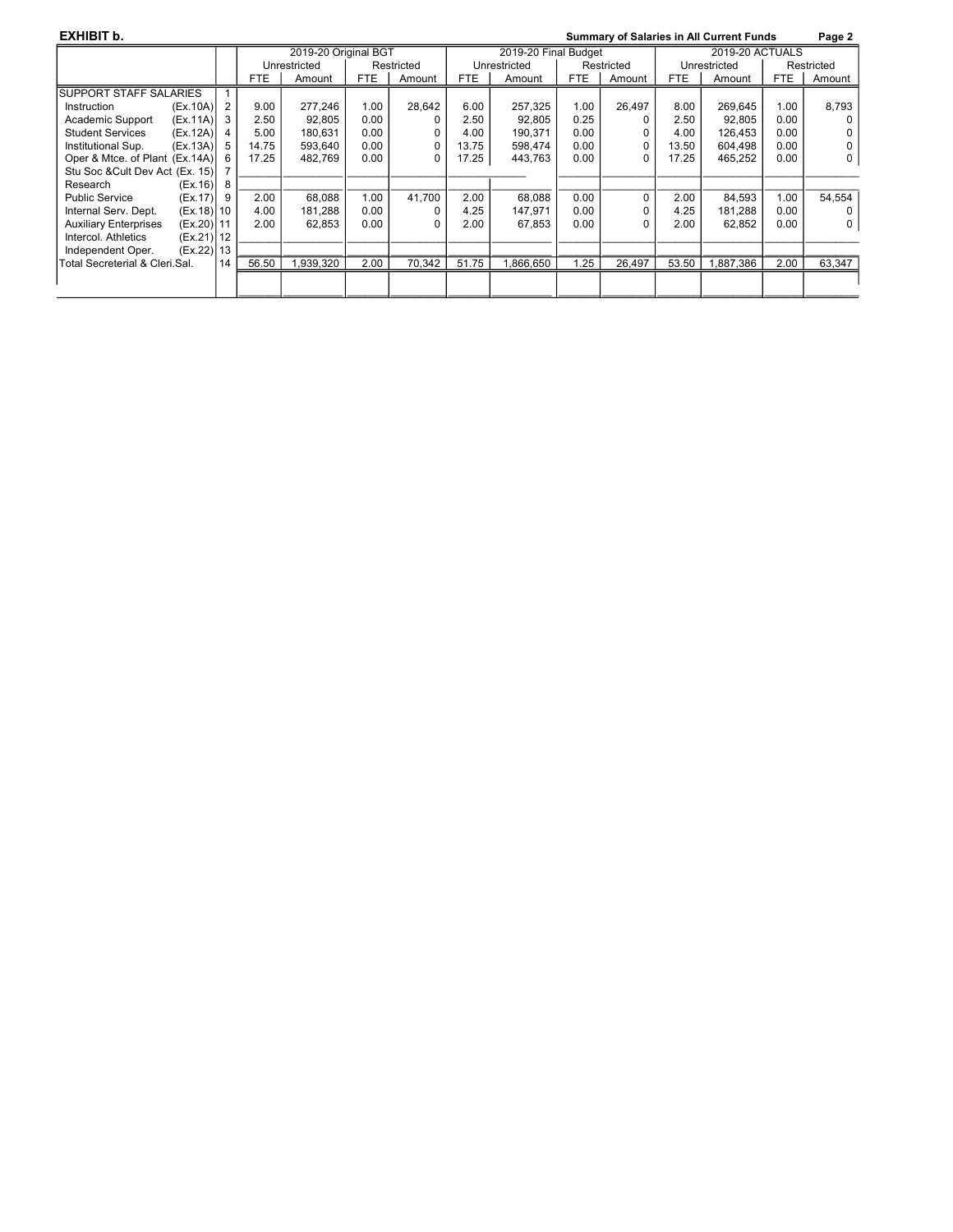| <b>EXHIBIT b.</b>                       |      |       |                      |            |            |            |                      |            |          |              | <b>Summary of Salaries in All Current Funds</b> |            | Page 2   |
|-----------------------------------------|------|-------|----------------------|------------|------------|------------|----------------------|------------|----------|--------------|-------------------------------------------------|------------|----------|
|                                         |      |       | 2019-20 Original BGT |            |            |            | 2019-20 Final Budget |            |          |              |                                                 |            |          |
|                                         |      |       | Unrestricted         |            | Restricted |            | Unrestricted         | Restricted |          | Unrestricted |                                                 | Restricted |          |
|                                         |      | FTE   | Amount               | <b>FTE</b> | Amount     | <b>FTE</b> | Amount               | <b>FTE</b> | Amount   | <b>FTE</b>   | Amount                                          | <b>FTE</b> | Amount   |
| <b>SUPPORT STAFF SALARIES</b>           |      |       |                      |            |            |            |                      |            |          |              |                                                 |            |          |
| (EX.10A)<br>Instruction                 | 2    | 9.00  | 277.246              | 1.00       | 28.642     | 6.00       | 257.325              | 1.00       | 26.497   | 8.00         | 269,645                                         | 1.00       | 8,793    |
| Academic Support<br>(EX.11A)            | 3    | 2.50  | 92.805               | 0.00       | O          | 2.50       | 92.805               | 0.25       |          | 2.50         | 92.805                                          | 0.00       |          |
| <b>Student Services</b><br>(EX.12A)     |      | 5.00  | 180,631              | 0.00       |            | 4.00       | 190.371              | 0.00       |          | 4.00         | 126.453                                         | 0.00       |          |
| Institutional Sup.<br>(EX.13A)          | 5    | 14.75 | 593.640              | 0.00       | 0          | 13.75      | 598.474              | 0.00       | $\Omega$ | 13.50        | 604,498                                         | 0.00       | $\Omega$ |
| Oper & Mtce. of Plant (Ex.14A)          | 6    | 17.25 | 482.769              | 0.00       | 0          | 17.25      | 443.763              | 0.00       | $\Omega$ | 17.25        | 465.252                                         | 0.00       | 0        |
| Stu Soc & Cult Dev Act (Ex. 15)         |      |       |                      |            |            |            |                      |            |          |              |                                                 |            |          |
| (Ex.16)<br>Research                     | 8    |       |                      |            |            |            |                      |            |          |              |                                                 |            |          |
| <b>Public Service</b><br>(Ex.17)        | 9    | 2.00  | 68.088               | 1.00       | 41.700     | 2.00       | 68.088               | 0.00       | 0        | 2.00         | 84.593                                          | 1.00       | 54.554   |
| Internal Serv. Dept.<br>$(Ex.18)$   10  |      | 4.00  | 181,288              | 0.00       |            | 4.25       | 147,971              | 0.00       | 0        | 4.25         | 181,288                                         | 0.00       |          |
| <b>Auxiliary Enterprises</b><br>(EX.20) | l 11 | 2.00  | 62.853               | 0.00       |            | 2.00       | 67,853               | 0.00       | O        | 2.00         | 62,852                                          | 0.00       | 0        |
| Intercol. Athletics<br>$(Ex.21)$ 12     |      |       |                      |            |            |            |                      |            |          |              |                                                 |            |          |
| Independent Oper.<br>(Ex.22) 13         |      |       |                      |            |            |            |                      |            |          |              |                                                 |            |          |
| lTotal Secreterial & Cleri Sal.         | 14   | 56.50 | ,939,320             | 2.00       | 70.342     | 51.75      | .866,650             | 1.25       | 26,497   | 53.50        | ,887,386                                        | 2.00       | 63,347   |
|                                         |      |       |                      |            |            |            |                      |            |          |              |                                                 |            |          |
|                                         |      |       |                      |            |            |            |                      |            |          |              |                                                 |            |          |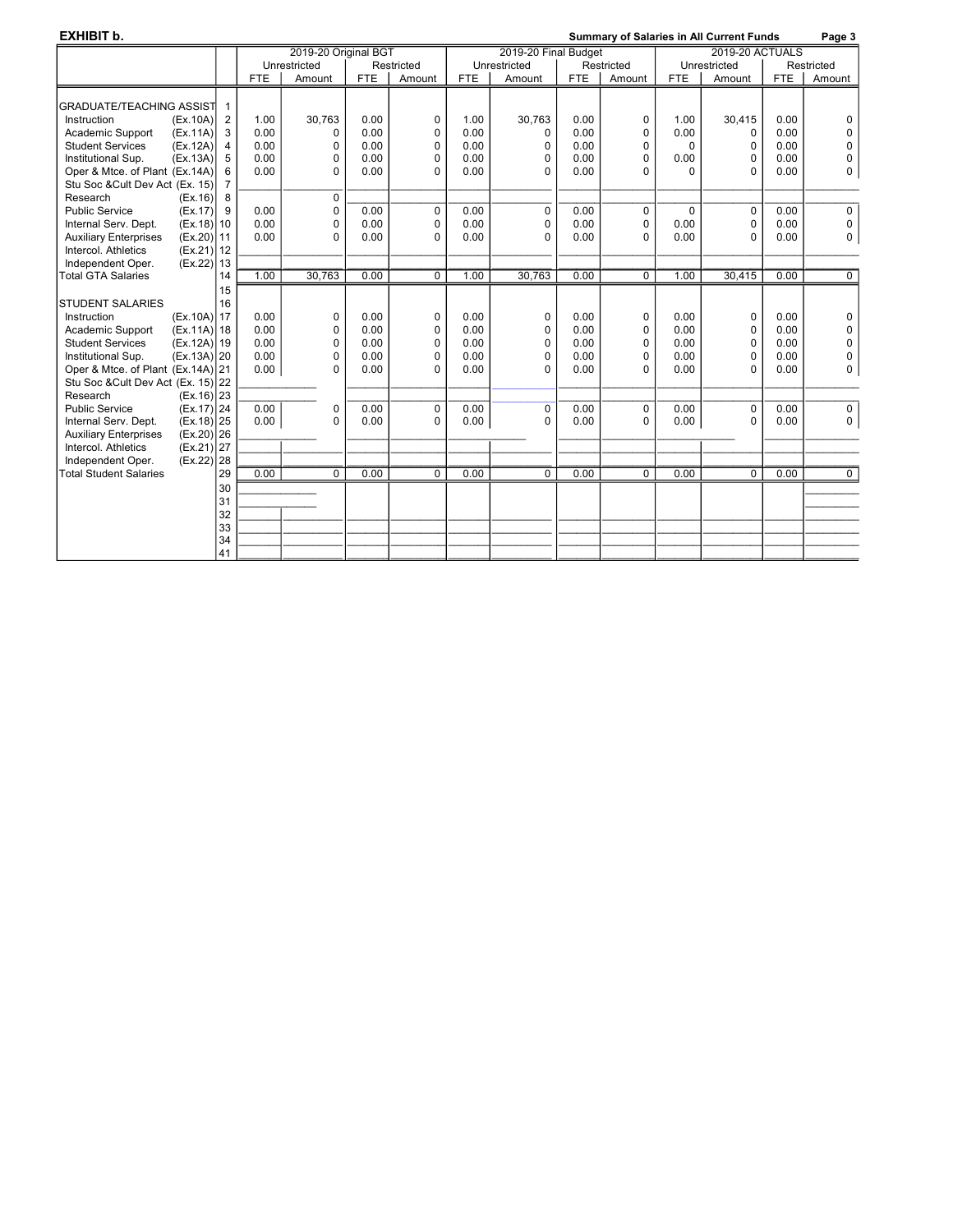| <b>EXHIBIT b.</b>                       |                |            |                      |            |              |                      |              |            |            |                        | <b>Summary of Salaries in All Current Funds</b> |            | Page 3         |
|-----------------------------------------|----------------|------------|----------------------|------------|--------------|----------------------|--------------|------------|------------|------------------------|-------------------------------------------------|------------|----------------|
|                                         |                |            | 2019-20 Original BGT |            |              | 2019-20 Final Budget |              |            |            | <b>2019-20 ACTUALS</b> |                                                 |            |                |
|                                         |                |            | Unrestricted         |            | Restricted   |                      | Unrestricted |            | Restricted | Unrestricted           |                                                 |            | Restricted     |
|                                         |                | <b>FTE</b> | Amount               | <b>FTE</b> | Amount       | <b>FTE</b>           | Amount       | <b>FTE</b> | Amount     | <b>FTE</b>             | Amount                                          | <b>FTE</b> | Amount         |
| <b>GRADUATE/TEACHING ASSIST</b>         | $\mathbf{1}$   |            |                      |            |              |                      |              |            |            |                        |                                                 |            |                |
| Instruction<br>(Ex.10A)                 | $\overline{2}$ | 1.00       | 30.763               | 0.00       | 0            | 1.00                 | 30,763       | 0.00       | 0          | 1.00                   | 30,415                                          | 0.00       | 0              |
| Academic Support<br>(EX.11A)            | 3              | 0.00       | $\Omega$             | 0.00       | 0            | 0.00                 | 0            | 0.00       | 0          | 0.00                   | 0                                               | 0.00       | $\mathbf 0$    |
| <b>Student Services</b><br>(EX.12A)     | 4              | 0.00       | $\mathbf 0$          | 0.00       | $\mathbf{0}$ | 0.00                 | $\Omega$     | 0.00       | 0          | $\Omega$               | $\Omega$                                        | 0.00       | $\mathbf 0$    |
| Institutional Sup.<br>(EX.13A)          | 5              | 0.00       | $\mathbf 0$          | 0.00       | $\mathbf{0}$ | 0.00                 | 0            | 0.00       | 0          | 0.00                   | 0                                               | 0.00       | $\pmb{0}$      |
| Oper & Mtce. of Plant (Ex.14A)          | 6              | 0.00       | $\Omega$             | 0.00       | $\Omega$     | 0.00                 | 0            | 0.00       | 0          | 0                      | $\Omega$                                        | 0.00       | 0              |
| Stu Soc & Cult Dev Act (Ex. 15)         | $\overline{7}$ |            |                      |            |              |                      |              |            |            |                        |                                                 |            |                |
| Research<br>(EX.16)                     | 8              |            | $\mathbf 0$          |            |              |                      |              |            |            |                        |                                                 |            |                |
| <b>Public Service</b><br>(EX.17)        | 9              | 0.00       | 0                    | 0.00       | 0            | 0.00                 | $\mathbf 0$  | 0.00       | 0          | $\mathbf 0$            | $\mathbf 0$                                     | 0.00       | 0              |
| Internal Serv. Dept.<br>(Ex.18)         | 10             | 0.00       | $\Omega$             | 0.00       | $\mathbf{0}$ | 0.00                 | $\Omega$     | 0.00       | 0          | 0.00                   | $\mathbf 0$                                     | 0.00       | 0              |
| <b>Auxiliary Enterprises</b><br>(EX.20) | 11             | 0.00       | $\Omega$             | 0.00       | $\Omega$     | 0.00                 | 0            | 0.00       | $\Omega$   | 0.00                   | $\Omega$                                        | 0.00       | 0              |
| Intercol. Athletics<br>(EX.21)          | 12             |            |                      |            |              |                      |              |            |            |                        |                                                 |            |                |
| Independent Oper.<br>(EX.22)            | 13             |            |                      |            |              |                      |              |            |            |                        |                                                 |            |                |
| <b>Total GTA Salaries</b>               | 14             | 1.00       | 30,763               | 0.00       | $\Omega$     | 1.00                 | 30,763       | 0.00       | $\Omega$   | 1.00                   | 30,415                                          | 0.00       | $\overline{0}$ |
|                                         | 15             |            |                      |            |              |                      |              |            |            |                        |                                                 |            |                |
| <b>STUDENT SALARIES</b>                 | 16             |            |                      |            |              |                      |              |            |            |                        |                                                 |            |                |
| Instruction<br>(Ex.10A) 17              |                | 0.00       | $\mathbf 0$          | 0.00       | 0            | 0.00                 | 0            | 0.00       | 0          | 0.00                   | 0                                               | 0.00       | $\mathbf 0$    |
| (Ex.11A) 18<br>Academic Support         |                | 0.00       | $\Omega$             | 0.00       | $\mathbf{0}$ | 0.00                 | $\Omega$     | 0.00       | 0          | 0.00                   | 0                                               | 0.00       | $\mathbf 0$    |
| <b>Student Services</b><br>(EX.12A)     | 19             | 0.00       | 0                    | 0.00       | 0            | 0.00                 | 0            | 0.00       | 0          | 0.00                   | 0                                               | 0.00       | $\pmb{0}$      |
| Institutional Sup.<br>(Ex.13A)          | 20             | 0.00       | 0                    | 0.00       | 0            | 0.00                 | 0            | 0.00       | 0          | 0.00                   | 0                                               | 0.00       | $\pmb{0}$      |
| Oper & Mtce. of Plant (Ex.14A) 21       |                | 0.00       | $\Omega$             | 0.00       | $\Omega$     | 0.00                 | $\Omega$     | 0.00       | $\Omega$   | 0.00                   | $\Omega$                                        | 0.00       | $\pmb{0}$      |
| Stu Soc & Cult Dev Act (Ex. 15) 22      |                |            |                      |            |              |                      |              |            |            |                        |                                                 |            |                |
| Research<br>$(EX.16)$   23              |                |            |                      |            |              |                      |              |            |            |                        |                                                 |            |                |
| <b>Public Service</b><br>(Ex.17)        | 24             | 0.00       | 0                    | 0.00       | 0            | 0.00                 | $\mathbf 0$  | 0.00       | 0          | 0.00                   | $\mathbf 0$                                     | 0.00       | 0              |
| $(Ex.18)$   25<br>Internal Serv. Dept.  |                | 0.00       | $\Omega$             | 0.00       | $\Omega$     | 0.00                 | 0            | 0.00       | 0          | 0.00                   | $\Omega$                                        | 0.00       | 0              |
| (Ex.20)<br><b>Auxiliary Enterprises</b> | 26             |            |                      |            |              |                      |              |            |            |                        |                                                 |            |                |
| $(Ex.21)$   27<br>Intercol. Athletics   |                |            |                      |            |              |                      |              |            |            |                        |                                                 |            |                |
| (EX.22)<br>Independent Oper.            | 28             |            |                      |            |              |                      |              |            |            |                        |                                                 |            |                |
| <b>Total Student Salaries</b>           | 29             | 0.00       | 0                    | 0.00       | 0            | 0.00                 | $\Omega$     | 0.00       | 0          | 0.00                   | 0                                               | 0.00       | $\overline{0}$ |
|                                         | 30             |            |                      |            |              |                      |              |            |            |                        |                                                 |            |                |
|                                         | 31             |            |                      |            |              |                      |              |            |            |                        |                                                 |            |                |
|                                         | 32             |            |                      |            |              |                      |              |            |            |                        |                                                 |            |                |
|                                         | 33             |            |                      |            |              |                      |              |            |            |                        |                                                 |            |                |
|                                         | 34             |            |                      |            |              |                      |              |            |            |                        |                                                 |            |                |
|                                         | 41             |            |                      |            |              |                      |              |            |            |                        |                                                 |            |                |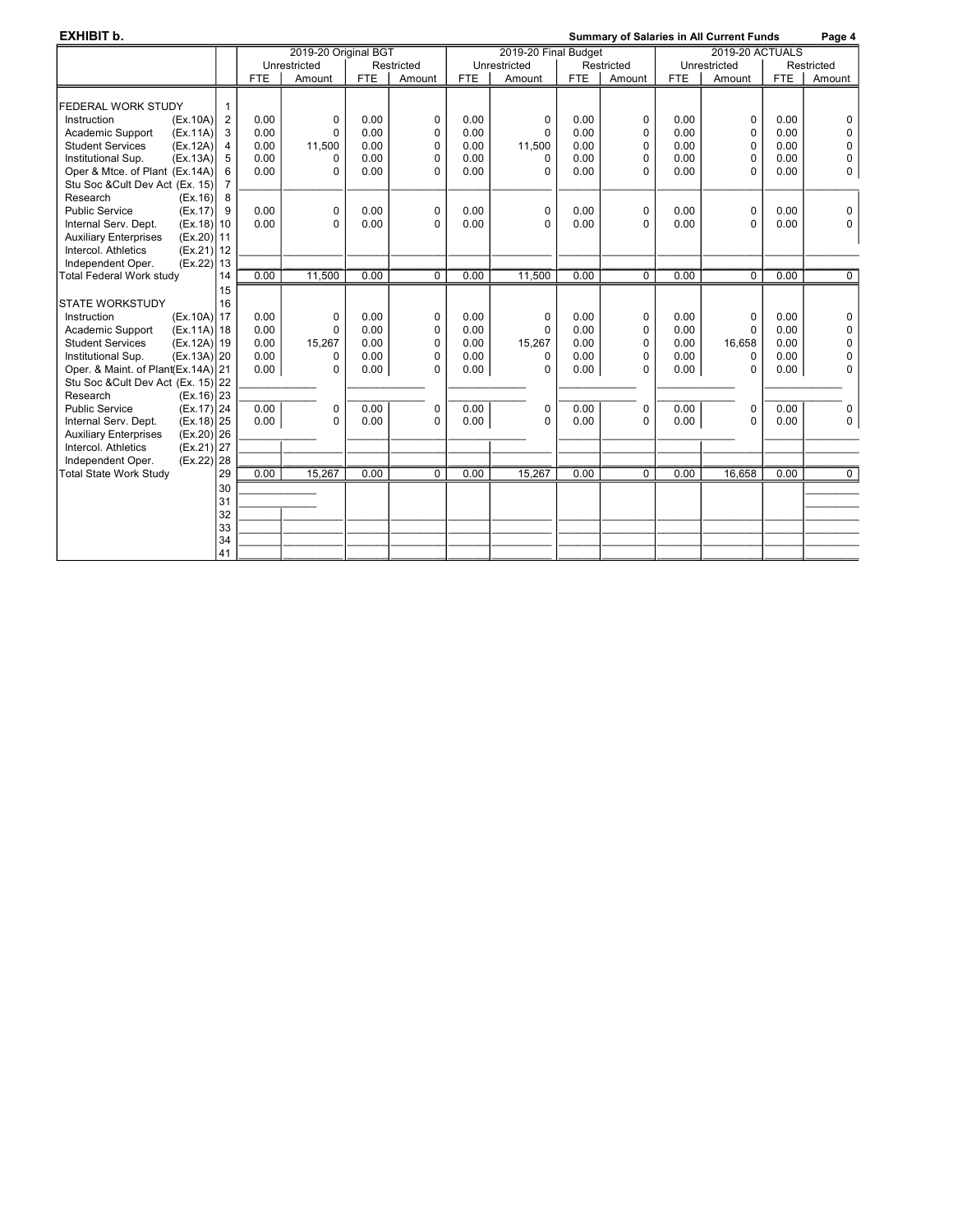| <b>EXHIBIT b.</b>                        |                |            |                      | <b>Summary of Salaries in All Current Funds</b> |              |            |                      |            |             |            | Page 4                 |            |                |
|------------------------------------------|----------------|------------|----------------------|-------------------------------------------------|--------------|------------|----------------------|------------|-------------|------------|------------------------|------------|----------------|
|                                          |                |            | 2019-20 Original BGT |                                                 |              |            | 2019-20 Final Budget |            |             |            | <b>2019-20 ACTUALS</b> |            |                |
|                                          |                |            | Unrestricted         |                                                 | Restricted   |            | Unrestricted         |            | Restricted  |            | Unrestricted           |            | Restricted     |
|                                          |                | <b>FTE</b> | Amount               | <b>FTE</b>                                      | Amount       | <b>FTE</b> | Amount               | <b>FTE</b> | Amount      | <b>FTE</b> | Amount                 | <b>FTE</b> | Amount         |
|                                          |                |            |                      |                                                 |              |            |                      |            |             |            |                        |            |                |
| <b>FEDERAL WORK STUDY</b>                | $\mathbf{1}$   |            |                      |                                                 |              |            |                      |            |             |            |                        |            |                |
| Instruction<br>(EX.10A)                  | $\overline{2}$ | 0.00       | 0                    | 0.00                                            | 0            | 0.00       | 0                    | 0.00       | 0           | 0.00       | 0                      | 0.00       | 0              |
| Academic Support<br>(EX.11A)             | 3              | 0.00       | $\mathbf 0$          | 0.00                                            | 0            | 0.00       | 0                    | 0.00       | 0           | 0.00       | 0                      | 0.00       | $\mathbf 0$    |
| <b>Student Services</b><br>(EX.12A)      | 4              | 0.00       | 11,500               | 0.00                                            | 0            | 0.00       | 11,500               | 0.00       | 0           | 0.00       | 0                      | 0.00       | 0              |
| Institutional Sup.<br>(EX.13A)           | 5              | 0.00       | $\Omega$             | 0.00                                            | $\mathbf{0}$ | 0.00       | 0                    | 0.00       | 0           | 0.00       | 0                      | 0.00       | 0              |
| Oper & Mtce. of Plant (Ex.14A)           | 6              | 0.00       | $\Omega$             | 0.00                                            | 0            | 0.00       | 0                    | 0.00       | $\Omega$    | 0.00       | $\Omega$               | 0.00       | 0              |
| Stu Soc & Cult Dev Act (Ex. 15)          | $\overline{7}$ |            |                      |                                                 |              |            |                      |            |             |            |                        |            |                |
| Research<br>(Ex.16)                      | 8              |            |                      |                                                 |              |            |                      |            |             |            |                        |            |                |
| <b>Public Service</b><br>(EX.17)         | 9              | 0.00       | $\mathbf 0$          | 0.00                                            | 0            | 0.00       | $\Omega$             | 0.00       | 0           | 0.00       | $\mathbf 0$            | 0.00       | 0              |
| Internal Serv. Dept.<br>$(Ex.18)$ 10     |                | 0.00       | $\Omega$             | 0.00                                            | $\mathbf{0}$ | 0.00       | 0                    | 0.00       | $\Omega$    | 0.00       | $\Omega$               | 0.00       | $\Omega$       |
| (Ex.20)<br><b>Auxiliary Enterprises</b>  | 11             |            |                      |                                                 |              |            |                      |            |             |            |                        |            |                |
| Intercol. Athletics<br>(Ex.21)           | 12             |            |                      |                                                 |              |            |                      |            |             |            |                        |            |                |
| Independent Oper.<br>(EX.22)             | 13             |            |                      |                                                 |              |            |                      |            |             |            |                        |            |                |
| <b>Total Federal Work study</b>          | 14             | 0.00       | 11.500               | 0.00                                            | $\Omega$     | 0.00       | 11.500               | 0.00       | $\mathbf 0$ | 0.00       | $\Omega$               | 0.00       | $\overline{0}$ |
|                                          | 15             |            |                      |                                                 |              |            |                      |            |             |            |                        |            |                |
| <b>STATE WORKSTUDY</b>                   | 16             |            |                      |                                                 |              |            |                      |            |             |            |                        |            |                |
| $(EX.10A)$ 17<br>Instruction             |                | 0.00       | 0                    | 0.00                                            | 0            | 0.00       | 0                    | 0.00       | 0           | 0.00       | 0                      | 0.00       | 0              |
| Academic Support<br>$(Ex.11A)$ 18        |                | 0.00       | $\Omega$             | 0.00                                            | 0            | 0.00       | $\Omega$             | 0.00       | 0           | 0.00       | $\Omega$               | 0.00       | $\mathbf 0$    |
| <b>Student Services</b><br>$(Ex.12A)$ 19 |                | 0.00       | 15,267               | 0.00                                            | 0            | 0.00       | 15,267               | 0.00       | $\mathbf 0$ | 0.00       | 16.658                 | 0.00       | $\mathbf 0$    |
| (Ex.13A) 20<br>Institutional Sup.        |                | 0.00       | $\Omega$             | 0.00                                            | $\mathbf{0}$ | 0.00       | $\Omega$             | 0.00       | 0           | 0.00       | $\Omega$               | 0.00       | $\Omega$       |
| Oper. & Maint. of Plant(Ex.14A) 21       |                | 0.00       | $\Omega$             | 0.00                                            | $\mathbf{0}$ | 0.00       | 0                    | 0.00       | $\Omega$    | 0.00       | $\Omega$               | 0.00       | $\Omega$       |
| Stu Soc & Cult Dev Act (Ex. 15) 22       |                |            |                      |                                                 |              |            |                      |            |             |            |                        |            |                |
| $(Ex.16)$   23<br>Research               |                |            |                      |                                                 |              |            |                      |            |             |            |                        |            |                |
| $(Ex.17)$   24<br><b>Public Service</b>  |                | 0.00       | 0                    | 0.00                                            | 0            | 0.00       | 0                    | 0.00       | 0           | 0.00       | 0                      | 0.00       | 0              |
| Internal Serv. Dept.<br>$(Ex.18)$ 25     |                | 0.00       | $\Omega$             | 0.00                                            | 0            | 0.00       | 0                    | 0.00       | $\Omega$    | 0.00       | $\Omega$               | 0.00       | 0              |
| <b>Auxiliary Enterprises</b><br>(Ex.20)  | 26             |            |                      |                                                 |              |            |                      |            |             |            |                        |            |                |
| Intercol. Athletics<br>(EX.21)           | 27             |            |                      |                                                 |              |            |                      |            |             |            |                        |            |                |
| (EX.22)<br>Independent Oper.             | 28             |            |                      |                                                 |              |            |                      |            |             |            |                        |            |                |
| <b>Total State Work Study</b>            | 29             | 0.00       | 15,267               | 0.00                                            | $\Omega$     | 0.00       | 15,267               | 0.00       | 0           | 0.00       | 16,658                 | 0.00       | $\overline{0}$ |
|                                          | 30             |            |                      |                                                 |              |            |                      |            |             |            |                        |            |                |
|                                          | 31             |            |                      |                                                 |              |            |                      |            |             |            |                        |            |                |
|                                          | 32             |            |                      |                                                 |              |            |                      |            |             |            |                        |            |                |
|                                          | 33             |            |                      |                                                 |              |            |                      |            |             |            |                        |            |                |
|                                          | 34             |            |                      |                                                 |              |            |                      |            |             |            |                        |            |                |
|                                          | 41             |            |                      |                                                 |              |            |                      |            |             |            |                        |            |                |
|                                          |                |            |                      |                                                 |              |            |                      |            |             |            |                        |            |                |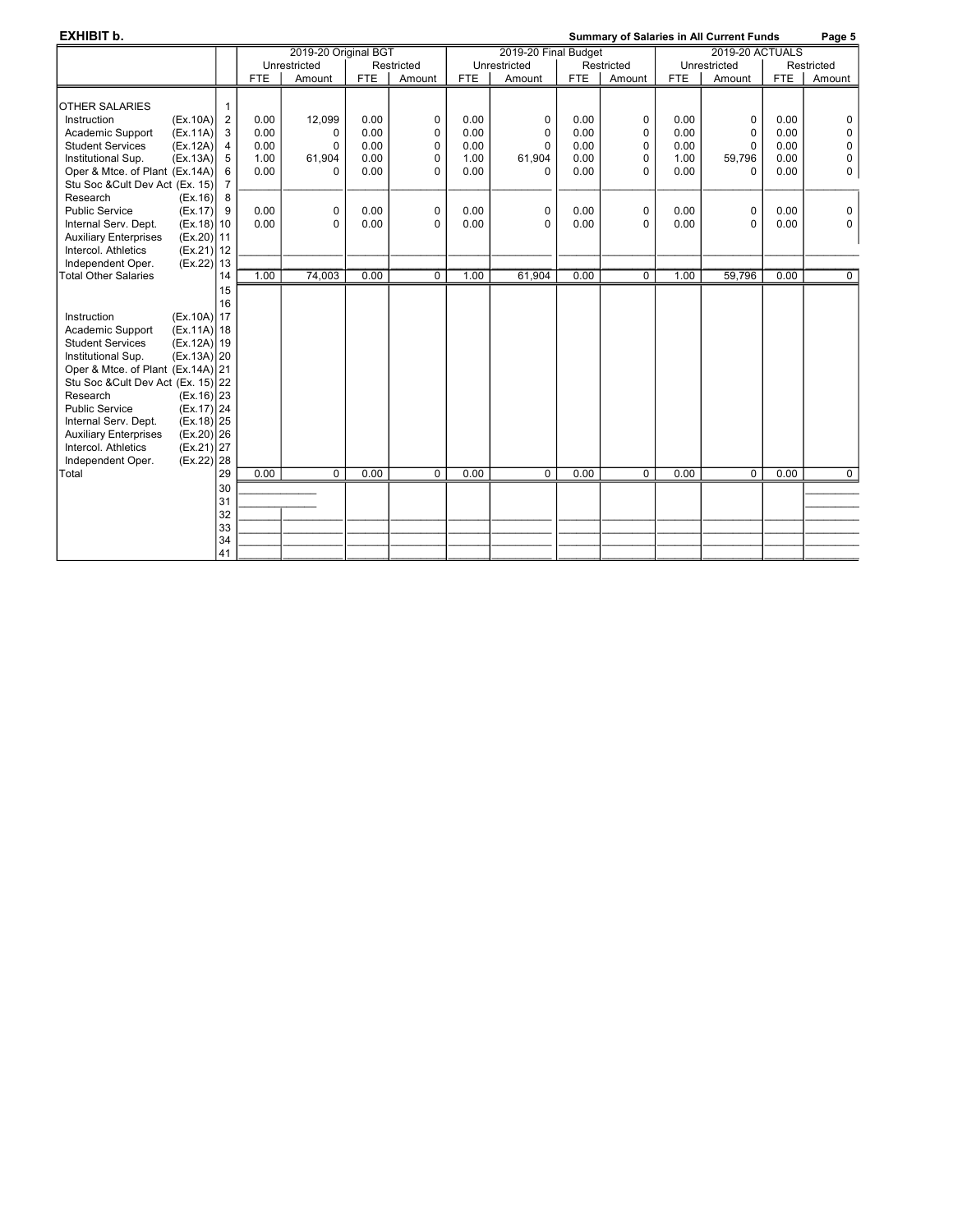| <b>EXHIBIT b.</b>                            |                |            | <b>Summary of Salaries in All Current Funds</b> |            |            |            |                      |            | Page 5      |            |                 |            |                |
|----------------------------------------------|----------------|------------|-------------------------------------------------|------------|------------|------------|----------------------|------------|-------------|------------|-----------------|------------|----------------|
|                                              |                |            | 2019-20 Original BGT                            |            |            |            | 2019-20 Final Budget |            |             |            | 2019-20 ACTUALS |            |                |
|                                              |                |            | Unrestricted                                    |            | Restricted |            | Unrestricted         |            | Restricted  |            | Unrestricted    |            | Restricted     |
|                                              |                | <b>FTE</b> | Amount                                          | <b>FTE</b> | Amount     | <b>FTE</b> | Amount               | <b>FTE</b> | Amount      | <b>FTE</b> | Amount          | <b>FTE</b> | Amount         |
|                                              |                |            |                                                 |            |            |            |                      |            |             |            |                 |            |                |
| <b>OTHER SALARIES</b>                        | 1              |            |                                                 |            |            |            |                      |            |             |            |                 |            |                |
| (EX.10A)<br>Instruction                      | 2              | 0.00       | 12.099                                          | 0.00       | 0          | 0.00       | 0                    | 0.00       | 0           | 0.00       | 0               | 0.00       | 0              |
| Academic Support<br>(EX.11A)                 | 3              | 0.00       | $\Omega$                                        | 0.00       | 0          | 0.00       | 0                    | 0.00       | $\mathbf 0$ | 0.00       | 0               | 0.00       | $\mathbf 0$    |
| <b>Student Services</b><br>(EX.12A)          | $\overline{4}$ | 0.00       | 0                                               | 0.00       | 0          | 0.00       | 0                    | 0.00       | $\mathbf 0$ | 0.00       | 0               | 0.00       | $\mathbf 0$    |
| (EX.13A)<br>Institutional Sup.               | 5              | 1.00       | 61,904                                          | 0.00       | 0          | 1.00       | 61,904               | 0.00       | 0           | 1.00       | 59,796          | 0.00       | $\mathbf 0$    |
| Oper & Mtce. of Plant (Ex.14A)               | 6              | 0.00       | $\Omega$                                        | 0.00       | 0          | 0.00       | 0                    | 0.00       | 0           | 0.00       | 0               | 0.00       | 0              |
| Stu Soc & Cult Dev Act (Ex. 15)              | $\overline{7}$ |            |                                                 |            |            |            |                      |            |             |            |                 |            |                |
| Research<br>(Ex.16)                          | 8              |            |                                                 |            |            |            |                      |            |             |            |                 |            |                |
| <b>Public Service</b><br>(EX.17)             | 9              | 0.00       | 0                                               | 0.00       | 0          | 0.00       | 0                    | 0.00       | $\mathbf 0$ | 0.00       | 0               | 0.00       | $\mathbf 0$    |
| Internal Serv. Dept.<br>$(Ex.18)$ 10         |                | 0.00       | 0                                               | 0.00       | $\Omega$   | 0.00       | $\Omega$             | 0.00       | $\Omega$    | 0.00       | 0               | 0.00       | $\Omega$       |
| <b>Auxiliary Enterprises</b><br>$(Ex.20)$ 11 |                |            |                                                 |            |            |            |                      |            |             |            |                 |            |                |
| $(Ex.21)$ 12<br>Intercol. Athletics          |                |            |                                                 |            |            |            |                      |            |             |            |                 |            |                |
| $(Ex.22)$ 13<br>Independent Oper.            |                |            |                                                 |            |            |            |                      |            |             |            |                 |            |                |
| <b>Total Other Salaries</b>                  | 14             | 1.00       | 74.003                                          | 0.00       | 0          | 1.00       | 61.904               | 0.00       | $\mathbf 0$ | 1.00       | 59.796          | 0.00       | $\overline{0}$ |
|                                              | 15             |            |                                                 |            |            |            |                      |            |             |            |                 |            |                |
|                                              | 16             |            |                                                 |            |            |            |                      |            |             |            |                 |            |                |
| $(Ex.10A)$ 17<br>Instruction                 |                |            |                                                 |            |            |            |                      |            |             |            |                 |            |                |
| $(Ex.11A)$ 18<br>Academic Support            |                |            |                                                 |            |            |            |                      |            |             |            |                 |            |                |
| <b>Student Services</b><br>$(Ex.12A)$ 19     |                |            |                                                 |            |            |            |                      |            |             |            |                 |            |                |
| $(Ex.13A)$ 20<br>Institutional Sup.          |                |            |                                                 |            |            |            |                      |            |             |            |                 |            |                |
| Oper & Mtce. of Plant (Ex.14A) 21            |                |            |                                                 |            |            |            |                      |            |             |            |                 |            |                |
| Stu Soc & Cult Dev Act (Ex. 15) 22           |                |            |                                                 |            |            |            |                      |            |             |            |                 |            |                |
| Research<br>$(Ex.16)$ 23                     |                |            |                                                 |            |            |            |                      |            |             |            |                 |            |                |
| <b>Public Service</b><br>$(Ex.17)$   24      |                |            |                                                 |            |            |            |                      |            |             |            |                 |            |                |
| Internal Serv. Dept.<br>$(Ex.18)$ 25         |                |            |                                                 |            |            |            |                      |            |             |            |                 |            |                |
| <b>Auxiliary Enterprises</b><br>$(Ex.20)$ 26 |                |            |                                                 |            |            |            |                      |            |             |            |                 |            |                |
| Intercol. Athletics<br>$(Ex.21)$ 27          |                |            |                                                 |            |            |            |                      |            |             |            |                 |            |                |
| $(Ex.22)$ 28<br>Independent Oper.            |                |            |                                                 |            |            |            |                      |            |             |            |                 |            |                |
| Total                                        | 29             | 0.00       | $\Omega$                                        | 0.00       | $\Omega$   | 0.00       | $\Omega$             | 0.00       | $\Omega$    | 0.00       | $\Omega$        | 0.00       | $\mathbf 0$    |
|                                              | 30             |            |                                                 |            |            |            |                      |            |             |            |                 |            |                |
|                                              | 31             |            |                                                 |            |            |            |                      |            |             |            |                 |            |                |
|                                              | 32             |            |                                                 |            |            |            |                      |            |             |            |                 |            |                |
|                                              | 33             |            |                                                 |            |            |            |                      |            |             |            |                 |            |                |
|                                              | 34             |            |                                                 |            |            |            |                      |            |             |            |                 |            |                |
|                                              | 41             |            |                                                 |            |            |            |                      |            |             |            |                 |            |                |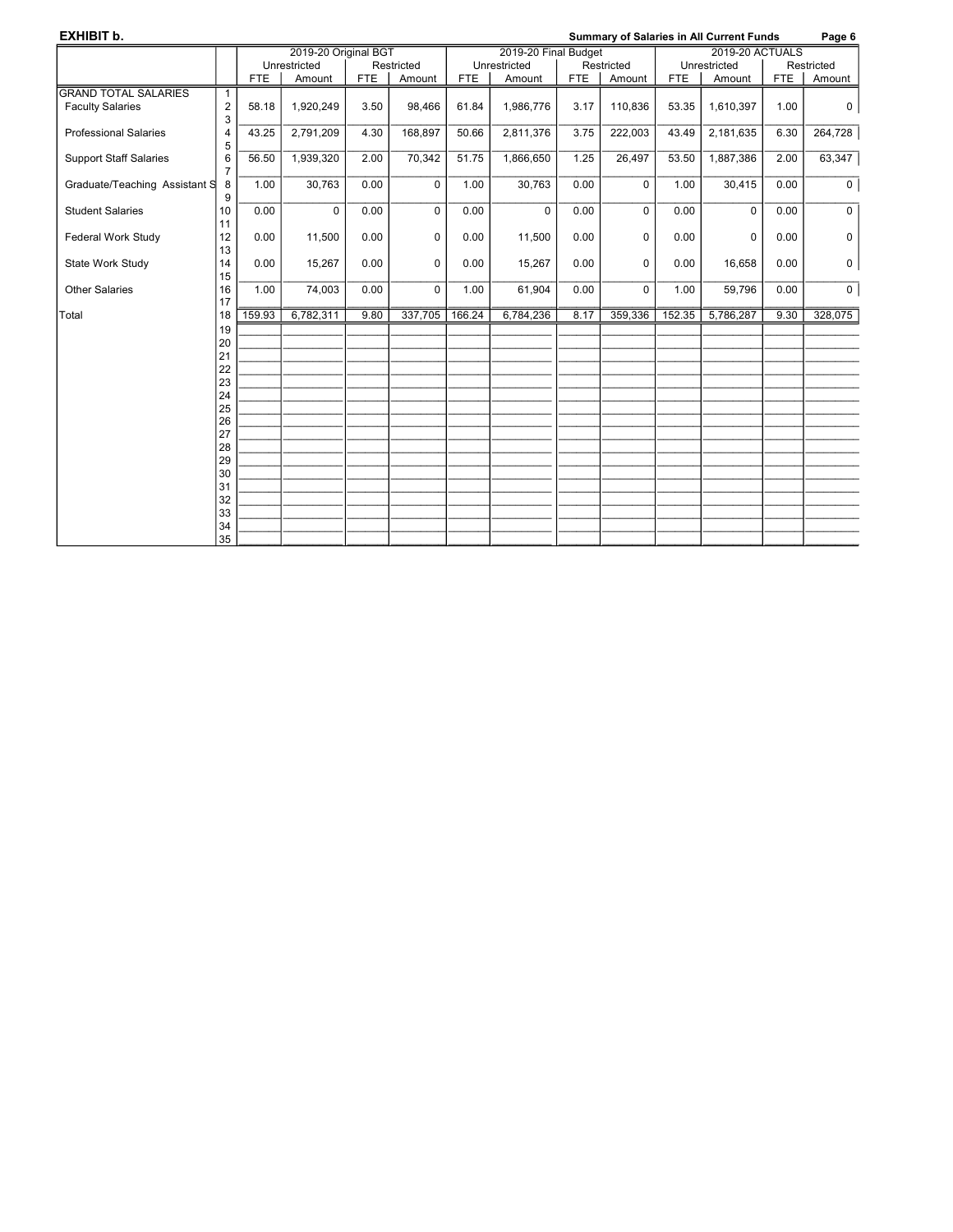| EXHIBIT b.                    | <b>Summary of Salaries in All Current Funds</b> |            |                      |            |             |            |              |                                                | Page 6      |            |              |            |                |
|-------------------------------|-------------------------------------------------|------------|----------------------|------------|-------------|------------|--------------|------------------------------------------------|-------------|------------|--------------|------------|----------------|
|                               |                                                 |            | 2019-20 Original BGT |            |             |            |              | <b>2019-20 ACTUALS</b><br>2019-20 Final Budget |             |            |              |            |                |
|                               |                                                 |            | Unrestricted         |            | Restricted  |            | Unrestricted |                                                | Restricted  |            | Unrestricted |            | Restricted     |
|                               |                                                 | <b>FTE</b> | Amount               | <b>FTE</b> | Amount      | <b>FTE</b> | Amount       | <b>FTE</b>                                     | Amount      | <b>FTE</b> | Amount       | <b>FTE</b> | Amount         |
| <b>GRAND TOTAL SALARIES</b>   | $\mathbf{1}$                                    |            |                      |            |             |            |              |                                                |             |            |              |            |                |
| <b>Faculty Salaries</b>       | $\overline{2}$<br>3                             | 58.18      | 1,920,249            | 3.50       | 98,466      | 61.84      | 1,986,776    | 3.17                                           | 110,836     | 53.35      | 1,610,397    | 1.00       | 0              |
| <b>Professional Salaries</b>  | 4<br>5                                          | 43.25      | 2,791,209            | 4.30       | 168,897     | 50.66      | 2,811,376    | 3.75                                           | 222,003     | 43.49      | 2,181,635    | 6.30       | 264,728        |
| <b>Support Staff Salaries</b> | 6<br>$\overline{7}$                             | 56.50      | 1,939,320            | 2.00       | 70,342      | 51.75      | 1,866,650    | 1.25                                           | 26,497      | 53.50      | 1,887,386    | 2.00       | 63,347         |
| Graduate/Teaching Assistant S | 8<br>9                                          | 1.00       | 30,763               | 0.00       | $\mathbf 0$ | 1.00       | 30,763       | 0.00                                           | $\mathbf 0$ | 1.00       | 30,415       | 0.00       | 0 <sup>1</sup> |
| <b>Student Salaries</b>       | 10<br>11                                        | 0.00       | $\Omega$             | 0.00       | $\Omega$    | 0.00       | $\Omega$     | 0.00                                           | $\mathbf 0$ | 0.00       | $\Omega$     | 0.00       | $\mathbf 0$    |
| Federal Work Study            | 12<br>13                                        | 0.00       | 11,500               | 0.00       | 0           | 0.00       | 11,500       | 0.00                                           | 0           | 0.00       | 0            | 0.00       | 0              |
| State Work Study              | 14<br>15                                        | 0.00       | 15,267               | 0.00       | $\mathbf 0$ | 0.00       | 15,267       | 0.00                                           | 0           | 0.00       | 16,658       | 0.00       | $\mathbf 0$    |
| <b>Other Salaries</b>         | 16<br>17                                        | 1.00       | 74,003               | 0.00       | $\Omega$    | 1.00       | 61,904       | 0.00                                           | $\mathbf 0$ | 1.00       | 59,796       | 0.00       | $\circ$        |
| Total                         | 18                                              | 159.93     | 6,782,311            | 9.80       | 337,705     | 166.24     | 6,784,236    | 8.17                                           | 359,336     | 152.35     | 5,786,287    | 9.30       | 328,075        |
|                               | 19                                              |            |                      |            |             |            |              |                                                |             |            |              |            |                |
|                               | 20                                              |            |                      |            |             |            |              |                                                |             |            |              |            |                |
|                               | 21                                              |            |                      |            |             |            |              |                                                |             |            |              |            |                |
|                               | 22                                              |            |                      |            |             |            |              |                                                |             |            |              |            |                |
|                               | 23                                              |            |                      |            |             |            |              |                                                |             |            |              |            |                |
|                               | 24                                              |            |                      |            |             |            |              |                                                |             |            |              |            |                |
|                               | 25<br>26                                        |            |                      |            |             |            |              |                                                |             |            |              |            |                |
|                               | 27                                              |            |                      |            |             |            |              |                                                |             |            |              |            |                |
|                               | 28                                              |            |                      |            |             |            |              |                                                |             |            |              |            |                |
|                               | 29                                              |            |                      |            |             |            |              |                                                |             |            |              |            |                |
|                               | 30                                              |            |                      |            |             |            |              |                                                |             |            |              |            |                |
|                               | 31                                              |            |                      |            |             |            |              |                                                |             |            |              |            |                |
|                               | 32                                              |            |                      |            |             |            |              |                                                |             |            |              |            |                |
|                               | 33                                              |            |                      |            |             |            |              |                                                |             |            |              |            |                |
|                               | 34                                              |            |                      |            |             |            |              |                                                |             |            |              |            |                |
|                               | 35                                              |            |                      |            |             |            |              |                                                |             |            |              |            |                |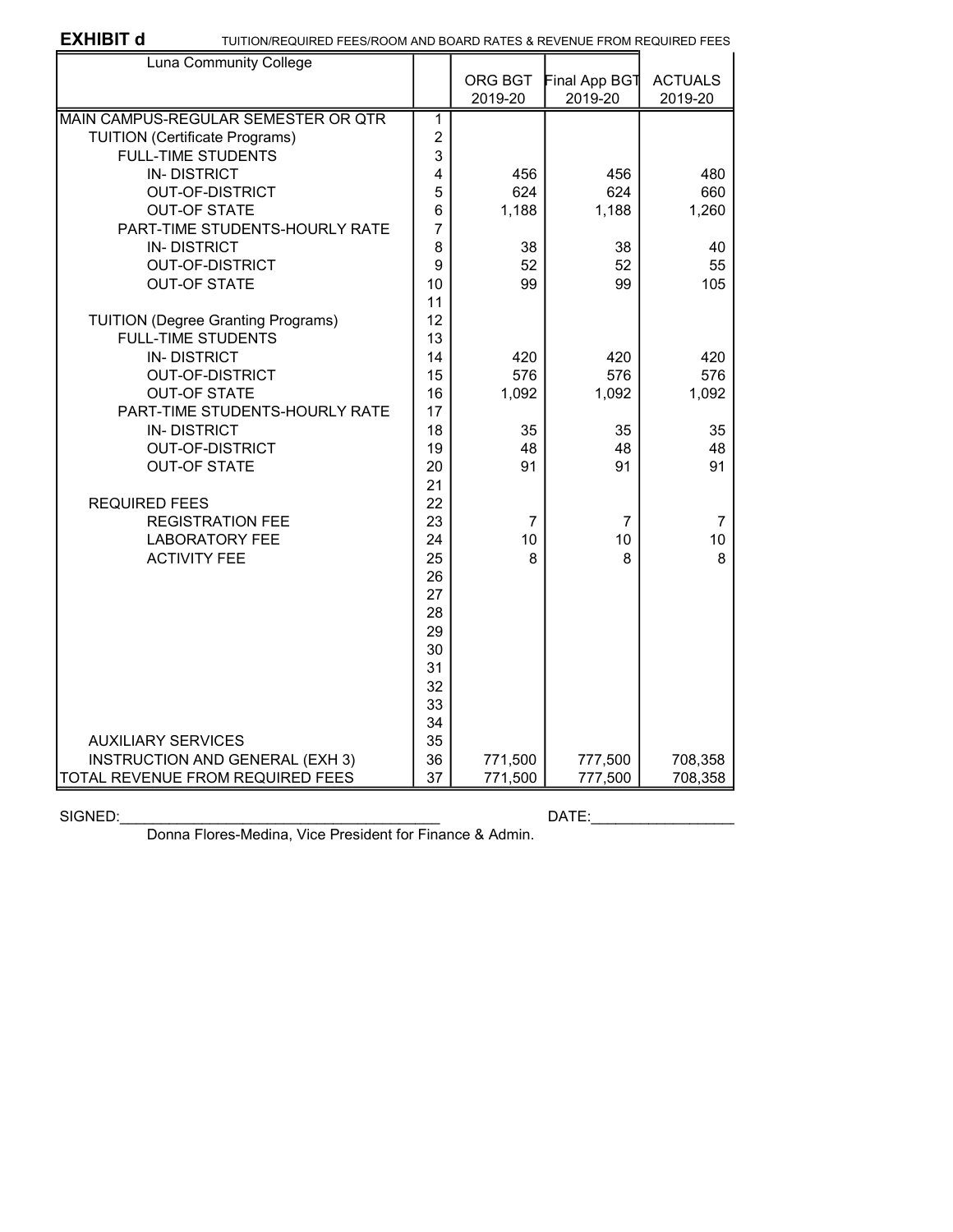EXHIBIT **d** TUITION/REQUIRED FEES/ROOM AND BOARD RATES & REVENUE FROM REQUIRED FEES

| Luna Community College                    |                |                |               |                |
|-------------------------------------------|----------------|----------------|---------------|----------------|
|                                           |                | ORG BGT        | Final App BGT | <b>ACTUALS</b> |
|                                           |                | 2019-20        | 2019-20       | 2019-20        |
| MAIN CAMPUS-REGULAR SEMESTER OR QTR       | 1              |                |               |                |
| <b>TUITION (Certificate Programs)</b>     | $\overline{2}$ |                |               |                |
| <b>FULL-TIME STUDENTS</b>                 | 3              |                |               |                |
| <b>IN-DISTRICT</b>                        | 4              | 456            | 456           | 480            |
| <b>OUT-OF-DISTRICT</b>                    | 5              | 624            | 624           | 660            |
| <b>OUT-OF STATE</b>                       | 6              | 1,188          | 1,188         | 1,260          |
| PART-TIME STUDENTS-HOURLY RATE            | $\overline{7}$ |                |               |                |
| <b>IN-DISTRICT</b>                        | 8              | 38             | 38            | 40             |
| <b>OUT-OF-DISTRICT</b>                    | 9              | 52             | 52            | 55             |
| <b>OUT-OF STATE</b>                       | 10             | 99             | 99            | 105            |
|                                           | 11             |                |               |                |
| <b>TUITION (Degree Granting Programs)</b> | 12             |                |               |                |
| <b>FULL-TIME STUDENTS</b>                 | 13             |                |               |                |
| <b>IN-DISTRICT</b>                        | 14             | 420            | 420           | 420            |
| <b>OUT-OF-DISTRICT</b>                    | 15             | 576            | 576           | 576            |
| <b>OUT-OF STATE</b>                       | 16             | 1,092          | 1,092         | 1,092          |
| PART-TIME STUDENTS-HOURLY RATE            | 17             |                |               |                |
| <b>IN-DISTRICT</b>                        | 18             | 35             | 35            | 35             |
| <b>OUT-OF-DISTRICT</b>                    | 19             | 48             | 48            | 48             |
| <b>OUT-OF STATE</b>                       | 20             | 91             | 91            | 91             |
|                                           | 21             |                |               |                |
| <b>REQUIRED FEES</b>                      | 22             |                |               |                |
| <b>REGISTRATION FEE</b>                   | 23             | $\overline{7}$ | 7             | 7              |
| <b>LABORATORY FEE</b>                     | 24             | 10             | 10            | 10             |
| <b>ACTIVITY FEE</b>                       | 25             | 8              | 8             | 8              |
|                                           | 26             |                |               |                |
|                                           | 27             |                |               |                |
|                                           | 28             |                |               |                |
|                                           | 29             |                |               |                |
|                                           | 30             |                |               |                |
|                                           | 31             |                |               |                |
|                                           | 32             |                |               |                |
|                                           | 33             |                |               |                |
|                                           | 34             |                |               |                |
| <b>AUXILIARY SERVICES</b>                 | 35             |                |               |                |
| INSTRUCTION AND GENERAL (EXH 3)           | 36             | 771,500        | 777,500       | 708,358        |
| <b>TOTAL REVENUE FROM REQUIRED FEES</b>   | 37             | 771,500        | 777,500       | 708,358        |

### SIGNED:\_\_\_\_\_\_\_\_\_\_\_\_\_\_\_\_\_\_\_\_\_\_\_\_\_\_\_\_\_\_\_\_\_\_\_\_\_\_\_ DATE:\_\_\_\_\_\_\_\_\_\_\_\_\_\_\_\_\_\_

Donna Flores-Medina, Vice President for Finance & Admin.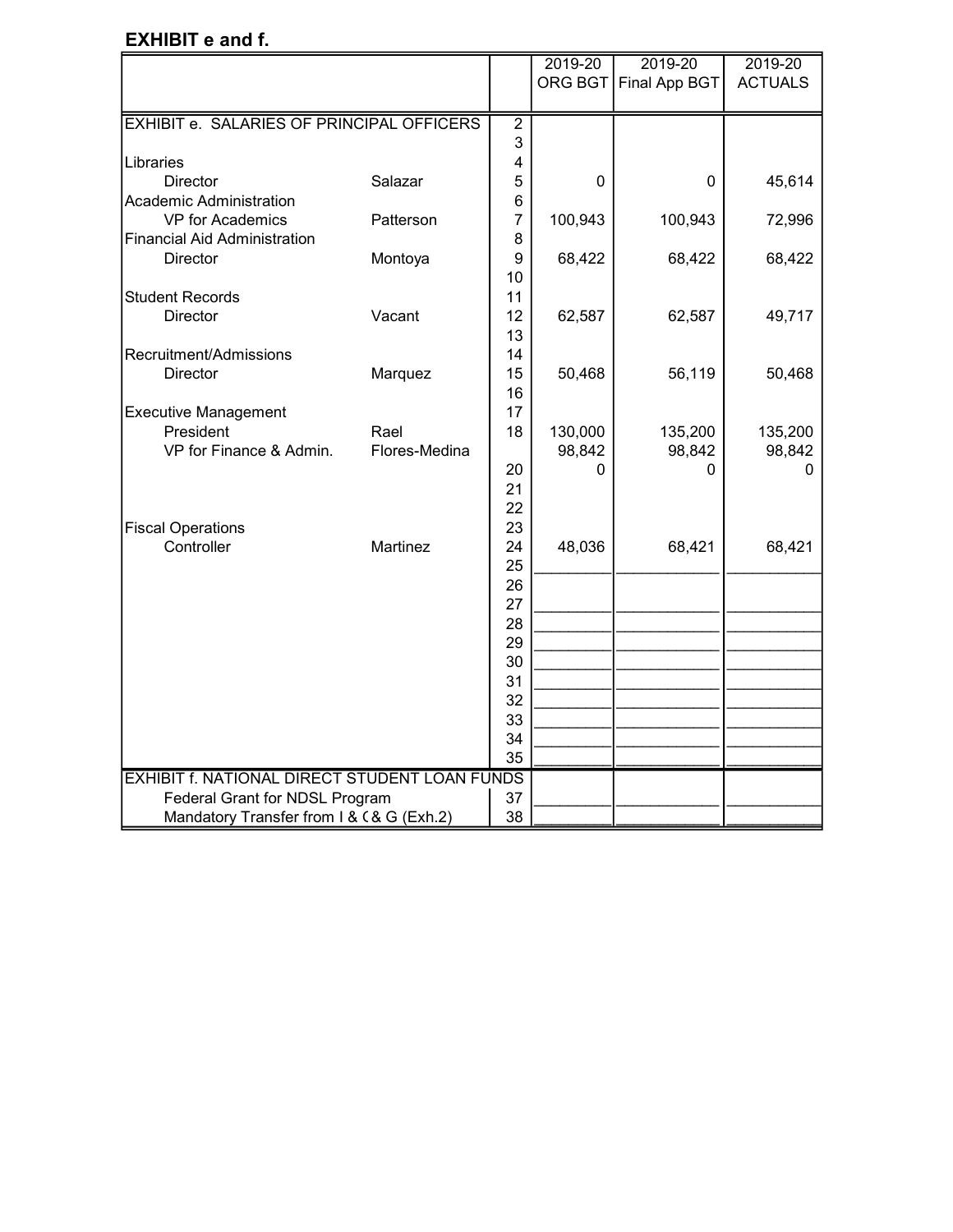## EXHIBIT e and f.

|                                                      |                       |                         | 2019-20     | 2019-20       | 2019-20        |
|------------------------------------------------------|-----------------------|-------------------------|-------------|---------------|----------------|
|                                                      |                       |                         | ORG BGT     | Final App BGT | <b>ACTUALS</b> |
|                                                      |                       |                         |             |               |                |
| EXHIBIT e. SALARIES OF PRINCIPAL OFFICERS            |                       | $\overline{2}$          |             |               |                |
|                                                      |                       | 3                       |             |               |                |
| Libraries                                            |                       | $\overline{\mathbf{4}}$ |             |               |                |
| <b>Director</b>                                      | Salazar               | 5                       | 0           | $\mathbf 0$   | 45,614         |
| Academic Administration                              |                       | 6                       |             |               |                |
| VP for Academics                                     | Patterson             | $\overline{7}$          | 100,943     | 100,943       | 72,996         |
| <b>Financial Aid Administration</b>                  |                       | 8                       |             |               |                |
| Director                                             | Montoya               | 9                       | 68,422      | 68,422        | 68,422         |
|                                                      |                       | 10                      |             |               |                |
| <b>Student Records</b>                               |                       | 11                      |             |               |                |
| <b>Director</b>                                      | Vacant                | 12                      | 62,587      | 62,587        | 49,717         |
|                                                      |                       | 13                      |             |               |                |
| Recruitment/Admissions                               |                       | 14                      |             |               |                |
| Director                                             | Marquez               | 15                      | 50,468      | 56,119        | 50,468         |
|                                                      |                       | 16                      |             |               |                |
| <b>Executive Management</b>                          |                       | 17                      |             |               |                |
| President<br>VP for Finance & Admin.                 | Rael<br>Flores-Medina | 18                      | 130,000     | 135,200       | 135,200        |
|                                                      |                       | 20                      | 98,842<br>0 | 98,842<br>0   | 98,842<br>U    |
|                                                      |                       | 21                      |             |               |                |
|                                                      |                       | 22                      |             |               |                |
| <b>Fiscal Operations</b>                             |                       | 23                      |             |               |                |
| Controller                                           | Martinez              | 24                      | 48,036      | 68,421        | 68,421         |
|                                                      |                       | 25                      |             |               |                |
|                                                      |                       | 26                      |             |               |                |
|                                                      |                       | 27                      |             |               |                |
|                                                      |                       | 28                      |             |               |                |
|                                                      |                       | 29                      |             |               |                |
|                                                      |                       | 30                      |             |               |                |
|                                                      |                       | 31                      |             |               |                |
|                                                      |                       | 32                      |             |               |                |
|                                                      |                       | 33                      |             |               |                |
|                                                      |                       | 34                      |             |               |                |
|                                                      |                       | 35                      |             |               |                |
| <b>EXHIBIT f. NATIONAL DIRECT STUDENT LOAN FUNDS</b> |                       |                         |             |               |                |
| Federal Grant for NDSL Program                       |                       | 37                      |             |               |                |
| Mandatory Transfer from I & C& G (Exh.2)             |                       | 38                      |             |               |                |